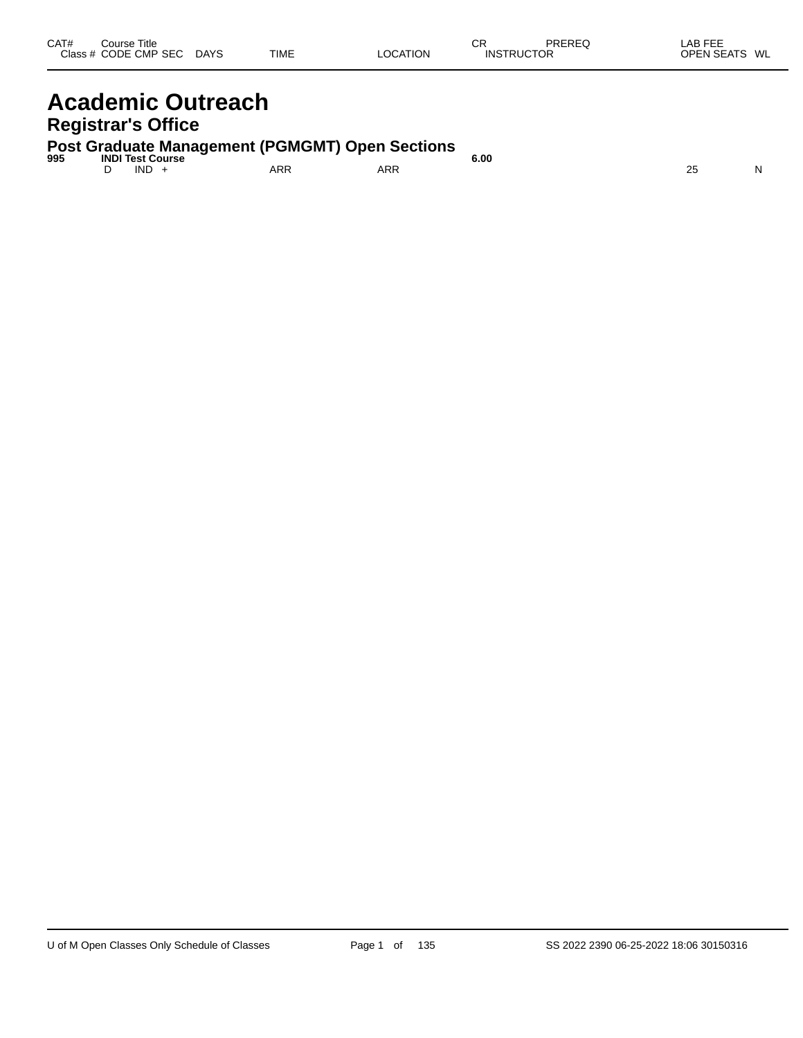| CAT#<br>Class $#$ | Title<br>Course<br>CODE CMP<br><b>SEC</b> | <b>DAYS</b> | <b>TIME</b> | <b>LOCATION</b> | ⌒冖<br>◡┌<br><b>INSTRUCTOR</b> | PREREQ | <b>AB FEF</b><br>--<br><b>OPEN SEATS</b> | WL |
|-------------------|-------------------------------------------|-------------|-------------|-----------------|-------------------------------|--------|------------------------------------------|----|
|                   |                                           |             |             |                 |                               |        |                                          |    |

### **Academic Outreach Registrar's Office**

**Post Graduate Management (PGMGMT) Open Sections 995 INDI Test Course 6.00**

D IND + ARR ARR 25 N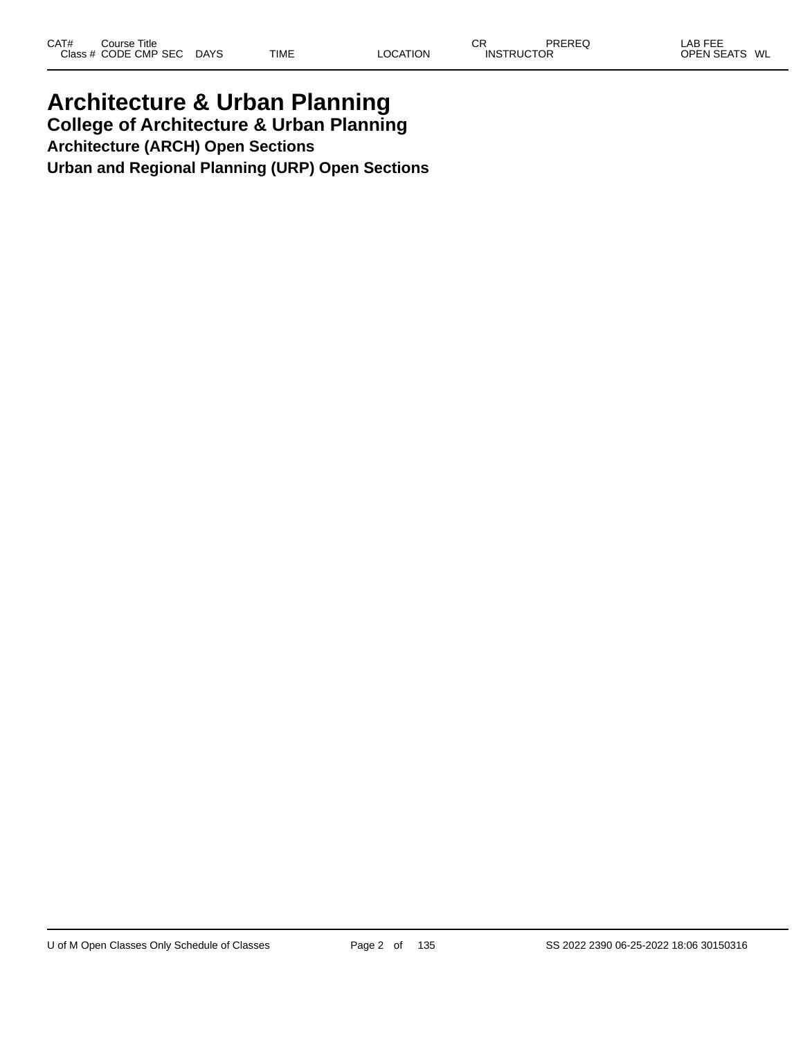### **Architecture & Urban Planning College of Architecture & Urban Planning Architecture (ARCH) Open Sections**

**Urban and Regional Planning (URP) Open Sections**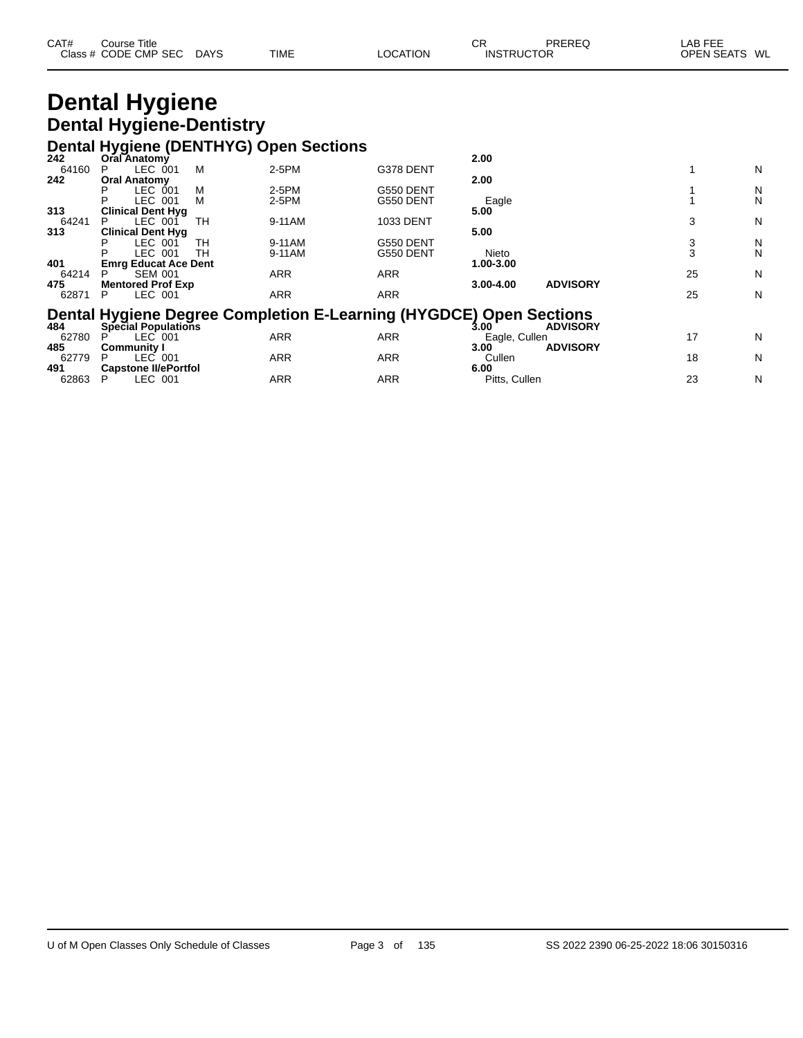| CAT# | Course Title              |             |          | СR                | PREREQ | _AB FEE       |  |
|------|---------------------------|-------------|----------|-------------------|--------|---------------|--|
|      | Class # CODE CMP SEC DAYS | <b>TIME</b> | LOCATION | <b>INSTRUCTOR</b> |        | OPEN SEATS WL |  |

# **Dental Hygiene Dental Hygiene-Dentistry**

# **Dental Hygiene (DENTHYG) Open Sections 242 Oral Anatomy 2.00**

| 242   | <b>Oral Anatomy</b>         |    |                                                                    |            | 2.00          |                 |    |   |
|-------|-----------------------------|----|--------------------------------------------------------------------|------------|---------------|-----------------|----|---|
| 64160 | LEC 001<br>P                | м  | 2-5PM                                                              | G378 DENT  |               |                 |    | N |
| 242   | <b>Oral Anatomy</b>         |    |                                                                    |            | 2.00          |                 |    |   |
|       | <b>LEC 001</b>              | М  | 2-5PM                                                              | G550 DENT  |               |                 |    | N |
|       | LEC 001<br>P                | М  | 2-5PM                                                              | G550 DENT  | Eagle         |                 |    | N |
| 313   | <b>Clinical Dent Hyg</b>    |    |                                                                    |            | 5.00          |                 |    |   |
| 64241 | LEC 001                     | TН | 9-11AM                                                             | 1033 DENT  |               |                 | 3  | N |
| 313   | <b>Clinical Dent Hyg</b>    |    |                                                                    |            | 5.00          |                 |    |   |
|       | LEC 001                     | TН | 9-11AM                                                             | G550 DENT  |               |                 | 3  | N |
|       | LEC 001                     | TН | 9-11AM                                                             | G550 DENT  | Nieto         |                 | 3  | N |
| 401   | <b>Emrg Educat Ace Dent</b> |    |                                                                    |            | 1.00-3.00     |                 |    |   |
| 64214 | <b>SEM 001</b><br>P         |    | <b>ARR</b>                                                         | <b>ARR</b> |               |                 | 25 | N |
| 475   | <b>Mentored Prof Exp</b>    |    |                                                                    |            | 3.00-4.00     | <b>ADVISORY</b> |    |   |
| 62871 | LEC 001<br>P                |    | <b>ARR</b>                                                         | <b>ARR</b> |               |                 | 25 | N |
|       |                             |    |                                                                    |            |               |                 |    |   |
|       |                             |    | Dental Hygiene Degree Completion E-Learning (HYGDCE) Open Sections |            |               |                 |    |   |
| 484   | Special Populations         |    |                                                                    |            | 3.00          | <b>ADVISORY</b> |    |   |
| 62780 | LEC 001                     |    | <b>ARR</b>                                                         | <b>ARR</b> | Eagle, Cullen |                 | 17 | N |
| 485   | <b>Community I</b>          |    |                                                                    |            | 3.00          | <b>ADVISORY</b> |    |   |
| 62779 | LEC 001<br>P                |    | <b>ARR</b>                                                         | <b>ARR</b> | Cullen        |                 | 18 | N |
| 491   | <b>Capstone II/ePortfol</b> |    |                                                                    |            | 6.00          |                 |    |   |
| 62863 | LEC 001<br>Р                |    | <b>ARR</b>                                                         | <b>ARR</b> | Pitts, Cullen |                 | 23 | N |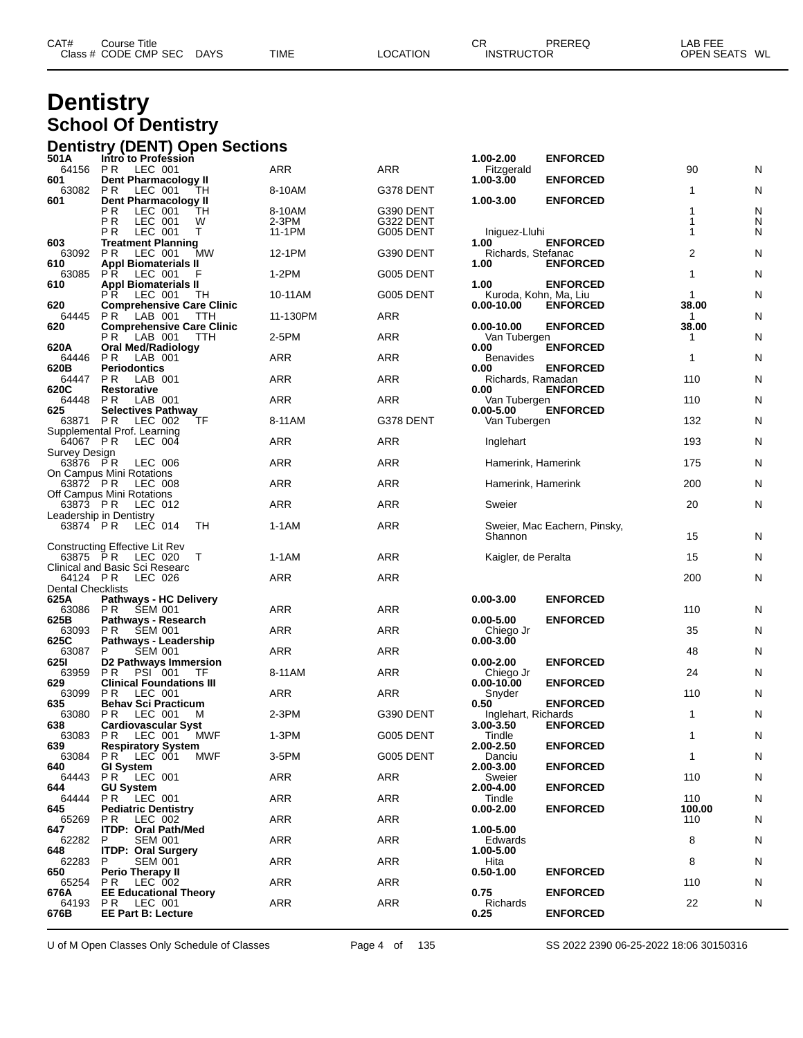| CAT# | ourse Titleٽ         |             |             |                 | Ωn<br>◡◚          | <b>PREREQ</b> | LAB FEE       |  |
|------|----------------------|-------------|-------------|-----------------|-------------------|---------------|---------------|--|
|      | Class # CODE CMP SEC | <b>DAYS</b> | <b>TIME</b> | <b>LOCATION</b> | <b>INSTRUCTOR</b> |               | OPEN SEATS WL |  |
|      |                      |             |             |                 |                   |               |               |  |

### **Dentistry School Of Dentistry**

|                           | <b>Dentistry (DENT) Open Sections</b>                       |     |            |                  |                                     |                              |              |   |
|---------------------------|-------------------------------------------------------------|-----|------------|------------------|-------------------------------------|------------------------------|--------------|---|
| 501A<br>64156             | Intro to Profession<br>P <sub>R</sub><br>LEC 001            |     | ARR        | ARR              | 1.00-2.00<br>Fitzgerald             | <b>ENFORCED</b>              | 90           | N |
| 601                       | <b>Dent Pharmacology II</b>                                 |     |            |                  | 1.00-3.00                           | <b>ENFORCED</b>              |              |   |
| 63082<br>601              | P R<br>LEC 001<br>TН<br>Dent Pharmacology II                |     | 8-10AM     | G378 DENT        | 1.00-3.00                           | <b>ENFORCED</b>              | 1            | N |
|                           | РR<br>LEC 001<br>TН                                         |     | 8-10AM     | G390 DENT        |                                     |                              | 1            | N |
|                           | ΡR<br>LEC 001<br>W                                          |     | 2-3PM      | G322 DENT        |                                     |                              | 1<br>1       | N |
| 603                       | P R<br>LEC 001<br>т<br><b>Treatment Planning</b>            |     | 11-1PM     | G005 DENT        | Iniguez-Lluhi<br>1.00               | <b>ENFORCED</b>              |              | N |
| 63092                     | P R<br>LEC 001                                              | MW  | 12-1PM     | G390 DENT        | Richards, Stefanac                  |                              | 2            | N |
| 610<br>63085              | <b>Appl Biomaterials II</b><br>P R<br>LEC 001               |     | $1-2PM$    | G005 DENT        | 1.00                                | <b>ENFORCED</b>              | 1            | N |
| 610                       | <b>Appl Biomaterials II</b>                                 |     |            |                  | 1.00                                | <b>ENFORCED</b>              |              |   |
| 620                       | P R<br>LEC 001<br>TН<br><b>Comprehensive Care Clinic</b>    |     | 10-11AM    | G005 DENT        | Kuroda, Kohn, Ma, Liu<br>0.00-10.00 | <b>ENFORCED</b>              | 1<br>38.00   | N |
| 64445                     | LAB 001<br>P R                                              | TTH | 11-130PM   | ARR              |                                     |                              | 1            | N |
| 620                       | <b>Comprehensive Care Clinic</b><br>LAB 001<br>P R          | TTH | 2-5PM      | ARR              | $0.00 - 10.00$<br>Van Tubergen      | <b>ENFORCED</b>              | 38.00<br>1   | N |
| 620A                      | <b>Oral Med/Radiology</b>                                   |     |            |                  | 0.00                                | <b>ENFORCED</b>              |              |   |
| 64446<br>620B             | P R<br>LAB 001<br><b>Periodontics</b>                       |     | ARR        | <b>ARR</b>       | <b>Benavides</b><br>0.00            | <b>ENFORCED</b>              | 1            | N |
| 64447                     | P R<br>LAB 001                                              |     | ARR        | ARR              | Richards, Ramadan                   |                              | 110          | N |
| 620C<br>64448             | <b>Restorative</b><br>P R<br>LAB 001                        |     | ARR        | <b>ARR</b>       | 0.00<br>Van Tubergen                | <b>ENFORCED</b>              | 110          | N |
| 625<br>63871              | <b>Selectives Pathway</b>                                   |     |            | G378 DENT        | $0.00 - 5.00$                       | <b>ENFORCED</b>              | 132          |   |
|                           | P R<br>LEC 002<br>TF<br>Supplemental Prof. Learning         |     | 8-11AM     |                  | Van Tubergen                        |                              |              | N |
| 64067 PR                  | LEC 004                                                     |     | <b>ARR</b> | <b>ARR</b>       | Inglehart                           |                              | 193          | N |
| Survey Design<br>63876 PR | LEC 006                                                     |     | ARR        | <b>ARR</b>       | Hamerink, Hamerink                  |                              | 175          | N |
| 63872 PR                  | On Campus Mini Rotations                                    |     | ARR        | <b>ARR</b>       |                                     |                              | 200          | N |
|                           | LEC 008<br>Off Campus Mini Rotations                        |     |            |                  | Hamerink, Hamerink                  |                              |              |   |
| 63873 PR                  | LEC 012                                                     |     | <b>ARR</b> | <b>ARR</b>       | Sweier                              |                              | 20           | N |
| 63874 PR                  | Leadership in Dentistry<br>LEC 014<br>TН                    |     | 1-1AM      | <b>ARR</b>       |                                     | Sweier, Mac Eachern, Pinsky, |              |   |
|                           | Constructing Effective Lit Rev                              |     |            |                  | Shannon                             |                              | 15           | N |
| 63875 PR                  | LEC 020<br>T                                                |     | 1-1AM      | <b>ARR</b>       | Kaigler, de Peralta                 |                              | 15           | N |
| 64124 PR                  | Clinical and Basic Sci Researc                              |     | <b>ARR</b> | <b>ARR</b>       |                                     |                              | 200          | N |
| <b>Dental Checklists</b>  | LEC 026                                                     |     |            |                  |                                     |                              |              |   |
| 625A<br>63086             | <b>Pathways - HC Delivery</b><br>P R<br><b>SEM 001</b>      |     | <b>ARR</b> | ARR              | $0.00 - 3.00$                       | <b>ENFORCED</b>              | 110          | N |
| 625B                      | Pathways - Research                                         |     |            |                  | $0.00 - 5.00$                       | <b>ENFORCED</b>              |              |   |
| 63093<br>625C             | <b>SEM 001</b><br>P R<br>Pathways - Leadership              |     | <b>ARR</b> | ARR              | Chiego Jr<br>$0.00 - 3.00$          |                              | 35           | N |
| 63087                     | <b>SEM 001</b><br>P                                         |     | ARR        | ARR              |                                     |                              | 48           | N |
| 6251<br>63959             | <b>D2 Pathways Immersion</b><br>P R<br><b>PSI 001</b><br>TF |     | 8-11AM     | <b>ARR</b>       | $0.00 - 2.00$<br>Chiego Jr          | <b>ENFORCED</b>              | 24           | N |
| 629                       | <b>Clinical Foundations III</b>                             |     |            |                  | 0.00-10.00                          | <b>ENFORCED</b>              |              |   |
| 63099<br>635              | P R<br>LEC 001<br><b>Behav Sci Practicum</b>                |     | <b>ARR</b> | <b>ARR</b>       | Snyder<br>0.50                      | <b>ENFORCED</b>              | 110          | N |
| 63080                     | P R<br>LEC 001<br>M                                         |     | $2-3PM$    | G390 DENT        | Inglehart, Richards                 |                              | $\mathbf{1}$ | N |
| 638<br>63083              | <b>Cardiovascular Syst</b><br>P R LEC 001 MWF               |     | $1-3PM$    | G005 DENT        | 3.00-3.50<br>Tindle                 | <b>ENFORCED</b>              | $\mathbf{1}$ | N |
| 639                       | <b>Respiratory System</b>                                   |     |            |                  | 2.00-2.50                           | <b>ENFORCED</b>              |              |   |
| 63084<br>640              | PR.<br>LEC 001<br><b>GI System</b>                          | MWF | 3-5PM      | <b>G005 DENT</b> | Danciu<br>2.00-3.00                 | <b>ENFORCED</b>              | $\mathbf{1}$ | N |
| 64443                     | PR LEC 001                                                  |     | ARR        | ARR              | Sweier                              |                              | 110          | N |
| 644<br>64444              | <b>GU System</b><br>PR LEC 001                              |     | <b>ARR</b> | ARR              | 2.00-4.00<br>Tindle                 | <b>ENFORCED</b>              | 110          | N |
| 645                       | <b>Pediatric Dentistry</b>                                  |     |            |                  | $0.00 - 2.00$                       | <b>ENFORCED</b>              | 100.00       |   |
| 65269<br>647              | PR.<br>LEC 002<br><b>ITDP: Oral Path/Med</b>                |     | <b>ARR</b> | ARR              | 1.00-5.00                           |                              | 110          | N |
| 62282                     | P<br><b>SEM 001</b>                                         |     | ARR        | ARR              | <b>Edwards</b>                      |                              | 8            | N |
| 648<br>62283              | <b>ITDP: Oral Surgery</b><br><b>SEM 001</b><br>P            |     | <b>ARR</b> | ARR              | 1.00-5.00<br>Hita                   |                              | 8            | N |
| 650                       | <b>Perio Therapy II</b>                                     |     |            |                  | $0.50 - 1.00$                       | <b>ENFORCED</b>              |              |   |
| 65254<br>676A             | <b>PR LEC 002</b><br><b>EE Educational Theory</b>           |     | <b>ARR</b> | ARR              | 0.75                                | <b>ENFORCED</b>              | 110          | N |
| 64193                     | <b>PR LEC 001</b>                                           |     | <b>ARR</b> | ARR              | Richards                            |                              | 22           | N |
| 676B                      | <b>EE Part B: Lecture</b>                                   |     |            |                  | 0.25                                | <b>ENFORCED</b>              |              |   |

U of M Open Classes Only Schedule of Classes Page 4 of 135 SS 2022 2390 06-25-2022 18:06 30150316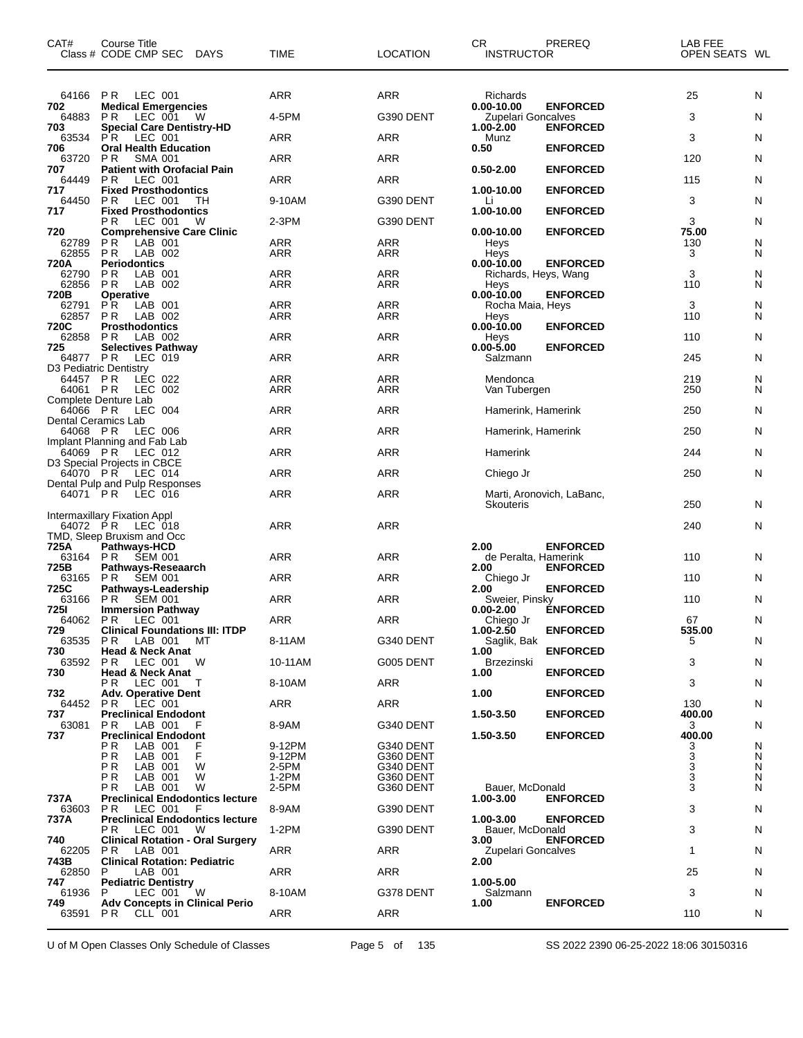| CAT#                   | Course Title<br>Class # CODE CMP SEC DAYS                          | TIME              | <b>LOCATION</b>          | CR<br><b>INSTRUCTOR</b>                     | PREREQ                    | LAB FEE<br>OPEN SEATS WL |        |
|------------------------|--------------------------------------------------------------------|-------------------|--------------------------|---------------------------------------------|---------------------------|--------------------------|--------|
|                        | 64166 PR LEC 001                                                   | ARR               | ARR                      | Richards                                    |                           | 25                       | N      |
| 702<br>64883           | <b>Medical Emergencies</b><br>LEC 001<br>PR.<br>W                  | 4-5PM             | G390 DENT                | $0.00 - 10.00$<br><b>Zupelari Goncalves</b> | <b>ENFORCED</b>           | 3                        | N      |
| 703                    | <b>Special Care Dentistry-HD</b>                                   |                   |                          | 1.00-2.00                                   | <b>ENFORCED</b>           |                          |        |
| 63534<br>706           | PR.<br>LEC 001<br><b>Oral Health Education</b>                     | ARR               | <b>ARR</b>               | Munz<br>0.50                                | <b>ENFORCED</b>           | 3                        | N      |
| 63720<br>707           | PR.<br><b>SMA 001</b><br><b>Patient with Orofacial Pain</b>        | ARR               | ARR                      | $0.50 - 2.00$                               | <b>ENFORCED</b>           | 120                      | N      |
| 64449                  | LEC 001<br>P <sub>R</sub>                                          | <b>ARR</b>        | <b>ARR</b>               |                                             |                           | 115                      | N      |
| 717<br>64450           | <b>Fixed Prosthodontics</b><br>PR.<br>LEC 001<br>TН                | 9-10AM            | G390 DENT                | 1.00-10.00<br>Li                            | <b>ENFORCED</b>           | 3                        | N      |
| 717                    | <b>Fixed Prosthodontics</b><br>LEC 001<br>P R<br>W                 | 2-3PM             | G390 DENT                | 1.00-10.00                                  | <b>ENFORCED</b>           | 3                        | N      |
| 720                    | <b>Comprehensive Care Clinic</b>                                   |                   |                          | $0.00 - 10.00$                              | <b>ENFORCED</b>           | 75.00                    |        |
| 62789<br>62855         | LAB 001<br>P <sub>R</sub><br>PR.<br>LAB 002                        | <b>ARR</b><br>ARR | <b>ARR</b><br><b>ARR</b> | Heys<br>Heys                                |                           | 130<br>3                 | N<br>N |
| 720A<br>62790          | <b>Periodontics</b><br>PR.<br>LAB 001                              | ARR               | <b>ARR</b>               | $0.00 - 10.00$<br>Richards, Heys, Wang      | <b>ENFORCED</b>           | 3                        | N      |
| 62856                  | PR.<br>LAB 002                                                     | ARR               | <b>ARR</b>               | Heys                                        |                           | 110                      | N      |
| 720B<br>62791          | <b>Operative</b><br>PR.<br>LAB 001                                 | <b>ARR</b>        | <b>ARR</b>               | $0.00 - 10.00$<br>Rocha Maia, Heys          | <b>ENFORCED</b>           | 3                        | N      |
| 62857<br>720C          | PR.<br>LAB 002<br><b>Prosthodontics</b>                            | ARR               | ARR                      | Heys<br>$0.00 - 10.00$                      | <b>ENFORCED</b>           | 110                      | N      |
| 62858                  | LAB 002<br>P R                                                     | ARR               | <b>ARR</b>               | Heys                                        |                           | 110                      | N      |
| 725<br>64877 PR        | <b>Selectives Pathway</b><br>LEC 019                               | ARR               | <b>ARR</b>               | 0.00-5.00<br>Salzmann                       | <b>ENFORCED</b>           | 245                      | N      |
| D3 Pediatric Dentistry | LEC 022                                                            | ARR               | <b>ARR</b>               | Mendonca                                    |                           | 219                      | N      |
| 64457 PR<br>64061      | P R<br>LEC 002                                                     | <b>ARR</b>        | <b>ARR</b>               | Van Tubergen                                |                           | 250                      | N      |
| 64066 PR               | Complete Denture Lab<br>LEC 004                                    | ARR               | <b>ARR</b>               | Hamerink, Hamerink                          |                           | 250                      | N      |
| Dental Ceramics Lab    |                                                                    |                   |                          |                                             |                           |                          |        |
| 64068 PR               | LEC 006<br>Implant Planning and Fab Lab                            | ARR               | <b>ARR</b>               | Hamerink, Hamerink                          |                           | 250                      | N      |
| 64069 PR               | LEC 012<br>D3 Special Projects in CBCE                             | ARR               | <b>ARR</b>               | Hamerink                                    |                           | 244                      | N      |
|                        | 64070 PR LEC 014                                                   | ARR               | <b>ARR</b>               | Chiego Jr                                   |                           | 250                      | N      |
| 64071 PR               | Dental Pulp and Pulp Responses<br>LEC 016                          | <b>ARR</b>        | <b>ARR</b>               |                                             | Marti, Aronovich, LaBanc, |                          |        |
|                        | Intermaxillary Fixation Appl                                       |                   |                          | Skouteris                                   |                           | 250                      | N      |
| 64072 PR               | LEC 018                                                            | ARR               | <b>ARR</b>               |                                             |                           | 240                      | N      |
| 725A                   | TMD, Sleep Bruxism and Occ<br><b>Pathways-HCD</b>                  |                   |                          | 2.00                                        | <b>ENFORCED</b>           |                          |        |
| 63164 PR<br>725B       | <b>SEM 001</b><br>Pathways-Reseaarch                               | ARR               | <b>ARR</b>               | de Peralta, Hamerink<br>2.00                | <b>ENFORCED</b>           | 110                      | N      |
| 63165                  | ŠEM 001<br>P R                                                     | ARR               | <b>ARR</b>               | Chiego Jr                                   |                           | 110                      | N      |
| 725C                   | Pathways-Leadership<br>63166 PR SEM 001                            | <b>ARR</b>        | <b>ARR</b>               | 2.00<br>Sweier, Pinsky                      | <b>ENFORCED</b>           | 110                      | N      |
| 725I                   | <b>Immersion Pathway</b><br>64062 PR LEC 001                       | ARR               | ARR                      | $0.00 - 2.00$<br>Chiego Jr                  | <b>ÉNFORCED</b>           | 67                       | N      |
| 729                    | <b>Clinical Foundations III: ITDP</b>                              |                   |                          | 1.00-2.50                                   | <b>ENFORCED</b>           | 535.00                   |        |
| 63535<br>730           | PR.<br>LAB 001<br>MТ<br><b>Head &amp; Neck Anat</b>                | 8-11AM            | G340 DENT                | Saglik, Bak<br>1.00                         | <b>ENFORCED</b>           | 5                        | N      |
| 63592<br>730           | <b>PR LEC 001</b><br>W<br><b>Head &amp; Neck Anat</b>              | 10-11AM           | G005 DENT                | <b>Brzezinski</b><br>1.00                   | <b>ENFORCED</b>           | 3                        | N      |
|                        | P R<br>LEC 001<br>T                                                | 8-10AM            | ARR                      |                                             |                           | 3                        | N      |
| 732<br>64452           | <b>Adv. Operative Dent</b><br>LEC 001<br>PR.                       | ARR               | ARR                      | 1.00                                        | <b>ENFORCED</b>           | 130                      | N      |
| 737<br>63081           | <b>Preclinical Endodont</b><br>PR.<br>LAB 001                      | 8-9AM             | G340 DENT                | 1.50-3.50                                   | <b>ENFORCED</b>           | 400.00<br>3              | N      |
| 737                    | <b>Preclinical Endodont</b>                                        |                   |                          | 1.50-3.50                                   | <b>ENFORCED</b>           | 400.00                   |        |
|                        | LAB 001<br>P R<br>F<br>ΡR<br>F<br>LAB 001                          | 9-12PM<br>9-12PM  | G340 DENT<br>G360 DENT   |                                             |                           | 3<br>3                   | N<br>N |
|                        | ΡR<br>LAB 001<br>W<br>РR<br>W                                      | 2-5PM<br>$1-2PM$  | G340 DENT                |                                             |                           | $\overline{3}$<br>3      | N      |
|                        | LAB 001<br>РR<br>LAB 001<br>W                                      | 2-5PM             | G360 DENT<br>G360 DENT   | Bauer, McDonald                             |                           | 3                        | N<br>N |
| 737A<br>63603          | <b>Preclinical Endodontics lecture</b><br>P R<br>LEC 001<br>E      | 8-9AM             | G390 DENT                | 1.00-3.00                                   | <b>ENFORCED</b>           | 3                        | N      |
| 737A                   | <b>Preclinical Endodontics lecture</b>                             |                   |                          | 1.00-3.00                                   | <b>ENFORCED</b>           |                          |        |
| 740                    | P R<br>LEC 001<br>W<br><b>Clinical Rotation - Oral Surgery</b>     | $1-2PM$           | G390 DENT                | Bauer, McDonald<br>3.00                     | <b>ENFORCED</b>           | 3                        | N      |
| 62205<br>743B          | PR.<br>LAB 001<br><b>Clinical Rotation: Pediatric</b>              | ARR               | ARR                      | Zupelari Goncalves<br>2.00                  |                           | $\mathbf{1}$             | N      |
| 62850                  | LAB 001<br>P                                                       | ARR               | ARR                      |                                             |                           | 25                       | N      |
| 747<br>61936           | <b>Pediatric Dentistry</b><br>W<br>LEC 001<br>P.                   | 8-10AM            | G378 DENT                | 1.00-5.00<br>Salzmann                       |                           | 3                        | N      |
| 749<br>63591           | <b>Adv Concepts in Clinical Perio</b><br>P <sub>R</sub><br>CLL 001 | ARR               | ARR                      | 1.00                                        | <b>ENFORCED</b>           | 110                      | N      |
|                        |                                                                    |                   |                          |                                             |                           |                          |        |

U of M Open Classes Only Schedule of Classes Page 5 of 135 SS 2022 2390 06-25-2022 18:06 30150316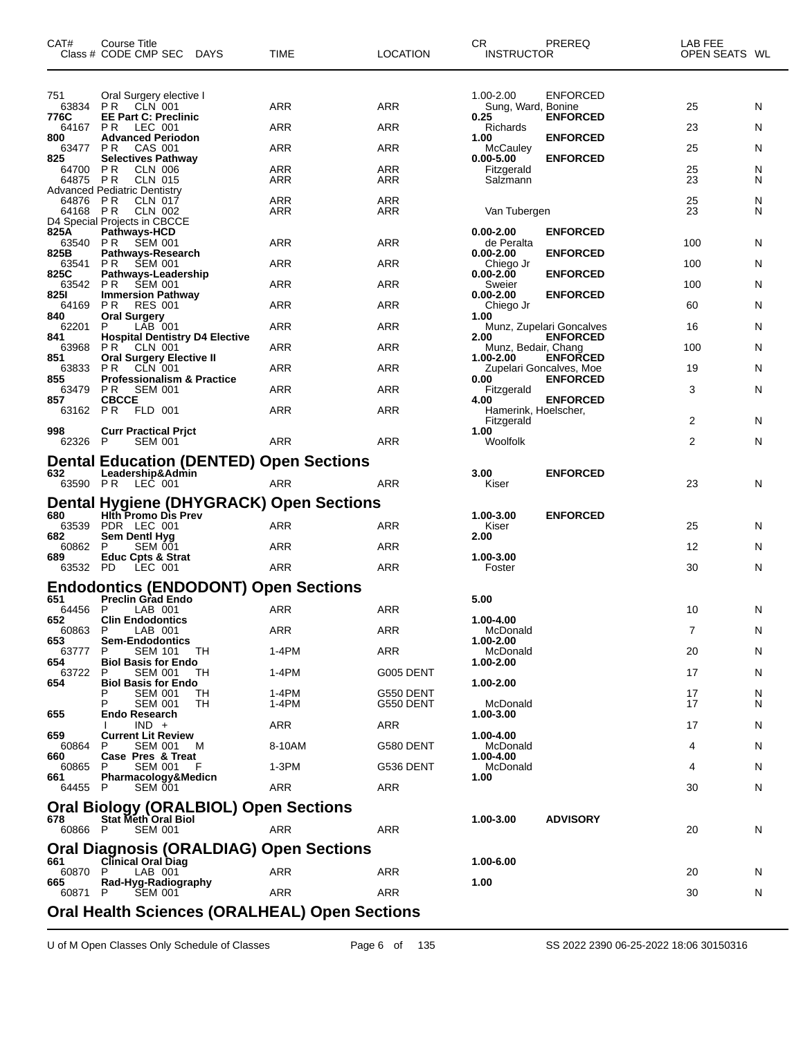| <b>ENFORCED</b><br>751<br>Oral Surgery elective I<br>1.00-2.00<br><b>ARR</b><br><b>ARR</b><br>63834<br>N<br><b>PR</b> CLN 001<br>Sung, Ward, Bonine<br>25<br>776C<br><b>EE Part C: Preclinic</b><br><b>ENFORCED</b><br>0.25<br>LEC 001<br><b>ARR</b><br>ARR<br>N<br>64167 PR<br>Richards<br>23<br><b>Advanced Periodon</b><br><b>ENFORCED</b><br>800<br>1.00<br><b>ARR</b><br>63477 PR<br>CAS 001<br>ARR<br>McCauley<br>25<br>N<br><b>Selectives Pathway</b><br><b>ENFORCED</b><br>825<br>$0.00 - 5.00$<br><b>ARR</b><br><b>ARR</b><br>N<br>64700 PR<br><b>CLN 006</b><br>25<br>Fitzgerald<br>23<br>64875 PR<br>CLN 015<br>ARR<br>ARR<br>N<br>Salzmann<br>Advanced Pediatric Dentistry<br><b>ARR</b><br><b>ARR</b><br>N<br>64876 PR<br><b>CLN 017</b><br>25<br>23<br>64168 PR<br>CLN 002<br>ARR<br>ARR<br>Van Tubergen<br>N<br>D4 Special Projects in CBCCE<br>825A<br>Pathways-HCD<br>$0.00 - 2.00$<br><b>ENFORCED</b><br>N<br>63540 PR<br>SEM 001<br>ARR<br>ARR<br>de Peralta<br>100<br><b>ENFORCED</b><br>825B<br>Pathways-Research<br>$0.00 - 2.00$<br><b>ARR</b><br>ARR<br>N<br>63541 PR<br>100<br>SEM 001<br>Chiego Jr<br><b>ENFORCED</b><br>825C<br>Pathways-Leadership<br>$0.00 - 2.00$<br>63542 PR SEM 001<br><b>ARR</b><br>ARR<br>N<br>100<br>Sweier<br>825I<br><b>ENFORCED</b><br><b>Immersion Pathway</b><br>$0.00 - 2.00$<br>ARR<br>N<br>64169<br>P R<br><b>RES 001</b><br>ARR<br>60<br>Chiego Jr<br><b>Oral Surgery</b><br>840<br>1.00<br>ARR<br>ARR<br>N<br>62201<br>P<br>LAB 001<br>16<br>Munz, Zupelari Goncalves<br><b>ENFORCED</b><br>841<br><b>Hospital Dentistry D4 Elective</b><br>2.00<br>PR.<br><b>ARR</b><br>ARR<br>N<br>63968<br>CLN 001<br>100<br>Munz, Bedair, Chang<br><b>Oral Surgery Elective II</b><br><b>ENFORCED</b><br>851<br>1.00-2.00<br><b>ARR</b><br>ARR<br>N<br>63833<br>P R<br>CLN 001<br>19<br>Zupelari Goncalves, Moe<br><b>ENFORCED</b><br>855<br><b>Professionalism &amp; Practice</b><br>0.00<br>$\mathsf{N}$<br><b>ARR</b><br>ARR<br>3<br>63479<br>P R<br>SEM 001<br>Fitzgerald<br><b>CBCCE</b><br><b>ENFORCED</b><br>857<br>4.00<br>63162 PR<br>FLD 001<br><b>ARR</b><br>ARR<br>Hamerink, Hoelscher,<br>2<br>N<br>Fitzgerald<br><b>Curr Practical Prict</b><br>998<br>1.00<br><b>SEM 001</b><br><b>ARR</b><br>ARR<br>Woolfolk<br>2<br>N<br>62326 P<br><b>Dental Education (DENTED) Open Sections</b><br>632<br>Leadership&Admin<br>3.00<br><b>ENFORCED</b><br>63590 PR LEC 001<br><b>ARR</b><br><b>ARR</b><br>$\mathsf{N}$<br>23<br>Kiser<br><b>Dental Hygiene (DHYGRACK) Open Sections</b><br>680<br><b>Hith Promo Dis Prev</b><br>1.00-3.00<br><b>ENFORCED</b><br>PDR LEC 001<br><b>ARR</b><br>ARR<br>63539<br>25<br>N<br>Kiser<br>682<br><b>Sem Dentl Hyg</b><br>2.00<br>ARR<br>ARR<br>N<br>60862<br><b>SEM 001</b><br>12<br>P.<br>1.00-3.00<br>689<br><b>Educ Cpts &amp; Strat</b><br><b>ARR</b><br>63532 PD<br>LEC 001<br><b>ARR</b><br>30<br>N<br>Foster<br><b>Endodontics (ENDODONT) Open Sections</b><br>651<br><b>Preclin Grad Endo</b><br>5.00<br><b>ARR</b><br>$\mathsf{N}$<br>64456 P<br>ARR<br>10<br>LAB 001<br><b>Clin Endodontics</b><br>1.00-4.00<br>652<br>ARR<br><b>ARR</b><br>N<br>60863<br>7<br>P.<br>LAB 001<br>McDonald<br>653<br><b>Sem-Endodontics</b><br>1.00-2.00<br>ARR<br>1-4PM<br>McDonald<br>20<br>N<br>63777<br>P<br><b>SEM 101</b><br>TН<br>654<br>1.00-2.00<br><b>Biol Basis for Endo</b><br>N<br>63722<br>1-4PM<br>G005 DENT<br>P<br><b>SEM 001</b><br>ТH<br>17<br>654<br>1.00-2.00<br><b>Biol Basis for Endo</b><br>1-4PM<br>N<br><b>SEM 001</b><br>G550 DENT<br>TН<br>17<br>1-4PM<br>Р<br><b>SEM 001</b><br>ТH<br>G550 DENT<br>McDonald<br>17<br>N<br>655<br>Endo Research<br>1.00-3.00<br>ARR<br>N<br>$IND +$<br>ARR<br>17<br>659<br><b>Current Lit Review</b><br>1.00-4.00<br>8-10AM<br>G580 DENT<br>McDonald<br>N<br>60864<br>P<br><b>SEM 001</b><br>M<br>4<br>660<br>Case Pres & Treat<br>1.00-4.00<br>1-3PM<br>G536 DENT<br>N<br>60865<br>P<br>SEM 001<br>McDonald<br>4<br>661<br>Pharmacology&Medicn<br>1.00<br><b>ARR</b><br>N<br><b>SEM 001</b><br>ARR<br>64455 P<br>30<br><b>Oral Biology (ORALBIOL) Open Sections</b><br><b>ADVISORY</b><br><b>Stat Meth Oral Biol</b><br>678<br>1.00-3.00<br>60866 P<br><b>SEM 001</b><br>ARR<br>ARR<br>N<br>20<br><b>Oral Diagnosis (ORALDIAG) Open Sections</b><br>661<br><b>Clinical Oral Diag</b><br>1.00-6.00<br>ARR<br>LAB 001<br>ARR<br>N<br>60870<br>P<br>20<br>1.00<br>665<br>Rad-Hyg-Radiography<br><b>ARR</b><br>N<br>ARR<br>60871 P<br><b>SEM 001</b><br>30<br><b>Oral Health Sciences (ORALHEAL) Open Sections</b> | CAT# | Course Title<br>Class # CODE CMP SEC DAYS | <b>TIME</b> | <b>LOCATION</b> | CR.<br>PREREQ<br><b>INSTRUCTOR</b> | LAB FEE<br>OPEN SEATS WL |  |
|----------------------------------------------------------------------------------------------------------------------------------------------------------------------------------------------------------------------------------------------------------------------------------------------------------------------------------------------------------------------------------------------------------------------------------------------------------------------------------------------------------------------------------------------------------------------------------------------------------------------------------------------------------------------------------------------------------------------------------------------------------------------------------------------------------------------------------------------------------------------------------------------------------------------------------------------------------------------------------------------------------------------------------------------------------------------------------------------------------------------------------------------------------------------------------------------------------------------------------------------------------------------------------------------------------------------------------------------------------------------------------------------------------------------------------------------------------------------------------------------------------------------------------------------------------------------------------------------------------------------------------------------------------------------------------------------------------------------------------------------------------------------------------------------------------------------------------------------------------------------------------------------------------------------------------------------------------------------------------------------------------------------------------------------------------------------------------------------------------------------------------------------------------------------------------------------------------------------------------------------------------------------------------------------------------------------------------------------------------------------------------------------------------------------------------------------------------------------------------------------------------------------------------------------------------------------------------------------------------------------------------------------------------------------------------------------------------------------------------------------------------------------------------------------------------------------------------------------------------------------------------------------------------------------------------------------------------------------------------------------------------------------------------------------------------------------------------------------------------------------------------------------------------------------------------------------------------------------------------------------------------------------------------------------------------------------------------------------------------------------------------------------------------------------------------------------------------------------------------------------------------------------------------------------------------------------------------------------------------------------------------------------------------------------------------------------------------------------------------------------------------------------------------------------------------------------------------------------------------------------------------------------------------------------------------------------------------------------------------------------------------------------------------------------------------------------------------------------------------------------------------------------------------------------------------------------------------------------------------------------------------------------------------------------------------------------------------------------------------------------------------------------------------------------------------------------------------------------------------------------------------------------------------------------------------------|------|-------------------------------------------|-------------|-----------------|------------------------------------|--------------------------|--|
|                                                                                                                                                                                                                                                                                                                                                                                                                                                                                                                                                                                                                                                                                                                                                                                                                                                                                                                                                                                                                                                                                                                                                                                                                                                                                                                                                                                                                                                                                                                                                                                                                                                                                                                                                                                                                                                                                                                                                                                                                                                                                                                                                                                                                                                                                                                                                                                                                                                                                                                                                                                                                                                                                                                                                                                                                                                                                                                                                                                                                                                                                                                                                                                                                                                                                                                                                                                                                                                                                                                                                                                                                                                                                                                                                                                                                                                                                                                                                                                                                                                                                                                                                                                                                                                                                                                                                                                                                                                                                                                                                                |      |                                           |             |                 |                                    |                          |  |
|                                                                                                                                                                                                                                                                                                                                                                                                                                                                                                                                                                                                                                                                                                                                                                                                                                                                                                                                                                                                                                                                                                                                                                                                                                                                                                                                                                                                                                                                                                                                                                                                                                                                                                                                                                                                                                                                                                                                                                                                                                                                                                                                                                                                                                                                                                                                                                                                                                                                                                                                                                                                                                                                                                                                                                                                                                                                                                                                                                                                                                                                                                                                                                                                                                                                                                                                                                                                                                                                                                                                                                                                                                                                                                                                                                                                                                                                                                                                                                                                                                                                                                                                                                                                                                                                                                                                                                                                                                                                                                                                                                |      |                                           |             |                 |                                    |                          |  |
|                                                                                                                                                                                                                                                                                                                                                                                                                                                                                                                                                                                                                                                                                                                                                                                                                                                                                                                                                                                                                                                                                                                                                                                                                                                                                                                                                                                                                                                                                                                                                                                                                                                                                                                                                                                                                                                                                                                                                                                                                                                                                                                                                                                                                                                                                                                                                                                                                                                                                                                                                                                                                                                                                                                                                                                                                                                                                                                                                                                                                                                                                                                                                                                                                                                                                                                                                                                                                                                                                                                                                                                                                                                                                                                                                                                                                                                                                                                                                                                                                                                                                                                                                                                                                                                                                                                                                                                                                                                                                                                                                                |      |                                           |             |                 |                                    |                          |  |
|                                                                                                                                                                                                                                                                                                                                                                                                                                                                                                                                                                                                                                                                                                                                                                                                                                                                                                                                                                                                                                                                                                                                                                                                                                                                                                                                                                                                                                                                                                                                                                                                                                                                                                                                                                                                                                                                                                                                                                                                                                                                                                                                                                                                                                                                                                                                                                                                                                                                                                                                                                                                                                                                                                                                                                                                                                                                                                                                                                                                                                                                                                                                                                                                                                                                                                                                                                                                                                                                                                                                                                                                                                                                                                                                                                                                                                                                                                                                                                                                                                                                                                                                                                                                                                                                                                                                                                                                                                                                                                                                                                |      |                                           |             |                 |                                    |                          |  |
|                                                                                                                                                                                                                                                                                                                                                                                                                                                                                                                                                                                                                                                                                                                                                                                                                                                                                                                                                                                                                                                                                                                                                                                                                                                                                                                                                                                                                                                                                                                                                                                                                                                                                                                                                                                                                                                                                                                                                                                                                                                                                                                                                                                                                                                                                                                                                                                                                                                                                                                                                                                                                                                                                                                                                                                                                                                                                                                                                                                                                                                                                                                                                                                                                                                                                                                                                                                                                                                                                                                                                                                                                                                                                                                                                                                                                                                                                                                                                                                                                                                                                                                                                                                                                                                                                                                                                                                                                                                                                                                                                                |      |                                           |             |                 |                                    |                          |  |
|                                                                                                                                                                                                                                                                                                                                                                                                                                                                                                                                                                                                                                                                                                                                                                                                                                                                                                                                                                                                                                                                                                                                                                                                                                                                                                                                                                                                                                                                                                                                                                                                                                                                                                                                                                                                                                                                                                                                                                                                                                                                                                                                                                                                                                                                                                                                                                                                                                                                                                                                                                                                                                                                                                                                                                                                                                                                                                                                                                                                                                                                                                                                                                                                                                                                                                                                                                                                                                                                                                                                                                                                                                                                                                                                                                                                                                                                                                                                                                                                                                                                                                                                                                                                                                                                                                                                                                                                                                                                                                                                                                |      |                                           |             |                 |                                    |                          |  |
|                                                                                                                                                                                                                                                                                                                                                                                                                                                                                                                                                                                                                                                                                                                                                                                                                                                                                                                                                                                                                                                                                                                                                                                                                                                                                                                                                                                                                                                                                                                                                                                                                                                                                                                                                                                                                                                                                                                                                                                                                                                                                                                                                                                                                                                                                                                                                                                                                                                                                                                                                                                                                                                                                                                                                                                                                                                                                                                                                                                                                                                                                                                                                                                                                                                                                                                                                                                                                                                                                                                                                                                                                                                                                                                                                                                                                                                                                                                                                                                                                                                                                                                                                                                                                                                                                                                                                                                                                                                                                                                                                                |      |                                           |             |                 |                                    |                          |  |
|                                                                                                                                                                                                                                                                                                                                                                                                                                                                                                                                                                                                                                                                                                                                                                                                                                                                                                                                                                                                                                                                                                                                                                                                                                                                                                                                                                                                                                                                                                                                                                                                                                                                                                                                                                                                                                                                                                                                                                                                                                                                                                                                                                                                                                                                                                                                                                                                                                                                                                                                                                                                                                                                                                                                                                                                                                                                                                                                                                                                                                                                                                                                                                                                                                                                                                                                                                                                                                                                                                                                                                                                                                                                                                                                                                                                                                                                                                                                                                                                                                                                                                                                                                                                                                                                                                                                                                                                                                                                                                                                                                |      |                                           |             |                 |                                    |                          |  |
|                                                                                                                                                                                                                                                                                                                                                                                                                                                                                                                                                                                                                                                                                                                                                                                                                                                                                                                                                                                                                                                                                                                                                                                                                                                                                                                                                                                                                                                                                                                                                                                                                                                                                                                                                                                                                                                                                                                                                                                                                                                                                                                                                                                                                                                                                                                                                                                                                                                                                                                                                                                                                                                                                                                                                                                                                                                                                                                                                                                                                                                                                                                                                                                                                                                                                                                                                                                                                                                                                                                                                                                                                                                                                                                                                                                                                                                                                                                                                                                                                                                                                                                                                                                                                                                                                                                                                                                                                                                                                                                                                                |      |                                           |             |                 |                                    |                          |  |
|                                                                                                                                                                                                                                                                                                                                                                                                                                                                                                                                                                                                                                                                                                                                                                                                                                                                                                                                                                                                                                                                                                                                                                                                                                                                                                                                                                                                                                                                                                                                                                                                                                                                                                                                                                                                                                                                                                                                                                                                                                                                                                                                                                                                                                                                                                                                                                                                                                                                                                                                                                                                                                                                                                                                                                                                                                                                                                                                                                                                                                                                                                                                                                                                                                                                                                                                                                                                                                                                                                                                                                                                                                                                                                                                                                                                                                                                                                                                                                                                                                                                                                                                                                                                                                                                                                                                                                                                                                                                                                                                                                |      |                                           |             |                 |                                    |                          |  |
|                                                                                                                                                                                                                                                                                                                                                                                                                                                                                                                                                                                                                                                                                                                                                                                                                                                                                                                                                                                                                                                                                                                                                                                                                                                                                                                                                                                                                                                                                                                                                                                                                                                                                                                                                                                                                                                                                                                                                                                                                                                                                                                                                                                                                                                                                                                                                                                                                                                                                                                                                                                                                                                                                                                                                                                                                                                                                                                                                                                                                                                                                                                                                                                                                                                                                                                                                                                                                                                                                                                                                                                                                                                                                                                                                                                                                                                                                                                                                                                                                                                                                                                                                                                                                                                                                                                                                                                                                                                                                                                                                                |      |                                           |             |                 |                                    |                          |  |
|                                                                                                                                                                                                                                                                                                                                                                                                                                                                                                                                                                                                                                                                                                                                                                                                                                                                                                                                                                                                                                                                                                                                                                                                                                                                                                                                                                                                                                                                                                                                                                                                                                                                                                                                                                                                                                                                                                                                                                                                                                                                                                                                                                                                                                                                                                                                                                                                                                                                                                                                                                                                                                                                                                                                                                                                                                                                                                                                                                                                                                                                                                                                                                                                                                                                                                                                                                                                                                                                                                                                                                                                                                                                                                                                                                                                                                                                                                                                                                                                                                                                                                                                                                                                                                                                                                                                                                                                                                                                                                                                                                |      |                                           |             |                 |                                    |                          |  |
|                                                                                                                                                                                                                                                                                                                                                                                                                                                                                                                                                                                                                                                                                                                                                                                                                                                                                                                                                                                                                                                                                                                                                                                                                                                                                                                                                                                                                                                                                                                                                                                                                                                                                                                                                                                                                                                                                                                                                                                                                                                                                                                                                                                                                                                                                                                                                                                                                                                                                                                                                                                                                                                                                                                                                                                                                                                                                                                                                                                                                                                                                                                                                                                                                                                                                                                                                                                                                                                                                                                                                                                                                                                                                                                                                                                                                                                                                                                                                                                                                                                                                                                                                                                                                                                                                                                                                                                                                                                                                                                                                                |      |                                           |             |                 |                                    |                          |  |
|                                                                                                                                                                                                                                                                                                                                                                                                                                                                                                                                                                                                                                                                                                                                                                                                                                                                                                                                                                                                                                                                                                                                                                                                                                                                                                                                                                                                                                                                                                                                                                                                                                                                                                                                                                                                                                                                                                                                                                                                                                                                                                                                                                                                                                                                                                                                                                                                                                                                                                                                                                                                                                                                                                                                                                                                                                                                                                                                                                                                                                                                                                                                                                                                                                                                                                                                                                                                                                                                                                                                                                                                                                                                                                                                                                                                                                                                                                                                                                                                                                                                                                                                                                                                                                                                                                                                                                                                                                                                                                                                                                |      |                                           |             |                 |                                    |                          |  |
|                                                                                                                                                                                                                                                                                                                                                                                                                                                                                                                                                                                                                                                                                                                                                                                                                                                                                                                                                                                                                                                                                                                                                                                                                                                                                                                                                                                                                                                                                                                                                                                                                                                                                                                                                                                                                                                                                                                                                                                                                                                                                                                                                                                                                                                                                                                                                                                                                                                                                                                                                                                                                                                                                                                                                                                                                                                                                                                                                                                                                                                                                                                                                                                                                                                                                                                                                                                                                                                                                                                                                                                                                                                                                                                                                                                                                                                                                                                                                                                                                                                                                                                                                                                                                                                                                                                                                                                                                                                                                                                                                                |      |                                           |             |                 |                                    |                          |  |
|                                                                                                                                                                                                                                                                                                                                                                                                                                                                                                                                                                                                                                                                                                                                                                                                                                                                                                                                                                                                                                                                                                                                                                                                                                                                                                                                                                                                                                                                                                                                                                                                                                                                                                                                                                                                                                                                                                                                                                                                                                                                                                                                                                                                                                                                                                                                                                                                                                                                                                                                                                                                                                                                                                                                                                                                                                                                                                                                                                                                                                                                                                                                                                                                                                                                                                                                                                                                                                                                                                                                                                                                                                                                                                                                                                                                                                                                                                                                                                                                                                                                                                                                                                                                                                                                                                                                                                                                                                                                                                                                                                |      |                                           |             |                 |                                    |                          |  |
|                                                                                                                                                                                                                                                                                                                                                                                                                                                                                                                                                                                                                                                                                                                                                                                                                                                                                                                                                                                                                                                                                                                                                                                                                                                                                                                                                                                                                                                                                                                                                                                                                                                                                                                                                                                                                                                                                                                                                                                                                                                                                                                                                                                                                                                                                                                                                                                                                                                                                                                                                                                                                                                                                                                                                                                                                                                                                                                                                                                                                                                                                                                                                                                                                                                                                                                                                                                                                                                                                                                                                                                                                                                                                                                                                                                                                                                                                                                                                                                                                                                                                                                                                                                                                                                                                                                                                                                                                                                                                                                                                                |      |                                           |             |                 |                                    |                          |  |
|                                                                                                                                                                                                                                                                                                                                                                                                                                                                                                                                                                                                                                                                                                                                                                                                                                                                                                                                                                                                                                                                                                                                                                                                                                                                                                                                                                                                                                                                                                                                                                                                                                                                                                                                                                                                                                                                                                                                                                                                                                                                                                                                                                                                                                                                                                                                                                                                                                                                                                                                                                                                                                                                                                                                                                                                                                                                                                                                                                                                                                                                                                                                                                                                                                                                                                                                                                                                                                                                                                                                                                                                                                                                                                                                                                                                                                                                                                                                                                                                                                                                                                                                                                                                                                                                                                                                                                                                                                                                                                                                                                |      |                                           |             |                 |                                    |                          |  |
|                                                                                                                                                                                                                                                                                                                                                                                                                                                                                                                                                                                                                                                                                                                                                                                                                                                                                                                                                                                                                                                                                                                                                                                                                                                                                                                                                                                                                                                                                                                                                                                                                                                                                                                                                                                                                                                                                                                                                                                                                                                                                                                                                                                                                                                                                                                                                                                                                                                                                                                                                                                                                                                                                                                                                                                                                                                                                                                                                                                                                                                                                                                                                                                                                                                                                                                                                                                                                                                                                                                                                                                                                                                                                                                                                                                                                                                                                                                                                                                                                                                                                                                                                                                                                                                                                                                                                                                                                                                                                                                                                                |      |                                           |             |                 |                                    |                          |  |
|                                                                                                                                                                                                                                                                                                                                                                                                                                                                                                                                                                                                                                                                                                                                                                                                                                                                                                                                                                                                                                                                                                                                                                                                                                                                                                                                                                                                                                                                                                                                                                                                                                                                                                                                                                                                                                                                                                                                                                                                                                                                                                                                                                                                                                                                                                                                                                                                                                                                                                                                                                                                                                                                                                                                                                                                                                                                                                                                                                                                                                                                                                                                                                                                                                                                                                                                                                                                                                                                                                                                                                                                                                                                                                                                                                                                                                                                                                                                                                                                                                                                                                                                                                                                                                                                                                                                                                                                                                                                                                                                                                |      |                                           |             |                 |                                    |                          |  |
|                                                                                                                                                                                                                                                                                                                                                                                                                                                                                                                                                                                                                                                                                                                                                                                                                                                                                                                                                                                                                                                                                                                                                                                                                                                                                                                                                                                                                                                                                                                                                                                                                                                                                                                                                                                                                                                                                                                                                                                                                                                                                                                                                                                                                                                                                                                                                                                                                                                                                                                                                                                                                                                                                                                                                                                                                                                                                                                                                                                                                                                                                                                                                                                                                                                                                                                                                                                                                                                                                                                                                                                                                                                                                                                                                                                                                                                                                                                                                                                                                                                                                                                                                                                                                                                                                                                                                                                                                                                                                                                                                                |      |                                           |             |                 |                                    |                          |  |
|                                                                                                                                                                                                                                                                                                                                                                                                                                                                                                                                                                                                                                                                                                                                                                                                                                                                                                                                                                                                                                                                                                                                                                                                                                                                                                                                                                                                                                                                                                                                                                                                                                                                                                                                                                                                                                                                                                                                                                                                                                                                                                                                                                                                                                                                                                                                                                                                                                                                                                                                                                                                                                                                                                                                                                                                                                                                                                                                                                                                                                                                                                                                                                                                                                                                                                                                                                                                                                                                                                                                                                                                                                                                                                                                                                                                                                                                                                                                                                                                                                                                                                                                                                                                                                                                                                                                                                                                                                                                                                                                                                |      |                                           |             |                 |                                    |                          |  |
|                                                                                                                                                                                                                                                                                                                                                                                                                                                                                                                                                                                                                                                                                                                                                                                                                                                                                                                                                                                                                                                                                                                                                                                                                                                                                                                                                                                                                                                                                                                                                                                                                                                                                                                                                                                                                                                                                                                                                                                                                                                                                                                                                                                                                                                                                                                                                                                                                                                                                                                                                                                                                                                                                                                                                                                                                                                                                                                                                                                                                                                                                                                                                                                                                                                                                                                                                                                                                                                                                                                                                                                                                                                                                                                                                                                                                                                                                                                                                                                                                                                                                                                                                                                                                                                                                                                                                                                                                                                                                                                                                                |      |                                           |             |                 |                                    |                          |  |
|                                                                                                                                                                                                                                                                                                                                                                                                                                                                                                                                                                                                                                                                                                                                                                                                                                                                                                                                                                                                                                                                                                                                                                                                                                                                                                                                                                                                                                                                                                                                                                                                                                                                                                                                                                                                                                                                                                                                                                                                                                                                                                                                                                                                                                                                                                                                                                                                                                                                                                                                                                                                                                                                                                                                                                                                                                                                                                                                                                                                                                                                                                                                                                                                                                                                                                                                                                                                                                                                                                                                                                                                                                                                                                                                                                                                                                                                                                                                                                                                                                                                                                                                                                                                                                                                                                                                                                                                                                                                                                                                                                |      |                                           |             |                 |                                    |                          |  |
|                                                                                                                                                                                                                                                                                                                                                                                                                                                                                                                                                                                                                                                                                                                                                                                                                                                                                                                                                                                                                                                                                                                                                                                                                                                                                                                                                                                                                                                                                                                                                                                                                                                                                                                                                                                                                                                                                                                                                                                                                                                                                                                                                                                                                                                                                                                                                                                                                                                                                                                                                                                                                                                                                                                                                                                                                                                                                                                                                                                                                                                                                                                                                                                                                                                                                                                                                                                                                                                                                                                                                                                                                                                                                                                                                                                                                                                                                                                                                                                                                                                                                                                                                                                                                                                                                                                                                                                                                                                                                                                                                                |      |                                           |             |                 |                                    |                          |  |
|                                                                                                                                                                                                                                                                                                                                                                                                                                                                                                                                                                                                                                                                                                                                                                                                                                                                                                                                                                                                                                                                                                                                                                                                                                                                                                                                                                                                                                                                                                                                                                                                                                                                                                                                                                                                                                                                                                                                                                                                                                                                                                                                                                                                                                                                                                                                                                                                                                                                                                                                                                                                                                                                                                                                                                                                                                                                                                                                                                                                                                                                                                                                                                                                                                                                                                                                                                                                                                                                                                                                                                                                                                                                                                                                                                                                                                                                                                                                                                                                                                                                                                                                                                                                                                                                                                                                                                                                                                                                                                                                                                |      |                                           |             |                 |                                    |                          |  |
|                                                                                                                                                                                                                                                                                                                                                                                                                                                                                                                                                                                                                                                                                                                                                                                                                                                                                                                                                                                                                                                                                                                                                                                                                                                                                                                                                                                                                                                                                                                                                                                                                                                                                                                                                                                                                                                                                                                                                                                                                                                                                                                                                                                                                                                                                                                                                                                                                                                                                                                                                                                                                                                                                                                                                                                                                                                                                                                                                                                                                                                                                                                                                                                                                                                                                                                                                                                                                                                                                                                                                                                                                                                                                                                                                                                                                                                                                                                                                                                                                                                                                                                                                                                                                                                                                                                                                                                                                                                                                                                                                                |      |                                           |             |                 |                                    |                          |  |
|                                                                                                                                                                                                                                                                                                                                                                                                                                                                                                                                                                                                                                                                                                                                                                                                                                                                                                                                                                                                                                                                                                                                                                                                                                                                                                                                                                                                                                                                                                                                                                                                                                                                                                                                                                                                                                                                                                                                                                                                                                                                                                                                                                                                                                                                                                                                                                                                                                                                                                                                                                                                                                                                                                                                                                                                                                                                                                                                                                                                                                                                                                                                                                                                                                                                                                                                                                                                                                                                                                                                                                                                                                                                                                                                                                                                                                                                                                                                                                                                                                                                                                                                                                                                                                                                                                                                                                                                                                                                                                                                                                |      |                                           |             |                 |                                    |                          |  |
|                                                                                                                                                                                                                                                                                                                                                                                                                                                                                                                                                                                                                                                                                                                                                                                                                                                                                                                                                                                                                                                                                                                                                                                                                                                                                                                                                                                                                                                                                                                                                                                                                                                                                                                                                                                                                                                                                                                                                                                                                                                                                                                                                                                                                                                                                                                                                                                                                                                                                                                                                                                                                                                                                                                                                                                                                                                                                                                                                                                                                                                                                                                                                                                                                                                                                                                                                                                                                                                                                                                                                                                                                                                                                                                                                                                                                                                                                                                                                                                                                                                                                                                                                                                                                                                                                                                                                                                                                                                                                                                                                                |      |                                           |             |                 |                                    |                          |  |
|                                                                                                                                                                                                                                                                                                                                                                                                                                                                                                                                                                                                                                                                                                                                                                                                                                                                                                                                                                                                                                                                                                                                                                                                                                                                                                                                                                                                                                                                                                                                                                                                                                                                                                                                                                                                                                                                                                                                                                                                                                                                                                                                                                                                                                                                                                                                                                                                                                                                                                                                                                                                                                                                                                                                                                                                                                                                                                                                                                                                                                                                                                                                                                                                                                                                                                                                                                                                                                                                                                                                                                                                                                                                                                                                                                                                                                                                                                                                                                                                                                                                                                                                                                                                                                                                                                                                                                                                                                                                                                                                                                |      |                                           |             |                 |                                    |                          |  |
|                                                                                                                                                                                                                                                                                                                                                                                                                                                                                                                                                                                                                                                                                                                                                                                                                                                                                                                                                                                                                                                                                                                                                                                                                                                                                                                                                                                                                                                                                                                                                                                                                                                                                                                                                                                                                                                                                                                                                                                                                                                                                                                                                                                                                                                                                                                                                                                                                                                                                                                                                                                                                                                                                                                                                                                                                                                                                                                                                                                                                                                                                                                                                                                                                                                                                                                                                                                                                                                                                                                                                                                                                                                                                                                                                                                                                                                                                                                                                                                                                                                                                                                                                                                                                                                                                                                                                                                                                                                                                                                                                                |      |                                           |             |                 |                                    |                          |  |
|                                                                                                                                                                                                                                                                                                                                                                                                                                                                                                                                                                                                                                                                                                                                                                                                                                                                                                                                                                                                                                                                                                                                                                                                                                                                                                                                                                                                                                                                                                                                                                                                                                                                                                                                                                                                                                                                                                                                                                                                                                                                                                                                                                                                                                                                                                                                                                                                                                                                                                                                                                                                                                                                                                                                                                                                                                                                                                                                                                                                                                                                                                                                                                                                                                                                                                                                                                                                                                                                                                                                                                                                                                                                                                                                                                                                                                                                                                                                                                                                                                                                                                                                                                                                                                                                                                                                                                                                                                                                                                                                                                |      |                                           |             |                 |                                    |                          |  |
|                                                                                                                                                                                                                                                                                                                                                                                                                                                                                                                                                                                                                                                                                                                                                                                                                                                                                                                                                                                                                                                                                                                                                                                                                                                                                                                                                                                                                                                                                                                                                                                                                                                                                                                                                                                                                                                                                                                                                                                                                                                                                                                                                                                                                                                                                                                                                                                                                                                                                                                                                                                                                                                                                                                                                                                                                                                                                                                                                                                                                                                                                                                                                                                                                                                                                                                                                                                                                                                                                                                                                                                                                                                                                                                                                                                                                                                                                                                                                                                                                                                                                                                                                                                                                                                                                                                                                                                                                                                                                                                                                                |      |                                           |             |                 |                                    |                          |  |
|                                                                                                                                                                                                                                                                                                                                                                                                                                                                                                                                                                                                                                                                                                                                                                                                                                                                                                                                                                                                                                                                                                                                                                                                                                                                                                                                                                                                                                                                                                                                                                                                                                                                                                                                                                                                                                                                                                                                                                                                                                                                                                                                                                                                                                                                                                                                                                                                                                                                                                                                                                                                                                                                                                                                                                                                                                                                                                                                                                                                                                                                                                                                                                                                                                                                                                                                                                                                                                                                                                                                                                                                                                                                                                                                                                                                                                                                                                                                                                                                                                                                                                                                                                                                                                                                                                                                                                                                                                                                                                                                                                |      |                                           |             |                 |                                    |                          |  |
|                                                                                                                                                                                                                                                                                                                                                                                                                                                                                                                                                                                                                                                                                                                                                                                                                                                                                                                                                                                                                                                                                                                                                                                                                                                                                                                                                                                                                                                                                                                                                                                                                                                                                                                                                                                                                                                                                                                                                                                                                                                                                                                                                                                                                                                                                                                                                                                                                                                                                                                                                                                                                                                                                                                                                                                                                                                                                                                                                                                                                                                                                                                                                                                                                                                                                                                                                                                                                                                                                                                                                                                                                                                                                                                                                                                                                                                                                                                                                                                                                                                                                                                                                                                                                                                                                                                                                                                                                                                                                                                                                                |      |                                           |             |                 |                                    |                          |  |
|                                                                                                                                                                                                                                                                                                                                                                                                                                                                                                                                                                                                                                                                                                                                                                                                                                                                                                                                                                                                                                                                                                                                                                                                                                                                                                                                                                                                                                                                                                                                                                                                                                                                                                                                                                                                                                                                                                                                                                                                                                                                                                                                                                                                                                                                                                                                                                                                                                                                                                                                                                                                                                                                                                                                                                                                                                                                                                                                                                                                                                                                                                                                                                                                                                                                                                                                                                                                                                                                                                                                                                                                                                                                                                                                                                                                                                                                                                                                                                                                                                                                                                                                                                                                                                                                                                                                                                                                                                                                                                                                                                |      |                                           |             |                 |                                    |                          |  |
|                                                                                                                                                                                                                                                                                                                                                                                                                                                                                                                                                                                                                                                                                                                                                                                                                                                                                                                                                                                                                                                                                                                                                                                                                                                                                                                                                                                                                                                                                                                                                                                                                                                                                                                                                                                                                                                                                                                                                                                                                                                                                                                                                                                                                                                                                                                                                                                                                                                                                                                                                                                                                                                                                                                                                                                                                                                                                                                                                                                                                                                                                                                                                                                                                                                                                                                                                                                                                                                                                                                                                                                                                                                                                                                                                                                                                                                                                                                                                                                                                                                                                                                                                                                                                                                                                                                                                                                                                                                                                                                                                                |      |                                           |             |                 |                                    |                          |  |
|                                                                                                                                                                                                                                                                                                                                                                                                                                                                                                                                                                                                                                                                                                                                                                                                                                                                                                                                                                                                                                                                                                                                                                                                                                                                                                                                                                                                                                                                                                                                                                                                                                                                                                                                                                                                                                                                                                                                                                                                                                                                                                                                                                                                                                                                                                                                                                                                                                                                                                                                                                                                                                                                                                                                                                                                                                                                                                                                                                                                                                                                                                                                                                                                                                                                                                                                                                                                                                                                                                                                                                                                                                                                                                                                                                                                                                                                                                                                                                                                                                                                                                                                                                                                                                                                                                                                                                                                                                                                                                                                                                |      |                                           |             |                 |                                    |                          |  |
|                                                                                                                                                                                                                                                                                                                                                                                                                                                                                                                                                                                                                                                                                                                                                                                                                                                                                                                                                                                                                                                                                                                                                                                                                                                                                                                                                                                                                                                                                                                                                                                                                                                                                                                                                                                                                                                                                                                                                                                                                                                                                                                                                                                                                                                                                                                                                                                                                                                                                                                                                                                                                                                                                                                                                                                                                                                                                                                                                                                                                                                                                                                                                                                                                                                                                                                                                                                                                                                                                                                                                                                                                                                                                                                                                                                                                                                                                                                                                                                                                                                                                                                                                                                                                                                                                                                                                                                                                                                                                                                                                                |      |                                           |             |                 |                                    |                          |  |
|                                                                                                                                                                                                                                                                                                                                                                                                                                                                                                                                                                                                                                                                                                                                                                                                                                                                                                                                                                                                                                                                                                                                                                                                                                                                                                                                                                                                                                                                                                                                                                                                                                                                                                                                                                                                                                                                                                                                                                                                                                                                                                                                                                                                                                                                                                                                                                                                                                                                                                                                                                                                                                                                                                                                                                                                                                                                                                                                                                                                                                                                                                                                                                                                                                                                                                                                                                                                                                                                                                                                                                                                                                                                                                                                                                                                                                                                                                                                                                                                                                                                                                                                                                                                                                                                                                                                                                                                                                                                                                                                                                |      |                                           |             |                 |                                    |                          |  |
|                                                                                                                                                                                                                                                                                                                                                                                                                                                                                                                                                                                                                                                                                                                                                                                                                                                                                                                                                                                                                                                                                                                                                                                                                                                                                                                                                                                                                                                                                                                                                                                                                                                                                                                                                                                                                                                                                                                                                                                                                                                                                                                                                                                                                                                                                                                                                                                                                                                                                                                                                                                                                                                                                                                                                                                                                                                                                                                                                                                                                                                                                                                                                                                                                                                                                                                                                                                                                                                                                                                                                                                                                                                                                                                                                                                                                                                                                                                                                                                                                                                                                                                                                                                                                                                                                                                                                                                                                                                                                                                                                                |      |                                           |             |                 |                                    |                          |  |
|                                                                                                                                                                                                                                                                                                                                                                                                                                                                                                                                                                                                                                                                                                                                                                                                                                                                                                                                                                                                                                                                                                                                                                                                                                                                                                                                                                                                                                                                                                                                                                                                                                                                                                                                                                                                                                                                                                                                                                                                                                                                                                                                                                                                                                                                                                                                                                                                                                                                                                                                                                                                                                                                                                                                                                                                                                                                                                                                                                                                                                                                                                                                                                                                                                                                                                                                                                                                                                                                                                                                                                                                                                                                                                                                                                                                                                                                                                                                                                                                                                                                                                                                                                                                                                                                                                                                                                                                                                                                                                                                                                |      |                                           |             |                 |                                    |                          |  |
|                                                                                                                                                                                                                                                                                                                                                                                                                                                                                                                                                                                                                                                                                                                                                                                                                                                                                                                                                                                                                                                                                                                                                                                                                                                                                                                                                                                                                                                                                                                                                                                                                                                                                                                                                                                                                                                                                                                                                                                                                                                                                                                                                                                                                                                                                                                                                                                                                                                                                                                                                                                                                                                                                                                                                                                                                                                                                                                                                                                                                                                                                                                                                                                                                                                                                                                                                                                                                                                                                                                                                                                                                                                                                                                                                                                                                                                                                                                                                                                                                                                                                                                                                                                                                                                                                                                                                                                                                                                                                                                                                                |      |                                           |             |                 |                                    |                          |  |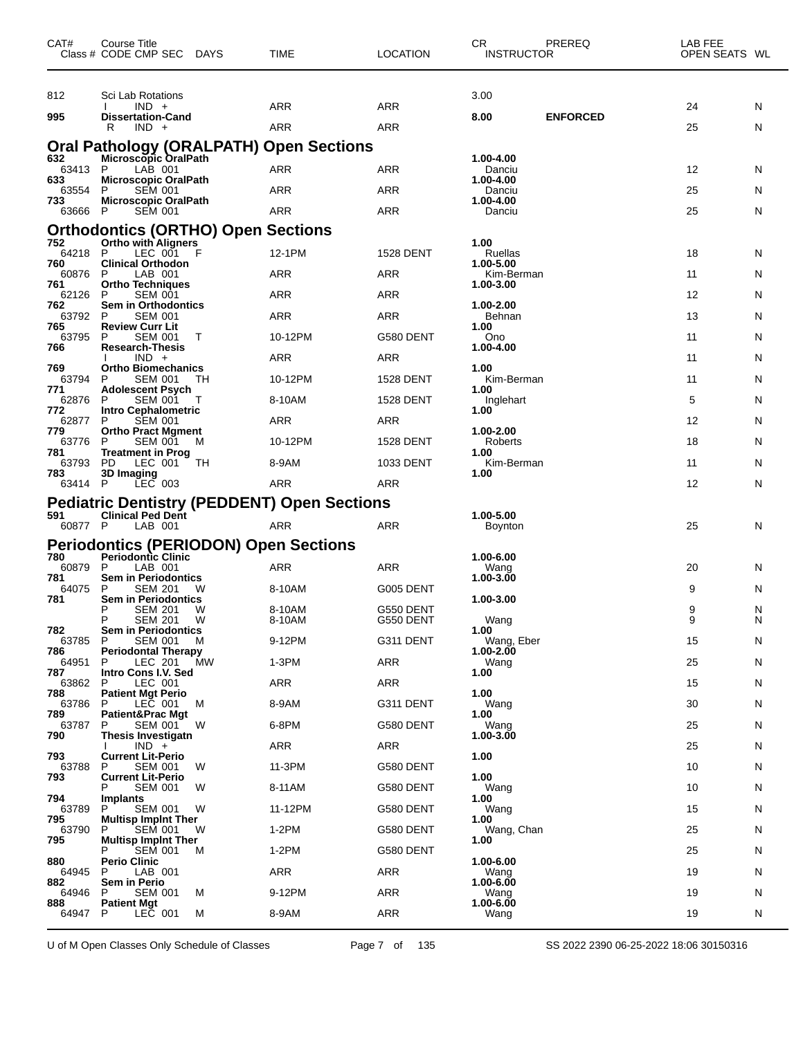| CAT#           | Course Title<br>Class # CODE CMP SEC DAYS          |    | TIME                                                                | <b>LOCATION</b>  | <b>CR</b><br><b>INSTRUCTOR</b> | PREREQ          | LAB FEE<br>OPEN SEATS WL |   |
|----------------|----------------------------------------------------|----|---------------------------------------------------------------------|------------------|--------------------------------|-----------------|--------------------------|---|
| 812            | Sci Lab Rotations                                  |    |                                                                     |                  | 3.00                           |                 |                          |   |
| 995            | $IND +$<br><b>Dissertation-Cand</b>                |    | <b>ARR</b>                                                          | ARR              | 8.00                           | <b>ENFORCED</b> | 24                       | N |
|                | $IND +$<br>R                                       |    | <b>ARR</b>                                                          | ARR              |                                |                 | 25                       | N |
|                |                                                    |    | Oral Pathology (ORALPATH) Open Sections<br>632 Microscopic OralPath |                  |                                |                 |                          |   |
| 63413          | LAB 001<br>P                                       |    | ARR                                                                 | ARR              | 1.00-4.00<br>Danciu            |                 | 12                       | N |
| 633<br>63554   | <b>Microscopic OralPath</b><br>P<br><b>SEM 001</b> |    | ARR                                                                 | <b>ARR</b>       | 1.00-4.00<br>Danciu            |                 | 25                       | N |
| 733<br>63666 P | <b>Microscopic OralPath</b><br><b>SEM 001</b>      |    | ARR                                                                 | ARR              | 1.00-4.00<br>Danciu            |                 | 25                       | N |
|                | <b>Orthodontics (ORTHO) Open Sections</b>          |    |                                                                     |                  |                                |                 |                          |   |
| 752<br>64218   | Ortho with Aligners<br>P<br>LEC 001                | F  | 12-1PM                                                              | <b>1528 DENT</b> | 1.00<br>Ruellas                |                 | 18                       | N |
| 760<br>60876   | <b>Clinical Orthodon</b><br>P<br>LAB 001           |    | ARR                                                                 | ARR              | 1.00-5.00<br>Kim-Berman        |                 | 11                       | N |
| 761<br>62126   | <b>Ortho Techniques</b><br>P<br><b>SEM 001</b>     |    | <b>ARR</b>                                                          | ARR              | 1.00-3.00                      |                 | 12                       | N |
| 762<br>63792   | Sem in Orthodontics<br>P<br><b>SEM 001</b>         |    | <b>ARR</b>                                                          | ARR              | 1.00-2.00<br>Behnan            |                 | 13                       | N |
| 765<br>63795   | <b>Review Curr Lit</b><br>P<br><b>SEM 001</b>      | Т  | 10-12PM                                                             | G580 DENT        | 1.00<br>Ono                    |                 | 11                       | N |
| 766            | <b>Research-Thesis</b><br>$IND +$                  |    | <b>ARR</b>                                                          | ARR              | 1.00-4.00                      |                 | 11                       |   |
| 769            | <b>Ortho Biomechanics</b>                          |    |                                                                     |                  | 1.00                           |                 |                          | N |
| 63794<br>771   | P<br><b>SEM 001</b><br><b>Adolescent Psych</b>     | TН | 10-12PM                                                             | <b>1528 DENT</b> | Kim-Berman<br>1.00             |                 | 11                       | N |
| 62876<br>772   | <b>SEM 001</b><br>P<br>Intro Cephalometric         | T  | 8-10AM                                                              | <b>1528 DENT</b> | Inglehart<br>1.00              |                 | 5                        | N |
| 62877<br>779   | P<br><b>SEM 001</b><br><b>Ortho Pract Mgment</b>   |    | ARR                                                                 | ARR              | 1.00-2.00                      |                 | 12                       | N |
| 63776<br>781   | <b>SEM 001</b><br>P<br><b>Treatment in Prog</b>    | M  | 10-12PM                                                             | <b>1528 DENT</b> | Roberts<br>1.00                |                 | 18                       | N |
| 63793<br>783   | PD<br>LEC 001<br>3D Imaging                        | TН | 8-9AM                                                               | 1033 DENT        | Kim-Berman<br>1.00             |                 | 11                       | N |
| 63414 P        | LEC 003                                            |    | ARR                                                                 | ARR              |                                |                 | 12                       | N |
| 591            | <b>Clinical Ped Dent</b>                           |    | <b>Pediatric Dentistry (PEDDENT) Open Sections</b>                  |                  | 1.00-5.00                      |                 |                          |   |
| 60877 P        | LAB 001                                            |    | ARR                                                                 | ARR              | <b>Boynton</b>                 |                 | 25                       | N |
|                | <b>Periodontics (PERIODON) Open Sections</b>       |    |                                                                     |                  |                                |                 |                          |   |
| 780<br>60879   | <b>Periodontic Clinic</b><br>LAB 001<br>P          |    | <b>ARR</b>                                                          | ARR              | 1.00-6.00<br>Wang              |                 | 20                       | N |
| 781<br>64075   | Sem in Periodontics<br>P<br><b>SEM 201</b>         | W  | 8-10AM                                                              | G005 DENT        | 1.00-3.00                      |                 | 9                        | N |
| 781            | Sem in Periodontics<br>P<br><b>SEM 201</b>         | W  | 8-10AM                                                              | G550 DENT        | 1.00-3.00                      |                 | 9                        | N |
| 782            | P<br><b>SEM 201</b><br><b>Sem in Periodontics</b>  | W  | 8-10AM                                                              | G550 DENT        | Wang<br>1.00                   |                 | 9                        | N |
| 63785<br>786   | <b>SEM 001</b><br>P<br><b>Periodontal Therapy</b>  | M  | 9-12PM                                                              | G311 DENT        | Wang, Eber<br>$1.00 - 2.00$    |                 | 15                       | N |
| 64951<br>787   | LEC 201<br>P<br>Intro Cons I.V. Sed                | МW | $1-3PM$                                                             | ARR              | Wang<br>1.00                   |                 | 25                       | N |
| 63862<br>788   | LEC 001<br>P<br><b>Patient Mgt Perio</b>           |    | ARR                                                                 | ARR              | 1.00                           |                 | 15                       | N |
| 63786<br>789   | LEC 001<br>P                                       | м  | 8-9AM                                                               | G311 DENT        | Wang<br>1.00                   |                 | 30                       | N |
| 63787          | Patient&Prac Mgt<br><b>SEM 001</b><br>P            | W  | 6-8PM                                                               | G580 DENT        | Wang                           |                 | 25                       | N |
| 790            | Thesis Investigatn<br>$IND +$                      |    | ARR                                                                 | ARR              | 1.00-3.00                      |                 | 25                       | N |
| 793<br>63788   | <b>Current Lit-Perio</b><br><b>SEM 001</b><br>P    | W  | 11-3PM                                                              | G580 DENT        | 1.00                           |                 | 10                       | N |
| 793            | <b>Current Lit-Perio</b><br><b>SEM 001</b><br>Р    | W  | 8-11AM                                                              | G580 DENT        | 1.00<br>Wang                   |                 | 10                       | N |
| 794<br>63789   | <b>Implants</b><br>P<br><b>SEM 001</b>             | W  | 11-12PM                                                             | G580 DENT        | 1.00<br>Wang                   |                 | 15                       | N |
| 795<br>63790   | <b>Multisp Implnt Ther</b><br><b>SEM 001</b><br>P  | W  | $1-2PM$                                                             | G580 DENT        | 1.00<br>Wang, Chan             |                 | 25                       | N |
| 795            | <b>Multisp Impint Ther</b><br><b>SEM 001</b>       | м  | $1-2PM$                                                             | G580 DENT        | 1.00                           |                 | 25                       | N |
| 880<br>64945   | Perio Clinic<br>LAB 001<br>P                       |    | ARR                                                                 | ARR              | 1.00-6.00<br>Wang              |                 | 19                       | N |
| 882            | Sem in Perio                                       |    |                                                                     |                  | $1.00 - 6.00$                  |                 |                          |   |
| 64946<br>888   | <b>SEM 001</b><br>Р<br><b>Patient Mgt</b>          | м  | 9-12PM                                                              | ARR              | Wang<br>$1.00 - 6.00$          |                 | 19                       | N |
| 64947          | P<br>LEC 001                                       | M  | 8-9AM                                                               | ARR              | Wang                           |                 | 19                       | N |

U of M Open Classes Only Schedule of Classes Page 7 of 135 SS 2022 2390 06-25-2022 18:06 30150316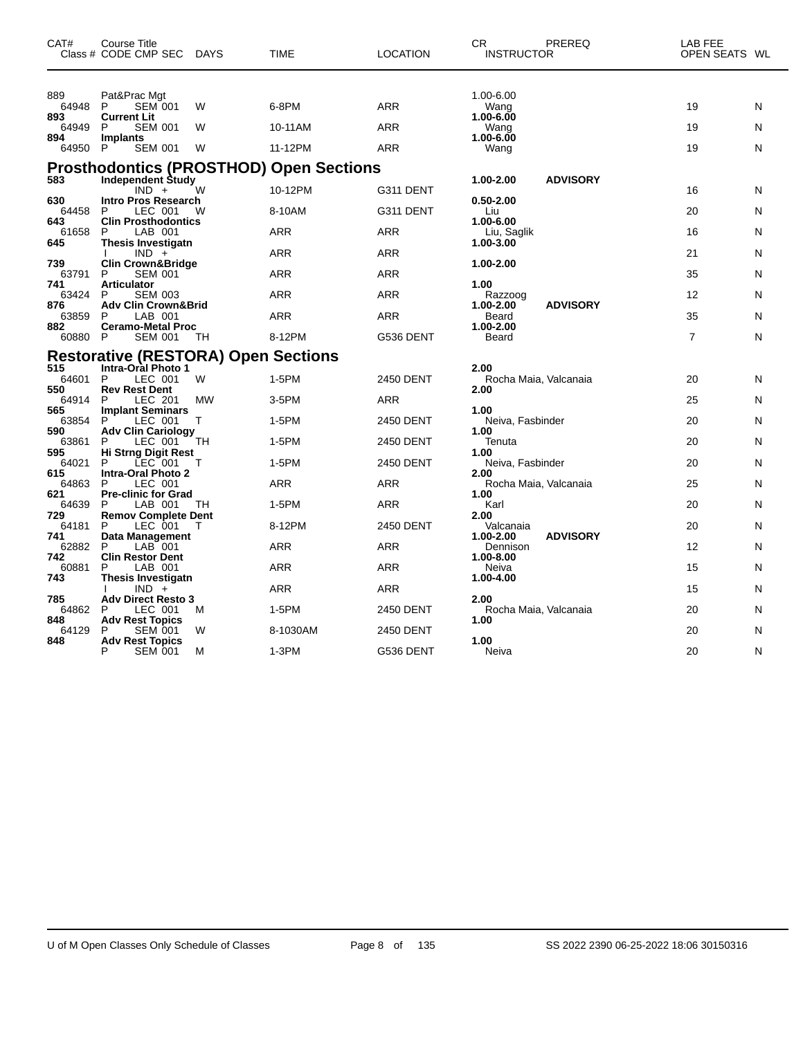| CAT#                  | Course Title<br>Class # CODE CMP SEC                                      | DAYS   | <b>TIME</b>                                    | <b>LOCATION</b> | CR<br>PREREQ<br><b>INSTRUCTOR</b>                     | LAB FEE<br>OPEN SEATS WL |        |
|-----------------------|---------------------------------------------------------------------------|--------|------------------------------------------------|-----------------|-------------------------------------------------------|--------------------------|--------|
| 889<br>64948<br>893   | Pat&Prac Mgt<br>P<br><b>SEM 001</b><br><b>Current Lit</b><br>P            | W      | 6-8PM                                          | ARR             | 1.00-6.00<br>Wang<br>1.00-6.00                        | 19                       | N      |
| 64949<br>894<br>64950 | <b>SEM 001</b><br>Implants<br>P<br><b>SEM 001</b>                         | W<br>W | 10-11AM<br>11-12PM                             | ARR<br>ARR      | Wang<br>1.00-6.00<br>Wang                             | 19<br>19                 | N<br>N |
|                       |                                                                           |        | <b>Prosthodontics (PROSTHOD) Open Sections</b> |                 |                                                       |                          |        |
| 583                   | <b>Independent Study</b><br>$IND +$                                       | W      | 10-12PM                                        | G311 DENT       | 1.00-2.00<br><b>ADVISORY</b>                          | 16                       | N      |
| 630<br>64458          | <b>Intro Pros Research</b><br>LEC 001<br>P                                | W      | 8-10AM                                         | G311 DENT       | 0.50-2.00<br>Liu                                      | 20                       | N      |
| 643<br>61658<br>645   | <b>Clin Prosthodontics</b><br>P<br>LAB 001<br><b>Thesis Investigatn</b>   |        | <b>ARR</b>                                     | <b>ARR</b>      | 1.00-6.00<br>Liu, Saglik<br>1.00-3.00                 | 16                       | N      |
|                       | $IND +$                                                                   |        | <b>ARR</b>                                     | <b>ARR</b>      | 1.00-2.00                                             | 21                       | N      |
| 739<br>63791<br>741   | <b>Clin Crown&amp;Bridge</b><br>P<br><b>SEM 001</b><br><b>Articulator</b> |        | <b>ARR</b>                                     | <b>ARR</b>      | 1.00                                                  | 35                       | N      |
| 63424<br>876          | <b>SEM 003</b><br>P<br><b>Adv Clin Crown&amp;Brid</b>                     |        | <b>ARR</b>                                     | <b>ARR</b>      | Razzoog<br>1.00-2.00<br><b>ADVISORY</b>               | 12                       | N      |
| 63859                 | P<br>LAB 001                                                              |        | ARR                                            | <b>ARR</b>      | Beard                                                 | 35                       | N      |
| 882<br>60880          | <b>Ceramo-Metal Proc</b><br><b>SEM 001</b><br>P                           | TН     | 8-12PM                                         | G536 DENT       | 1.00-2.00<br>Beard                                    | $\overline{7}$           | N      |
|                       | <b>Restorative (RESTORA) Open Sections</b>                                |        |                                                |                 |                                                       |                          |        |
| 515<br>64601<br>550   | <b>Intra-Oral Photo 1</b><br>P<br>LEC 001<br><b>Rev Rest Dent</b>         | W      | 1-5PM                                          | 2450 DENT       | 2.00<br>Rocha Maia, Valcanaia<br>2.00                 | 20                       | N      |
| 64914                 | P<br>LEC 201                                                              | MW     | 3-5PM                                          | <b>ARR</b>      |                                                       | 25                       | N      |
| 565<br>63854<br>590   | <b>Implant Seminars</b><br>P<br>LEC 001<br><b>Adv Clin Cariology</b>      | Τ      | 1-5PM                                          | 2450 DENT       | 1.00<br>Neiva, Fasbinder<br>1.00                      | 20                       | N      |
| 63861                 | P<br>LEC 001                                                              | TН     | 1-5PM                                          | 2450 DENT       | Tenuta                                                | 20                       | N      |
| 595<br>64021          | Hi Strng Digit Rest<br>P<br>LEC 001                                       | т      | 1-5PM                                          | 2450 DENT       | 1.00<br>Neiva, Fasbinder                              | 20                       | N      |
| 615<br>64863          | Intra-Oral Photo 2<br>P<br>LEC 001                                        |        | ARR                                            | ARR             | 2.00<br>Rocha Maia, Valcanaia                         | 25                       | N      |
| 621                   | <b>Pre-clinic for Grad</b>                                                |        |                                                |                 | 1.00                                                  |                          |        |
| 64639<br>729          | P<br>LAB 001<br><b>Remov Complete Dent</b>                                | TН     | 1-5PM                                          | <b>ARR</b>      | Karl<br>2.00                                          | 20                       | N      |
| 64181                 | P<br>LEC 001                                                              | т      | 8-12PM                                         | 2450 DENT       | Valcanaia                                             | 20                       | N      |
| 741<br>62882<br>742   | Data Management<br>P<br>$LAB$ 001<br><b>Clin Restor Dent</b>              |        | <b>ARR</b>                                     | ARR             | <b>ADVISORY</b><br>1.00-2.00<br>Dennison<br>1.00-8.00 | 12                       | N      |
| 60881                 | P<br>LAB 001                                                              |        | <b>ARR</b>                                     | ARR             | Neiva                                                 | 15                       | N      |
| 743                   | Thesis Investigatn<br>$IND +$                                             |        | <b>ARR</b>                                     | ARR             | 1.00-4.00                                             | 15                       | N      |
| 785<br>64862          | <b>Adv Direct Resto 3</b><br>P<br>LEC 001                                 | м      | 1-5PM                                          | 2450 DENT       | 2.00<br>Rocha Maia, Valcanaia                         | 20                       | N      |
| 848<br>64129          | <b>Adv Rest Topics</b><br>P<br>SEM 001                                    | W      | 8-1030AM                                       | 2450 DENT       | 1.00                                                  | 20                       | N      |
| 848                   | <b>Adv Rest Topics</b><br>P<br><b>SEM 001</b>                             | M      | 1-3PM                                          | G536 DENT       | 1.00<br>Neiva                                         | 20                       | N      |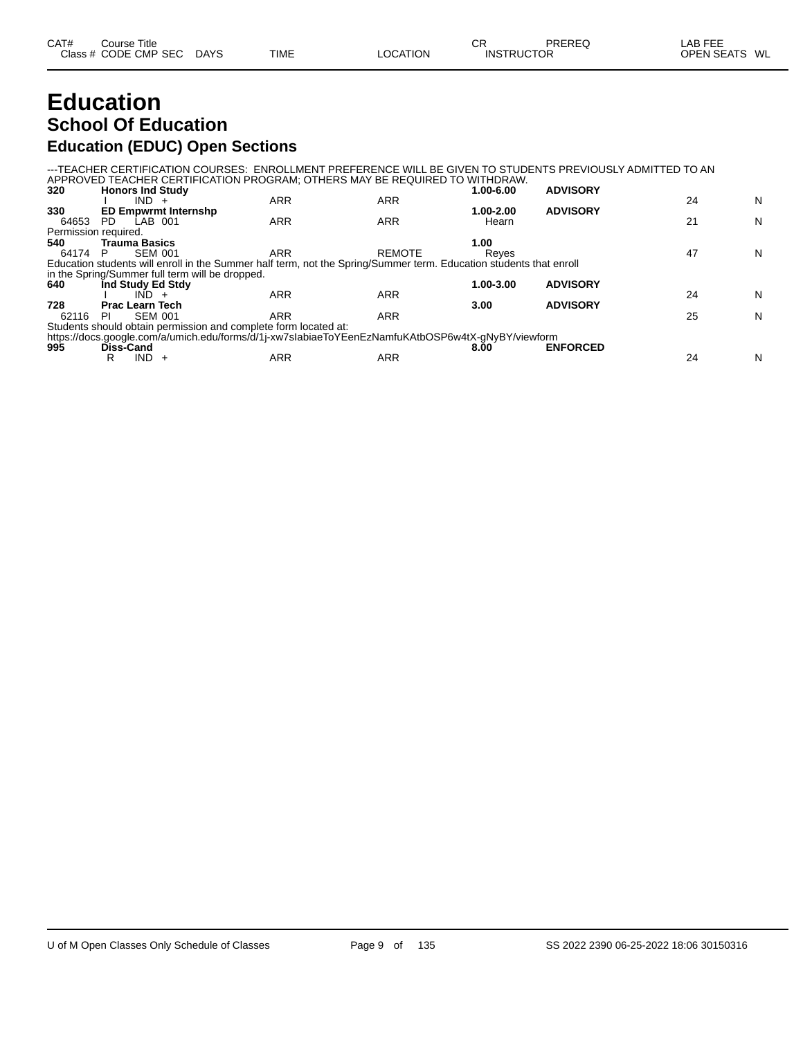| CAT# | Course Title         |             |             |                 | СR                | PREREQ | _AB FEE       |  |
|------|----------------------|-------------|-------------|-----------------|-------------------|--------|---------------|--|
|      | Class # CODE CMP SEC | <b>DAYS</b> | <b>TIME</b> | <b>LOCATION</b> | <b>INSTRUCTOR</b> |        | OPEN SEATS WL |  |

# **Education School Of Education**

#### **Education (EDUC) Open Sections**

---TEACHER CERTIFICATION COURSES: ENROLLMENT PREFERENCE WILL BE GIVEN TO STUDENTS PREVIOUSLY ADMITTED TO AN APPROVED TEACHER CERTIFICATION PROGRAM; OTHERS MAY BE REQUIRED TO WITHDRAW. **320 Honors Ind Study 1.00-6.00 ADVISORY**

| <b>TIVIIVI</b> 3 IIIU ULUUY |            |                                                               | vv-v.vv                                                         | <b>AD 110011</b> |                                                                                                                                                                                                                         |   |
|-----------------------------|------------|---------------------------------------------------------------|-----------------------------------------------------------------|------------------|-------------------------------------------------------------------------------------------------------------------------------------------------------------------------------------------------------------------------|---|
| $IND +$                     |            | ARR                                                           |                                                                 |                  | 24                                                                                                                                                                                                                      | N |
| <b>ED Empwrmt Internshp</b> |            |                                                               | 1.00-2.00                                                       | <b>ADVISORY</b>  |                                                                                                                                                                                                                         |   |
| LAB 001<br>PD.              | ARR        | ARR                                                           | Hearn                                                           |                  | 21                                                                                                                                                                                                                      | N |
| Permission required.        |            |                                                               |                                                                 |                  |                                                                                                                                                                                                                         |   |
| <b>Trauma Basics</b>        |            |                                                               | 1.00                                                            |                  |                                                                                                                                                                                                                         |   |
| <b>SEM 001</b><br>P         | <b>ARR</b> | <b>REMOTE</b>                                                 | Reves                                                           |                  | 47                                                                                                                                                                                                                      | N |
|                             |            |                                                               |                                                                 |                  |                                                                                                                                                                                                                         |   |
|                             |            |                                                               |                                                                 |                  |                                                                                                                                                                                                                         |   |
| Ind Study Ed Stdy           |            |                                                               | 1.00-3.00                                                       | <b>ADVISORY</b>  |                                                                                                                                                                                                                         |   |
| <b>IND</b>                  | <b>ARR</b> | ARR                                                           |                                                                 |                  | 24                                                                                                                                                                                                                      | N |
| <b>Prac Learn Tech</b>      |            |                                                               | 3.00                                                            | <b>ADVISORY</b>  |                                                                                                                                                                                                                         |   |
| <b>SEM 001</b><br>PI        | ARR        | ARR                                                           |                                                                 |                  | 25                                                                                                                                                                                                                      | N |
|                             |            |                                                               |                                                                 |                  |                                                                                                                                                                                                                         |   |
|                             |            |                                                               |                                                                 |                  |                                                                                                                                                                                                                         |   |
| Diss-Cand                   |            |                                                               | 8.00                                                            | <b>ENFORCED</b>  |                                                                                                                                                                                                                         |   |
| IND.                        | ARR        | ARR                                                           |                                                                 |                  | 24                                                                                                                                                                                                                      | N |
|                             |            | <b>ARR</b><br>in the Spring/Summer full term will be dropped. | Students should obtain permission and complete form located at: |                  | Education students will enroll in the Summer half term, not the Spring/Summer term. Education students that enroll<br>https://docs.google.com/a/umich.edu/forms/d/1j-xw7slabiaeToYEenEzNamfuKAtbOSP6w4tX-gNyBY/viewform |   |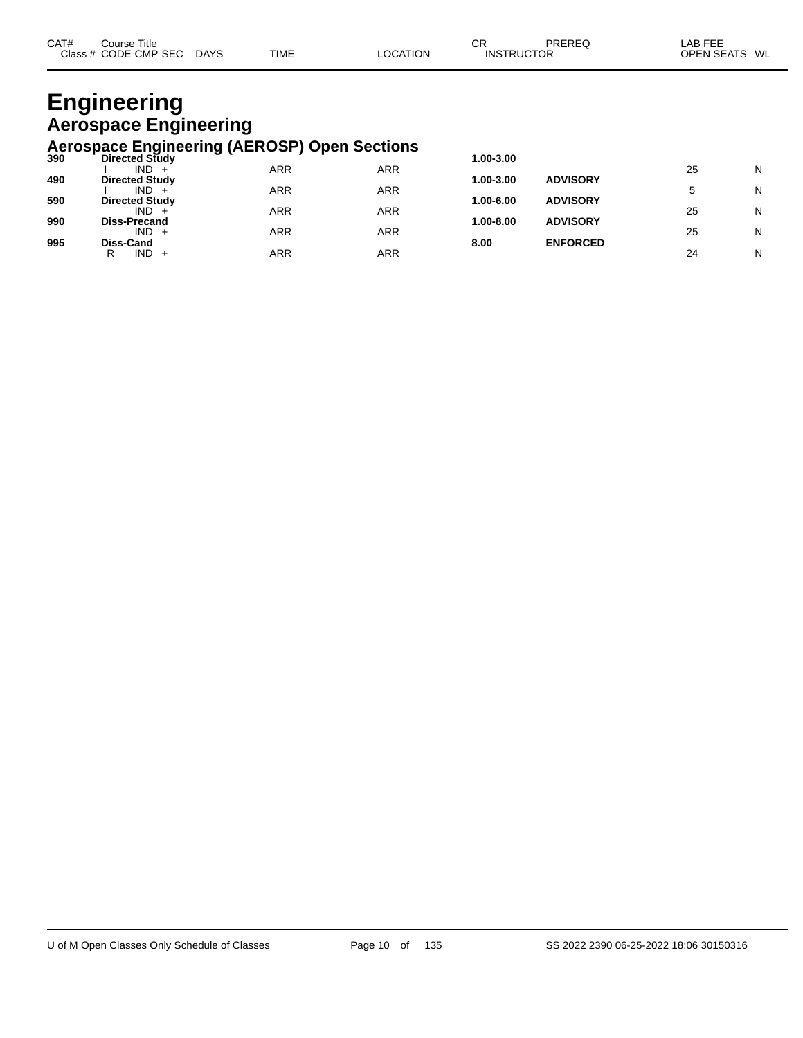| CAT#<br>Title<br>Course |             |             |          | СR | PREREQ            | AR FFF<br>LAB FEE       |
|-------------------------|-------------|-------------|----------|----|-------------------|-------------------------|
| Class # CODE CMP SEC    | <b>DAYS</b> | <b>TIME</b> | LOCATION |    | <b>INSTRUCTOR</b> | WL<br><b>OPEN SEATS</b> |

# **Engineering Aerospace Engineering**

# **Aerospace Engineering (AEROSP) Open Sections 390 Directed Study 1.00-3.00**

| 390 | <b>Directed Study</b> |     |            | 1.00-3.00 |                 |    |   |
|-----|-----------------------|-----|------------|-----------|-----------------|----|---|
|     | IND.                  | ARR | ARR        |           |                 | 25 | N |
| 490 | <b>Directed Study</b> |     |            | 1.00-3.00 | <b>ADVISORY</b> |    |   |
|     | IND.                  | ARR | ARR        |           |                 |    | N |
| 590 | <b>Directed Study</b> |     |            | 1.00-6.00 | <b>ADVISORY</b> |    |   |
|     | IND.                  | ARR | ARR        |           |                 | 25 | N |
| 990 | <b>Diss-Precand</b>   |     |            | 1.00-8.00 | <b>ADVISORY</b> |    |   |
|     | IND.                  | ARR | <b>ARR</b> |           |                 | 25 | N |
| 995 | Diss-Cand             |     |            | 8.00      | <b>ENFORCED</b> |    |   |
|     | IND.<br>R<br>$+$      | ARR | ARR        |           |                 | 24 | N |
|     |                       |     |            |           |                 |    |   |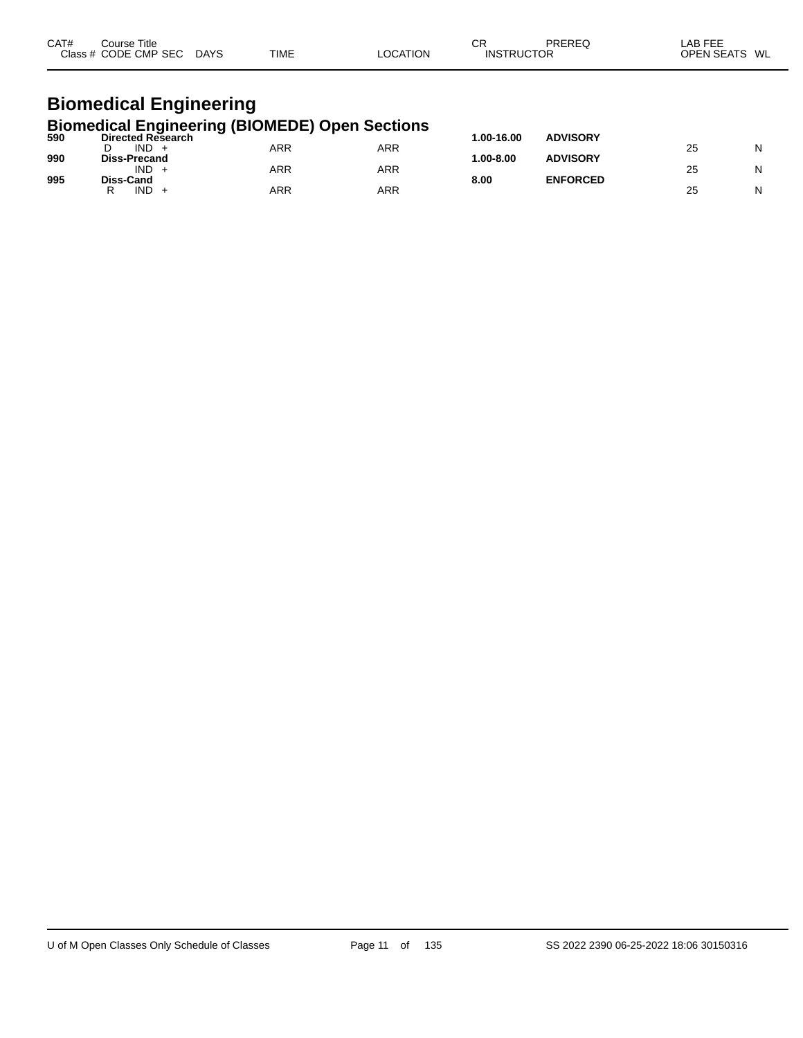| CAT# | Course Title<br>Class # CODE CMP SEC | <b>DAYS</b> | <b>TIME</b> | LOCATION | СR<br><b>INSTRUCTOR</b> | PREREQ | LAB FEE<br>OPEN SEATS WL |
|------|--------------------------------------|-------------|-------------|----------|-------------------------|--------|--------------------------|
|      |                                      |             |             |          |                         |        |                          |

#### **Biomedical Engineering Biomedical Engineering (BIOMEDE) Open Sections**

| 590 | Directed Research   | . .        |     | 00-16.00.    | <b>ADVISORY</b> |    |   |
|-----|---------------------|------------|-----|--------------|-----------------|----|---|
|     | <b>IND</b>          | ARR        | ARR |              |                 | 25 | N |
| 990 | <b>Diss-Precand</b> |            |     | $.00 - 8.00$ | <b>ADVISORY</b> |    |   |
|     | <b>IND</b>          | <b>ARR</b> | ARR |              |                 | 25 | Ν |
| 995 | Diss-Cand           |            |     | 8.00         | <b>ENFORCED</b> |    |   |
|     | <b>IND</b>          | ARR        | ARR |              |                 | 25 | N |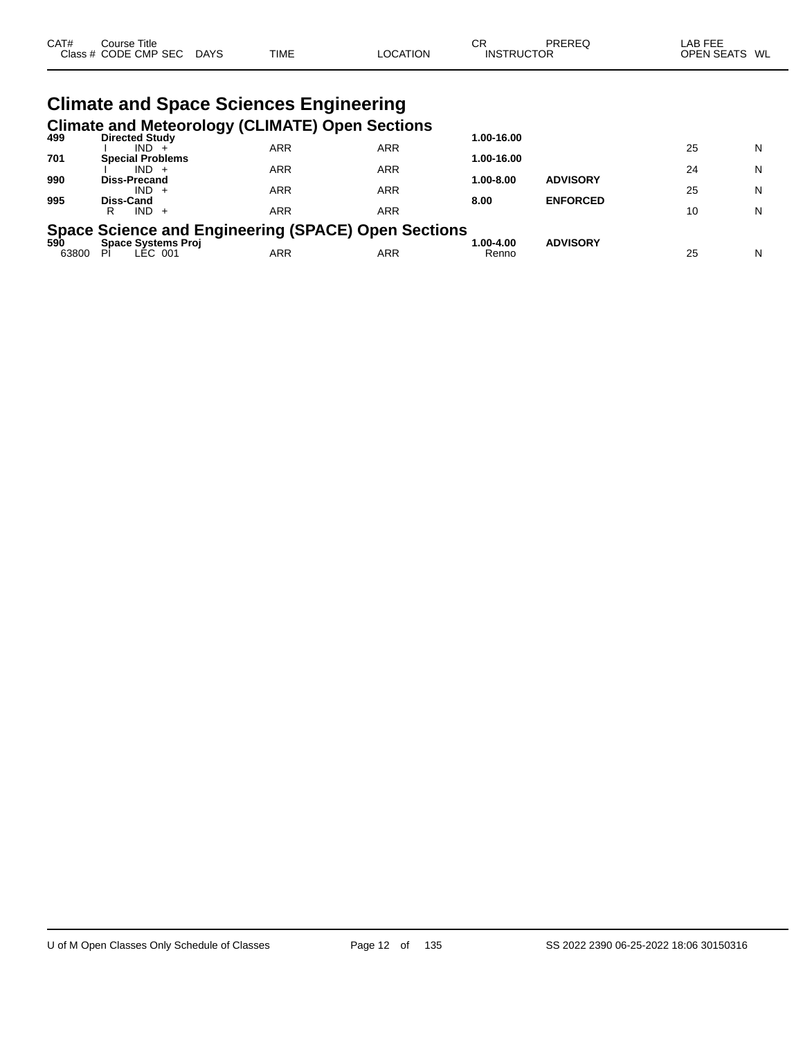| CAT#  | Course Title<br>Class # CODE CMP SEC DAYS     | <b>TIME</b> | <b>LOCATION</b>                                        | СR<br><b>INSTRUCTOR</b> | PREREQ          | LAB FEE<br>OPEN SEATS WL |   |
|-------|-----------------------------------------------|-------------|--------------------------------------------------------|-------------------------|-----------------|--------------------------|---|
|       | <b>Climate and Space Sciences Engineering</b> |             |                                                        |                         |                 |                          |   |
| 499   | <b>Directed Study</b>                         |             | <b>Climate and Meteorology (CLIMATE) Open Sections</b> | 1.00-16.00              |                 |                          |   |
|       | IND.                                          | <b>ARR</b>  | <b>ARR</b>                                             |                         |                 | 25                       | N |
| 701   | <b>Special Problems</b><br>$IND +$            | <b>ARR</b>  | <b>ARR</b>                                             | 1.00-16.00              |                 | 24                       | N |
| 990   | <b>Diss-Precand</b>                           |             |                                                        | 1.00-8.00               | <b>ADVISORY</b> |                          |   |
| 995   | $IND +$<br><b>Diss-Cand</b>                   | <b>ARR</b>  | <b>ARR</b>                                             | 8.00                    | <b>ENFORCED</b> | 25                       | N |
|       | $IND +$<br>R                                  | <b>ARR</b>  | <b>ARR</b>                                             |                         |                 | 10                       | N |
|       |                                               |             | Space Science and Engineering (SPACE) Open Sections    |                         |                 |                          |   |
| 590   | <b>Space Systems Proj</b>                     |             |                                                        | 1.00-4.00               | <b>ADVISORY</b> |                          |   |
| 63800 | LEC 001<br>ΡI                                 | <b>ARR</b>  | ARR                                                    | Renno                   |                 | 25                       | N |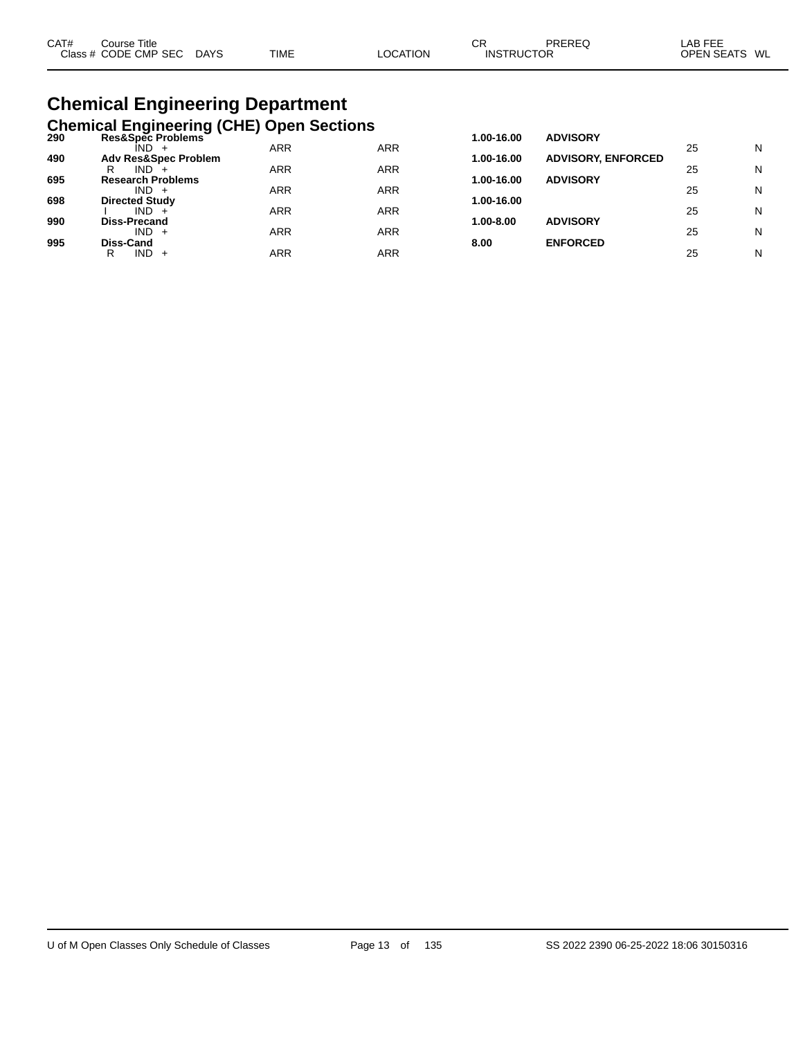| CAT# | Course Title         |             |             |          | ◠⊏<br>◡┎          | PREREQ | LAB FEE          |
|------|----------------------|-------------|-------------|----------|-------------------|--------|------------------|
|      | Class # CODE CMP SEC | <b>DAYS</b> | <b>TIME</b> | LOCATION | <b>INSTRUCTOR</b> |        | OPEN SEATS<br>WL |
|      |                      |             |             |          |                   |        |                  |

# **Chemical Engineering Department**

|     | <b>Chemical Engineering (CHE) Open Sections</b> |            |            |            |                           |    |   |
|-----|-------------------------------------------------|------------|------------|------------|---------------------------|----|---|
| 290 | Res&Spec Problems<br>IND.                       | <b>ARR</b> | <b>ARR</b> | 1.00-16.00 | <b>ADVISORY</b>           | 25 | N |
| 490 | <b>Adv Res&amp;Spec Problem</b>                 |            |            | 1.00-16.00 | <b>ADVISORY, ENFORCED</b> |    |   |
| 695 | IND.<br>R<br><b>Research Problems</b>           | ARR        | ARR        | 1.00-16.00 | <b>ADVISORY</b>           | 25 | N |
|     | $IND +$                                         | ARR        | ARR        |            |                           | 25 | N |
| 698 | <b>Directed Study</b><br>$IND +$                | ARR        | ARR        | 1.00-16.00 |                           | 25 | N |
| 990 | Diss-Precand                                    |            |            | 1.00-8.00  | <b>ADVISORY</b>           |    |   |
| 995 | $IND +$<br>Diss-Cand                            | <b>ARR</b> | ARR        | 8.00       | <b>ENFORCED</b>           | 25 | N |
|     | $IND +$<br>R                                    | ARR        | <b>ARR</b> |            |                           | 25 | N |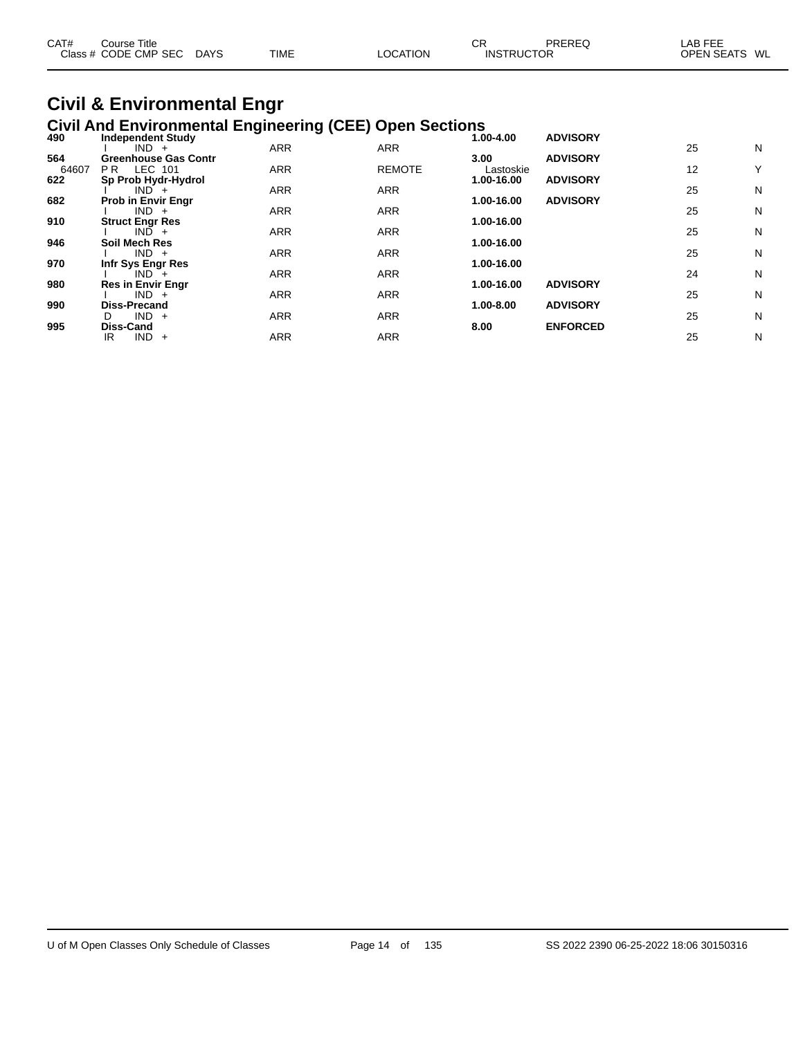| CAT# | ourse Titleٽ         |             |             | СF       |                   | PREREQ | LAB FEE           |    |
|------|----------------------|-------------|-------------|----------|-------------------|--------|-------------------|----|
|      | Class # CODE CMP SEC | <b>DAYS</b> | <b>TIME</b> | ∟OCATION | <b>INSTRUCTOR</b> |        | <b>OPEN SEATS</b> | WL |

#### **Civil & Environmental Engr Civil And Environmental Engineering (CEE) Open Sections**

| 490          | <b>Independent Study</b>                      |            |               | 1.00-4.00         | <b>ADVISORY</b> |    |   |
|--------------|-----------------------------------------------|------------|---------------|-------------------|-----------------|----|---|
|              | $IND +$                                       | <b>ARR</b> | <b>ARR</b>    |                   |                 | 25 | N |
| 564<br>64607 | <b>Greenhouse Gas Contr</b><br>LEC 101<br>PR. | <b>ARR</b> | <b>REMOTE</b> | 3.00<br>Lastoskie | <b>ADVISORY</b> | 12 | Y |
| 622          | Sp Prob Hydr-Hydrol                           |            |               | 1.00-16.00        | <b>ADVISORY</b> |    |   |
|              | $IND +$                                       | <b>ARR</b> | <b>ARR</b>    |                   |                 | 25 | N |
| 682          | <b>Prob in Envir Engr</b>                     |            |               | 1.00-16.00        | <b>ADVISORY</b> |    |   |
|              | $IND +$                                       | <b>ARR</b> | <b>ARR</b>    |                   |                 | 25 | N |
| 910          | <b>Struct Engr Res</b>                        |            |               | 1.00-16.00        |                 |    |   |
|              | $IND +$                                       | <b>ARR</b> | <b>ARR</b>    |                   |                 | 25 | N |
| 946          | Soil Mech Res                                 |            |               | 1.00-16.00        |                 |    |   |
|              | $IND +$                                       | <b>ARR</b> | <b>ARR</b>    |                   |                 | 25 | N |
| 970          | Infr Sys Engr Res                             |            |               | 1.00-16.00        |                 |    |   |
|              | $IND +$                                       | <b>ARR</b> | <b>ARR</b>    |                   |                 | 24 | N |
| 980          | <b>Res in Envir Engr</b>                      |            |               | 1.00-16.00        | <b>ADVISORY</b> |    |   |
|              | $IND +$                                       | <b>ARR</b> | <b>ARR</b>    |                   |                 | 25 | N |
| 990          | <b>Diss-Precand</b>                           |            |               | 1.00-8.00         | <b>ADVISORY</b> |    |   |
|              | $IND +$<br>D                                  | <b>ARR</b> | <b>ARR</b>    |                   |                 | 25 | N |
| 995          | <b>Diss-Cand</b>                              |            |               | 8.00              | <b>ENFORCED</b> |    |   |
|              | IND.<br>IR<br>$+$                             | <b>ARR</b> | <b>ARR</b>    |                   |                 | 25 | N |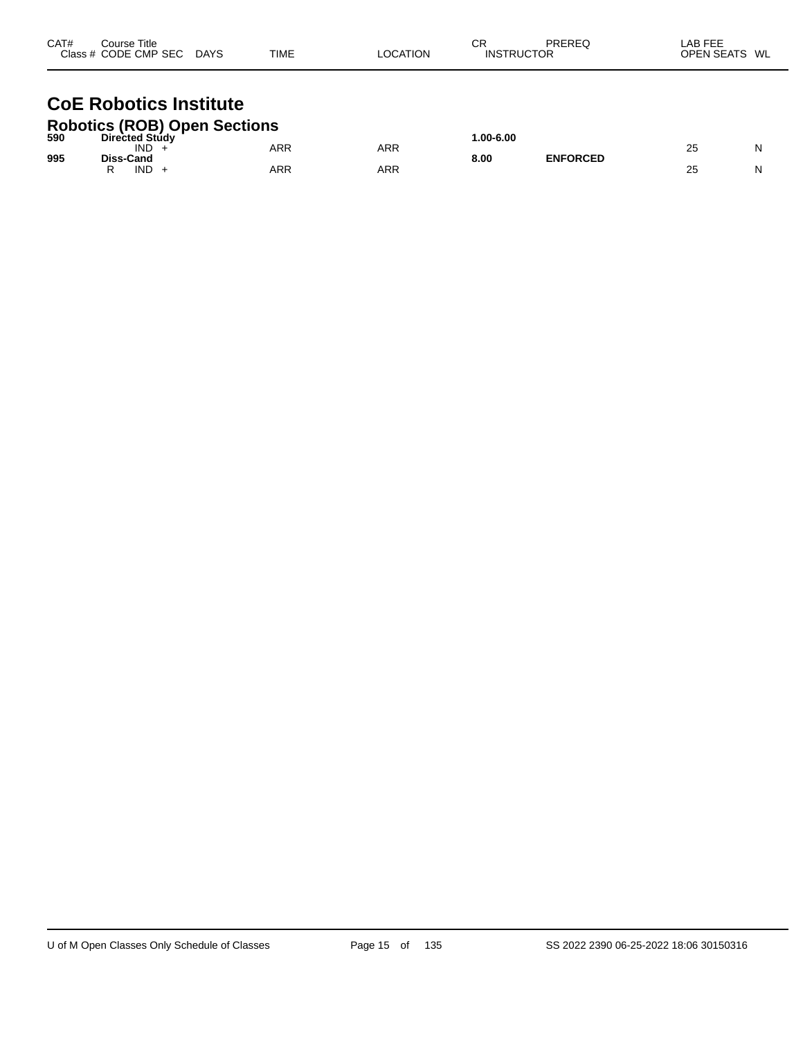| CAT# | Course Title<br>Class # CODE CMP SEC DAYS                     | TIME | <b>LOCATION</b> | СR<br><b>INSTRUCTOR</b> | PREREQ | LAB FEE<br>OPEN SEATS WL |
|------|---------------------------------------------------------------|------|-----------------|-------------------------|--------|--------------------------|
|      | <b>CoE Robotics Institute</b><br>Robotics (ROR) Onen Sections |      |                 |                         |        |                          |

| 590 | <b>RODOLICS (RUD) UDEN SECTIONS</b><br><b>Directed Study</b> |     |     | $.00 - 6.00$ |                 |    |   |
|-----|--------------------------------------------------------------|-----|-----|--------------|-----------------|----|---|
| 995 | IND<br>Diss-Cand                                             | ARR | ARR | 8.00         | <b>ENFORCED</b> | 25 | N |
|     | IND                                                          | ARR | ARR |              |                 | 25 | N |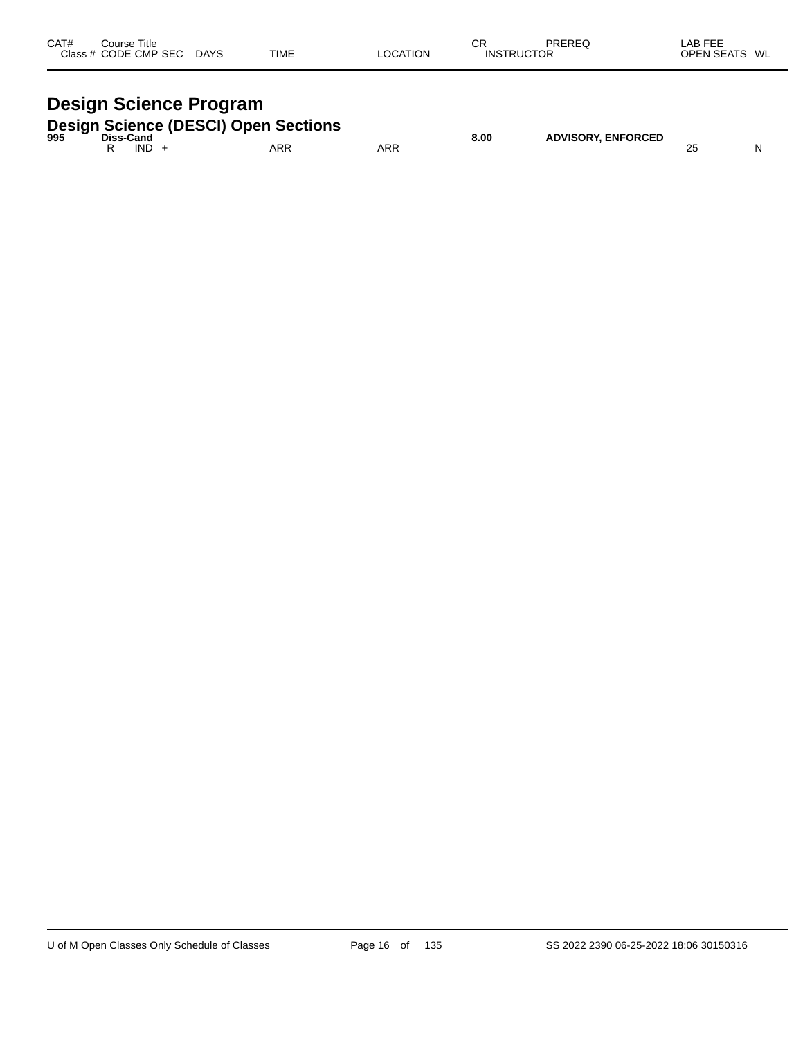| CAT#<br>Class | Course Title<br>CODE CMP SEC | <b>DAYS</b> | <b>TIME</b> | <b>OCATION</b> | СR<br>INS | <b>DDEDEC</b><br>TOR. | <b>FFF</b><br>ΔR<br>ᄂᆮ<br>- 22<br><b>ODEN CEATS</b><br>M<br>-- | <b>WL</b> |
|---------------|------------------------------|-------------|-------------|----------------|-----------|-----------------------|----------------------------------------------------------------|-----------|
|               |                              |             |             |                |           |                       |                                                                |           |

# **Design Science Program**

|  | <b>Design Science (DESCI) Open Sections</b> |
|--|---------------------------------------------|
|  |                                             |

| 995 | Diss-Cand |            |  |     |            | 8.00 | <b>ADVISORY, ENFORCED</b> |   |    |
|-----|-----------|------------|--|-----|------------|------|---------------------------|---|----|
|     |           | <b>IND</b> |  | ARR | <b>ARR</b> |      |                           | ∼ | NL |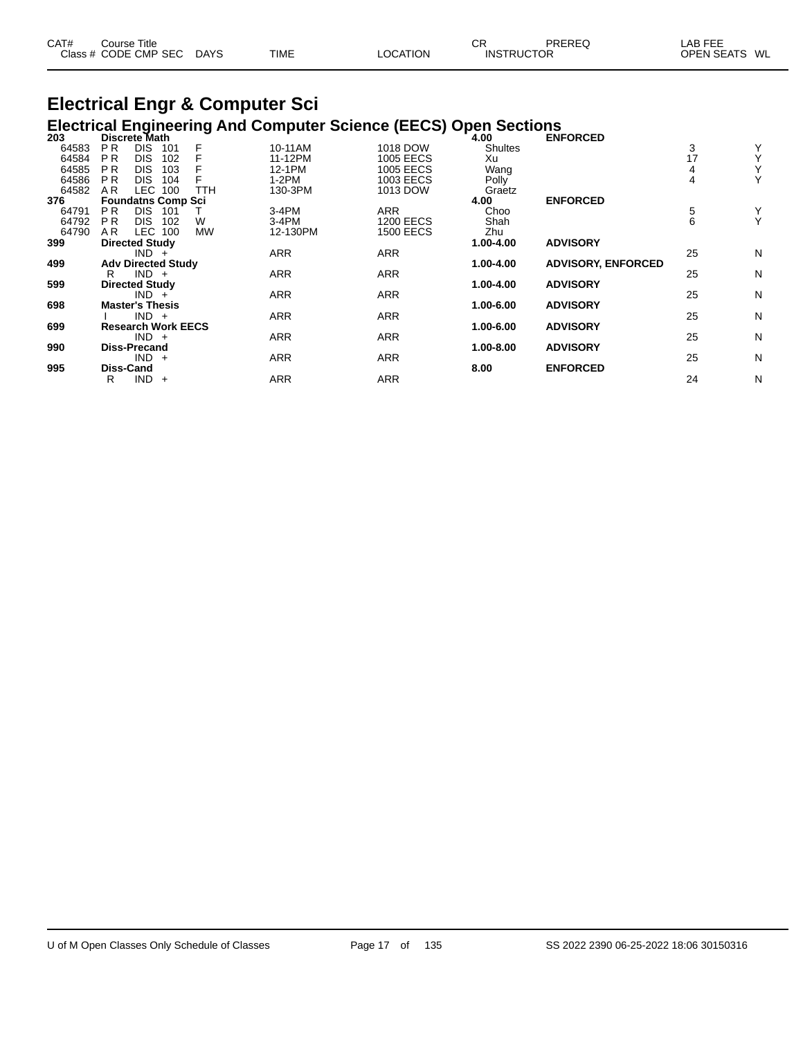| CAT# | ourse Titleٽ         |             |             |          | СF                | PREREQ | AB FEE                  |
|------|----------------------|-------------|-------------|----------|-------------------|--------|-------------------------|
|      | Class # CODE CMP SEC | <b>DAYS</b> | <b>TIME</b> | ∟OCATION | <b>INSTRUCTOR</b> |        | <b>OPEN SEATS</b><br>WL |

#### **Electrical Engr & Computer Sci Electrical Engineering And Computer Science (EECS) Open Sections**

| 203   | Discrete Math         |                           |            |            |                  | 4.00           | <b>ENFORCED</b>           |    |   |
|-------|-----------------------|---------------------------|------------|------------|------------------|----------------|---------------------------|----|---|
| 64583 | P <sub>R</sub>        | DIS.<br>101               | F          | 10-11AM    | 1018 DOW         | <b>Shultes</b> |                           | 3  | Y |
| 64584 | P <sub>R</sub>        | <b>DIS</b><br>102         |            | 11-12PM    | <b>1005 EECS</b> | Xu             |                           | 17 | Υ |
| 64585 | <b>PR</b>             | DIS.<br>103               |            | 12-1PM     | 1005 EECS        | Wang           |                           |    | Υ |
| 64586 | <b>PR</b>             | DIS.<br>104               |            | $1-2PM$    | 1003 EECS        | Polly          |                           |    | Υ |
| 64582 | AR.                   | LEC<br>100                | <b>TTH</b> | 130-3PM    | 1013 DOW         | Graetz         |                           |    |   |
| 376   |                       | <b>Foundatns Comp Sci</b> |            |            |                  | 4.00           | <b>ENFORCED</b>           |    |   |
| 64791 | P <sub>R</sub>        | DIS.<br>101               |            | $3-4PM$    | <b>ARR</b>       | Choo           |                           | 5  | Y |
| 64792 | <b>PR</b>             | DIS.<br>102               | W          | $3-4PM$    | <b>1200 EECS</b> | Shah           |                           | 6  | Υ |
| 64790 | AR.                   | LEC<br>100                | <b>MW</b>  | 12-130PM   | <b>1500 EECS</b> | Zhu            |                           |    |   |
| 399   | <b>Directed Study</b> |                           |            |            |                  | 1.00-4.00      | <b>ADVISORY</b>           |    |   |
|       |                       | $IND +$                   |            | <b>ARR</b> | <b>ARR</b>       |                |                           | 25 | N |
| 499   |                       | <b>Adv Directed Study</b> |            |            |                  | 1.00-4.00      | <b>ADVISORY, ENFORCED</b> |    |   |
|       | R                     | $IND +$                   |            | <b>ARR</b> | <b>ARR</b>       |                |                           | 25 | N |
| 599   | <b>Directed Study</b> |                           |            |            |                  | 1.00-4.00      | <b>ADVISORY</b>           |    |   |
|       |                       | $IND +$                   |            | <b>ARR</b> | <b>ARR</b>       |                |                           | 25 | N |
| 698   |                       | <b>Master's Thesis</b>    |            |            |                  | 1.00-6.00      | <b>ADVISORY</b>           |    |   |
|       |                       | $IND +$                   |            | ARR        | ARR              |                |                           | 25 | N |
| 699   |                       | <b>Research Work EECS</b> |            |            |                  | 1.00-6.00      | <b>ADVISORY</b>           |    |   |
|       |                       | $IND +$                   |            | <b>ARR</b> | <b>ARR</b>       |                |                           | 25 | N |
| 990   | <b>Diss-Precand</b>   |                           |            |            |                  | 1.00-8.00      | <b>ADVISORY</b>           |    |   |
|       |                       | $IND +$                   |            | <b>ARR</b> | <b>ARR</b>       |                |                           | 25 | N |
| 995   | Diss-Cand             |                           |            |            |                  | 8.00           | <b>ENFORCED</b>           |    |   |
|       | R                     | IND<br>$+$                |            | <b>ARR</b> | <b>ARR</b>       |                |                           | 24 | N |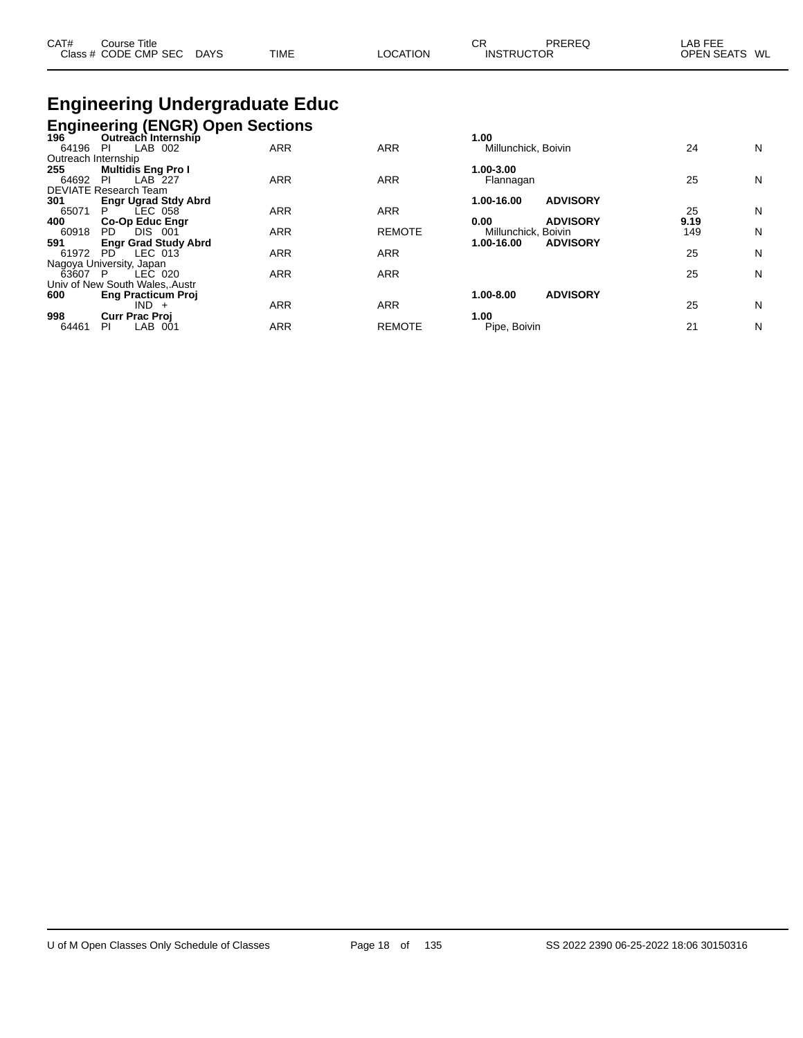| CAT# | Course Title              |             |                 | СR                | PREREQ | LAB FEE       |
|------|---------------------------|-------------|-----------------|-------------------|--------|---------------|
|      | Class # CODE CMP SEC DAYS | <b>TIME</b> | <b>LOCATION</b> | <b>INSTRUCTOR</b> |        | OPEN SEATS WL |

# **Engineering Undergraduate Educ**

**Engineering (ENGR) Open Sections**

| 196                 | Outreach Internship            |            |               | 1.00                          |      |   |
|---------------------|--------------------------------|------------|---------------|-------------------------------|------|---|
| 64196               | LAB 002<br>PI                  | <b>ARR</b> | <b>ARR</b>    | Millunchick, Boivin           | 24   | N |
| Outreach Internship |                                |            |               |                               |      |   |
| 255                 | <b>Multidis Eng Pro I</b>      |            |               | 1.00-3.00                     |      |   |
| 64692               | LAB 227<br><b>PI</b>           | <b>ARR</b> | <b>ARR</b>    | Flannagan                     | 25   | N |
|                     | <b>DEVIATE Research Team</b>   |            |               |                               |      |   |
| 301                 | <b>Engr Ugrad Stdy Abrd</b>    |            |               | <b>ADVISORY</b><br>1.00-16.00 |      |   |
| 65071               | LEC 058<br>P.                  | <b>ARR</b> | <b>ARR</b>    |                               | 25   | N |
| 400                 | <b>Co-Op Educ Engr</b>         |            |               | <b>ADVISORY</b><br>0.00       | 9.19 |   |
| 60918               | <b>DIS</b><br>PD.<br>001       | <b>ARR</b> | <b>REMOTE</b> | Millunchick, Boivin           | 149  | N |
| 591                 | <b>Engr Grad Study Abrd</b>    |            |               | 1.00-16.00<br><b>ADVISORY</b> |      |   |
| 61972               | $LEC$ 013<br>PD.               | <b>ARR</b> | <b>ARR</b>    |                               | 25   | N |
|                     | Nagoya University, Japan       |            |               |                               |      |   |
| 63607 P             | LEC 020                        | <b>ARR</b> | <b>ARR</b>    |                               | 25   | N |
|                     | Univ of New South Wales, Austr |            |               |                               |      |   |
| 600                 | <b>Eng Practicum Proj</b>      |            |               | <b>ADVISORY</b><br>1.00-8.00  |      |   |
|                     | $IND +$                        | <b>ARR</b> | <b>ARR</b>    |                               | 25   | N |
| 998                 | <b>Curr Prac Proj</b>          |            |               | 1.00                          |      |   |
| 64461               | LAB<br>PI<br>-001              | ARR        | <b>REMOTE</b> | Pipe, Boivin                  | 21   | N |
|                     |                                |            |               |                               |      |   |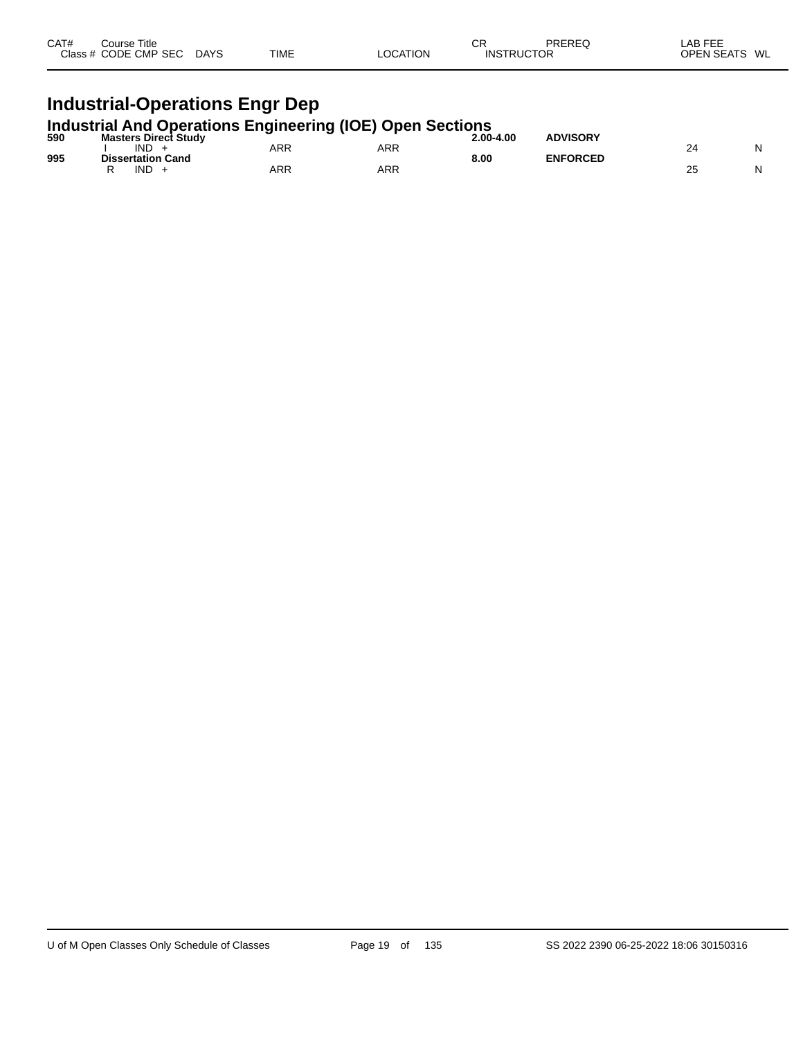| CAT# | Course Title<br>Class # CODE CMP SEC | <b>DAYS</b> | <b>TIME</b> | LOCATION | CR<br><b>INSTRUCTOR</b> | PREREQ | LAB FEE<br><b>OPEN SEATS</b><br>WL |
|------|--------------------------------------|-------------|-------------|----------|-------------------------|--------|------------------------------------|
|      |                                      |             |             |          |                         |        |                                    |

## **Industrial-Operations Engr Dep**

#### **Industrial And Operations Engineering (IOE) Open Sections**

| 590 | <b>Masters Direct Study</b> |     | - - | 2.00-4.00 | <b>ADVISORY</b> |    |   |
|-----|-----------------------------|-----|-----|-----------|-----------------|----|---|
|     | IND                         | ARR | ARR |           |                 |    | N |
| 995 | <b>Dissertation Cand</b>    |     |     | 8.00      | <b>ENFORCED</b> |    |   |
|     | <b>IND</b>                  | ARR | ARR |           |                 | ۷ï | N |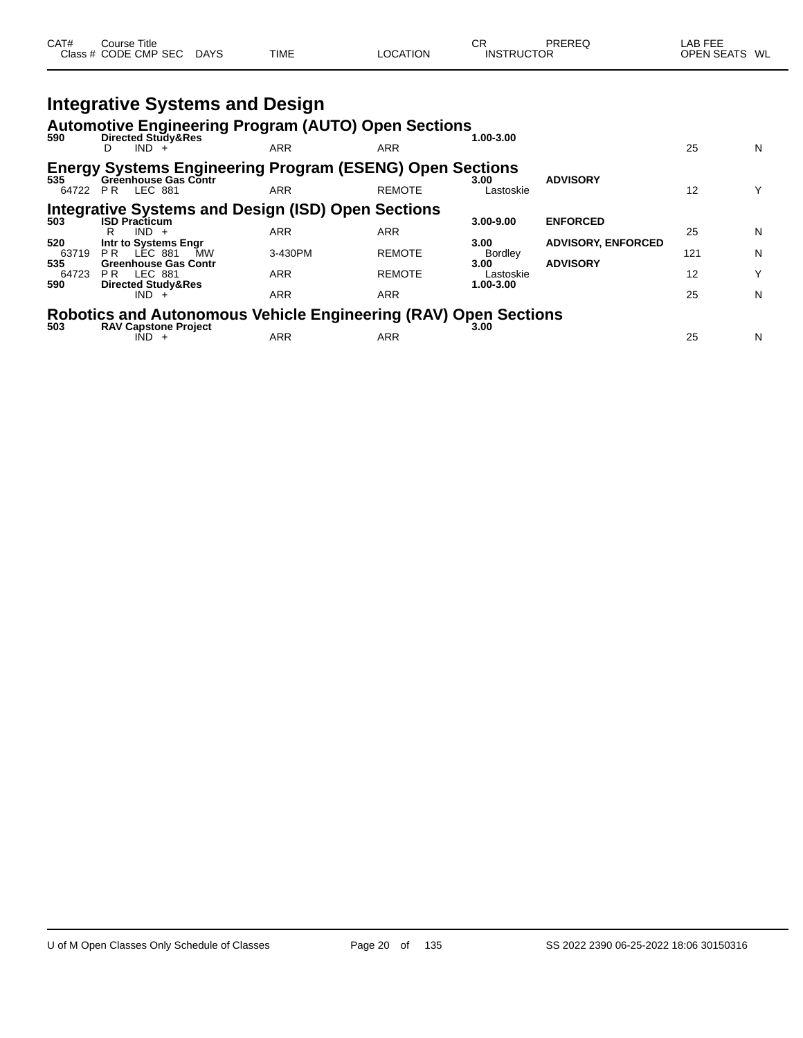| CAT# | Course Title<br>Class # CODE CMP SEC | <b>DAYS</b> | <b>TIME</b> | LOCATION | СR<br><b>INSTRUCTOR</b> | PREREQ | LAB FEE<br><b>OPEN SEATS</b><br>WL |
|------|--------------------------------------|-------------|-------------|----------|-------------------------|--------|------------------------------------|
|      |                                      |             |             |          |                         |        |                                    |

|              | <b>Integrative Systems and Design</b>                                                   |            |               |                        |                           |     |   |
|--------------|-----------------------------------------------------------------------------------------|------------|---------------|------------------------|---------------------------|-----|---|
|              | <b>Automotive Engineering Program (AUTO) Open Sections</b>                              |            |               |                        |                           |     |   |
| 590          | Directed Study&Res<br>$IND +$                                                           | <b>ARR</b> | ARR           | 1.00-3.00              |                           | 25  | N |
| 535          | <b>Energy Systems Engineering Program (ESENG) Open Sections</b><br>Greenhouse Gas Contr |            |               | 3.00                   | <b>ADVISORY</b>           |     |   |
|              | 64722 PR LEC 881                                                                        | <b>ARR</b> | <b>REMOTE</b> | Lastoskie              |                           | 12  | Υ |
|              | <b>Integrative Systems and Design (ISD) Open Sections</b>                               |            |               |                        |                           |     |   |
| 503          | <b>ISD Practicum</b><br>$IND +$<br>R                                                    | <b>ARR</b> | ARR           | $3.00 - 9.00$          | <b>ENFORCED</b>           | 25  | N |
| 520          | Intr to Systems Engr                                                                    |            |               | 3.00                   | <b>ADVISORY, ENFORCED</b> |     |   |
| 63719<br>535 | <b>PR</b> LEC 881<br>МW<br><b>Greenhouse Gas Contr</b>                                  | 3-430PM    | <b>REMOTE</b> | <b>Bordley</b><br>3.00 | <b>ADVISORY</b>           | 121 | N |
| 64723        | PR LEC 881                                                                              | <b>ARR</b> | <b>REMOTE</b> | Lastoskie              |                           | 12  | Υ |
| 590          | <b>Directed Study&amp;Res</b><br>$IND +$                                                | <b>ARR</b> | <b>ARR</b>    | 1.00-3.00              |                           | 25  | N |
|              | <b>Robotics and Autonomous Vehicle Engineering (RAV) Open Sections</b>                  |            |               |                        |                           |     |   |

**503 RAV Capstone Project 3.00**  $\mathsf{IND}$  +  $\qquad \qquad \mathsf{ARR}$   $\qquad \qquad \mathsf{ARR}$   $\qquad \qquad \mathsf{ARR}$   $\qquad \qquad \mathsf{25}$  N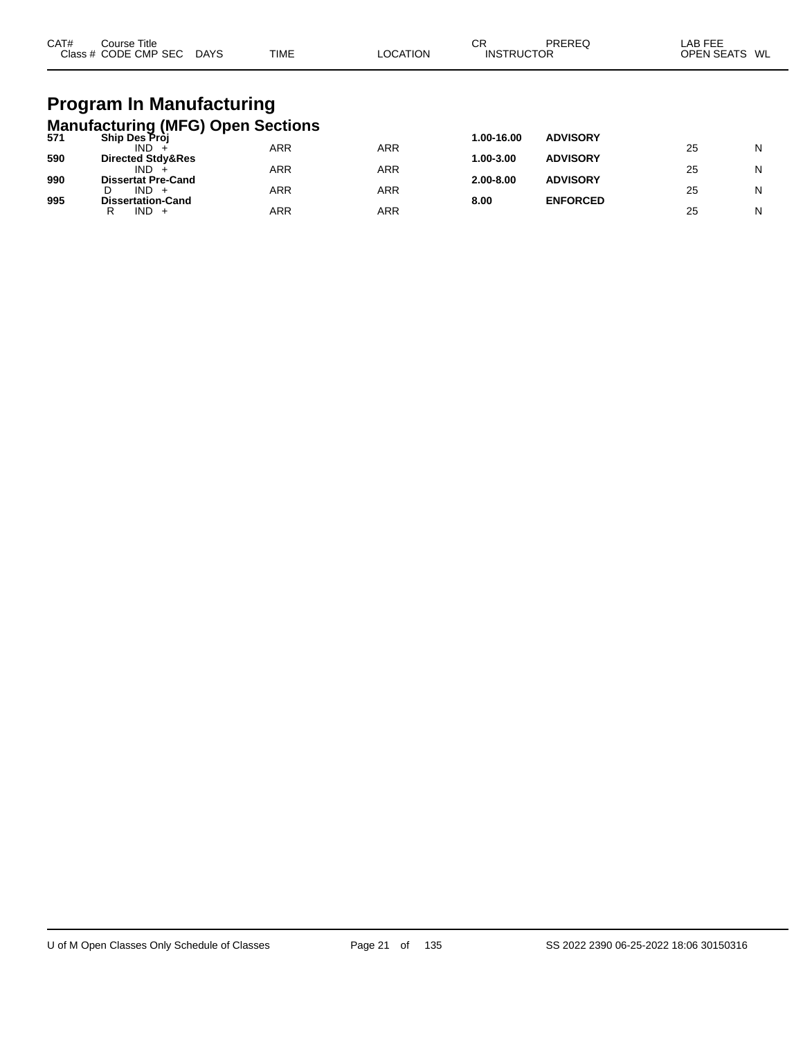| CAT# | Course Title<br>Class # CODE CMP SEC                                                         | <b>DAYS</b> | <b>TIME</b> | <b>LOCATION</b> | CR<br><b>INSTRUCTOR</b> | <b>PREREQ</b>   | LAB FEE<br>OPEN SEATS WL |   |
|------|----------------------------------------------------------------------------------------------|-------------|-------------|-----------------|-------------------------|-----------------|--------------------------|---|
| 571  | <b>Program In Manufacturing</b><br><b>Manufacturing (MFG) Open Sections</b><br>Ship Des Proj |             |             |                 | 1.00-16.00              | <b>ADVISORY</b> |                          |   |
|      | $IND +$                                                                                      |             | <b>ARR</b>  | <b>ARR</b>      |                         |                 | 25                       | N |
| 590  | Directed Stdy&Res                                                                            |             |             |                 | 1.00-3.00               | <b>ADVISORY</b> |                          |   |
|      | IND.                                                                                         |             | <b>ARR</b>  | <b>ARR</b>      |                         |                 | 25                       | N |
| 990  | <b>Dissertat Pre-Cand</b>                                                                    |             |             |                 | 2.00-8.00               | <b>ADVISORY</b> |                          |   |
| 995  | $IND +$<br>D<br><b>Dissertation-Cand</b>                                                     |             | <b>ARR</b>  | <b>ARR</b>      | 8.00                    | <b>ENFORCED</b> | 25                       | N |

R IND + ARR ARR ARR 25 N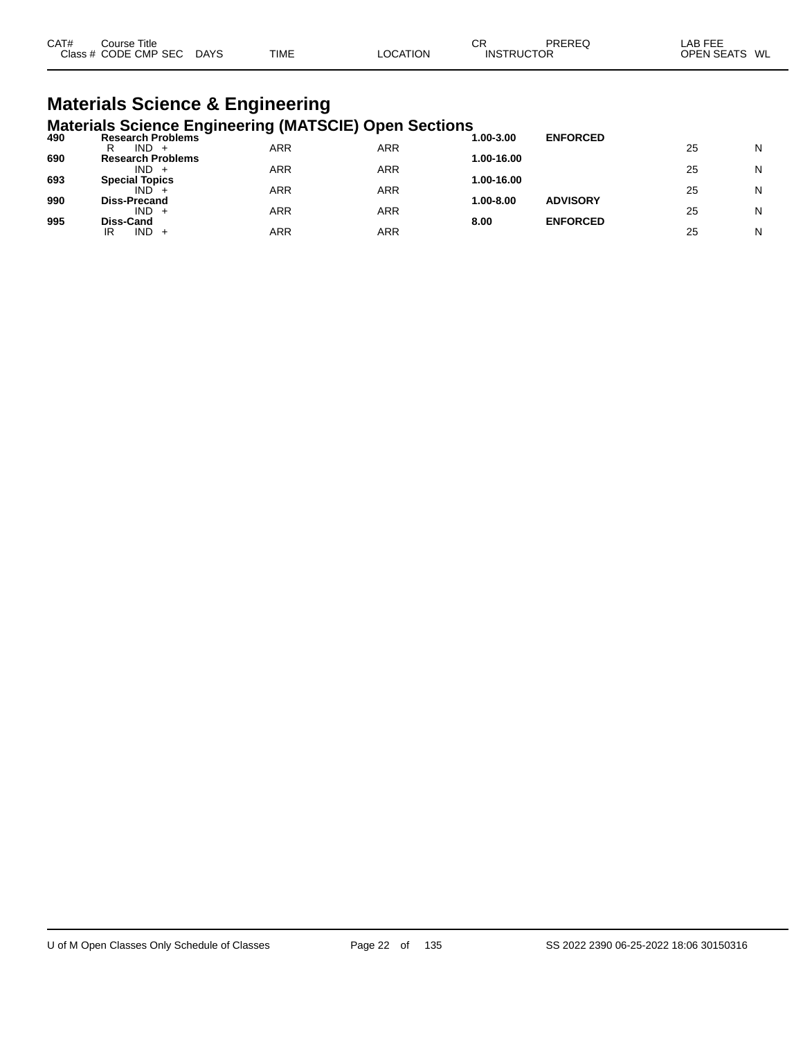| CAT#<br>Course Title      |             |          | СR | PREREQ            | _AB FEE       |
|---------------------------|-------------|----------|----|-------------------|---------------|
| Class # CODE CMP SEC DAYS | <b>TIME</b> | LOCATION |    | <b>INSTRUCTOR</b> | OPEN SEATS WL |

#### **Materials Science & Engineering Materials Science Engineering (MATSCIE) Open Sections**

| .<br>490 | <b>Research Problems</b> |     |     | 1.00-3.00  | <b>ENFORCED</b> |    |   |
|----------|--------------------------|-----|-----|------------|-----------------|----|---|
|          | IND.<br>R<br>$+$         | ARR | ARR |            |                 | 25 | N |
| 690      | <b>Research Problems</b> |     |     | 1.00-16.00 |                 |    |   |
|          | IND.                     | ARR | ARR |            |                 | 25 | N |
| 693      | <b>Special Topics</b>    |     |     | 1.00-16.00 |                 |    |   |
|          | IND.                     | ARR | ARR |            |                 | 25 | N |
| 990      | <b>Diss-Precand</b>      |     |     | 1.00-8.00  | <b>ADVISORY</b> |    |   |
|          | $IND +$                  | ARR | ARR |            |                 | 25 | N |
| 995      | <b>Diss-Cand</b>         |     |     | 8.00       | <b>ENFORCED</b> |    |   |
|          | IND.<br>IR<br>$+$        | ARR | ARR |            |                 | 25 | N |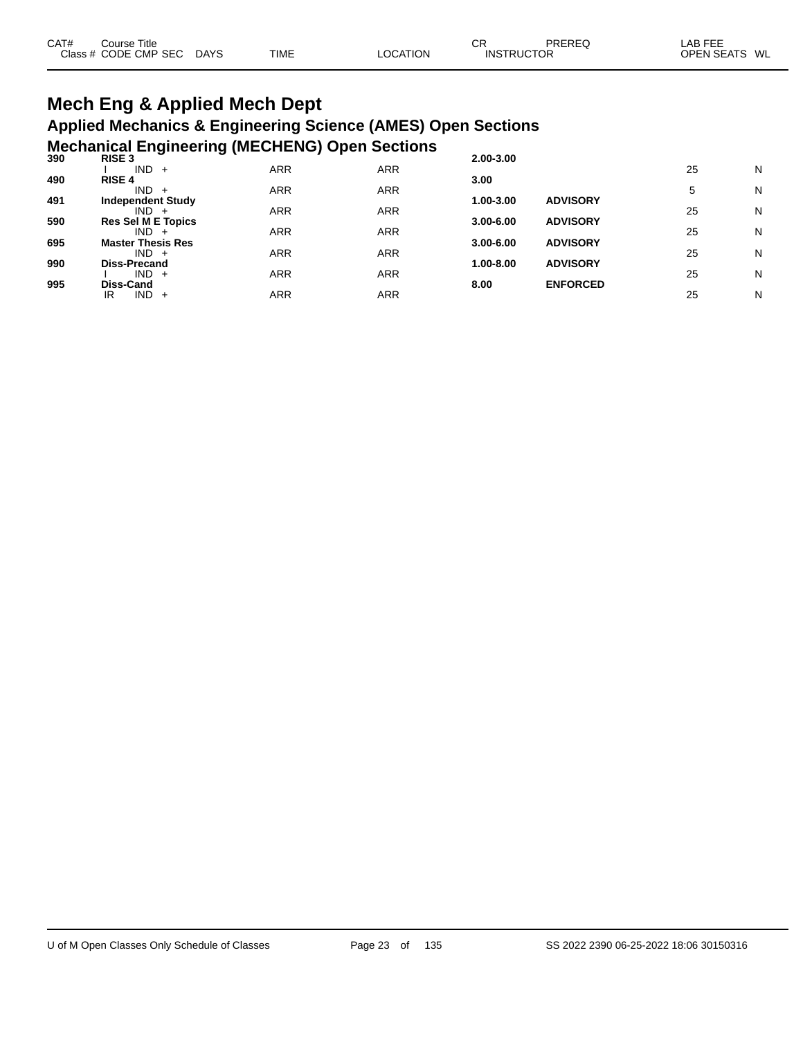#### **Mech Eng & Applied Mech Dept Applied Mechanics & Engineering Science (AMES) Open Sections Mechanical Engineering (MECHENG) Open Sections**

| 390 | -<br>- -<br><b>RISE 3</b> |            | . .        | 2.00-3.00     |                 |    |   |
|-----|---------------------------|------------|------------|---------------|-----------------|----|---|
|     | $IND +$                   | <b>ARR</b> | <b>ARR</b> |               |                 | 25 | N |
| 490 | <b>RISE 4</b>             |            |            | 3.00          |                 |    |   |
|     | $IND +$                   | <b>ARR</b> | <b>ARR</b> |               |                 | 5  | N |
| 491 | <b>Independent Study</b>  |            |            | 1.00-3.00     | <b>ADVISORY</b> |    |   |
|     | $IND +$                   | <b>ARR</b> | <b>ARR</b> |               |                 | 25 | N |
| 590 | <b>Res Sel M E Topics</b> |            |            | $3.00 - 6.00$ | <b>ADVISORY</b> |    |   |
|     | $IND +$                   | <b>ARR</b> | <b>ARR</b> |               |                 | 25 | N |
| 695 | <b>Master Thesis Res</b>  |            |            | $3.00 - 6.00$ | <b>ADVISORY</b> |    |   |
|     | $IND +$                   | <b>ARR</b> | <b>ARR</b> |               |                 | 25 | N |
| 990 | Diss-Precand              |            |            | 1.00-8.00     | <b>ADVISORY</b> |    |   |
|     | $IND +$                   | <b>ARR</b> | <b>ARR</b> |               |                 | 25 | N |
| 995 | Diss-Cand                 |            |            | 8.00          | <b>ENFORCED</b> |    |   |
|     | $IND +$<br>IR             | <b>ARR</b> | ARR        |               |                 | 25 | N |
|     |                           |            |            |               |                 |    |   |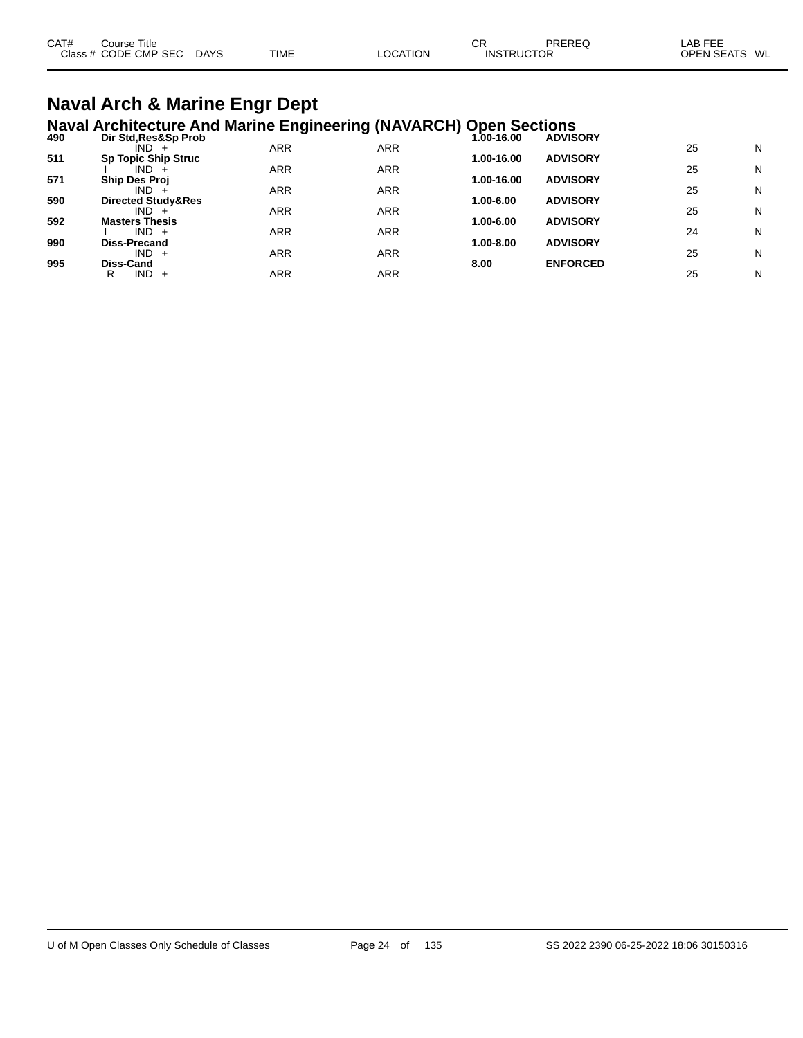| CAT# | Course Title              |             |                 | СF                | PREREQ | _AB FEE       |  |
|------|---------------------------|-------------|-----------------|-------------------|--------|---------------|--|
|      | Class # CODE CMP SEC DAYS | <b>TIME</b> | <b>LOCATION</b> | <b>INSTRUCTOR</b> |        | OPEN SEATS WL |  |
|      |                           |             |                 |                   |        |               |  |

# **Naval Arch & Marine Engr Dept**

|     | <b>Naval Architecture And Marine Engineering (NAVARCH) Open Sections</b> |     |            |             |                 |    |   |
|-----|--------------------------------------------------------------------------|-----|------------|-------------|-----------------|----|---|
| 490 | Dir Std, Res&Sp Prob<br>$IND +$                                          | ARR | <b>ARR</b> | $.00-16.00$ | <b>ADVISORY</b> | 25 | N |
| 511 | <b>Sp Topic Ship Struc</b>                                               |     |            | 1.00-16.00  | <b>ADVISORY</b> |    |   |
|     | IND.                                                                     | ARR | <b>ARR</b> |             |                 | 25 | N |
| 571 | <b>Ship Des Proj</b>                                                     |     |            | 1.00-16.00  | <b>ADVISORY</b> |    |   |
|     | IND.                                                                     | ARR | <b>ARR</b> |             |                 | 25 | N |
| 590 | <b>Directed Study&amp;Res</b><br>$IND +$                                 | ARR | ARR        | 1.00-6.00   | <b>ADVISORY</b> | 25 | N |
| 592 | <b>Masters Thesis</b>                                                    |     |            | 1.00-6.00   | <b>ADVISORY</b> |    |   |
|     | $IND +$                                                                  | ARR | <b>ARR</b> |             |                 | 24 | N |
| 990 | <b>Diss-Precand</b>                                                      |     |            | 1.00-8.00   | <b>ADVISORY</b> |    |   |
|     | $IND +$                                                                  | ARR | <b>ARR</b> |             |                 | 25 | N |
| 995 | Diss-Cand                                                                |     |            | 8.00        | <b>ENFORCED</b> |    |   |
|     | <b>IND</b><br>R<br>$+$                                                   | ARR | ARR        |             |                 | 25 | N |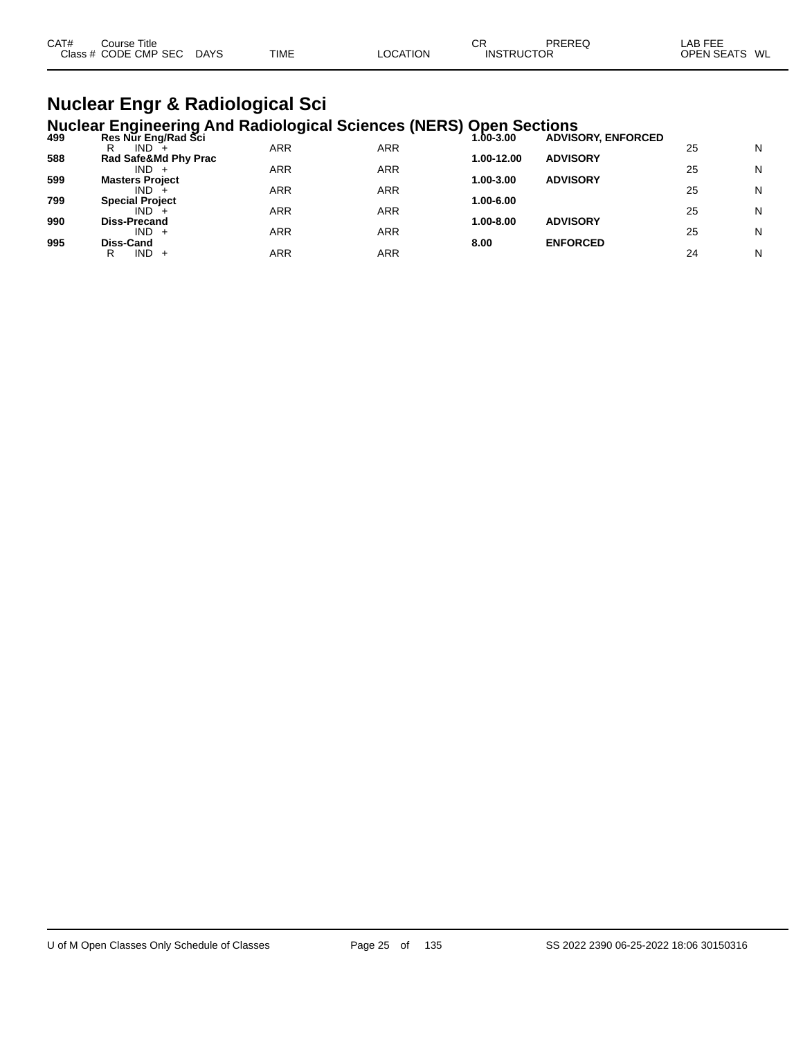| CAT# | Course Title              |             |                 | СF                | PREREQ | LAB FEE       |  |
|------|---------------------------|-------------|-----------------|-------------------|--------|---------------|--|
|      | Class # CODE CMP SEC DAYS | <b>TIME</b> | <b>LOCATION</b> | <b>INSTRUCTOR</b> |        | OPEN SEATS WL |  |
|      |                           |             |                 |                   |        |               |  |

#### **Nuclear Engr & Radiological Sci Nuclear Engineering And Radiological Sciences (NERS) Open Sections**

|     | $11401041$ anginooning? the riderorogroup colonious $(112110)$ |            |            | $\sim$ $\sim$ $\sim$ $\sim$ $\sim$ $\sim$ $\sim$ $\sim$ |                           |    |   |
|-----|----------------------------------------------------------------|------------|------------|---------------------------------------------------------|---------------------------|----|---|
| 499 | Res Nur Eng/Rad Sci                                            |            |            | 1.00-3.00                                               | <b>ADVISORY, ENFORCED</b> |    |   |
|     | IND.<br>R                                                      | ARR        | ARR        |                                                         |                           | 25 | N |
| 588 | Rad Safe&Md Phy Prac                                           |            |            | 1.00-12.00                                              | <b>ADVISORY</b>           |    |   |
|     | $IND +$                                                        | ARR        | <b>ARR</b> |                                                         |                           | 25 | N |
| 599 | <b>Masters Project</b>                                         |            |            | 1.00-3.00                                               | <b>ADVISORY</b>           |    |   |
|     | $IND +$                                                        | ARR        | <b>ARR</b> |                                                         |                           | 25 | N |
| 799 | <b>Special Project</b>                                         |            |            | 1.00-6.00                                               |                           |    |   |
|     | $IND +$                                                        | ARR        | <b>ARR</b> |                                                         |                           | 25 | N |
| 990 | <b>Diss-Precand</b>                                            |            |            | 1.00-8.00                                               | <b>ADVISORY</b>           |    |   |
|     | $IND +$                                                        | ARR        | <b>ARR</b> |                                                         |                           | 25 | N |
| 995 | Diss-Cand                                                      |            |            | 8.00                                                    | <b>ENFORCED</b>           |    |   |
|     | $IND +$<br>R                                                   | <b>ARR</b> | ARR        |                                                         |                           | 24 | N |
|     |                                                                |            |            |                                                         |                           |    |   |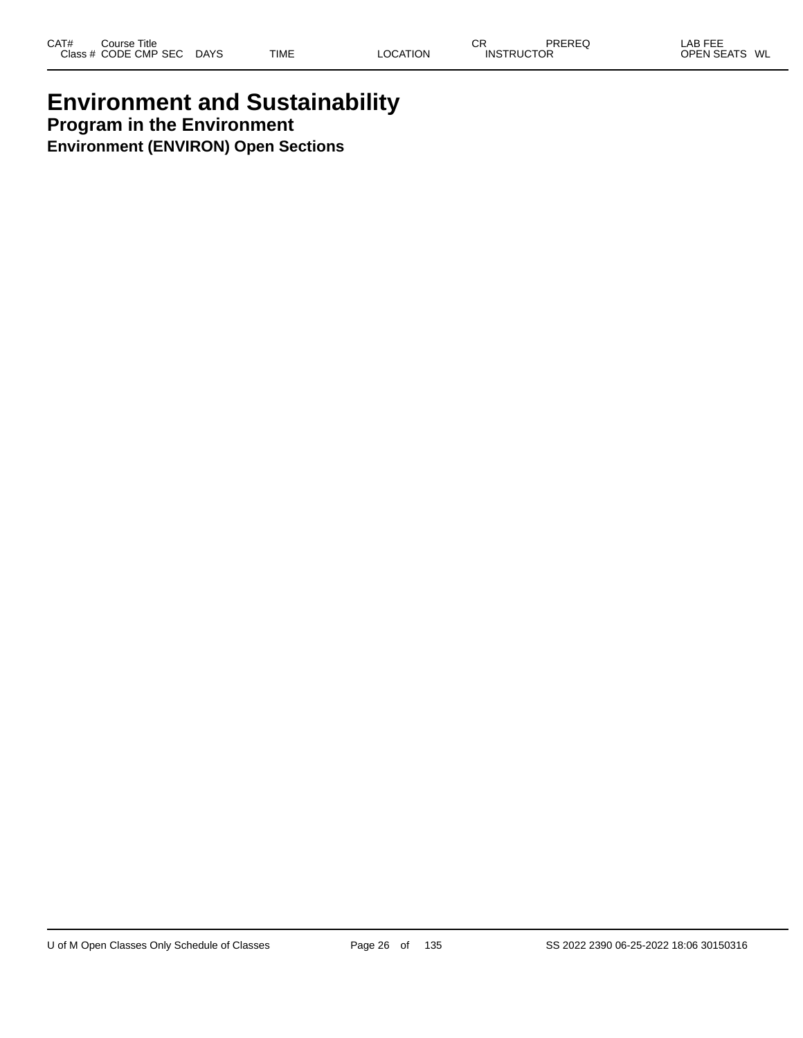### **Environment and Sustainability Program in the Environment Environment (ENVIRON) Open Sections**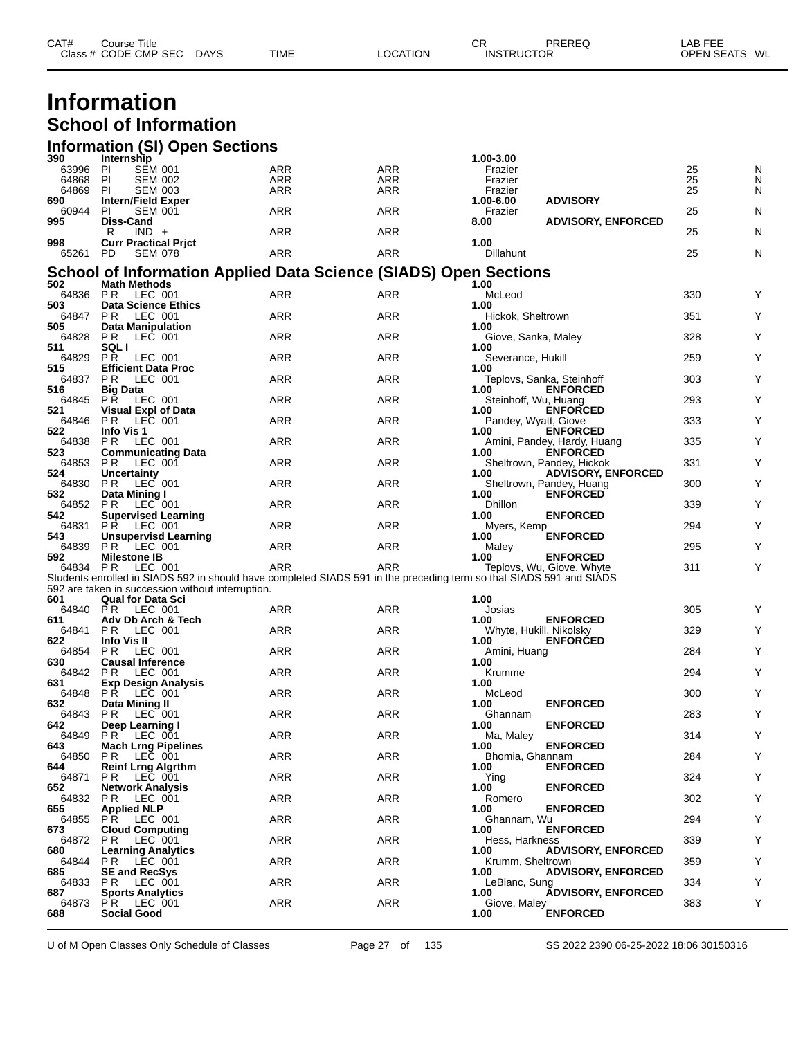| CAT#           | <b>Course Title</b><br>Class # CODE CMP SEC   | <b>DAYS</b> | <b>TIME</b>              | <b>LOCATION</b>                                                         | <b>CR</b><br><b>INSTRUCTOR</b> | PREREQ                                  | LAB FEE<br>OPEN SEATS WL |        |
|----------------|-----------------------------------------------|-------------|--------------------------|-------------------------------------------------------------------------|--------------------------------|-----------------------------------------|--------------------------|--------|
|                | Information<br><b>School of Information</b>   |             |                          |                                                                         |                                |                                         |                          |        |
|                |                                               |             |                          |                                                                         |                                |                                         |                          |        |
|                | <b>Information (SI) Open Sections</b>         |             |                          |                                                                         |                                |                                         |                          |        |
| 390            | Internship                                    |             |                          |                                                                         | 1.00-3.00                      |                                         |                          |        |
| 63996<br>64868 | PI<br><b>SEM 001</b><br><b>SEM 002</b><br>-PI |             | <b>ARR</b><br><b>ARR</b> | <b>ARR</b><br><b>ARR</b>                                                | Frazier<br>Frazier             |                                         | 25<br>25                 | N<br>N |
| 64869          | <b>SEM 003</b><br>PI                          |             | <b>ARR</b>               | <b>ARR</b>                                                              | Frazier                        |                                         | 25                       | N      |
| 690            | <b>Intern/Field Exper</b>                     |             |                          |                                                                         | 1.00-6.00                      | <b>ADVISORY</b>                         |                          |        |
| 60944          | <b>SEM 001</b><br>PI.                         |             | <b>ARR</b>               | <b>ARR</b>                                                              | Frazier                        |                                         | 25                       | N      |
| 995            | <b>Diss-Cand</b>                              |             |                          |                                                                         | 8.00                           | <b>ADVISORY, ENFORCED</b>               |                          |        |
|                | $IND +$<br>R                                  |             | <b>ARR</b>               | <b>ARR</b>                                                              |                                |                                         | 25                       | N      |
| 998            | <b>Curr Practical Prict</b>                   |             |                          |                                                                         | 1.00                           |                                         |                          |        |
| 65261          | <b>SEM 078</b><br>PD.                         |             | <b>ARR</b>               | <b>ARR</b>                                                              | <b>Dillahunt</b>               |                                         | 25                       | N      |
|                |                                               |             |                          | <b>School of Information Applied Data Science (SIADS) Open Sections</b> |                                |                                         |                          |        |
| 502            | <b>Math Methods</b>                           |             |                          |                                                                         | 1.00                           |                                         |                          |        |
| 64836          | PR LEC 001                                    |             | <b>ARR</b>               | <b>ARR</b>                                                              | McLeod                         |                                         | 330                      | Υ      |
| 503            | <b>Data Science Ethics</b>                    |             |                          |                                                                         | 1.00                           |                                         |                          |        |
| 64847          | LEC 001<br>P <sub>R</sub>                     |             | <b>ARR</b>               | <b>ARR</b>                                                              | Hickok, Sheltrown              |                                         | 351                      | Υ      |
| 505            | <b>Data Manipulation</b>                      |             |                          |                                                                         | 1.00                           |                                         |                          |        |
| 64828          | LEC 001<br>PR.                                |             | <b>ARR</b>               | <b>ARR</b>                                                              | Giove, Sanka, Maley            |                                         | 328                      | Υ      |
| 511            | <b>SQLI</b>                                   |             |                          |                                                                         | 1.00                           |                                         |                          |        |
| 64829          | LEC 001<br><b>PR</b>                          |             | <b>ARR</b>               | <b>ARR</b>                                                              | Severance, Hukill              |                                         | 259                      | Υ      |
| 515            | <b>Efficient Data Proc</b>                    |             |                          |                                                                         | 1.00                           |                                         |                          |        |
| 64837          | LEC 001<br>PR.                                |             | <b>ARR</b>               | <b>ARR</b>                                                              |                                | Teplovs, Sanka, Steinhoff               | 303                      | Υ      |
| 516<br>64845   | <b>Big Data</b><br>P Ř<br>LEC 001             |             | <b>ARR</b>               | <b>ARR</b>                                                              | 1.00                           | <b>ENFORCED</b>                         | 293                      | Υ      |
| 521            | <b>Visual Expl of Data</b>                    |             |                          |                                                                         | 1.00                           | Steinhoff, Wu, Huang<br><b>ENFORCED</b> |                          |        |
| 64846          | <b>PR</b><br>LEC 001                          |             | <b>ARR</b>               | <b>ARR</b>                                                              |                                | Pandey, Wyatt, Giove                    | 333                      | Y      |

P R LEC 001 ARR ARR Pandey, Wyatt, Giove 333 Y

1991 - 64838 PR LEC 001 12 ARR ARR ARR ARR ARR Amini, Pandey, Hardy, Huang 335 Y<br>
523 Communicating Data 1.00 ENFORCED

P R LEC 001 ARR ARR Sheltrown, Pandey, Huang 300 Y

64853 P R LEC 001 ARR ARR Sheltrown, Pandey, Hickok 331 Y

64852 P.R LEC 001 ARR ARR Dhillon 339 Y

64831 P.R LEC 001 ARR ARR Myers, Kemp 294 Y

64839 P.R LEC 001 ARR ARR Maley 295 Y

64834 P R LEC 001 ARR ARR Teplovs, Wu, Giove, Whyte 311 Y

64840 P.R LEC 001 ARR ARR Josias 305 Y

64854 P.R LEC 001 ARR ARR Amini, Huang 284 Y

64842 P.R LEC 001 ARR ARR Krumme 294 Y

64848 P.R LEC 001 ARR ARR McLeod 300 Y

64843 P.R LEC 001 ARR ARR Ghannam 283 Y

64849 P R LEC 001 ARR ARR Ma, Maley 314 Y

64850 P.R. LEC 001 ARR ARR Bhomia, Ghannam 284 Y

P R LEC 001 ARR ARR Ying 324 Y

64832 P.R LEC 001 ARR ARR Romero 302 Y

64855 P.R LEC 001 ARR ARR Ghannam, Wu 294 Y

64872 P R LEC 001 ARR ARR Hess, Harkness 339 Y

64833 P.R LEC 001 ARR ARR LeBlanc, Sung 334 Y

64873 P R LEC 001 ARR ARR Giove, Maley 383 Y

P R LEC 001 ARR ARR Krumm, Sheltrown 359 Y

P R LEC 001 ARR ARR Whyte, Hukill, Nikolsky 329 Y

**Info Vis 1 1.00 ENFORCED**

**Supervised Learning 1.00 ENFORCED**

**Unsupervisd Learning 1.00 ENFORCED**

**592 Milestone IB 1.00 ENFORCED**<br>64834 PR LEC 001 **ARR** ARR ARR Teplovs, Wu, Giove, Whyte

Students enrolled in SIADS 592 in should have completed SIADS 591 in the preceding term so that SIADS 591 and SIADS

**Adv Db Arch & Tech 1.00 ENFORCED**

**Info Vis II 1.00 ENFORCED**

**631**<br> **631**<br> **64848** PR LEC 001<br> **64848** PR LEC 001<br> **64843** PR LEC 001<br> **64843** PR LEC 001<br> **1.00**<br> **1.00**<br> **1.00**<br> **ENFORCED**<br> **ARR**<br> **ARR**<br> **ARR**<br> **Data Mining II**<br> **Data Mining II**<br> **ARR**<br> **Data Mining II** 

**Deep Learning I 1.00 ENFORCED**

**Mach Lrng Pipelines 1.00 ENFORCED**

**Reinf Lrng Algrthm 1.00 ENFORCED**

**Network Analysis 1.00 ENFORCED**

**Applied NLP 1.00 ENFORCED**

**Cloud Computing 1.00 ENFORCED**

**Social Good 1.00 ENFORCED**

**Learning Analytics**<br>
64844 PR LEC 001 **ARR** ARR ARR Krumm, Sheltrown **ADVISORY, ENFORCED** 

**Sports Analytics 1.00 ADVISORY, ENFORCED**

**SE and RecSys 1.00 ADVISORY, ENFORCED**

**Uncertainty 1.00 ADVISORY, ENFORCED**

**523 Communicating Data 1.00 ARR 1.00 ENFORCED**<br> **1.00 ENFORCED**<br> **1.00 ENFORCED**<br> **1.00 ENFORCED** 

**Data Mining I CONTEX 1.00 ENEC ODE**<br> **FORCE BENEC** 1.00 **ENROY ARR** ARR POMILLON

**Qual for Data Sci 1.00**

**Causal Inference 1.00 Causal Inference 1.00 Causal Inference 1.00 ARR 1.00 ARR 1.00 ARR 1.00** 

**Exp Design Analysis 1.00**

U of M Open Classes Only Schedule of Classes Page 27 of 135 SS 2022 2390 06-25-2022 18:06 30150316

592 are taken in succession without interruption.<br>601 **Qual for Data Sci**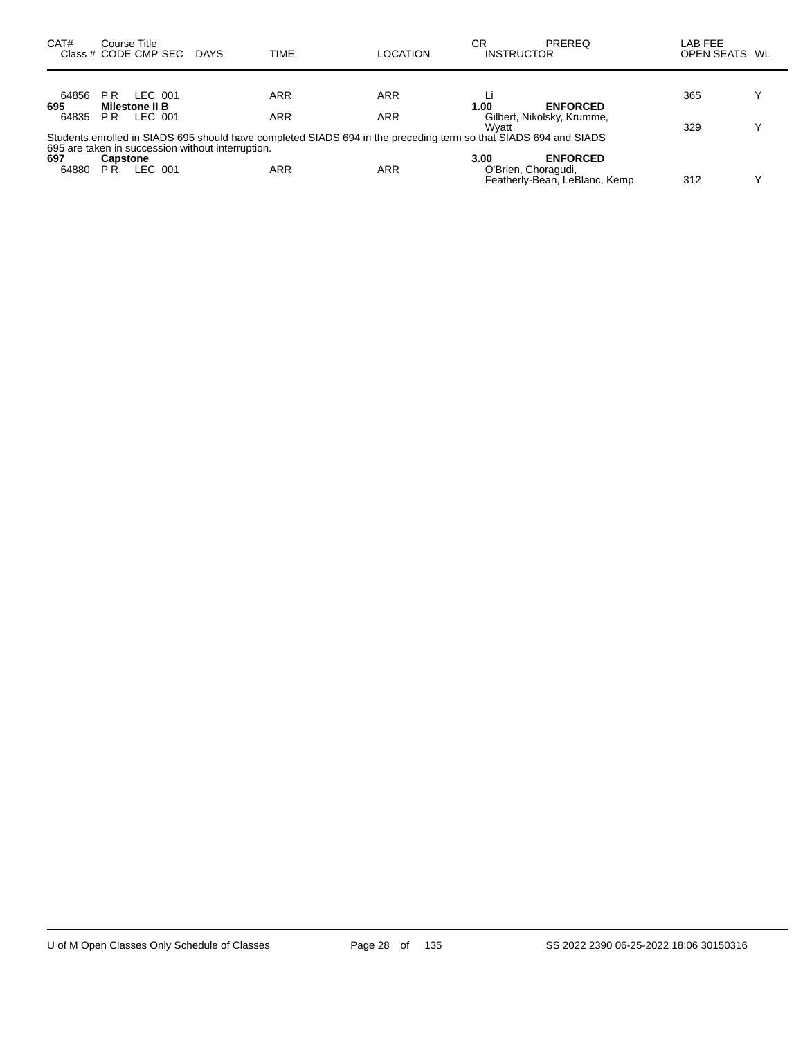| CAT#         | Course Title<br>Class # CODE CMP SEC    | DAYS                                              | TIME                                                                                                             | LOCATION   | СR<br><b>INSTRUCTOR</b>     | <b>PREREQ</b>                                    | LAB FEE<br>OPEN SEATS WL |   |
|--------------|-----------------------------------------|---------------------------------------------------|------------------------------------------------------------------------------------------------------------------|------------|-----------------------------|--------------------------------------------------|--------------------------|---|
| 64856        | LEC 001<br>PR.                          |                                                   | ARR                                                                                                              | ARR        |                             | <b>ENFORCED</b>                                  | 365                      | v |
| 695<br>64835 | <b>Milestone II B</b><br>LEC 001<br>PR. |                                                   | <b>ARR</b>                                                                                                       | <b>ARR</b> | 1.00<br>Wvatt               | Gilbert, Nikolsky, Krumme,                       | 329                      | v |
|              |                                         | 695 are taken in succession without interruption. | Students enrolled in SIADS 695 should have completed SIADS 694 in the preceding term so that SIADS 694 and SIADS |            |                             |                                                  |                          |   |
| 697<br>64880 | <b>Capstone</b><br>LEC 001<br>P R       |                                                   | ARR                                                                                                              | <b>ARR</b> | 3.00<br>O'Brien, Choragudi, | <b>ENFORCED</b><br>Featherly-Bean, LeBlanc, Kemp | 312                      | v |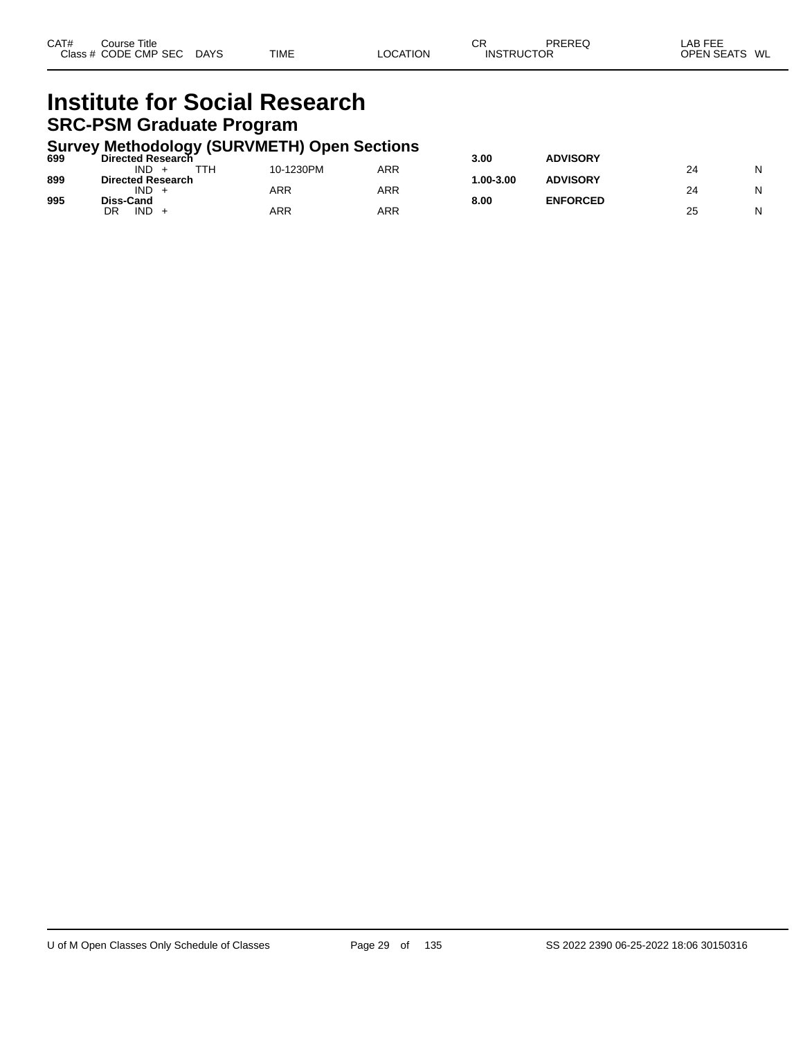#### **Institute for Social Research SRC-PSM Graduate Program**

# **Survey Methodology (SURVMETH) Open Sections 699 Directed Research 3.00 ADVISORY**

| 699 | <b>Directed Research</b> |           |     | 3.00         | <b>ADVISORY</b> |    |   |
|-----|--------------------------|-----------|-----|--------------|-----------------|----|---|
|     | <b>IND</b><br>TTH        | 10-1230PM | ARR |              |                 | 24 | N |
| 899 | <b>Directed Research</b> |           |     | $.00 - 3.00$ | <b>ADVISORY</b> |    |   |
|     | <b>IND</b>               | ARR       | ARR |              |                 | 24 | N |
| 995 | Diss-Cand                |           |     | 8.00         | <b>ENFORCED</b> |    |   |
|     | <b>IND</b><br>DR         | ARR       | ARR |              |                 | 25 | N |
|     |                          |           |     |              |                 |    |   |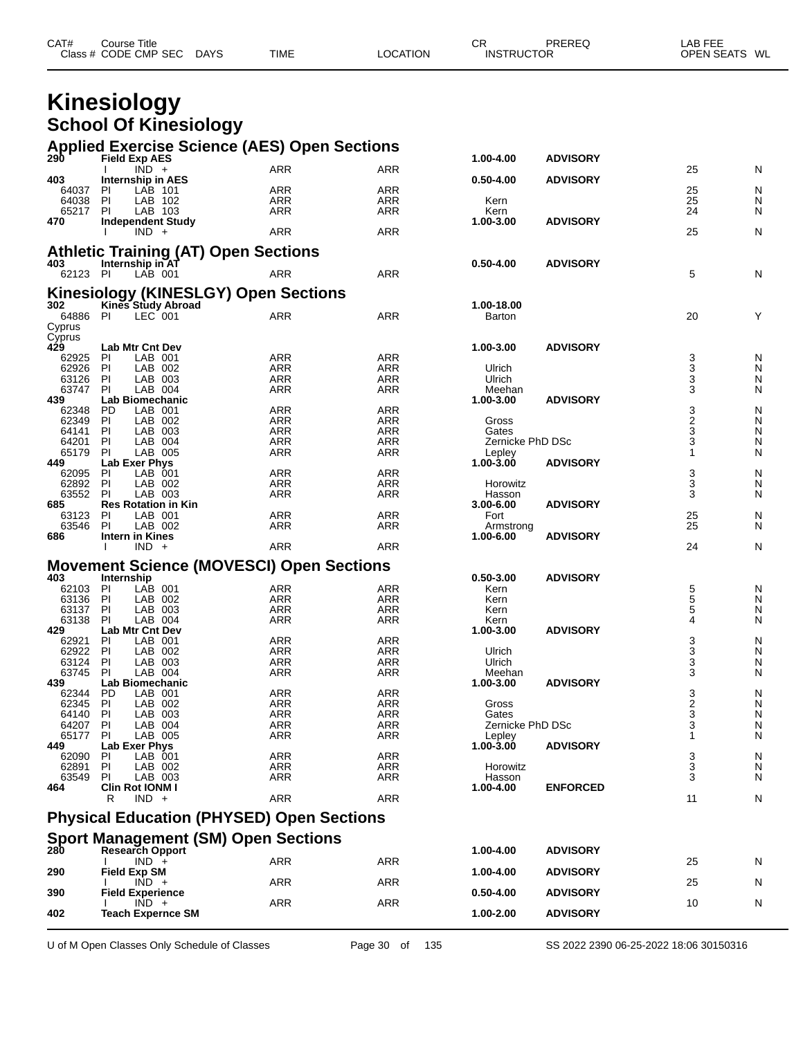| Class # CODE CMP SEC<br><b>INSTRUCTOR</b> | CAT# | Course Title |             |             |          | СR | PREREQ | ∟AB FEE       |  |
|-------------------------------------------|------|--------------|-------------|-------------|----------|----|--------|---------------|--|
|                                           |      |              | <b>DAYS</b> | <b>TIME</b> | LOCATION |    |        | OPEN SEATS WL |  |

#### **Kinesiology School Of Kinesiology**

|                | <b>Applied Exercise Science (AES) Open Sections</b><br>290 Field Exp AES |                   |                          |                        |                 |                     |        |
|----------------|--------------------------------------------------------------------------|-------------------|--------------------------|------------------------|-----------------|---------------------|--------|
|                | $\overline{IND}$ +                                                       | <b>ARR</b>        | <b>ARR</b>               | 1.00-4.00              | <b>ADVISORY</b> | 25                  | N      |
| 403            | <b>Internship in AES</b>                                                 |                   |                          | $0.50 - 4.00$          | <b>ADVISORY</b> |                     |        |
| 64037          | LAB 101<br>PI                                                            | <b>ARR</b>        | <b>ARR</b>               |                        |                 | 25                  | N      |
| 64038          | PI<br>LAB 102                                                            | <b>ARR</b>        | <b>ARR</b>               | Kern                   |                 | 25                  | N      |
| 65217          | LAB 103<br><b>PI</b>                                                     | ARR               | <b>ARR</b>               | Kern                   |                 | 24                  | N      |
| 470            | <b>Independent Study</b>                                                 |                   |                          | 1.00-3.00              | <b>ADVISORY</b> |                     |        |
|                | $IND +$                                                                  | <b>ARR</b>        | <b>ARR</b>               |                        |                 | 25                  | N      |
|                | <b>Athletic Training (AT) Open Sections</b>                              |                   |                          |                        |                 |                     |        |
| 403            | Internship in AT                                                         |                   |                          | $0.50 - 4.00$          | <b>ADVISORY</b> |                     |        |
| 62123 PI       | LAB 001                                                                  | <b>ARR</b>        | ARR                      |                        |                 | 5                   | N      |
|                |                                                                          |                   |                          |                        |                 |                     |        |
| 302            | <b>Kinesiology (KINESLGY) Open Sections</b><br>Kines Study Abroad        |                   |                          | 1.00-18.00             |                 |                     |        |
| 64886 PI       | LEC 001                                                                  | <b>ARR</b>        | <b>ARR</b>               | Barton                 |                 | 20                  | Y      |
| Cyprus         |                                                                          |                   |                          |                        |                 |                     |        |
| Cyprus         |                                                                          |                   |                          |                        |                 |                     |        |
| 429            | Lab Mtr Cnt Dev                                                          |                   |                          | 1.00-3.00              | <b>ADVISORY</b> |                     |        |
| 62925          | LAB 001<br><b>PI</b>                                                     | <b>ARR</b>        | <b>ARR</b>               |                        |                 | 3                   | N      |
| 62926          | PI<br>LAB 002                                                            | ARR               | <b>ARR</b>               | Ulrich                 |                 | $\overline{3}$      | N      |
| 63126          | PI<br>LAB 003                                                            | <b>ARR</b>        | ARR                      | Ulrich                 |                 | 3                   | N      |
| 63747<br>439   | LAB 004<br>-PI<br><b>Lab Biomechanic</b>                                 | ARR               | ARR                      | Meehan<br>1.00-3.00    | <b>ADVISORY</b> | 3                   | N      |
| 62348          | LAB 001<br>PD                                                            | <b>ARR</b>        | ARR                      |                        |                 | 3                   | N      |
| 62349          | LAB 002<br>PI                                                            | ARR               | <b>ARR</b>               | Gross                  |                 |                     | N      |
| 64141          | PI<br>LAB 003                                                            | <b>ARR</b>        | ARR                      | Gates                  |                 | $\frac{2}{3}$       | N      |
| 64201          | PI<br>LAB 004                                                            | <b>ARR</b>        | ARR                      | Zernicke PhD DSc       |                 | 3                   | N      |
| 65179          | LAB 005<br>PI                                                            | <b>ARR</b>        | ARR                      | Lepley                 |                 | 1                   | N      |
| 449            | Lab Exer Phys                                                            |                   |                          | 1.00-3.00              | <b>ADVISORY</b> |                     |        |
| 62095          | PI<br>LAB 001                                                            | <b>ARR</b>        | <b>ARR</b>               |                        |                 | 3                   | N      |
| 62892          | PI<br>LAB 002                                                            | <b>ARR</b>        | <b>ARR</b>               | Horowitz               |                 | 3                   | N      |
| 63552          | PI<br>LAB 003                                                            | <b>ARR</b>        | <b>ARR</b>               | Hasson                 |                 | 3                   | N      |
| 685            | <b>Res Rotation in Kin</b>                                               |                   |                          | $3.00 - 6.00$          | <b>ADVISORY</b> |                     |        |
| 63123<br>63546 | PI<br>LAB 001<br>LAB 002<br>PI                                           | <b>ARR</b><br>ARR | <b>ARR</b>               | Fort                   |                 | $\frac{25}{25}$     | N<br>N |
| 686            | Intern in Kines                                                          |                   | ARR                      | Armstrong<br>1.00-6.00 | <b>ADVISORY</b> |                     |        |
|                |                                                                          |                   |                          |                        |                 |                     |        |
|                |                                                                          |                   |                          |                        |                 |                     |        |
|                | $IND +$                                                                  | ARR               | <b>ARR</b>               |                        |                 | 24                  | N      |
|                | <b>Movement Science (MOVESCI) Open Sections</b>                          |                   |                          |                        |                 |                     |        |
| 403            | Internship                                                               |                   |                          | $0.50 - 3.00$          | <b>ADVISORY</b> |                     |        |
| 62103          | LAB 001<br>PI                                                            | <b>ARR</b>        | <b>ARR</b>               | Kern                   |                 | 5                   | N      |
| 63136          | PI<br>LAB 002                                                            | ARR               | <b>ARR</b>               | Kern                   |                 | 5                   | N      |
| 63137          | PI<br>LAB 003                                                            | <b>ARR</b>        | <b>ARR</b>               | Kern                   |                 | 5                   | N      |
| 63138          | LAB 004<br>PI                                                            | ARR               | ARR                      | Kern                   |                 | 4                   | N      |
| 429            | <b>Lab Mtr Cnt Dev</b>                                                   |                   |                          | 1.00-3.00              | <b>ADVISORY</b> |                     |        |
| 62921<br>62922 | PI<br>LAB 001<br>PI<br>LAB 002                                           | ARR<br><b>ARR</b> | <b>ARR</b><br><b>ARR</b> | Ulrich                 |                 | 3                   | N<br>N |
| 63124          | PI<br>LAB 003                                                            | <b>ARR</b>        | <b>ARR</b>               | Ulrich                 |                 | $\overline{3}$<br>3 | N      |
| 63745          | LAB 004<br>PI                                                            | ARR               | ARR                      | Meehan                 |                 | 3                   | N      |
| 439            | Lab Biomechanic                                                          |                   |                          | 1.00-3.00              | <b>ADVISORY</b> |                     |        |
| 62344          | LAB 001<br>PD                                                            | <b>ARR</b>        | <b>ARR</b>               |                        |                 | 3                   | N      |
| 62345          | PI<br>LAB 002                                                            | <b>ARR</b>        | ARR                      | Gross                  |                 |                     | N      |
| 64140          | PI<br>LAB 003                                                            | <b>ARR</b>        | <b>ARR</b>               | Gates                  |                 | $\frac{2}{3}$       | N      |
| 64207 PI       | LAB 004                                                                  | <b>ARR</b>        | <b>ARR</b>               | Zernicke PhD DSc       |                 | 3                   | N      |
| 65177          | PI<br>LAB 005                                                            | <b>ARR</b>        | <b>ARR</b>               | Lepley                 |                 | 1                   | N      |
| 449            | Lab Exer Phys                                                            |                   |                          | $1.00 - 3.00$          | <b>ADVISORY</b> |                     |        |
| 62090<br>62891 | LAB 001<br>PI<br>LAB 002<br>PI.                                          | <b>ARR</b><br>ARR | <b>ARR</b><br>ARR        | Horowitz               |                 | 3<br>3              | N<br>N |
| 63549          | <b>PI</b><br>LAB 003                                                     | ARR               | ARR                      | Hasson                 |                 | 3                   | N      |
| 464            | Clin Rot IONM I                                                          |                   |                          | 1.00-4.00              | <b>ENFORCED</b> |                     |        |
|                | $IND +$<br>R                                                             | <b>ARR</b>        | <b>ARR</b>               |                        |                 | 11                  | N      |
|                |                                                                          |                   |                          |                        |                 |                     |        |
|                | <b>Physical Education (PHYSED) Open Sections</b>                         |                   |                          |                        |                 |                     |        |
|                | <b>Sport Management (SM) Open Sections</b>                               |                   |                          |                        |                 |                     |        |
| 280            | Research Opport                                                          |                   |                          | 1.00-4.00              | <b>ADVISORY</b> |                     |        |
|                | $IND +$                                                                  | ARR               | <b>ARR</b>               |                        |                 | 25                  | N      |
| 290            | <b>Field Exp SM</b>                                                      |                   |                          | 1.00-4.00              | <b>ADVISORY</b> |                     |        |
| 390            | $IND +$<br><b>Field Experience</b>                                       | <b>ARR</b>        | <b>ARR</b>               | 0.50-4.00              | <b>ADVISORY</b> | 25                  | N      |
|                | $IND +$                                                                  | <b>ARR</b>        | <b>ARR</b>               |                        |                 | 10                  | N      |
| 402            | <b>Teach Expernce SM</b>                                                 |                   |                          | 1.00-2.00              | <b>ADVISORY</b> |                     |        |

U of M Open Classes Only Schedule of Classes Page 30 of 135 SS 2022 2390 06-25-2022 18:06 30150316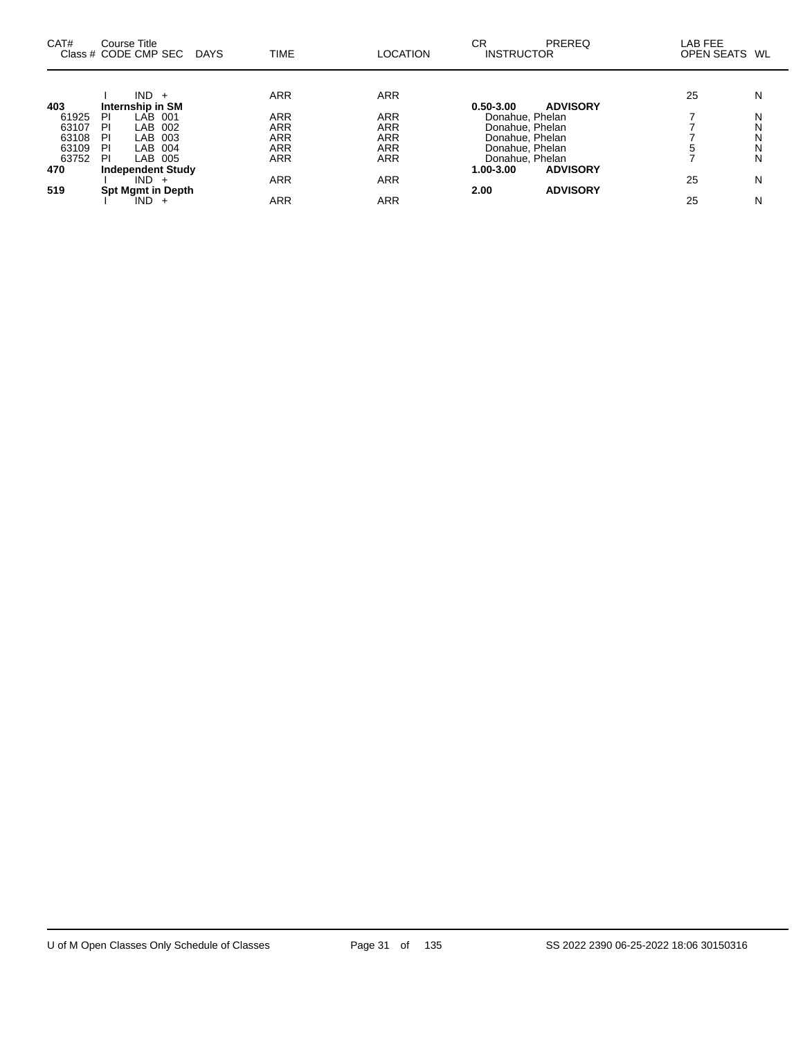| CAT#  | Course Title<br>Class # CODE CMP SEC DAYS | TIME       | <b>LOCATION</b> | CR<br>PREREQ<br><b>INSTRUCTOR</b> | LAB FEE<br>OPEN SEATS WL |   |
|-------|-------------------------------------------|------------|-----------------|-----------------------------------|--------------------------|---|
| 403   | $IND +$<br>Internship in SM               | <b>ARR</b> | ARR             | <b>ADVISORY</b><br>$0.50 - 3.00$  | 25                       | N |
| 61925 | LAB 001<br>ΡI                             | <b>ARR</b> | <b>ARR</b>      | Donahue, Phelan                   |                          | N |
| 63107 | PI<br>002<br>LAB                          | <b>ARR</b> | ARR             | Donahue, Phelan                   |                          | N |
| 63108 | PI<br>003<br>LAB                          | ARR        | <b>ARR</b>      | Donahue, Phelan                   |                          | N |
| 63109 | ΡI<br>004<br>LAB                          | <b>ARR</b> | <b>ARR</b>      | Donahue, Phelan                   |                          | N |
| 63752 | PI<br>LAB 005                             | <b>ARR</b> | ARR             | Donahue, Phelan                   |                          | N |
| 470   | <b>Independent Study</b>                  |            |                 | 1.00-3.00<br><b>ADVISORY</b>      |                          |   |
|       | $IND +$                                   | <b>ARR</b> | ARR             |                                   | 25                       | N |
| 519   | <b>Spt Mgmt in Depth</b>                  |            |                 | <b>ADVISORY</b><br>2.00           |                          |   |
|       | $IND +$                                   | <b>ARR</b> | ARR             |                                   | 25                       | N |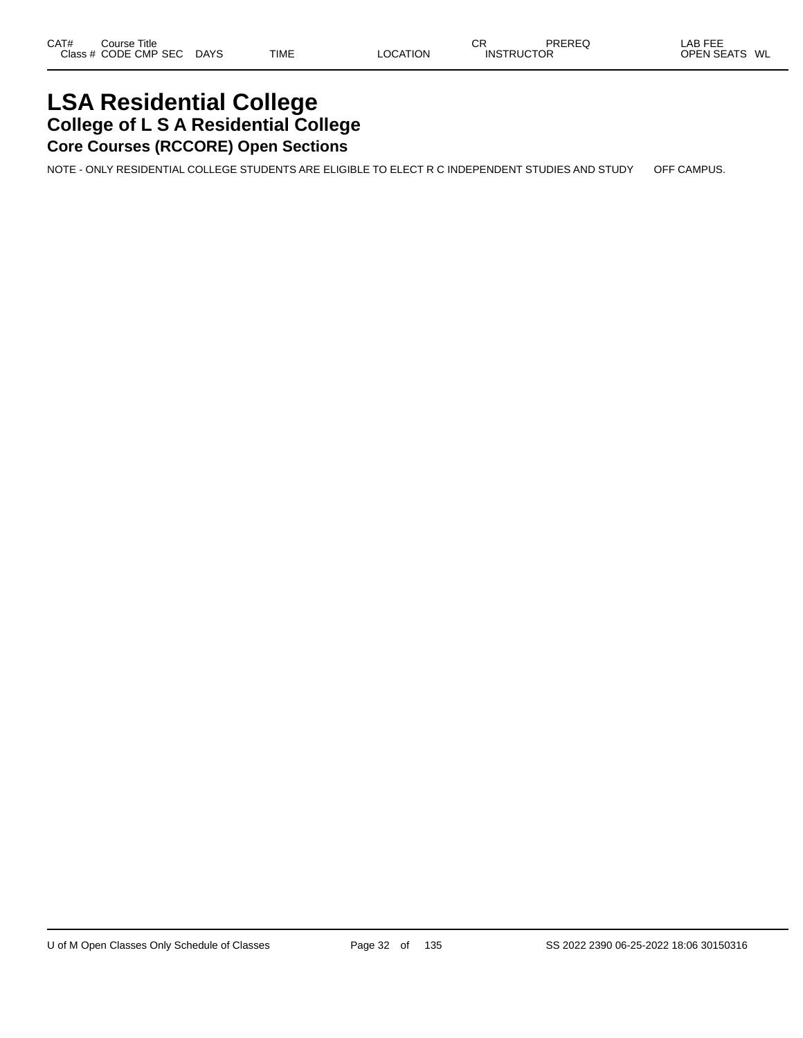### **LSA Residential College College of L S A Residential College Core Courses (RCCORE) Open Sections**

NOTE - ONLY RESIDENTIAL COLLEGE STUDENTS ARE ELIGIBLE TO ELECT R C INDEPENDENT STUDIES AND STUDY OFF CAMPUS.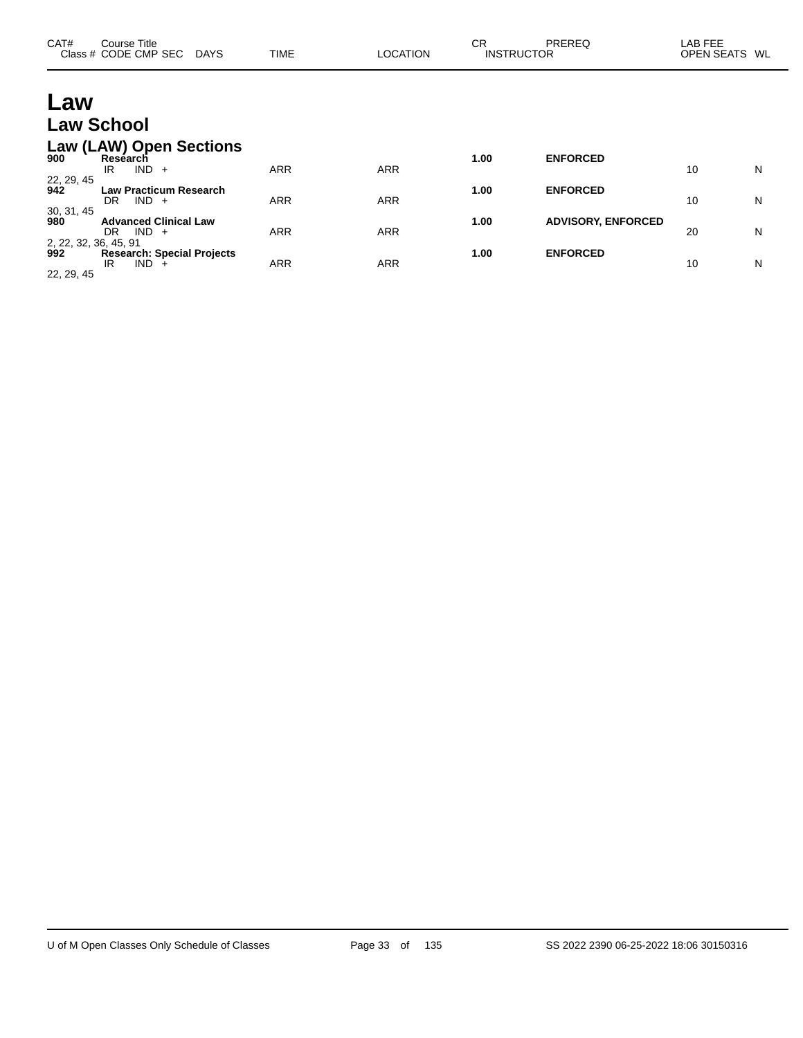| CAT#                                       | Course Title<br>Class # CODE CMP SEC                                           | <b>TIME</b><br>DAYS | <b>LOCATION</b> | <b>CR</b> | PREREQ<br><b>INSTRUCTOR</b> | LAB FEE<br>OPEN SEATS WL |   |
|--------------------------------------------|--------------------------------------------------------------------------------|---------------------|-----------------|-----------|-----------------------------|--------------------------|---|
| Law                                        |                                                                                |                     |                 |           |                             |                          |   |
|                                            | <b>Law School</b>                                                              |                     |                 |           |                             |                          |   |
| 900                                        | <b>Law (LAW) Open Sections</b><br>Research<br>$IND +$<br>IR.                   | ARR                 | <b>ARR</b>      | 1.00      | <b>ENFORCED</b>             | 10                       | N |
| 22, 29, 45<br>942                          | <b>Law Practicum Research</b><br>$IND +$<br>DR.                                | <b>ARR</b>          | <b>ARR</b>      | 1.00      | <b>ENFORCED</b>             | 10                       | N |
| 30, 31, 45<br>980                          | <b>Advanced Clinical Law</b><br>$IND +$<br>DR.                                 | ARR                 | <b>ARR</b>      | 1.00      | <b>ADVISORY, ENFORCED</b>   | 20                       | N |
| 2, 22, 32, 36, 45, 91<br>992<br>22, 29, 45 | <b>Research: Special Projects</b><br><b>IND</b><br>IR.<br>$\ddot{\phantom{1}}$ | ARR                 | <b>ARR</b>      | 1.00      | <b>ENFORCED</b>             | 10                       | N |

 $\overline{\phantom{0}}$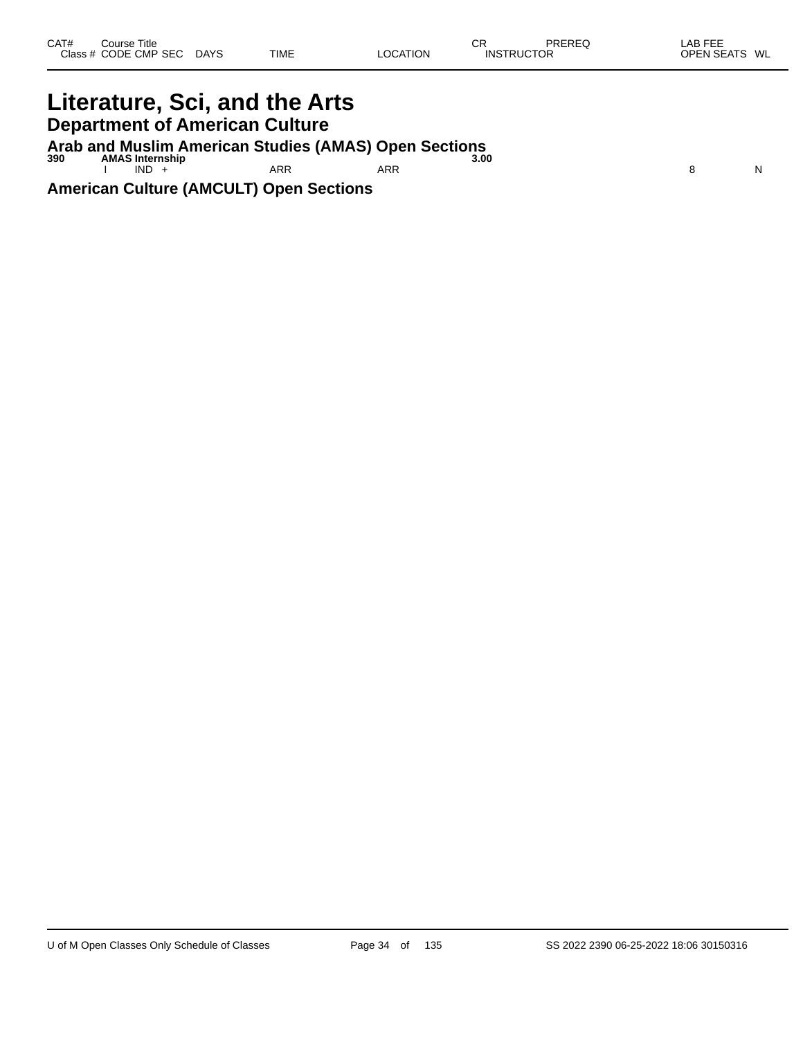### **Literature, Sci, and the Arts Department of American Culture**

**Arab and Muslim American Studies (AMAS) Open Sections 390 AMAS Internship 3.00**

I IND + ARR ARR ARR ARR 8 N

**American Culture (AMCULT) Open Sections**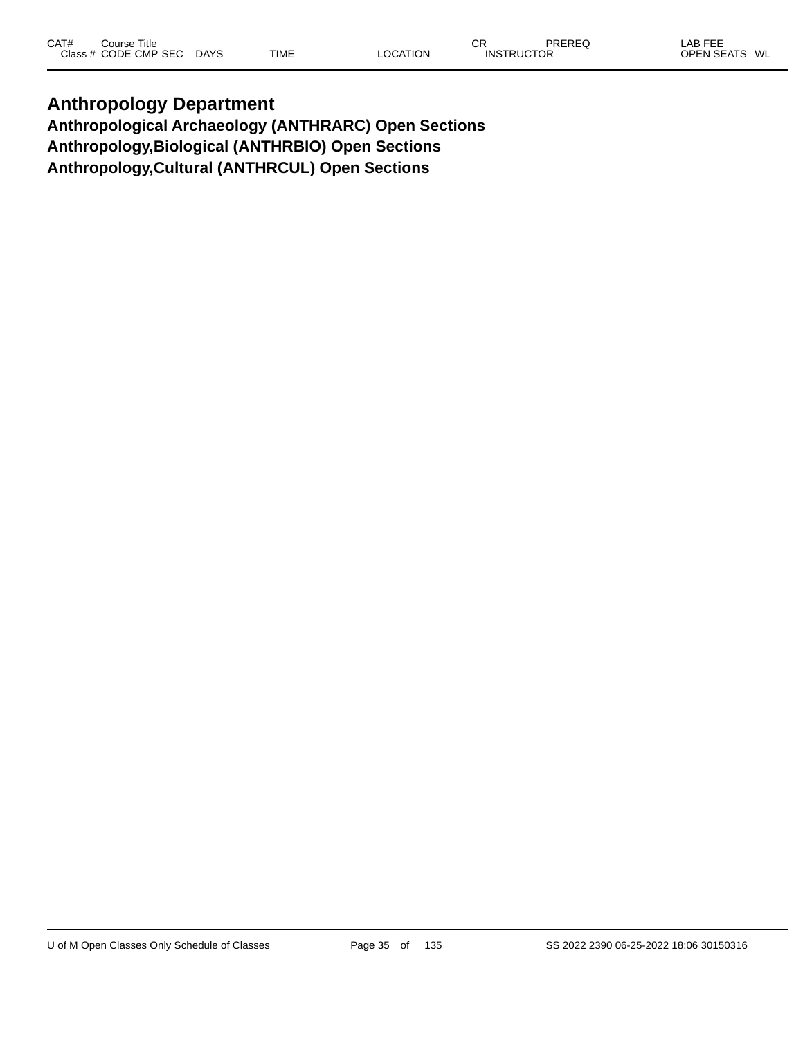#### **Anthropology Department Anthropological Archaeology (ANTHRARC) Open Sections Anthropology,Biological (ANTHRBIO) Open Sections Anthropology,Cultural (ANTHRCUL) Open Sections**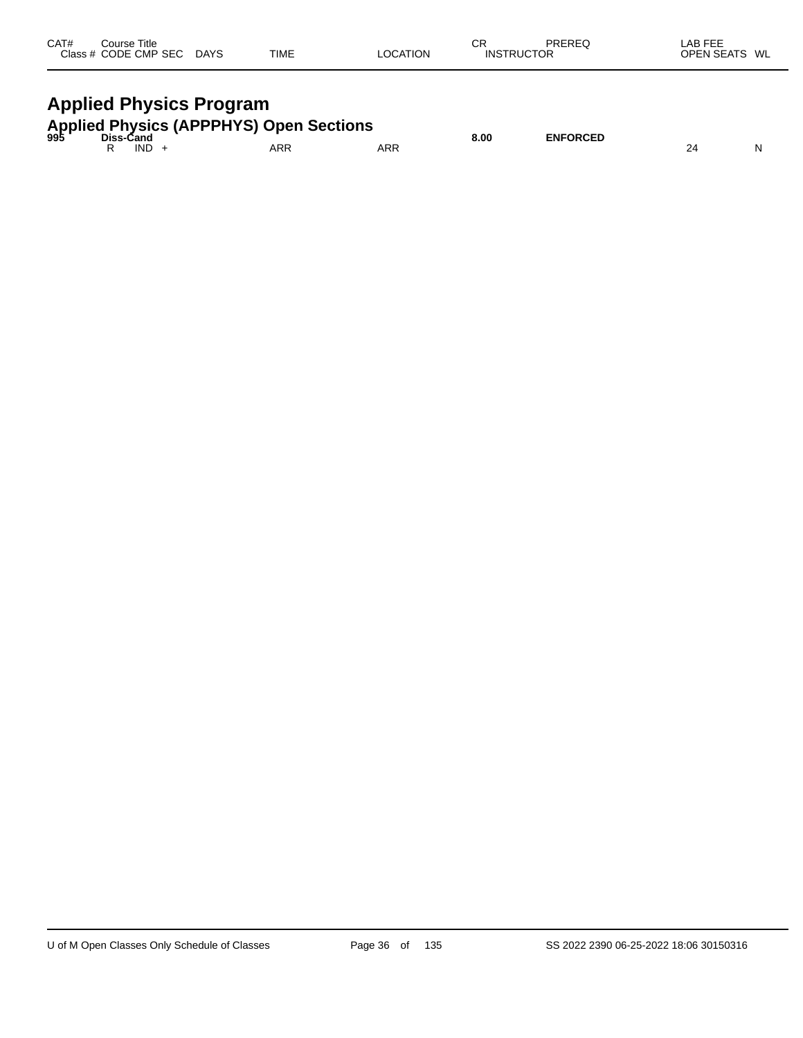| CAT# | Course Title         |             |             |                 | $\sim$<br>◡       | <b>PREREC</b> | LAB FEE                 |
|------|----------------------|-------------|-------------|-----------------|-------------------|---------------|-------------------------|
|      | Class # CODE CMP SEC | <b>DAYS</b> | <b>TIME</b> | <b>LOCATION</b> | <b>INSTRUCTOR</b> |               | <b>OPEN SEATS</b><br>WL |
|      |                      |             |             |                 |                   |               |                         |

# **Applied Physics Program**

|  |       | <b>Applied Physics (APPPHYS) Open Sections</b><br><sup>995</sup> Diss-Cand |     | 8.00 | <b>ENFORCED</b> |  |
|--|-------|----------------------------------------------------------------------------|-----|------|-----------------|--|
|  | IND - | ARR                                                                        | ARR |      |                 |  |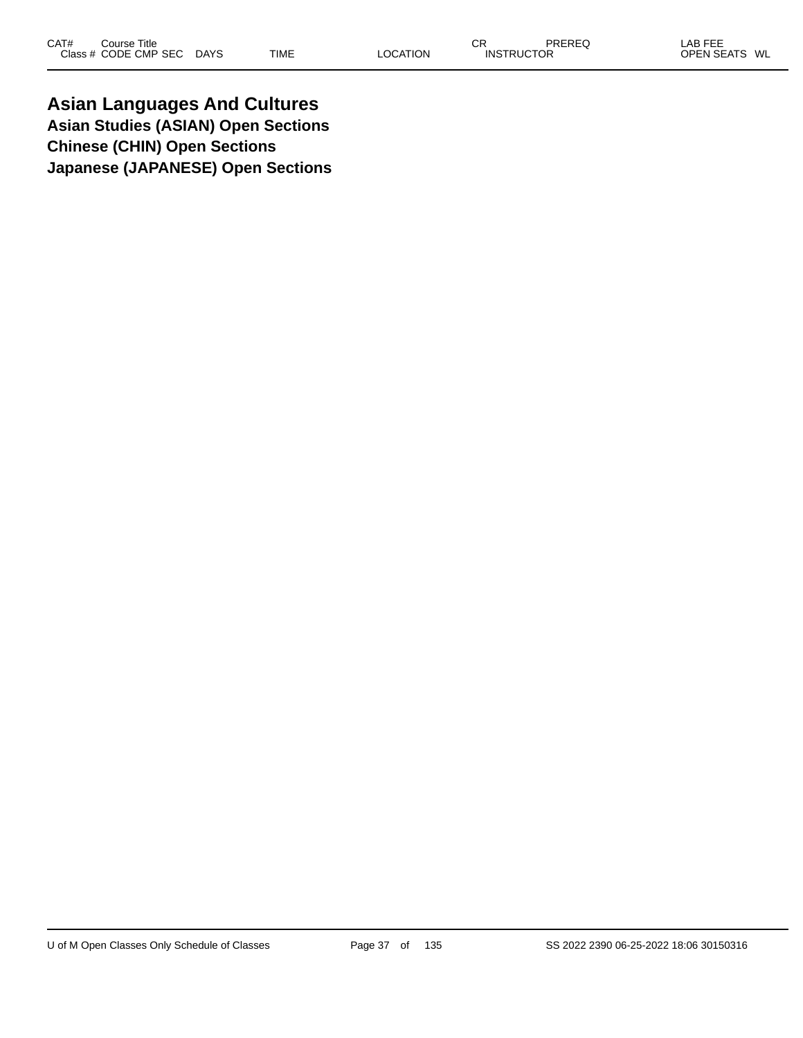**Asian Languages And Cultures Asian Studies (ASIAN) Open Sections Chinese (CHIN) Open Sections Japanese (JAPANESE) Open Sections**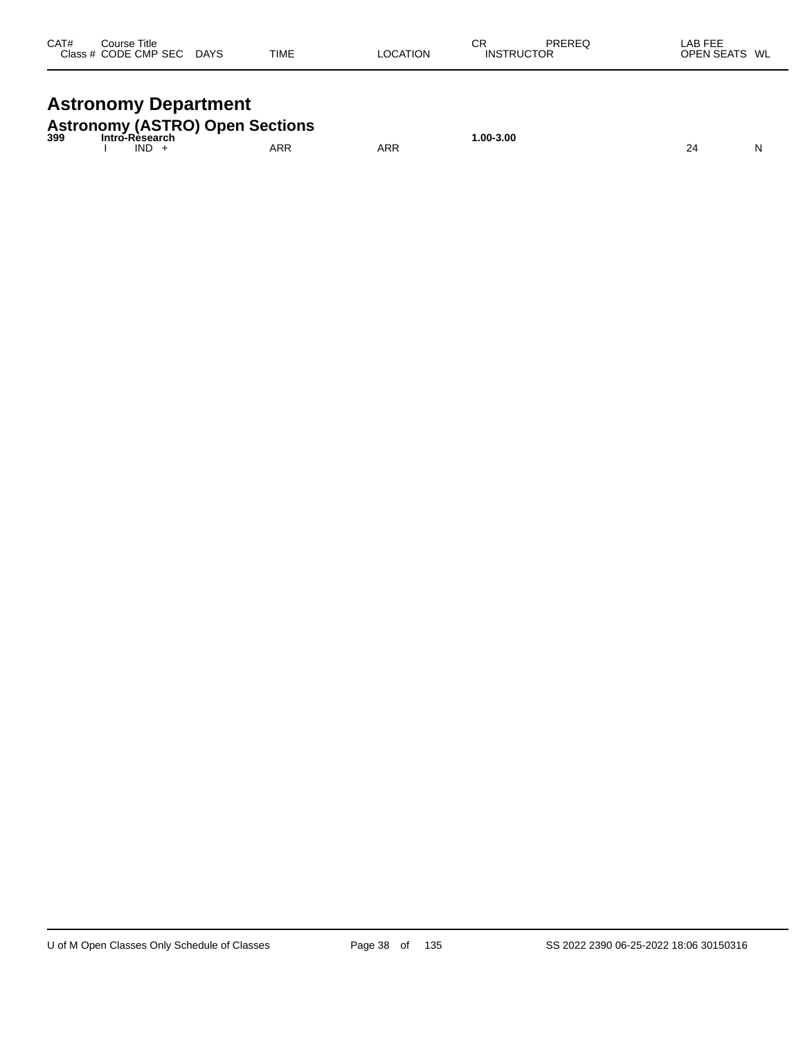| CAT#<br>Course Title<br>Class # CODE CMP SEC | <b>DAYS</b> | <b>TIME</b> | LOCATION | СR<br><b>INSTRUCTOR</b> | PREREQ | LAB FEE<br>OPEN SEATS WL |  |
|----------------------------------------------|-------------|-------------|----------|-------------------------|--------|--------------------------|--|
|                                              |             |             |          |                         |        |                          |  |

## **Astronomy Department**

|     |                        | <b>Astronomy (ASTRO) Open Sections</b> |     |              |  |
|-----|------------------------|----------------------------------------|-----|--------------|--|
| 399 | Intro-Rèsearch<br>IND. | ARR                                    | ARR | $.00 - 3.00$ |  |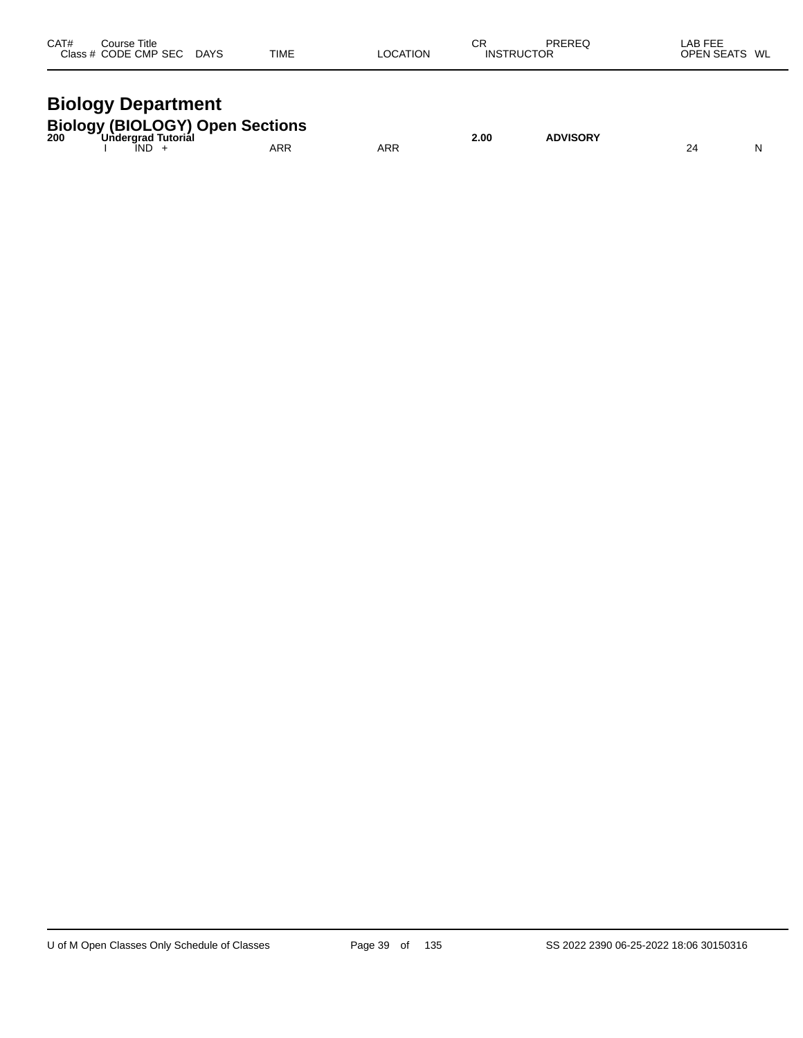| CAT#<br>Course Title<br>Class # CODE CMP SEC DAYS | <b>TIME</b> | <b>LOCATION</b> | СR<br><b>INSTRUCTOR</b> | PREREQ | LAB FEE<br>OPEN SEATS WL |  |
|---------------------------------------------------|-------------|-----------------|-------------------------|--------|--------------------------|--|
|                                                   |             |                 |                         |        |                          |  |

#### **Biology Department Biology (BIOLOGY) Open Sections**

| BIOIOGY (BIOLOGY) Open Sections<br>200 Undergrad Tutorial |  |     |     | 2.00 | <b>ADVISORY</b> |  |  |
|-----------------------------------------------------------|--|-----|-----|------|-----------------|--|--|
|                                                           |  | IND | ARR | ARR  |                 |  |  |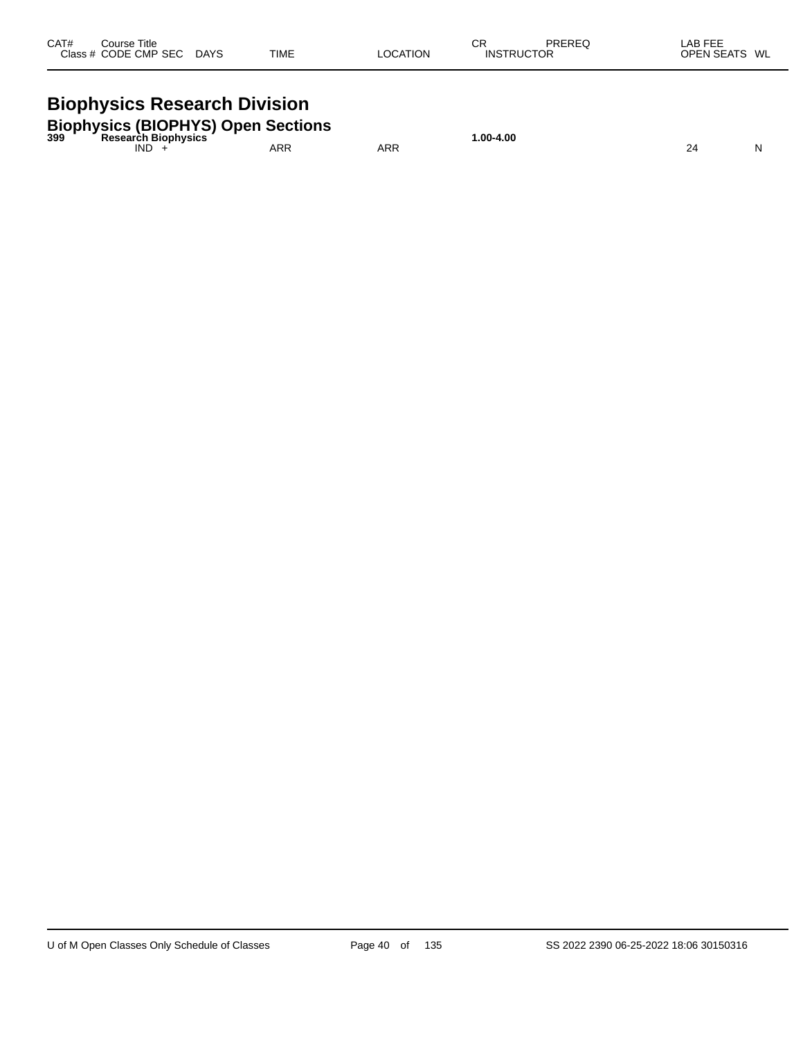| CAT#<br>Course Title<br>Class # CODE CMP SEC DAYS                                       | <b>TIME</b> | LOCATION | CR<br><b>INSTRUCTOR</b> | PREREQ | LAB FEE<br>OPEN SEATS WL |
|-----------------------------------------------------------------------------------------|-------------|----------|-------------------------|--------|--------------------------|
| <b>Biophysics Research Division</b>                                                     |             |          |                         |        |                          |
| <b>Biophysics (BIOPHYS) Open Sections</b><br><sup>399</sup> Research Biophysics<br>IND. | ARR         | ARR      | $1.00 - 4.00$           |        | N<br>24                  |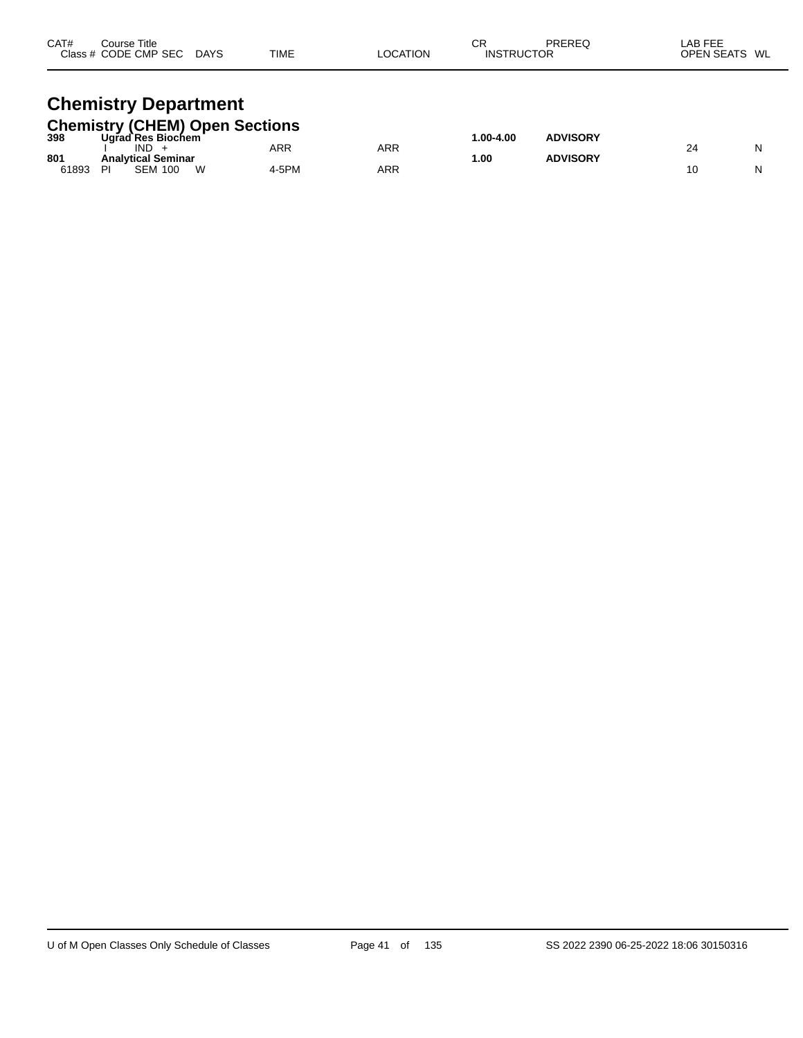| CAT#<br>Course Title<br>Class # CODE CMP SEC DAYS                                                     | <b>TIME</b> | <b>LOCATION</b> | СR<br>PREREQ<br><b>INSTRUCTOR</b> | LAB FEE<br>OPEN SEATS WL |  |
|-------------------------------------------------------------------------------------------------------|-------------|-----------------|-----------------------------------|--------------------------|--|
| <b>Chemistry Department</b><br><b>Chemistry (CHEM) Open Sections</b><br>398 Ugrad Res Biochem<br>IND. | ARR         | ARR             | $1.00 - 4.00$<br><b>ADVISORY</b>  | N<br>24                  |  |

61893 PI SEM 100 W 4-5PM ARR 10 N

**801 Analytical Seminar 1.00 ADVISORY**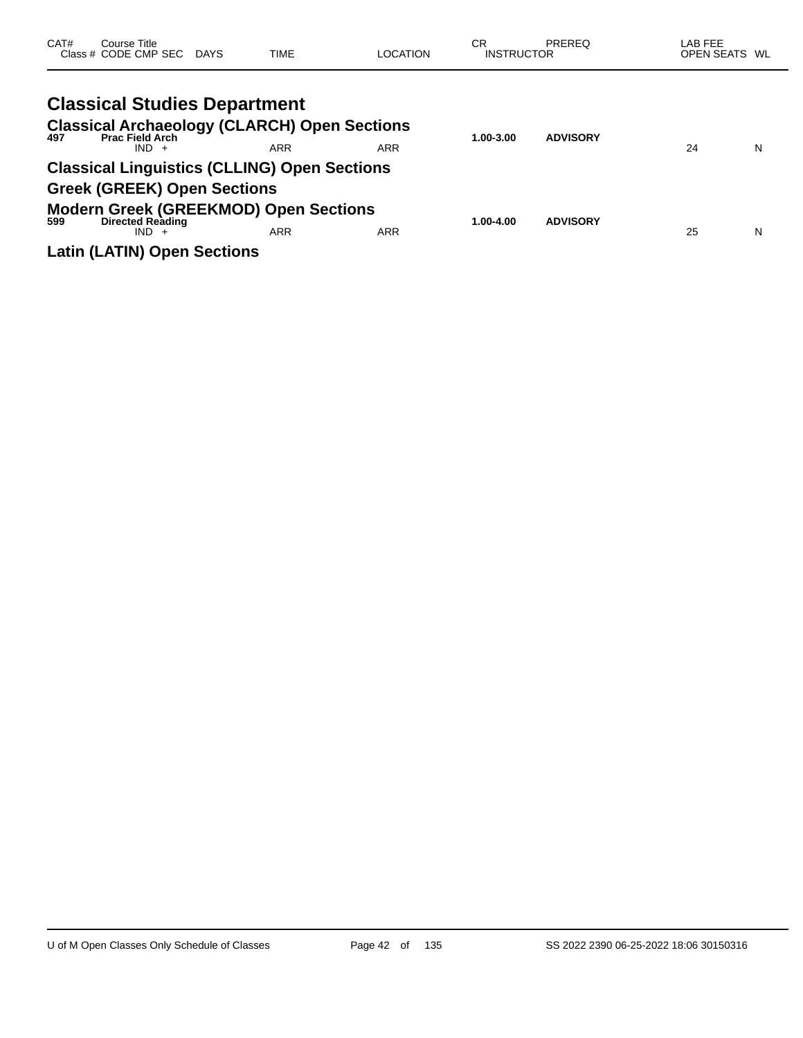| CAT# | Course Title<br>Class # CODE CMP SEC DAYS                                                 | <b>TIME</b> | <b>LOCATION</b> | CR<br><b>INSTRUCTOR</b> | <b>PREREQ</b>   | LAB FEE<br>OPEN SEATS WL |   |
|------|-------------------------------------------------------------------------------------------|-------------|-----------------|-------------------------|-----------------|--------------------------|---|
|      | <b>Classical Studies Department</b>                                                       |             |                 |                         |                 |                          |   |
| 497  | <b>Classical Archaeology (CLARCH) Open Sections</b><br><b>Prac Field Arch</b><br>$IND +$  | <b>ARR</b>  | <b>ARR</b>      | 1.00-3.00               | <b>ADVISORY</b> | 24                       | N |
|      | <b>Classical Linguistics (CLLING) Open Sections</b><br><b>Greek (GREEK) Open Sections</b> |             |                 |                         |                 |                          |   |
| 599  | <b>Modern Greek (GREEKMOD) Open Sections</b><br><b>Directed Reading</b><br>$IND +$        | <b>ARR</b>  | <b>ARR</b>      | 1.00-4.00               | <b>ADVISORY</b> | 25                       | N |
|      | <b>Latin (LATIN) Open Sections</b>                                                        |             |                 |                         |                 |                          |   |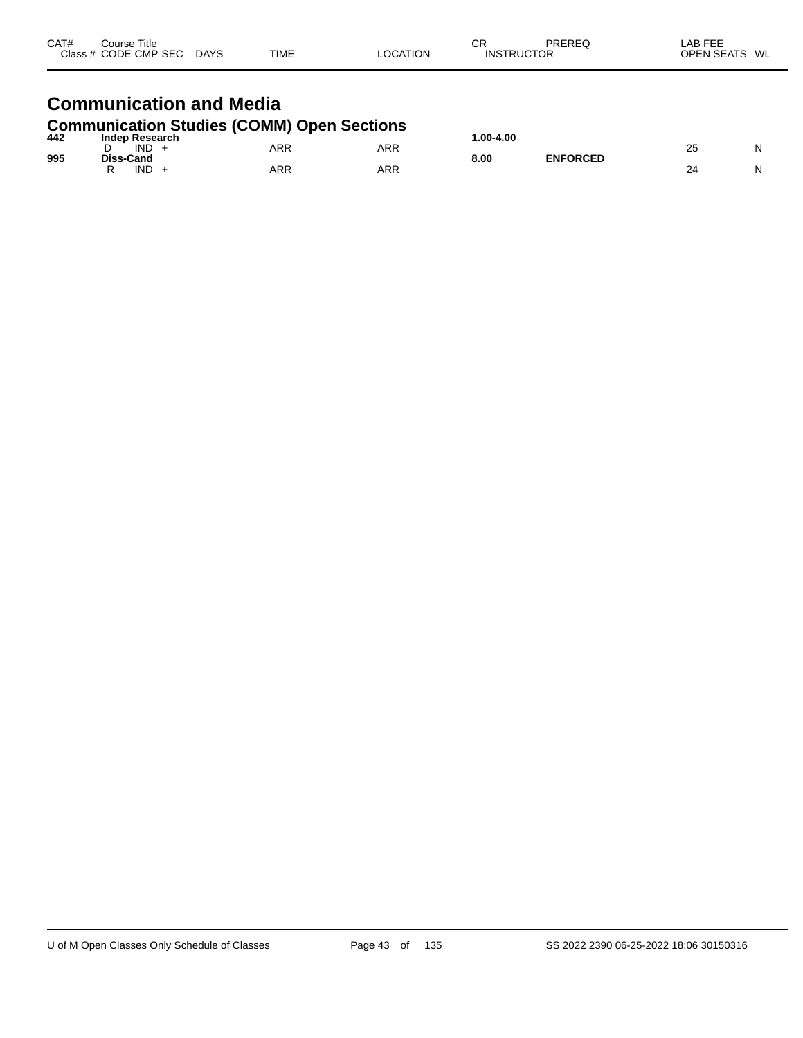| CAT#<br>Course Title<br>Class # CODE CMP SEC DAYS                          | TIME | <b>LOCATION</b> | СR<br><b>INSTRUCTOR</b> | PREREQ | LAB FEE<br>OPEN SEATS WL |
|----------------------------------------------------------------------------|------|-----------------|-------------------------|--------|--------------------------|
| <b>Communication and Media</b>                                             |      |                 |                         |        |                          |
| <b>Communication Studies (COMM) Open Sections</b><br>442<br>Indep Research |      |                 | 1.00-4.00               |        |                          |

| 995 | <b>IND</b><br>Diss-Cand | ARR | ARR | ---- ----<br>$ -$<br>. .<br>8.00 | <b>ENFORCED</b> | o r<br>້<br>$\sim$ | N |
|-----|-------------------------|-----|-----|----------------------------------|-----------------|--------------------|---|
|     | <b>IND</b>              | ARR | ARR |                                  |                 |                    | N |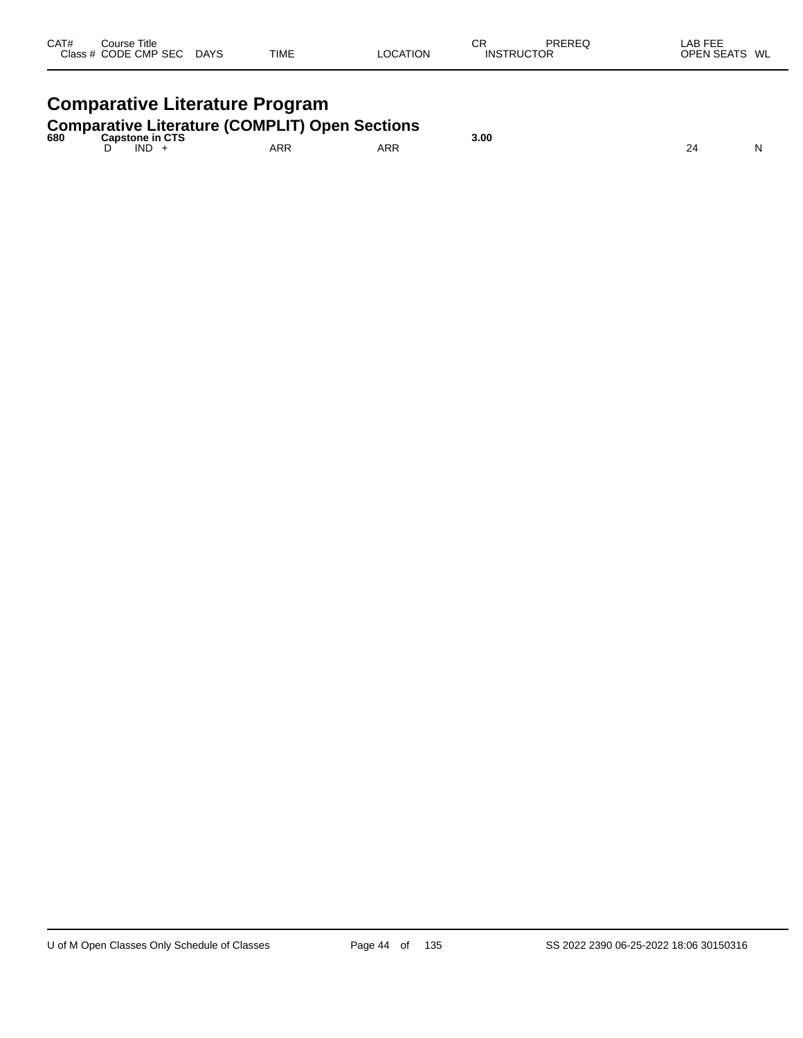| CAT#<br>Course Title<br>Class # CODE CMP SEC DAYS                                      | <b>TIME</b> | LOCATION | СR<br>PREREQ<br><b>INSTRUCTOR</b> | LAB FEE<br>OPEN SEATS WL |
|----------------------------------------------------------------------------------------|-------------|----------|-----------------------------------|--------------------------|
| <b>Comparative Literature Program</b>                                                  |             |          |                                   |                          |
| <b>Comparative Literature (COMPLIT) Open Sections</b><br>680<br><b>Capstone in CTS</b> |             |          | 3.00                              |                          |
| $IND +$                                                                                | ARR         | ARR      |                                   | 24                       |

 $\overline{\phantom{0}}$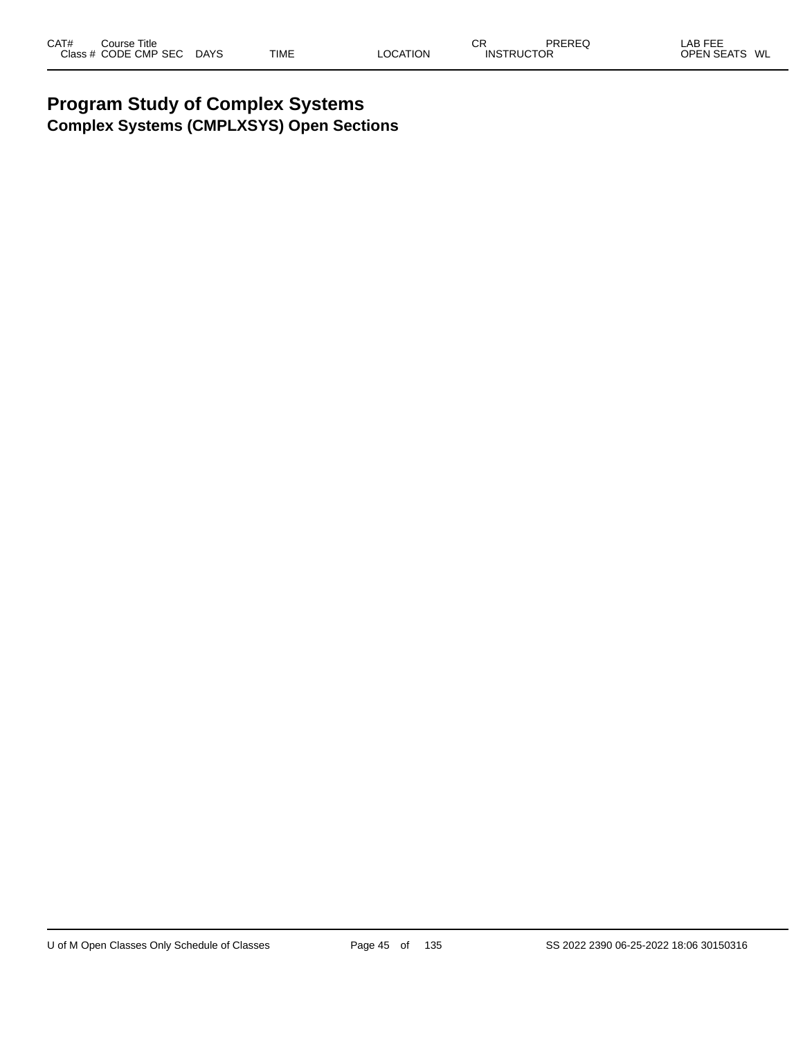### **Program Study of Complex Systems Complex Systems (CMPLXSYS) Open Sections**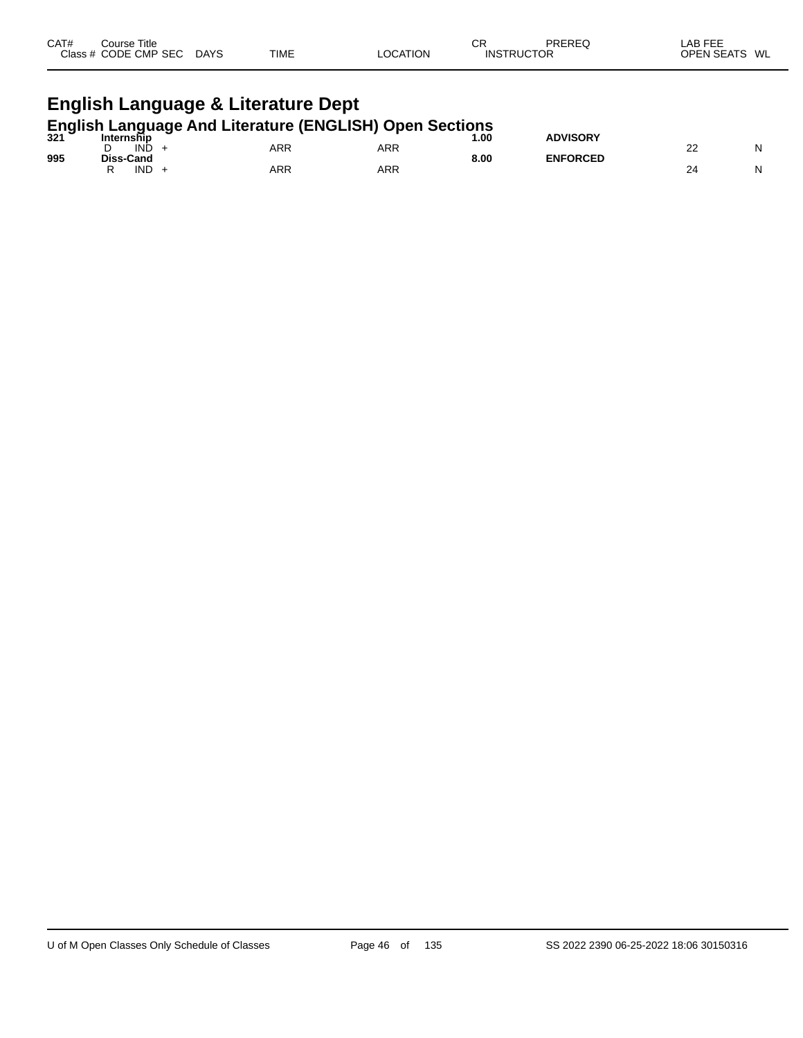| CAT#<br>Course Title<br>Class # CODE CMP SEC DAYS                         |  | TIME | <b>LOCATION</b> | СR<br><b>INSTRUCTOR</b> | PREREQ          | LAB FEE<br>OPEN SEATS WL |  |  |  |  |
|---------------------------------------------------------------------------|--|------|-----------------|-------------------------|-----------------|--------------------------|--|--|--|--|
| English Language & Literature Dept                                        |  |      |                 |                         |                 |                          |  |  |  |  |
| English Language And Literature (ENGLISH) Open Sections<br>321 Internship |  |      |                 |                         | <b>ADVISORY</b> |                          |  |  |  |  |

|     | -<br>INĎ<br>ັ                  | ARR | ARR |      |                 | nr<br>__ | NL |
|-----|--------------------------------|-----|-----|------|-----------------|----------|----|
| 995 | <b>Diss-Cand</b><br><b>IND</b> | ARR | ARR | 8.00 | <b>ENFORCED</b> | 24       | NL |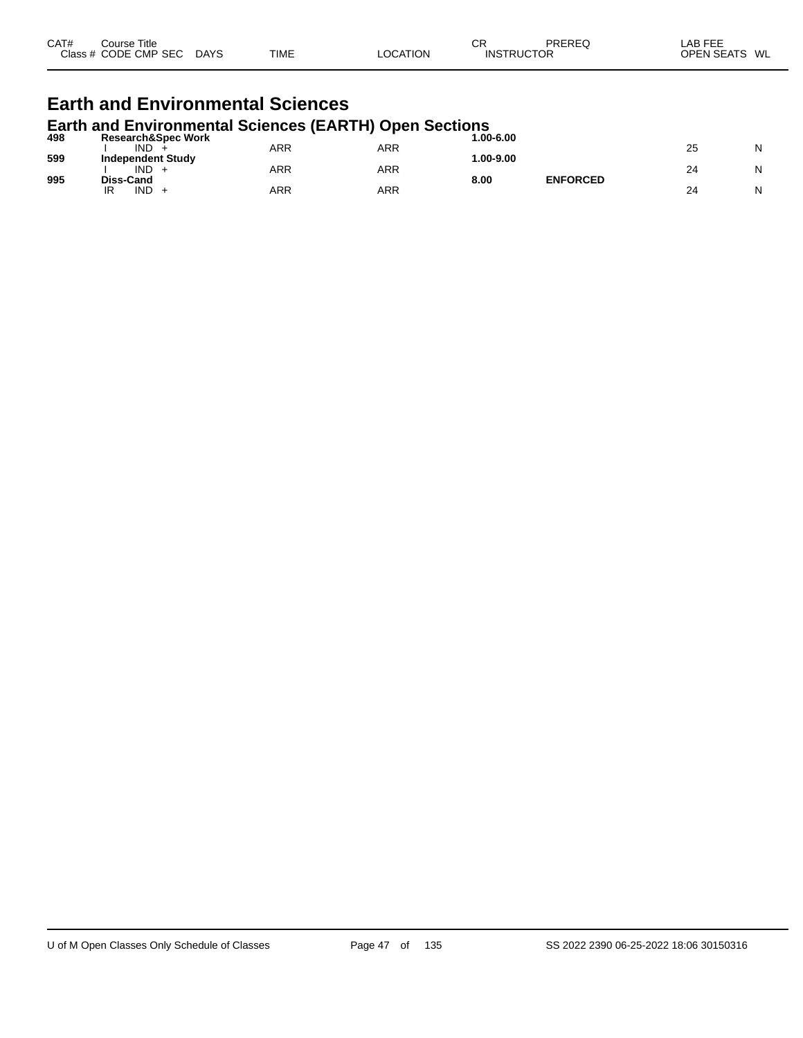| CAT#<br>Close » | Title<br>∴ourse<br><b>CMP</b><br>S <sub>F</sub><br>ODE | DAYS | TIME | .UN | СF<br>או∩<br>и | <b>DDEDE</b> C<br>ОF | $- - -$<br>ΑF<br>$\overline{f}$<br>WL<br>⊐סר<br>вv. |
|-----------------|--------------------------------------------------------|------|------|-----|----------------|----------------------|-----------------------------------------------------|
|-----------------|--------------------------------------------------------|------|------|-----|----------------|----------------------|-----------------------------------------------------|

#### **Earth and Environmental Sciences Earth and Environmental Sciences (EARTH) Open Sections**

| 498 | <b>Research&amp;Spec Work</b> |     |     | $.00 - 6.00$ |                 |    |   |
|-----|-------------------------------|-----|-----|--------------|-----------------|----|---|
|     | <b>IND</b>                    | ARR | ARR |              |                 | 25 | N |
| 599 | <b>Independent Study</b>      |     |     | $.00 - 9.00$ |                 |    |   |
|     | <b>IND</b>                    | ARR | ARR |              |                 | 24 | N |
| 995 | Diss-Cand                     |     |     | 8.00         | <b>ENFORCED</b> |    |   |
|     | <b>IND</b><br>IR              | ARR | ARR |              |                 | 24 | N |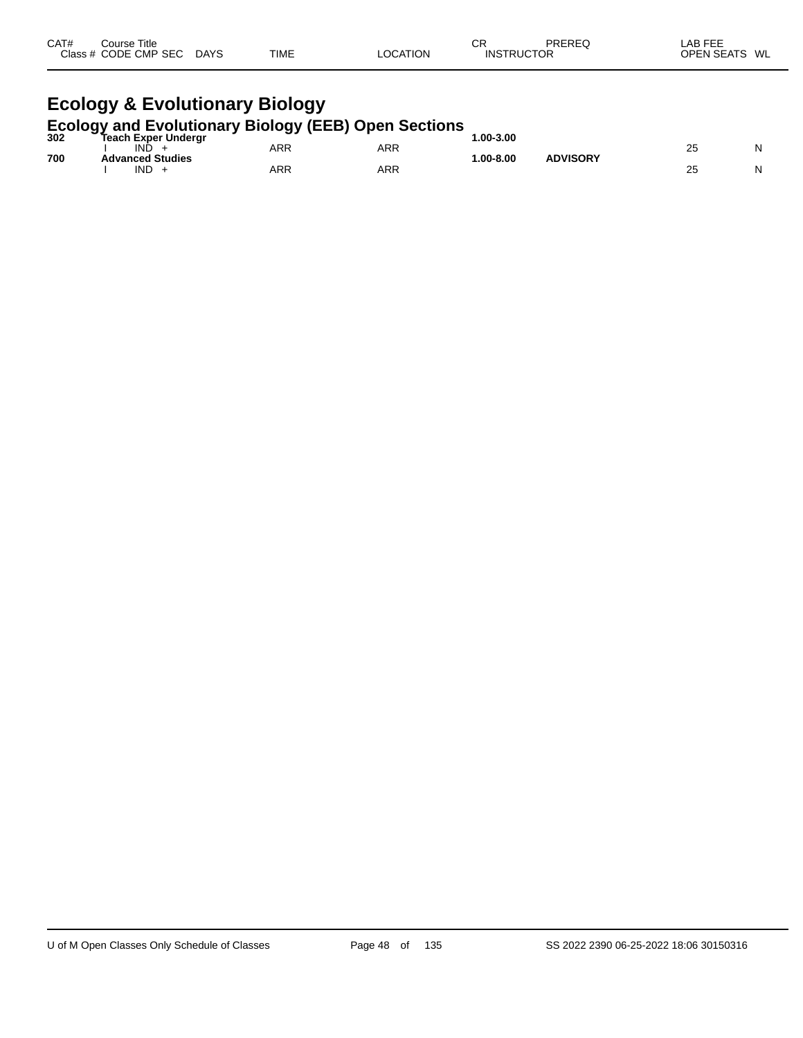| CAT# | ourse Titleٽ<br>Class # CODE CMP SEC | <b>DAYS</b> | <b>TIME</b> | <b>LOCATION</b> | СR<br><b>INSTRUCTOR</b> | <b>PREREQ</b> | LAB FEE<br>OPEN SEATS | WL |
|------|--------------------------------------|-------------|-------------|-----------------|-------------------------|---------------|-----------------------|----|
|      |                                      |             |             |                 |                         |               |                       |    |

# **Ecology & Evolutionary Biology**

|     | <b>Ecology and Evolutionary Biology (EEB) Open Sections</b> |     |     |              |                 |    |   |
|-----|-------------------------------------------------------------|-----|-----|--------------|-----------------|----|---|
| 302 | <b>Teach Exper Undergr</b>                                  |     |     | $.00 - 3.00$ |                 |    |   |
|     | IND                                                         | ARR | ARR |              |                 |    | N |
| 700 | <b>Advanced Studies</b>                                     |     |     | $.00 - 8.00$ | <b>ADVISORY</b> |    |   |
|     | IND                                                         | ARR | ARR |              |                 | 25 | N |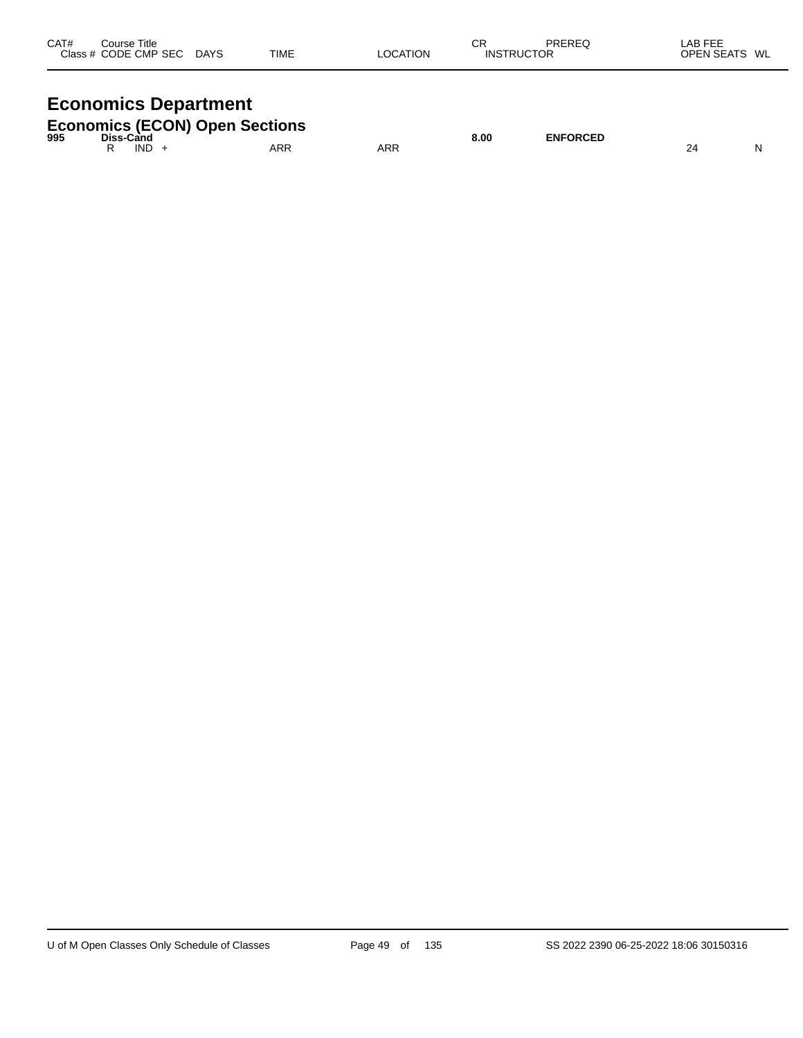| CAT# | Course Title<br>Class # CODE CMP SEC | <b>DAYS</b> | TIME | LOCATION | СR<br><b>INSTRUCTOR</b> | PREREQ | LAB FEE<br>OPEN SEATS WL |  |
|------|--------------------------------------|-------------|------|----------|-------------------------|--------|--------------------------|--|
|      |                                      |             |      |          |                         |        |                          |  |

## **Economics Department**

|     |            | <b>Economics (ECON) Open Sections</b> |     |      |                 |  |
|-----|------------|---------------------------------------|-----|------|-----------------|--|
| 995 | Diss-Cand  |                                       |     | 8.00 | <b>ENFORCED</b> |  |
|     | <b>IND</b> | ARR                                   | ARR |      |                 |  |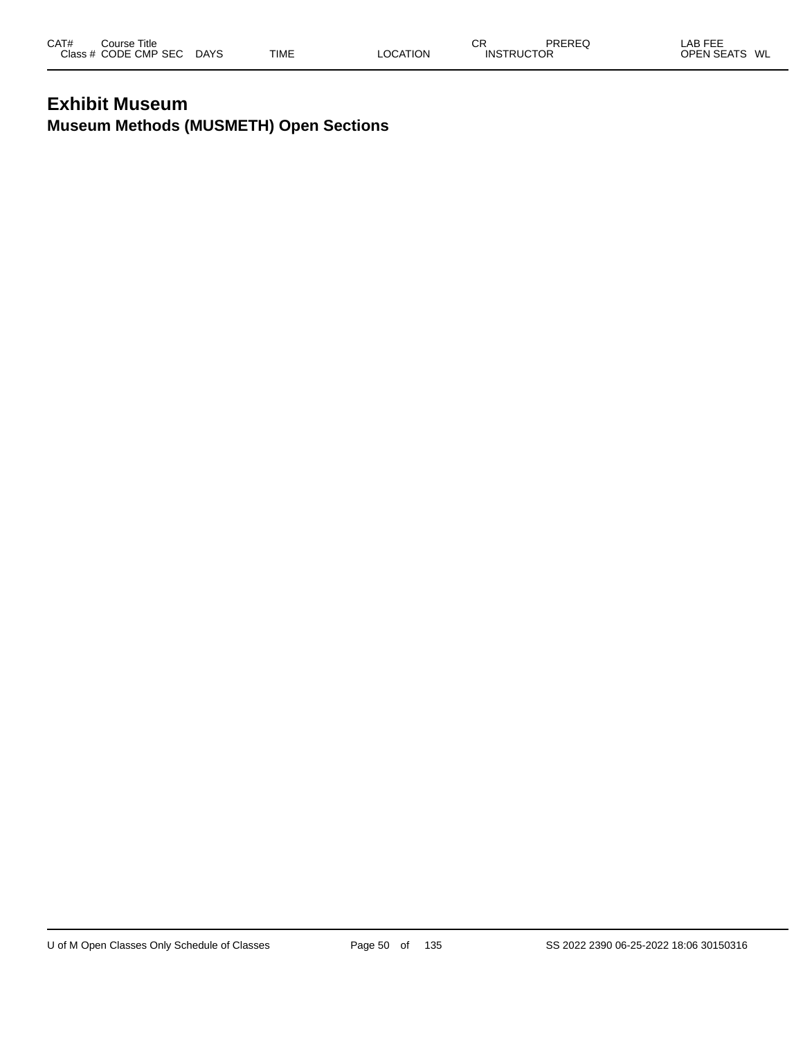### **Exhibit Museum Museum Methods (MUSMETH) Open Sections**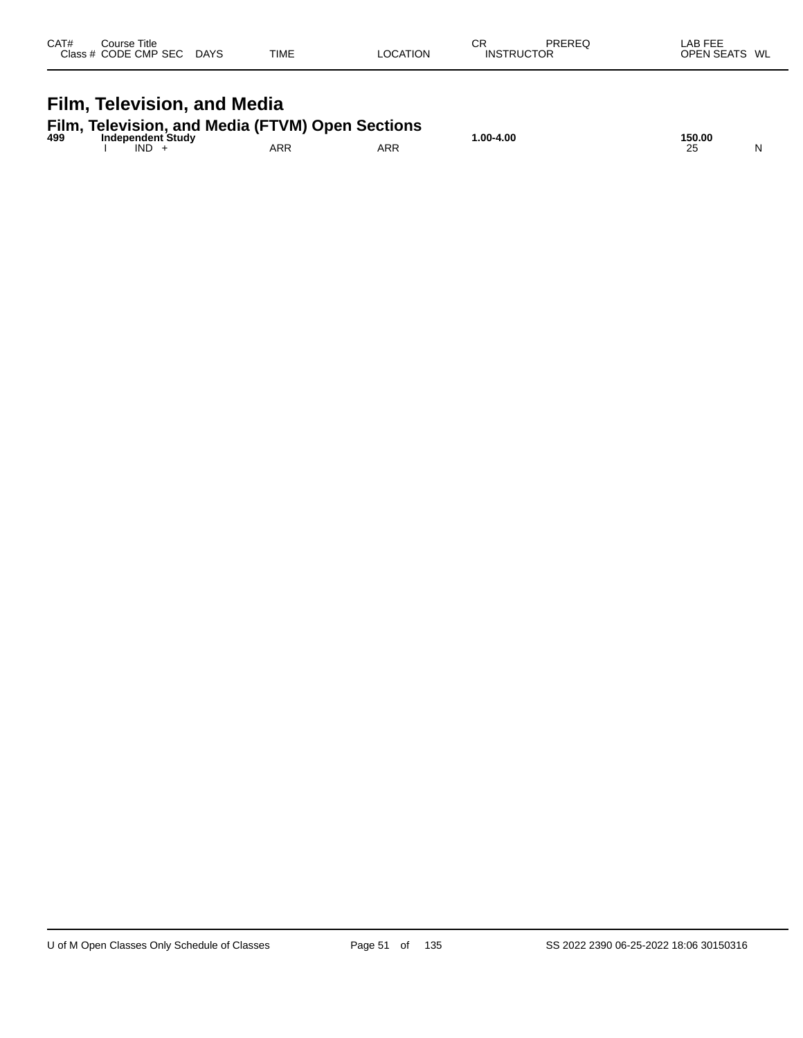| CAT# | Course Title<br>Class # CODE CMP SEC DAYS | <b>TIME</b>                                                               | <b>LOCATION</b> | СR<br><b>INSTRUCTOR</b> | PREREQ | LAB FEE<br>OPEN SEATS WL |   |
|------|-------------------------------------------|---------------------------------------------------------------------------|-----------------|-------------------------|--------|--------------------------|---|
|      | Film, Television, and Media               |                                                                           |                 |                         |        |                          |   |
|      | <b>Independent Study</b>                  | Film, Television, and Media (FTVM) Open Sections<br>499 Independent Study |                 | $1.00 - 4.00$           |        | 150.00                   |   |
|      | $IND +$                                   | ARR                                                                       | ARR             |                         |        | 25                       | N |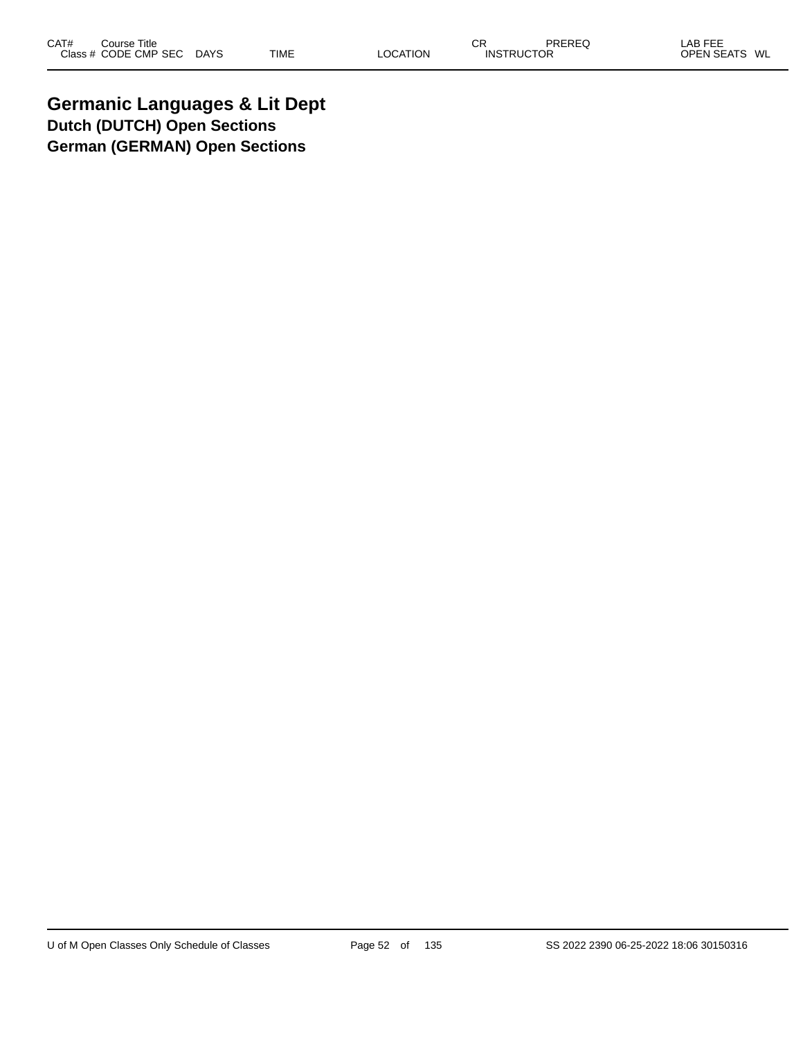**Germanic Languages & Lit Dept Dutch (DUTCH) Open Sections German (GERMAN) Open Sections**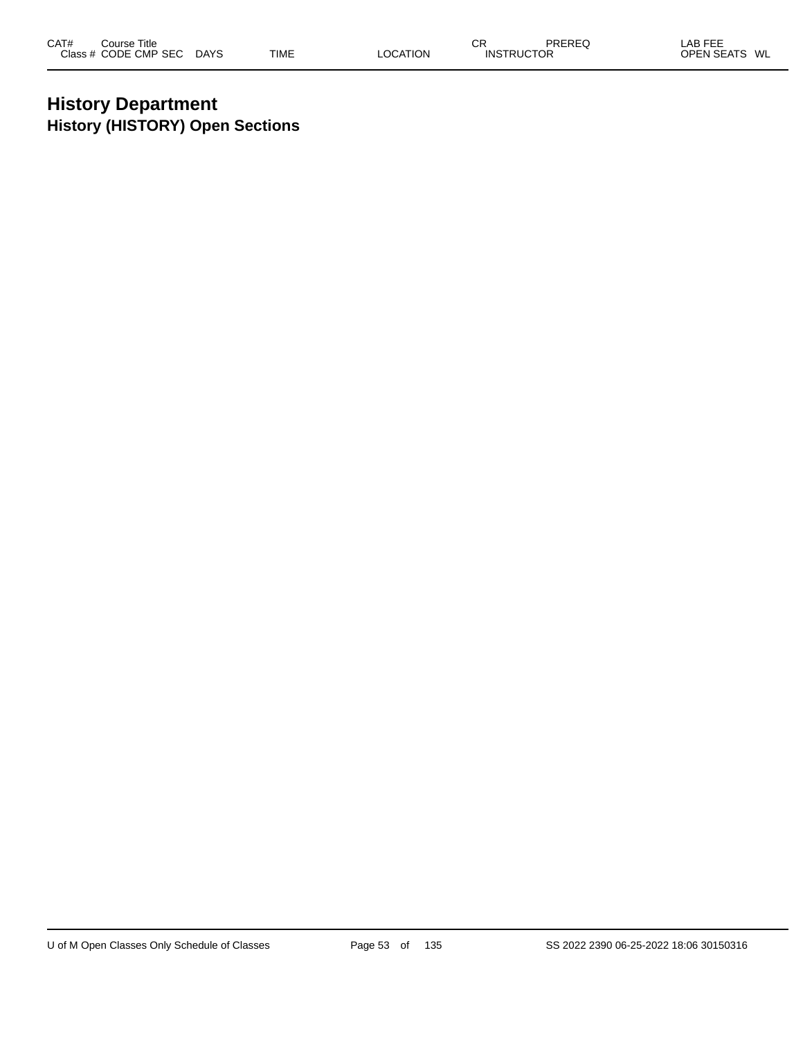### **History Department History (HISTORY) Open Sections**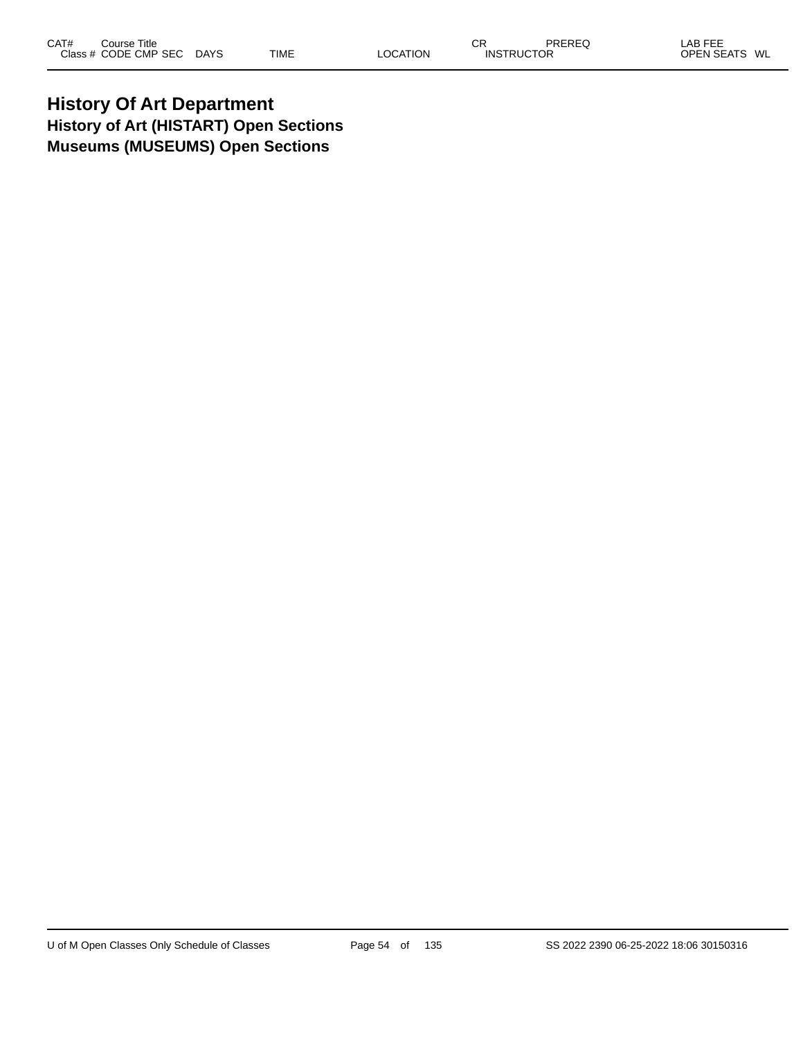### **History Of Art Department History of Art (HISTART) Open Sections Museums (MUSEUMS) Open Sections**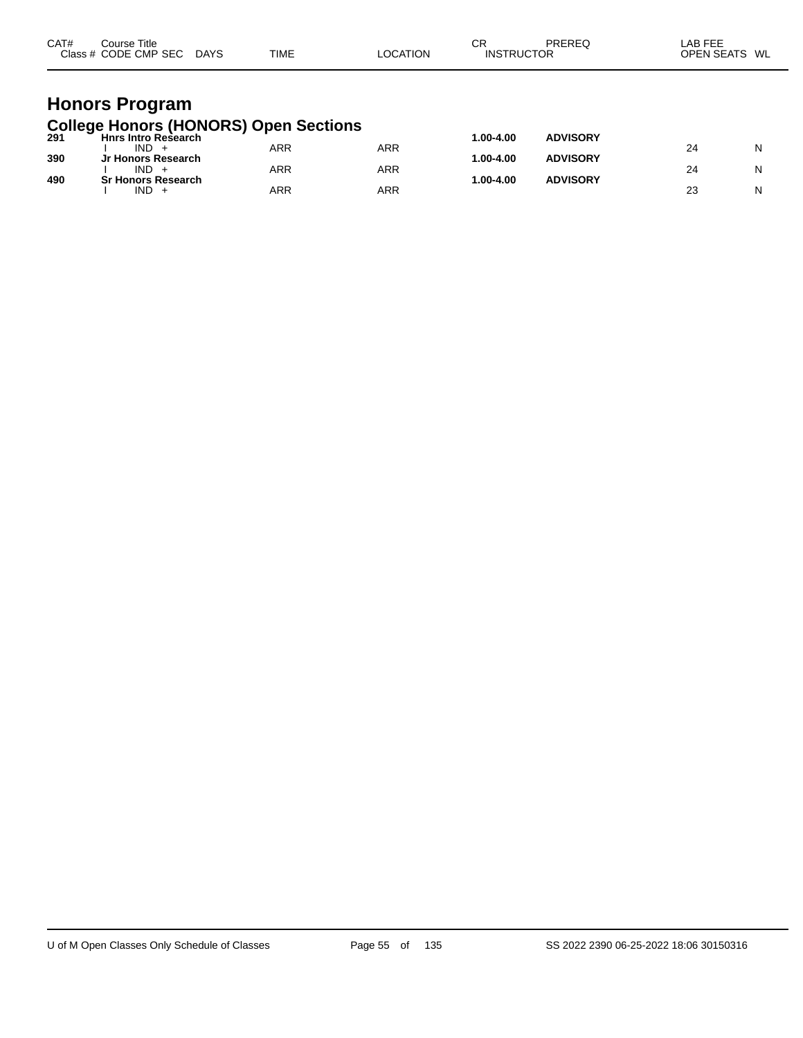| CAT#<br>Course Title<br>Class # CODE CMP SEC DAYS                | TIME | LOCATION | СR<br><b>INSTRUCTOR</b> | PREREQ          | LAB FEE<br>OPEN SEATS WL |
|------------------------------------------------------------------|------|----------|-------------------------|-----------------|--------------------------|
| <b>Honors Program</b>                                            |      |          |                         |                 |                          |
| College Honors (HONORS) Open Sections<br>291 Hnrs Intro Research |      |          | 1.00-4.00               | <b>ADVISORY</b> |                          |

| 29 I | <b>FILLS ITTLE RESEARCH</b> |     |            | 1.vv-4.vv    | <b>ADVIJUNI</b> |    |   |
|------|-----------------------------|-----|------------|--------------|-----------------|----|---|
|      | <b>IND</b>                  | ARR | <b>ARR</b> |              |                 | 24 | N |
| 390  | Jr Honors Research          |     |            | $.00 - 4.00$ | <b>ADVISORY</b> |    |   |
|      | <b>IND</b>                  | ARR | <b>ARR</b> |              |                 |    | N |
| 490  | <b>Sr Honors Research</b>   |     |            | $.00 - 4.00$ | <b>ADVISORY</b> |    |   |
|      | <b>IND</b>                  | ARR | <b>ARR</b> |              |                 | n. | N |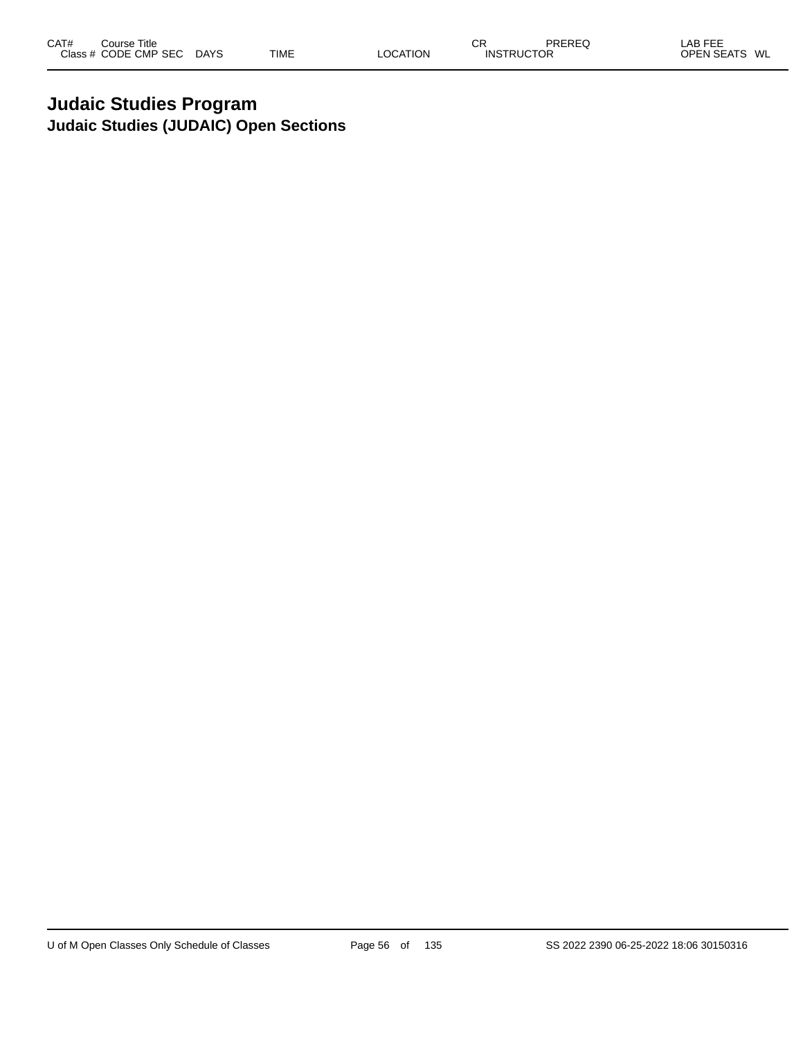### **Judaic Studies Program Judaic Studies (JUDAIC) Open Sections**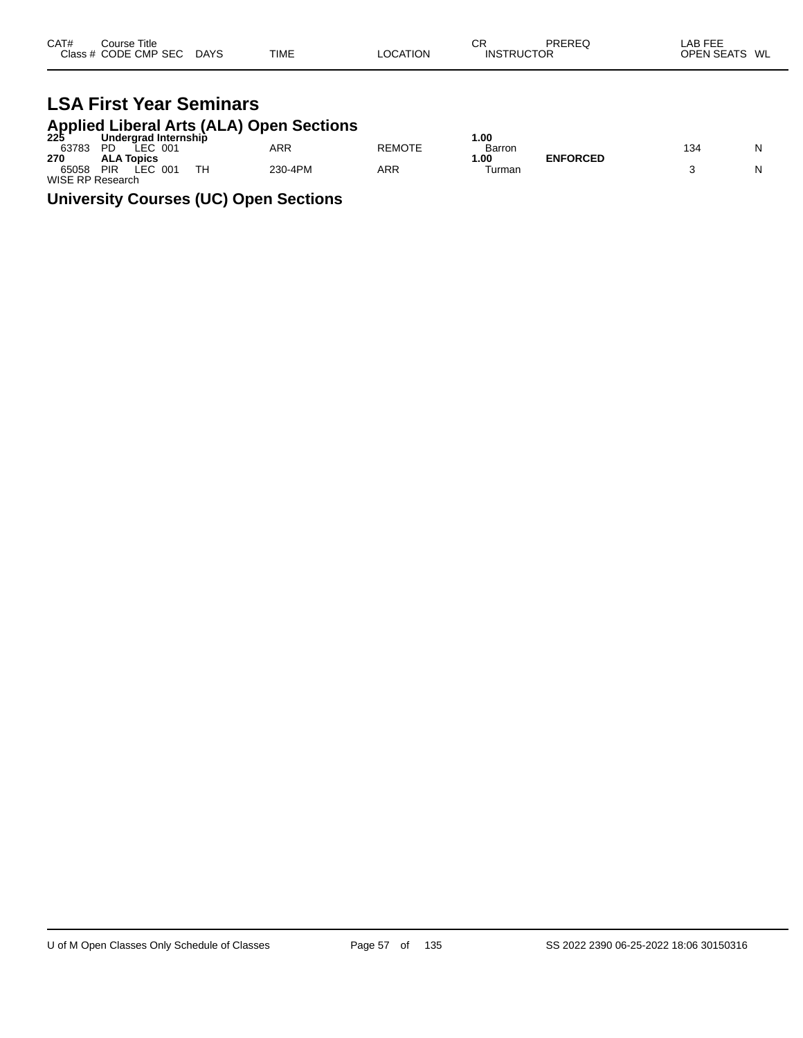| CAT# | Course Title         |             |             |          | СR                | PREREQ | LAB FEE          |
|------|----------------------|-------------|-------------|----------|-------------------|--------|------------------|
|      | Class # CODE CMP SEC | <b>DAYS</b> | <b>TIME</b> | LOCATION | <b>INSTRUCTOR</b> |        | OPEN SEATS<br>WL |

#### **LSA First Year Seminars Applied Liberal Arts (ALA) Open Sections**

|                  |                                        | 225 Undergrad Internship |               | .00    |                 |     |  |
|------------------|----------------------------------------|--------------------------|---------------|--------|-----------------|-----|--|
| 63783            | LEC 001<br><b>PD</b>                   | ARR                      | <b>REMOTE</b> | Barron |                 | 134 |  |
| 270              | <b>ALA Topics</b>                      |                          |               | .00    | <b>ENFORCED</b> |     |  |
| 65058            | <b>TH</b><br>LEC.<br><b>PIR</b><br>001 | 230-4PM                  | ARR           | Turman |                 |     |  |
| WISE RP Research |                                        |                          |               |        |                 |     |  |

#### **University Courses (UC) Open Sections**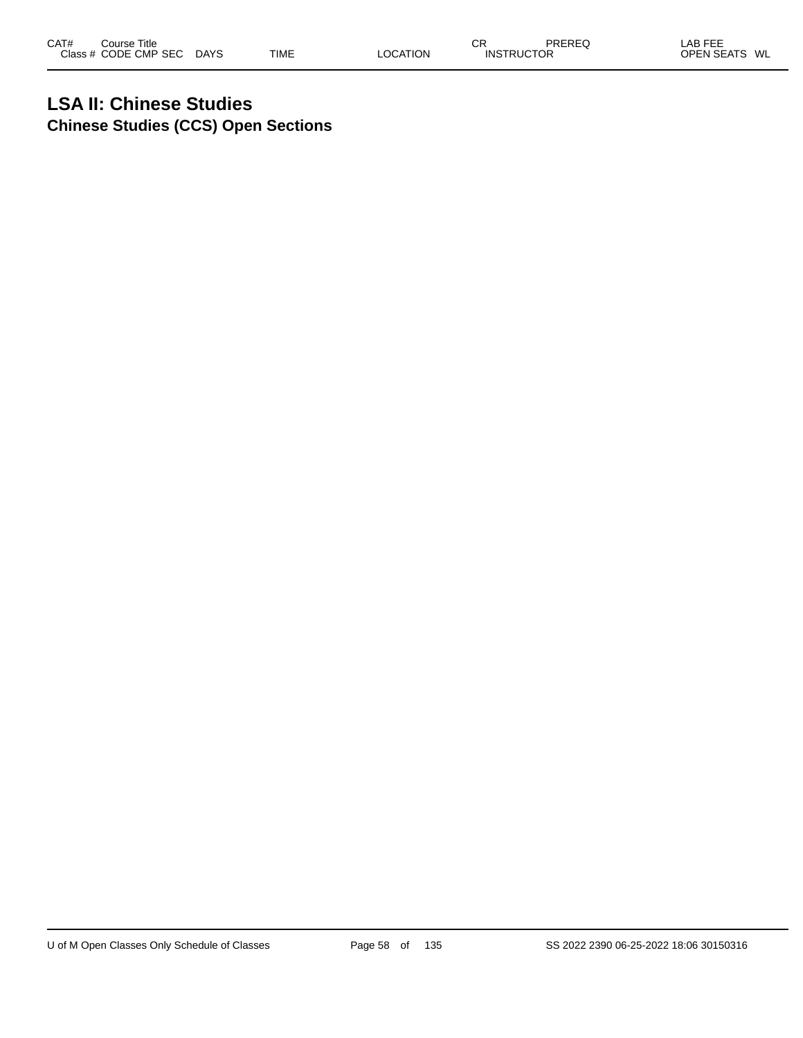### **LSA II: Chinese Studies Chinese Studies (CCS) Open Sections**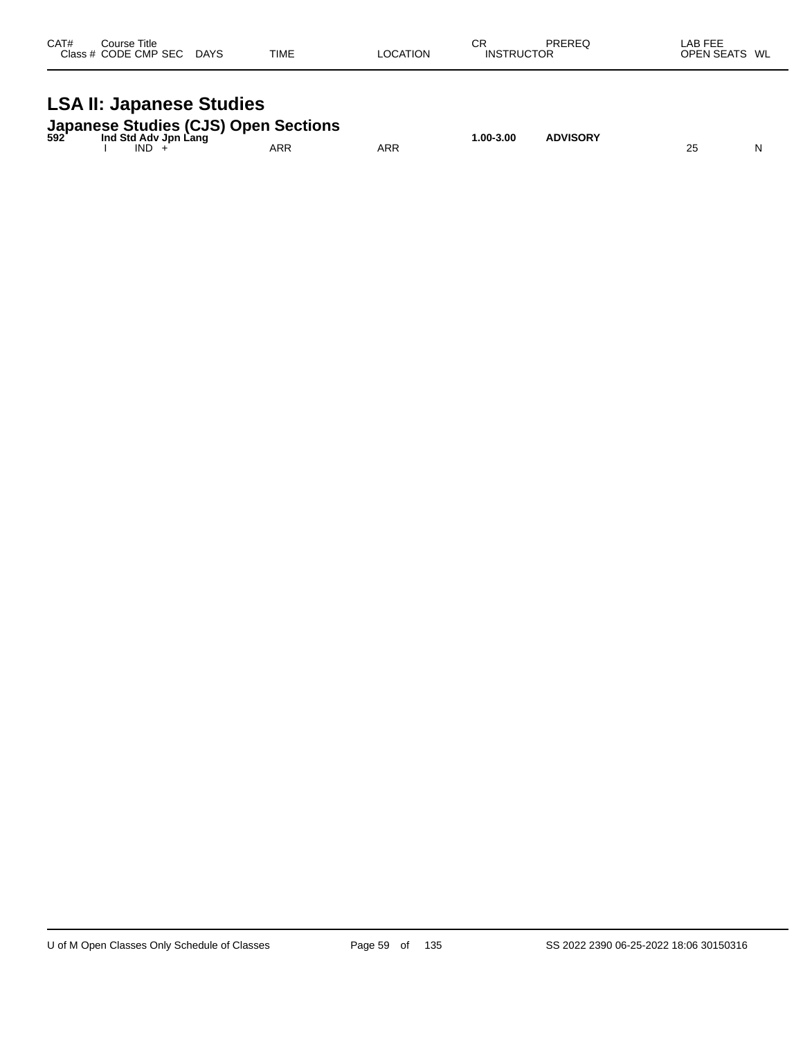| CAT#<br>Course Title<br>Class # CODE CMP SEC DAYS                                        | <b>TIME</b> | <b>LOCATION</b> | CR<br><b>INSTRUCTOR</b> | PREREQ          | LAB FEE<br>OPEN SEATS WL |
|------------------------------------------------------------------------------------------|-------------|-----------------|-------------------------|-----------------|--------------------------|
| <b>LSA II: Japanese Studies</b>                                                          |             |                 |                         |                 |                          |
| Japanese Studies (CJS) Open Sections<br>592 Ind Std Adv Jpn Lang<br>Ind Std Adv Jpn Lang |             |                 | 1.00-3.00               | <b>ADVISORY</b> |                          |

I IND + ARR ARR 25 N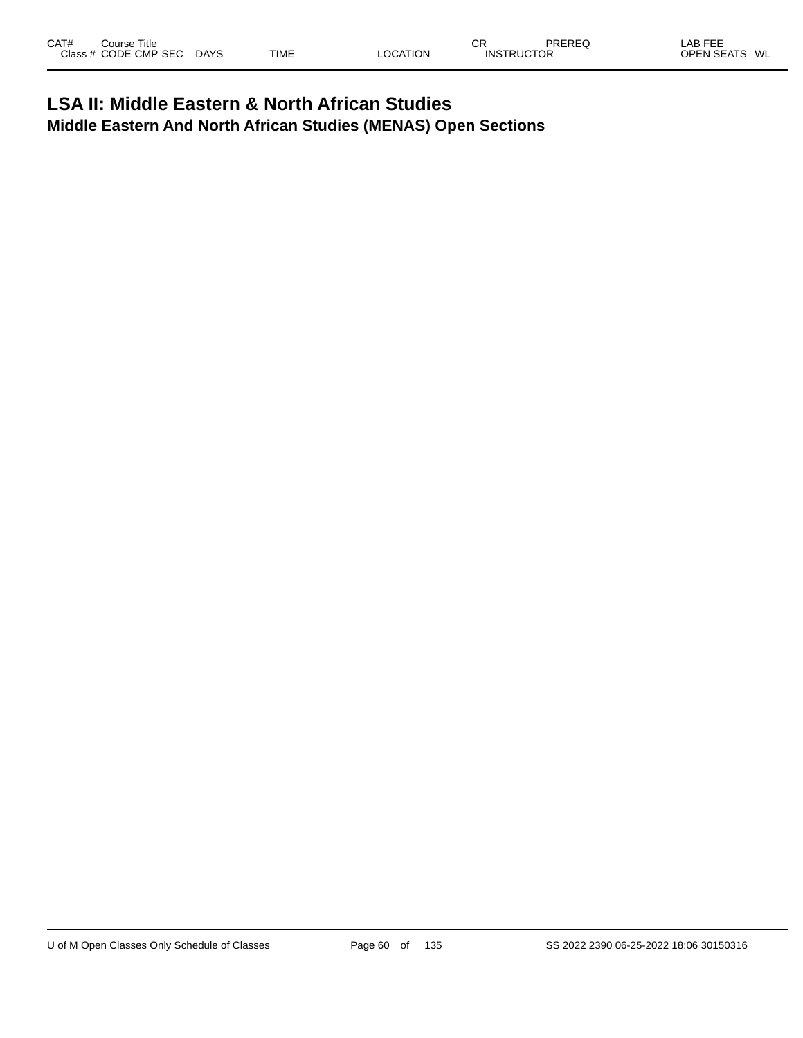|  | CAT#<br>DDEDEC<br>---<br>СR<br>ΔR<br>Title<br>Course<br>---<br>- 22<br>╺╺<br>⊌∟ו<br>CODE CMP<br><b>TIME</b><br><b>Class</b><br>CFAT<br><b>SEC</b><br><b>ODEN</b><br>WL<br><b>DAYS</b><br><b>JCTOR</b><br>INS.<br><b>OCATION</b><br>N<br>~-<br>$\sim$ |
|--|------------------------------------------------------------------------------------------------------------------------------------------------------------------------------------------------------------------------------------------------------|
|--|------------------------------------------------------------------------------------------------------------------------------------------------------------------------------------------------------------------------------------------------------|

#### **LSA II: Middle Eastern & North African Studies Middle Eastern And North African Studies (MENAS) Open Sections**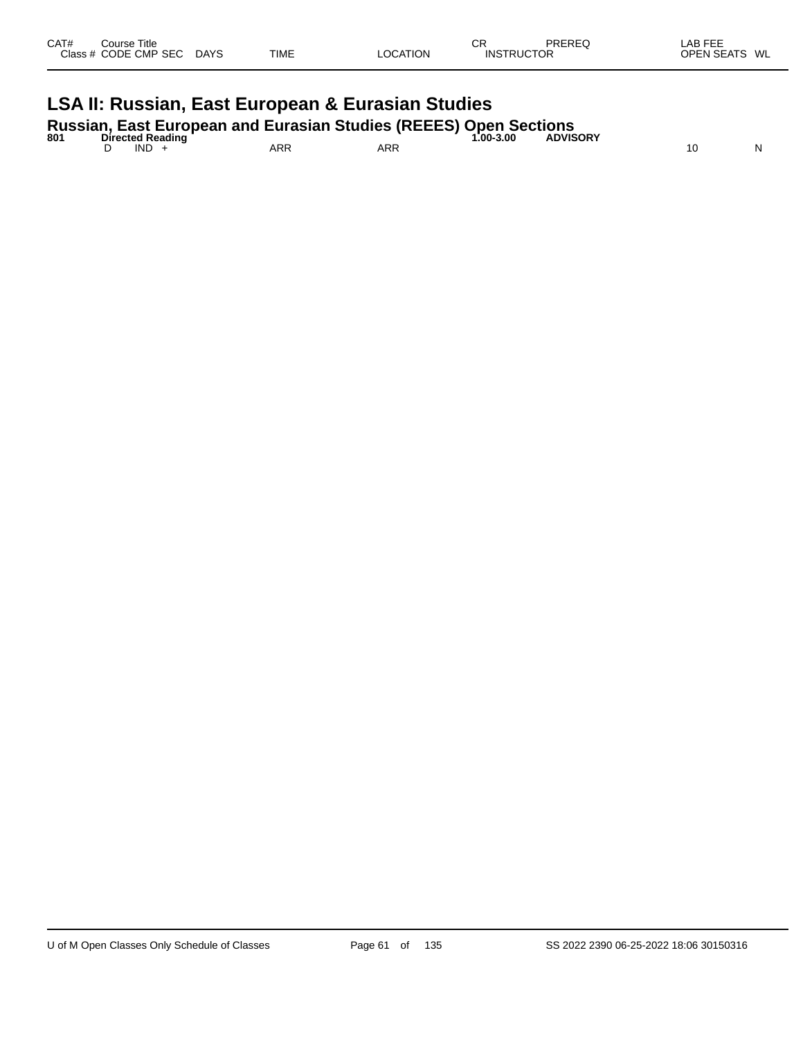| CAT# | Course Title<br>Class # CODE CMP SEC | <b>DAYS</b> | <b>TIME</b> | <b>LOCATION</b> | СR<br><b>INSTRUCTOR</b> | PREREQ | AB FEE<br><b>OPEN SEATS</b><br>WL |
|------|--------------------------------------|-------------|-------------|-----------------|-------------------------|--------|-----------------------------------|
|      |                                      |             |             |                 |                         |        |                                   |

## **LSA II: Russian, East European & Eurasian Studies**

**Russian, East European and Eurasian Studies (REEES) Open Sections**

| 801 | <b>Directed Reading</b> |     |            | __<br>1.00-3.00 | <b>ADVISORY</b> |   |
|-----|-------------------------|-----|------------|-----------------|-----------------|---|
|     | IND                     | ARR | <b>ARR</b> |                 |                 | N |
|     |                         |     |            |                 |                 |   |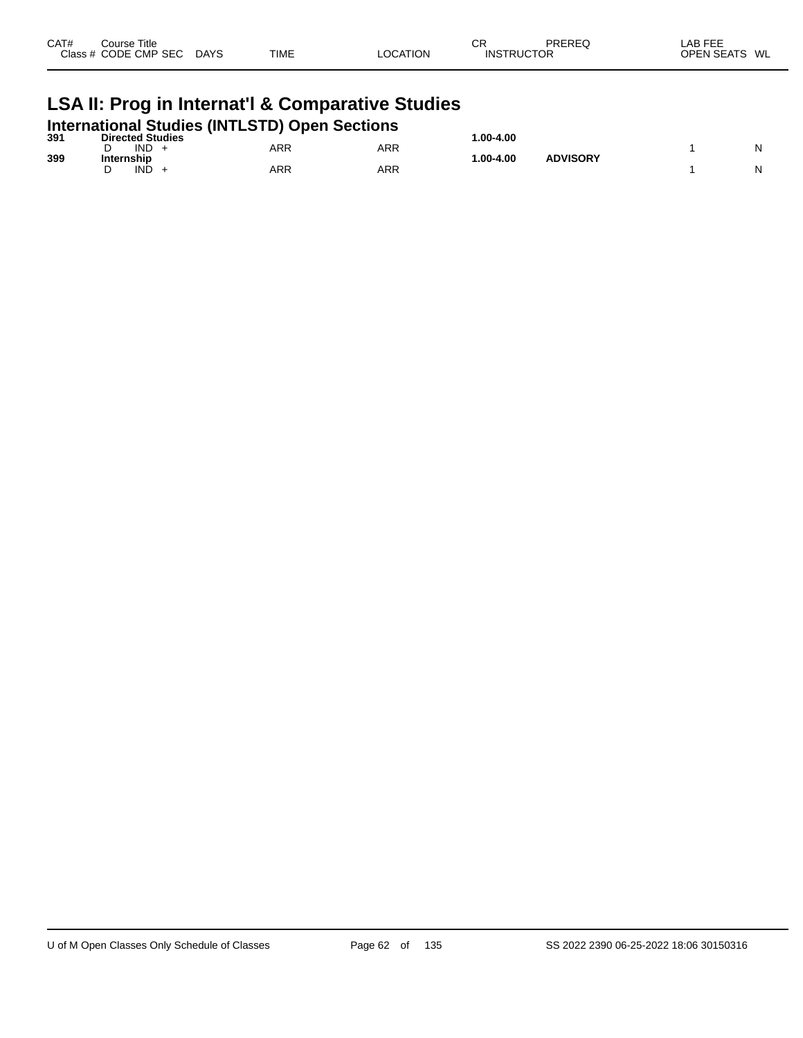| CAT#<br>Close : | Title<br>Course:<br><b>CMP</b><br>SE <sub>0</sub><br>חר<br>$ -$ | DAYS<br>$\sim$ | TIME |  | СF<br>או∩<br>$\mathbf{u}$ | <b>DDEDE</b><br>OR<br>___ | Αŀ<br>$\cap$<br>WL<br>w |
|-----------------|-----------------------------------------------------------------|----------------|------|--|---------------------------|---------------------------|-------------------------|
|-----------------|-----------------------------------------------------------------|----------------|------|--|---------------------------|---------------------------|-------------------------|

### **LSA II: Prog in Internat'l & Comparative Studies**

|     | <b>International Studies (INTLSTD) Open Sections</b> |     |            |              |                 |  |
|-----|------------------------------------------------------|-----|------------|--------------|-----------------|--|
| 391 | <b>Directed Studies</b>                              |     |            | $.00 - 4.00$ |                 |  |
|     | IND.                                                 | ARR | <b>ARR</b> |              |                 |  |
| 399 | Internship                                           |     |            | $.00 - 4.00$ | <b>ADVISORY</b> |  |
|     | IND                                                  | ARR | ARR        |              |                 |  |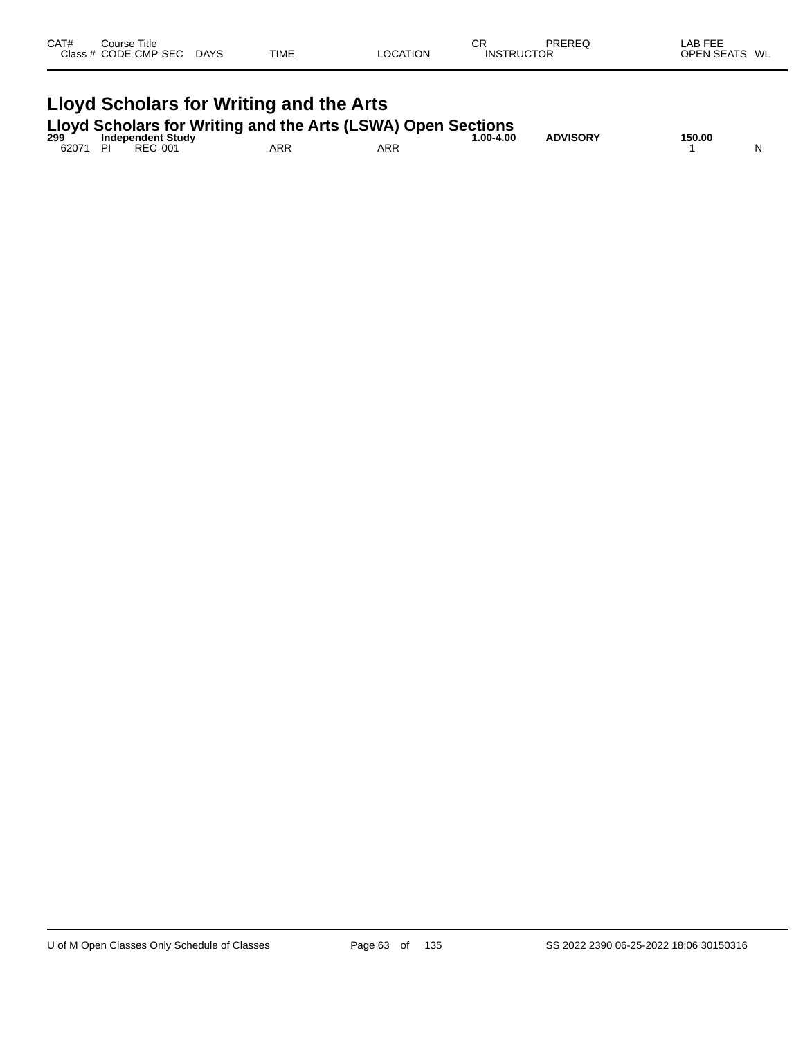| CAT# | ourse Titleٽ<br>Class # CODE CMP SEC | <b>DAYS</b> | <b>TIME</b> | <b>LOCATION</b> | СR<br><b>INSTRUCTOR</b> | PREREQ | ∟AB FEF<br><b>OPEN SEATS</b> | WL |
|------|--------------------------------------|-------------|-------------|-----------------|-------------------------|--------|------------------------------|----|
|      |                                      |             |             |                 |                         |        |                              |    |

# **Lloyd Scholars for Writing and the Arts Lloyd Scholars for Writing and the Arts (LSWA) Open Sections 299 Independent Study 1.00-4.00 ADVISORY 150.00**

62071 PI REC 001 ARR ARR 1 N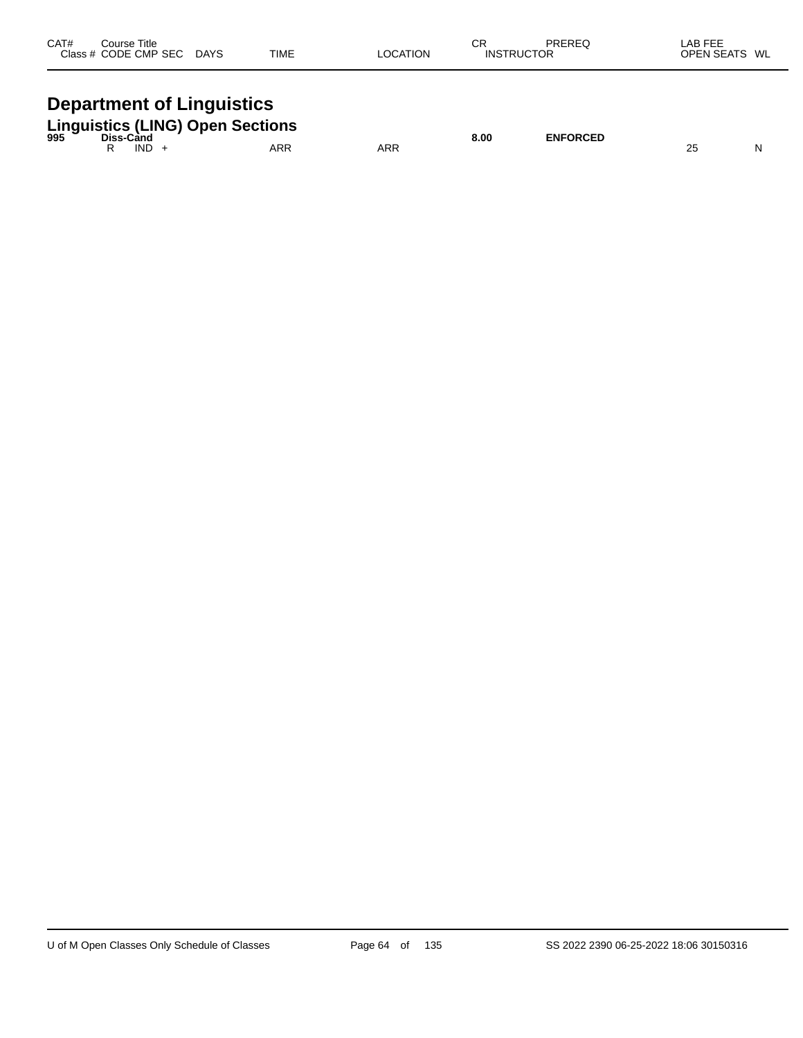| CAT# | Course Title<br>Class # CODE CMP SEC | <b>DAYS</b> | <b>TIME</b> | LOCATION | СR<br><b>INSTRUCTOR</b> | PREREQ | LAB FEE<br>OPEN SEATS WL |  |
|------|--------------------------------------|-------------|-------------|----------|-------------------------|--------|--------------------------|--|
|      |                                      |             |             |          |                         |        |                          |  |

### **Department of Linguistics**

|  |      | <b>Linguistics (LING) Open Sections</b><br><sup>995</sup> Diss-Cand |     | 8.00 | <b>ENFORCED</b> |  |
|--|------|---------------------------------------------------------------------|-----|------|-----------------|--|
|  | IND. | ARR                                                                 | ARR |      |                 |  |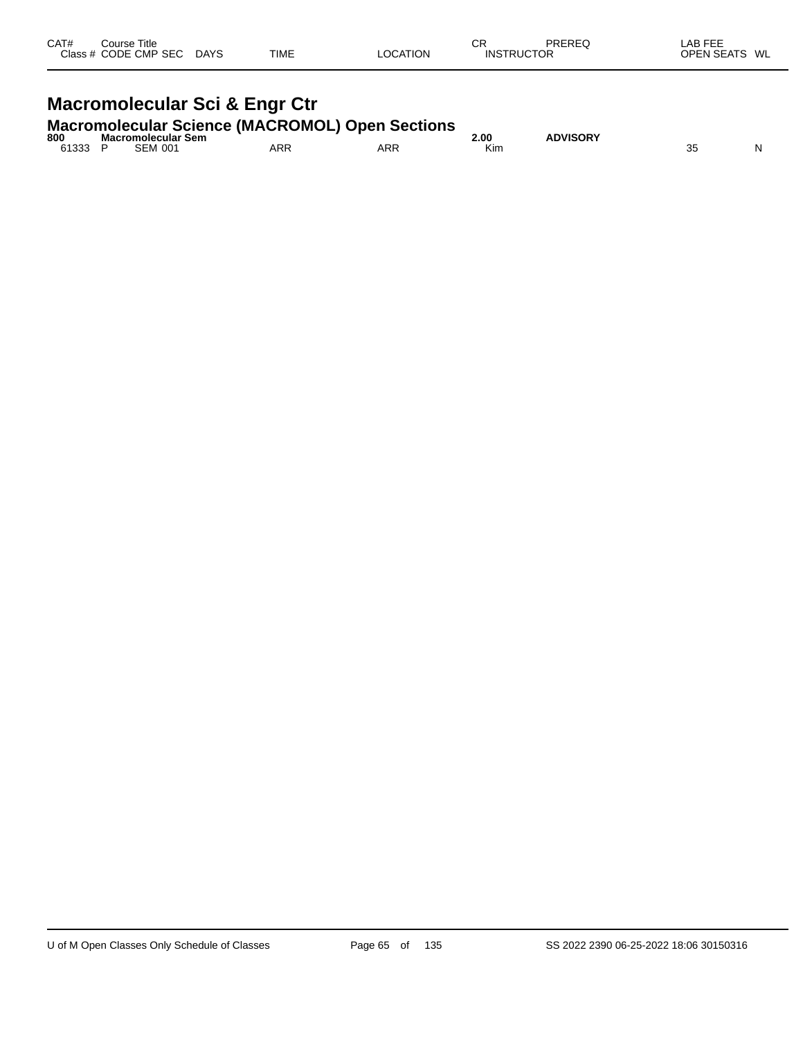| CAT# | Course Title<br>Class # CODE CMP SEC | <b>DAYS</b> | <b>TIME</b> | <b>LOCATION</b> | СR<br><b>INSTRUCTOR</b> | PREREQ | LAB FEE<br><b>OPEN SEATS</b><br>WL |
|------|--------------------------------------|-------------|-------------|-----------------|-------------------------|--------|------------------------------------|
|      |                                      |             |             |                 |                         |        |                                    |

# **Macromolecular Sci & Engr Ctr**

## **Macromolecular Science (MACROMOL) Open Sections 800 Macromolecular Sem 2.00 ADVISORY**

| 800           | Macromolecular Sem       |     |     | 00.∠ | <b>\DVISORY</b> |          |   |
|---------------|--------------------------|-----|-----|------|-----------------|----------|---|
| 61333<br>טטטו | <b>CEN</b><br>001<br>∋EM | ARF | ARR | Kin. |                 | n r<br>ັ | N |
|               |                          |     |     |      |                 |          |   |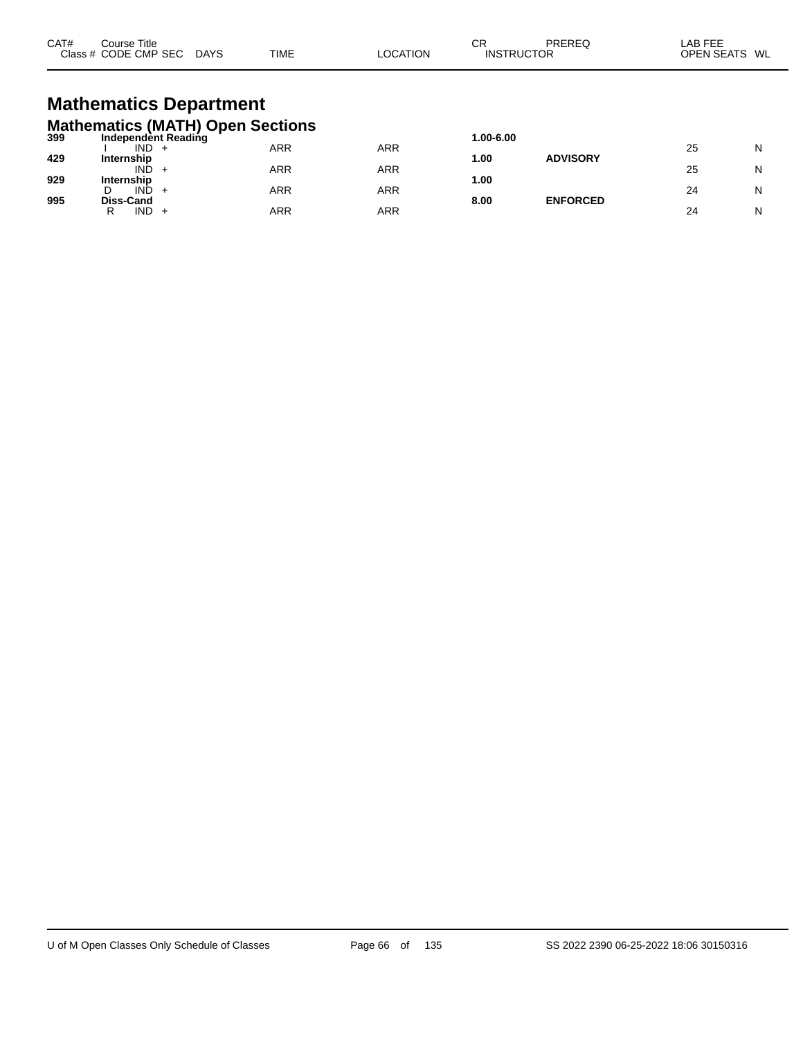| CAT# | Course Title<br>Class # CODE CMP SEC | <b>DAYS</b> | TIME | <b>LOCATION</b> | СR<br><b>INSTRUCTOR</b> | PREREQ | LAB FEE<br>OPEN SEATS<br>WL |
|------|--------------------------------------|-------------|------|-----------------|-------------------------|--------|-----------------------------|
|      |                                      |             |      |                 |                         |        |                             |

### **Mathematics Department Mathematics (MATH) Open Sections**

| 399 | Independent Reading                    |     |     | 1.00-6.00 |                 |    |   |
|-----|----------------------------------------|-----|-----|-----------|-----------------|----|---|
|     | <b>IND</b><br><b>+</b>                 | ARR | ARR |           |                 | 25 | N |
| 429 | Internship                             |     |     | 1.00      | <b>ADVISORY</b> |    |   |
|     | IND<br>$\div$                          | ARR | ARR |           |                 | 25 | N |
| 929 | Internship                             |     |     | 1.00      |                 |    |   |
| 995 | <b>IND</b><br>D<br>$\div$<br>Diss-Cand | ARR | ARR | 8.00      | <b>ENFORCED</b> | 24 | N |
|     | IND<br>R<br>+                          | ARR | ARR |           |                 | 24 | N |
|     |                                        |     |     |           |                 |    |   |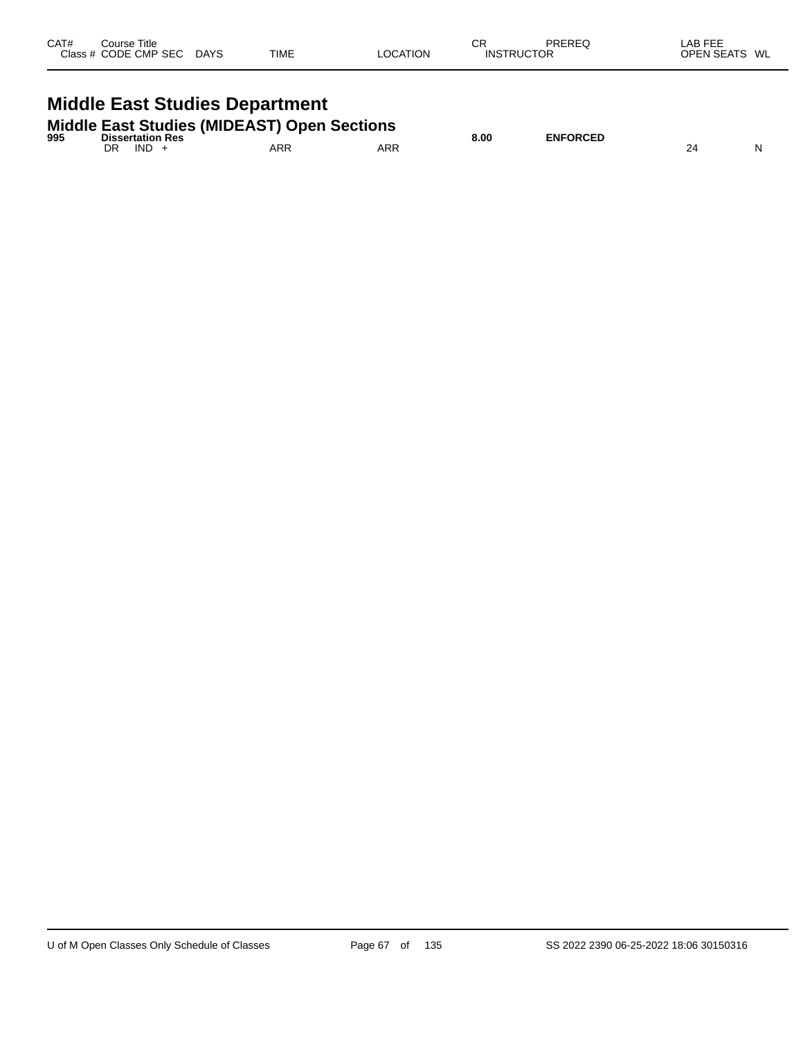| CAT#<br>Course Title<br>Class # CODE CMP SEC DAYS | <b>TIME</b> | СR<br>LOCATION | <b>INSTRUCTOR</b> | PREREQ | LAB FEE<br>OPEN SEATS WL |
|---------------------------------------------------|-------------|----------------|-------------------|--------|--------------------------|
| <b>Middle East Studies Department</b>             |             |                |                   |        |                          |

| <b>Middle East Studies (MIDEAST) Open Sections</b><br>995<br><b>Dissertation Res</b> |               |     |     | 8.00 | <b>ENFORCED</b> |  |
|--------------------------------------------------------------------------------------|---------------|-----|-----|------|-----------------|--|
|                                                                                      | $IND +$<br>DR | ARR | ARR |      |                 |  |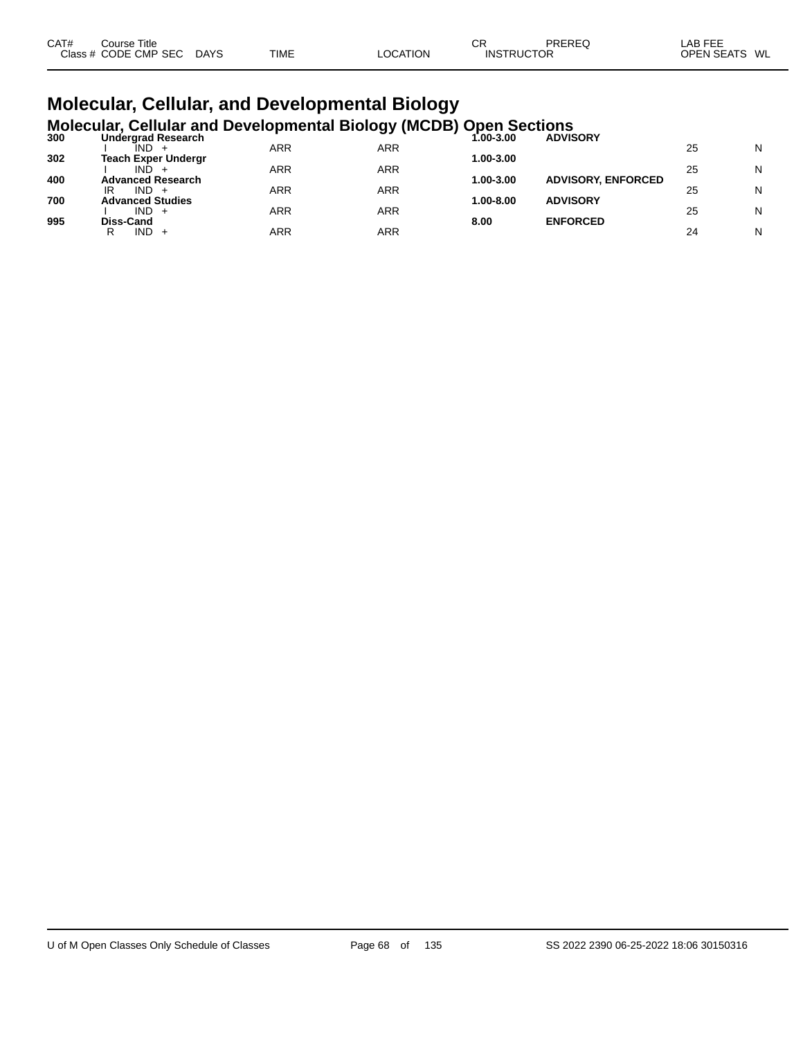| CAT# | Course Title         |             |             |          | СF                | PREREQ | LAB FEE                 |
|------|----------------------|-------------|-------------|----------|-------------------|--------|-------------------------|
|      | Class # CODE CMP SEC | <b>DAYS</b> | <b>TIME</b> | LOCATION | <b>INSTRUCTOR</b> |        | <b>OPEN SEATS</b><br>WL |

# **Molecular, Cellular, and Developmental Biology**

|     | <b>Molecular, Cellular and Developmental Biology (MCDB) Open Sections</b> |               |                 |
|-----|---------------------------------------------------------------------------|---------------|-----------------|
| 300 | Undergrad Research                                                        | $0.00 - 3.00$ | <b>ADVISORY</b> |

|     | <u>onaci graa neocaron</u><br>IND.    | ARR        | ARR | vv v.vv   | _______                   | 25 | N |
|-----|---------------------------------------|------------|-----|-----------|---------------------------|----|---|
| 302 | <b>Teach Exper Undergr</b>            |            |     | 1.00-3.00 |                           |    |   |
|     | IND.                                  | <b>ARR</b> | ARR |           |                           | 25 | N |
| 400 | <b>Advanced Research</b>              |            |     | 1.00-3.00 | <b>ADVISORY, ENFORCED</b> |    |   |
| 700 | IR<br>IND.<br><b>Advanced Studies</b> | ARR        | ARR | 1.00-8.00 | <b>ADVISORY</b>           | 25 | N |
|     | IND -                                 | ARR        | ARR |           |                           | 25 | N |
| 995 | Diss-Cand                             |            |     | 8.00      | <b>ENFORCED</b>           |    |   |
|     | IND.<br>R<br>$+$                      | ARR        | ARR |           |                           | 24 | N |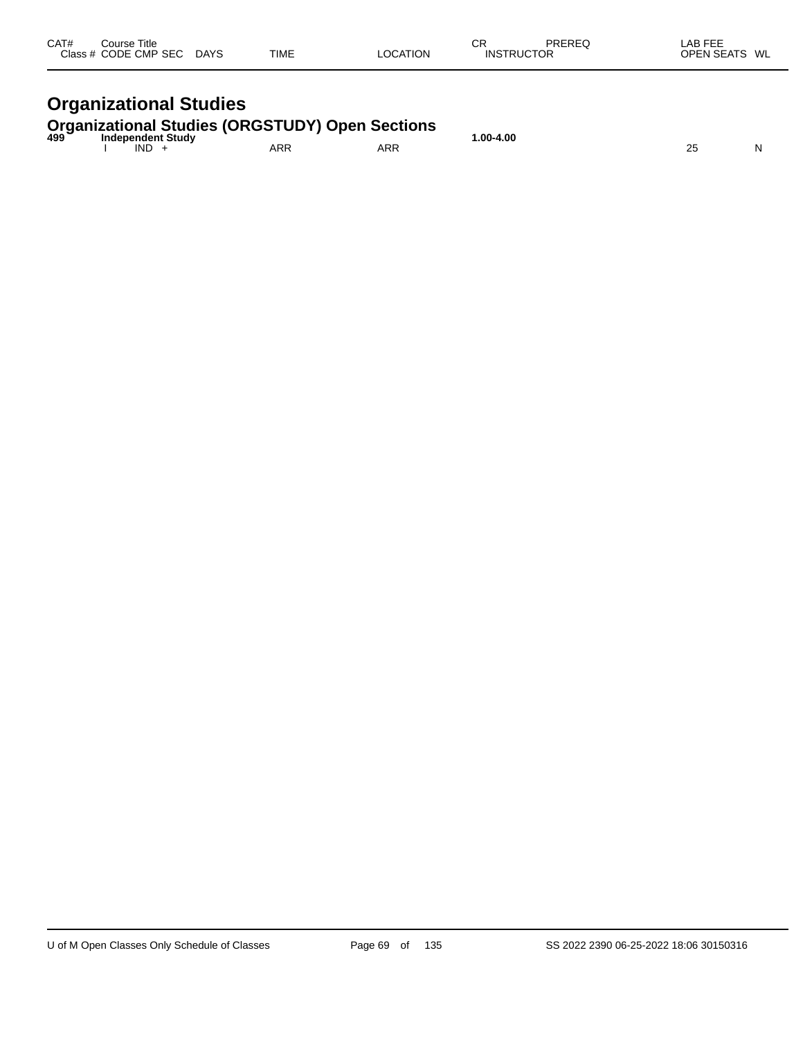| CAT#<br>Course Title<br>Class # CODE CMP SEC | <b>DAYS</b> | TIME | LOCATION | СR<br><b>INSTRUCTOR</b> | PREREQ | LAB FEE<br><b>OPEN SEATS</b><br>WL |
|----------------------------------------------|-------------|------|----------|-------------------------|--------|------------------------------------|
|                                              |             |      |          |                         |        |                                    |

# **Organizational Studies**

## **Organizational Studies (ORGSTUDY) Open Sections 499 Independent Study 1.00-4.00**

| 499<br>__ | Independent Study | .nn |            | .00-4.00<br>. | $\sim$ |   |
|-----------|-------------------|-----|------------|---------------|--------|---|
|           | <b>IND</b>        | ARR | <b>ARR</b> |               | $\sim$ | N |
|           |                   |     |            |               |        |   |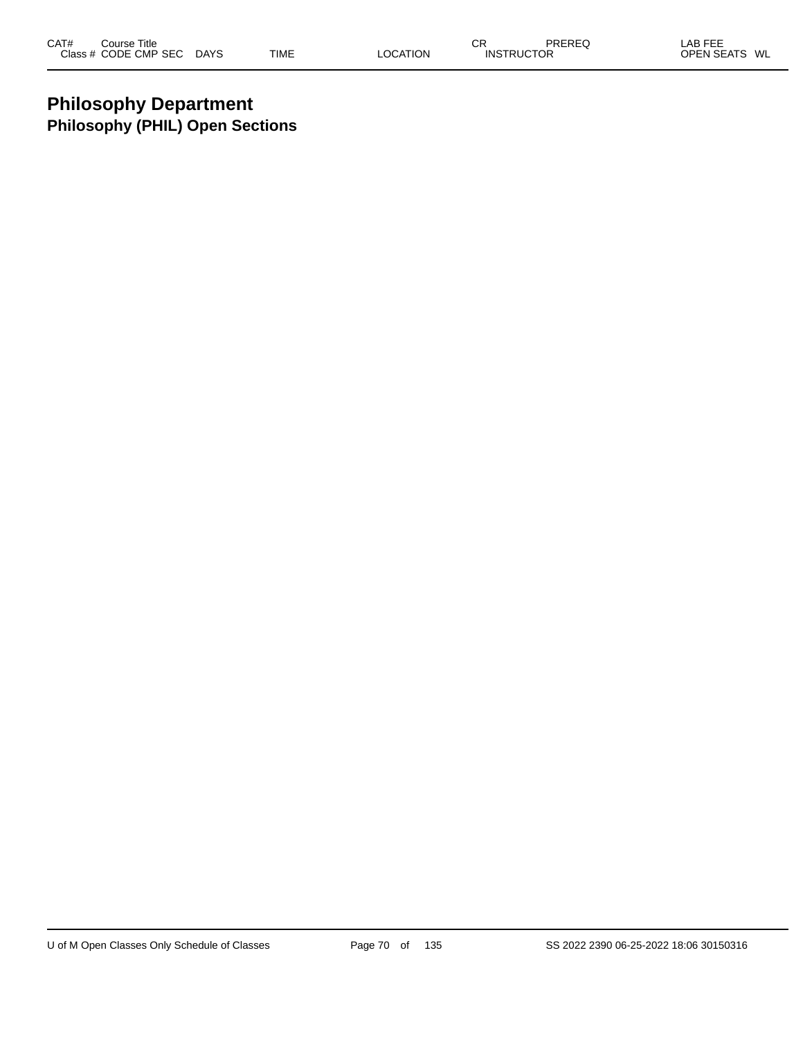### **Philosophy Department Philosophy (PHIL) Open Sections**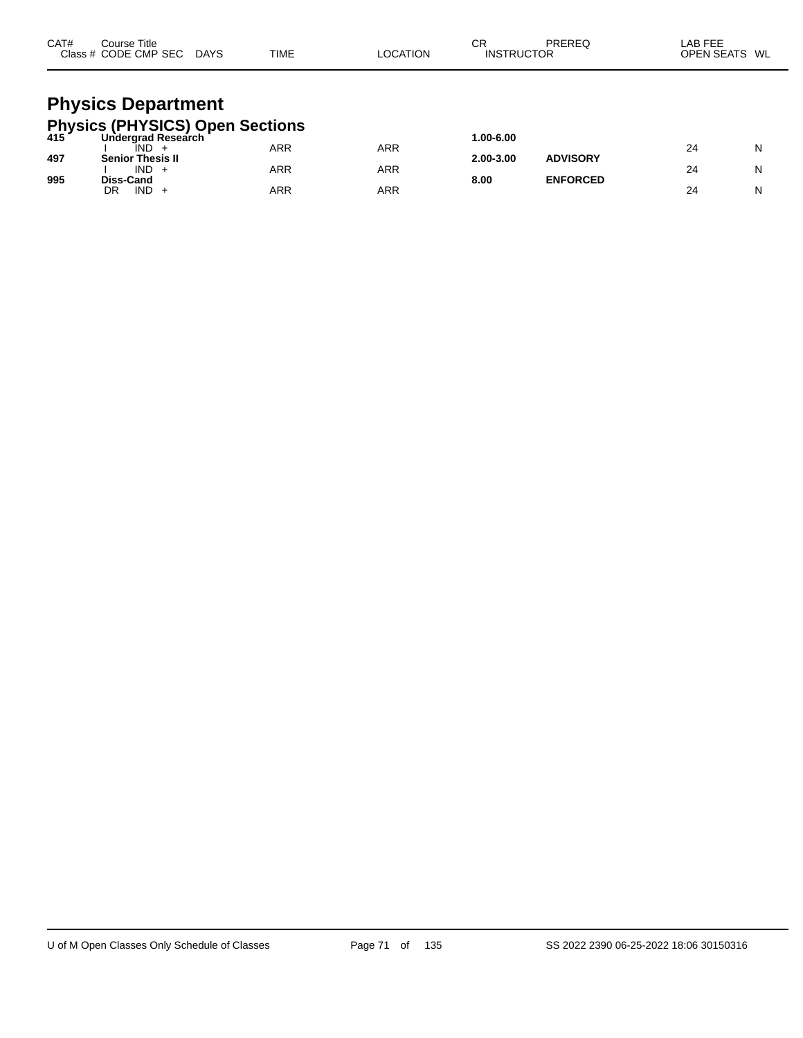| CAT# | Course Title<br>Class # CODE CMP SEC DAYS                                                     | <b>TIME</b> | LOCATION   | СR<br><b>INSTRUCTOR</b> | PREREQ          | LAB FEE<br>OPEN SEATS WL |   |
|------|-----------------------------------------------------------------------------------------------|-------------|------------|-------------------------|-----------------|--------------------------|---|
|      | <b>Physics Department</b><br><b>Physics (PHYSICS) Open Sections</b><br>415 Undergrad Research |             |            |                         |                 |                          |   |
|      | ÎND.                                                                                          | ARR         | <b>ARR</b> | 1.00-6.00               |                 | 24                       | N |
| 497  | <b>Senior Thesis II</b>                                                                       |             |            | 2.00-3.00               | <b>ADVISORY</b> |                          |   |
|      | $IND +$                                                                                       | <b>ARR</b>  | <b>ARR</b> |                         |                 | 24                       | N |
| 995  | Diss-Cand<br>IND.<br>DR<br>$+$                                                                | ARR         | <b>ARR</b> | 8.00                    | <b>ENFORCED</b> | 24                       | N |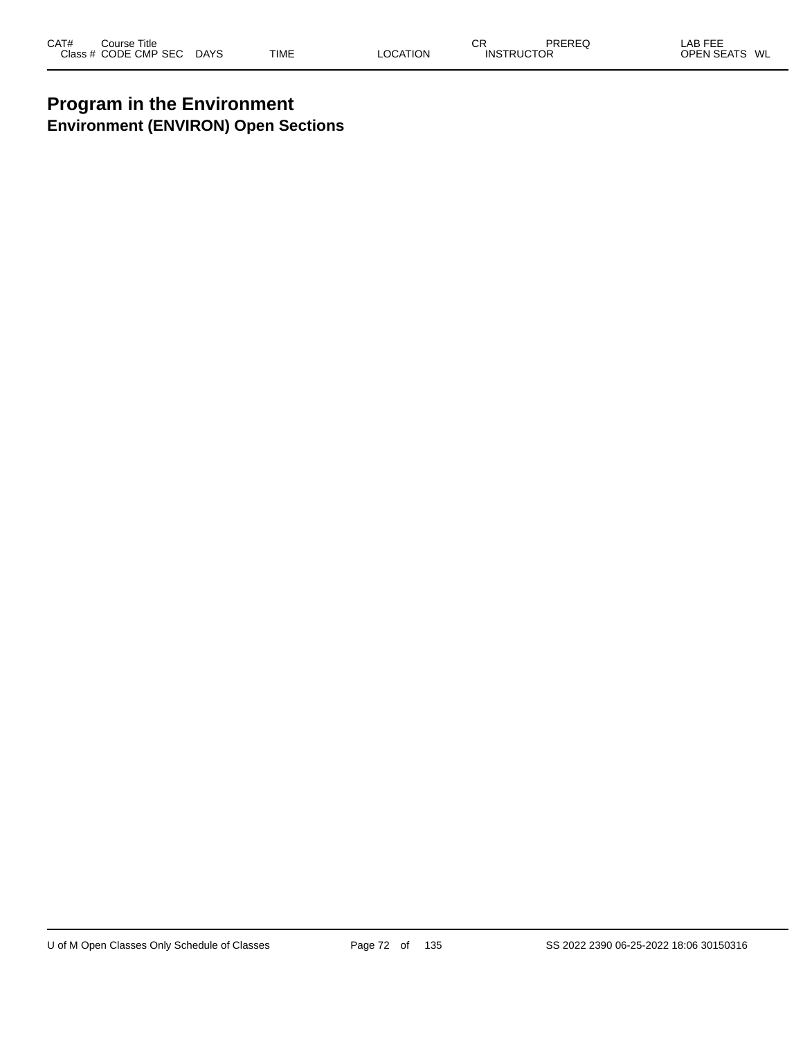### **Program in the Environment Environment (ENVIRON) Open Sections**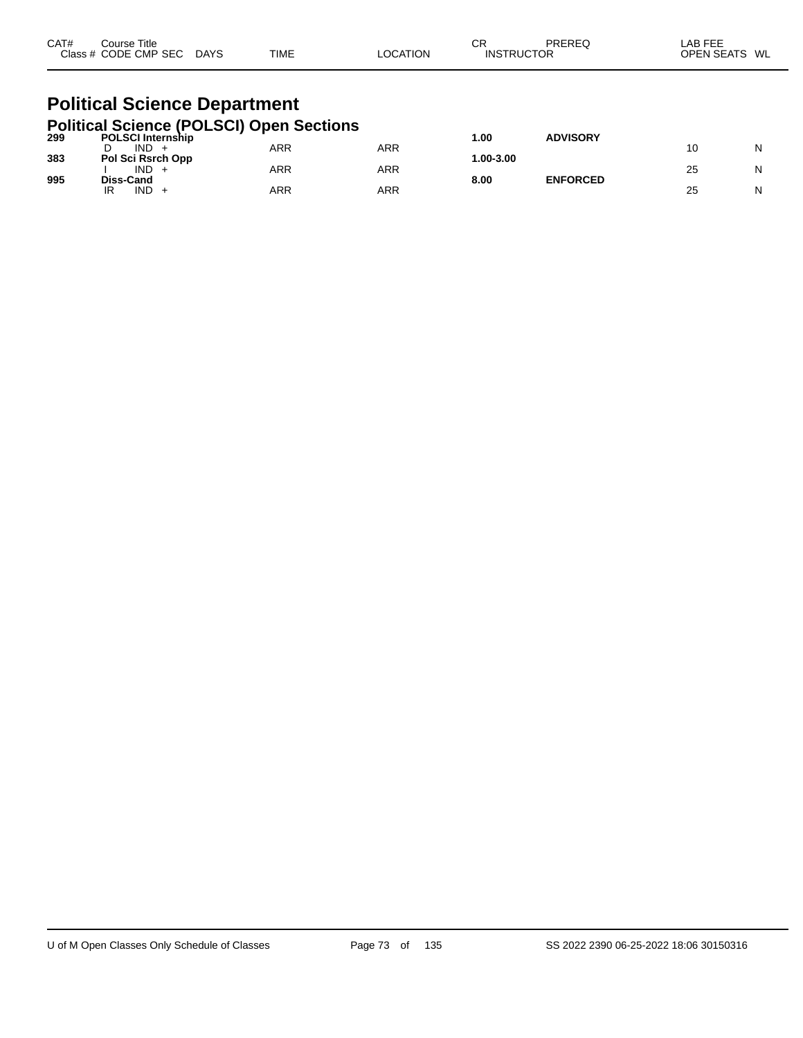| CAT# | Course Title<br>Class # CODE CMP SEC DAYS                                           |  | TIME | LOCATION   | CR<br><b>INSTRUCTOR</b> | PREREQ          | LAB FEE<br>OPEN SEATS WL |   |  |  |  |
|------|-------------------------------------------------------------------------------------|--|------|------------|-------------------------|-----------------|--------------------------|---|--|--|--|
|      | <b>Political Science Department</b>                                                 |  |      |            |                         |                 |                          |   |  |  |  |
|      | <b>Political Science (POLSCI) Open Sections</b><br><sup>299</sup> POLSCI Internship |  |      |            | 1.00                    | <b>ADVISORY</b> |                          |   |  |  |  |
| 383  | $IND +$<br>D<br>Pol Sci Rsrch Opp                                                   |  | ARR  | <b>ARR</b> | 1.00-3.00               |                 | 10                       | N |  |  |  |
| 995  | $IND +$<br>Diss-Cand                                                                |  | ARR  | <b>ARR</b> | 8.00                    | <b>ENFORCED</b> | 25                       | N |  |  |  |
|      | IND.<br>IR<br>$\div$                                                                |  | ARR  | ARR        |                         |                 | 25                       | N |  |  |  |

IR IND + ARR ARR 25 N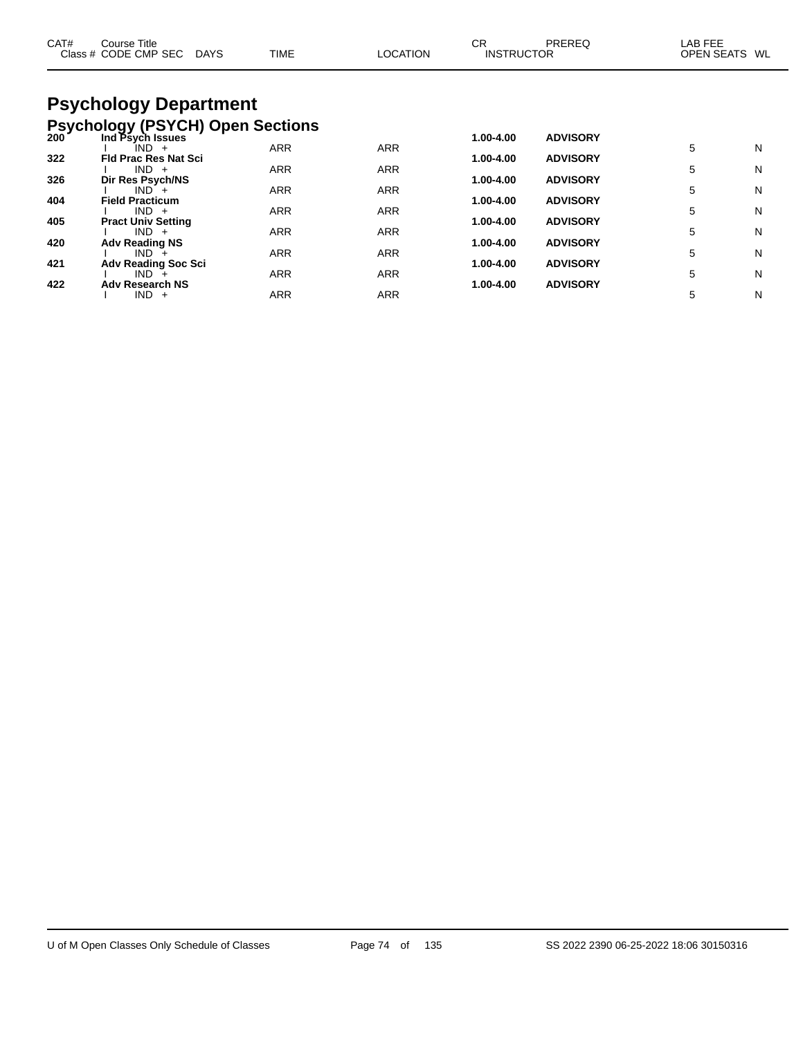| CAT# | Course Title<br>Class # CODE CMP SEC DAYS | <b>TIME</b> | <b>LOCATION</b> | <b>CR</b><br><b>INSTRUCTOR</b> | PREREQ          | LAB FEE<br><b>OPEN SEATS</b> | WL |
|------|-------------------------------------------|-------------|-----------------|--------------------------------|-----------------|------------------------------|----|
|      | <b>Psychology Department</b>              |             |                 |                                |                 |                              |    |
|      | <b>Psychology (PSYCH) Open Sections</b>   |             |                 |                                |                 |                              |    |
| 200  | Ind Psych Issues                          |             |                 | 1.00-4.00                      | <b>ADVISORY</b> |                              |    |
| 322  | IND +<br><b>Fld Prac Res Nat Sci</b>      | <b>ARR</b>  | <b>ARR</b>      | 1.00-4.00                      | <b>ADVISORY</b> | 5                            | N  |
|      | $IND +$                                   | <b>ARR</b>  | ARR             |                                |                 | 5                            | N  |
| 326  | Dir Res Psych/NS                          |             |                 | 1.00-4.00                      | <b>ADVISORY</b> |                              |    |
| 404  | $IND +$<br><b>Field Practicum</b>         | ARR         | ARR             | 1.00-4.00                      | <b>ADVISORY</b> | 5                            | N  |
|      | $IND +$                                   | ARR         | <b>ARR</b>      |                                |                 | 5                            | N  |
| 405  | <b>Pract Univ Setting</b><br>$IND +$      | ARR         | <b>ARR</b>      | 1.00-4.00                      | <b>ADVISORY</b> | 5                            | N  |
| 420  | <b>Adv Reading NS</b>                     |             |                 | 1.00-4.00                      | <b>ADVISORY</b> |                              |    |
|      | $IND +$                                   | <b>ARR</b>  | <b>ARR</b>      |                                |                 | 5                            | N  |
| 421  | <b>Adv Reading Soc Sci</b><br>$IND +$     | <b>ARR</b>  | <b>ARR</b>      | 1.00-4.00                      | <b>ADVISORY</b> | 5                            | N  |
| 422  | <b>Adv Research NS</b>                    |             |                 | 1.00-4.00                      | <b>ADVISORY</b> |                              |    |
|      | $IND +$                                   | ARR         | ARR             |                                |                 | 5                            | Ν  |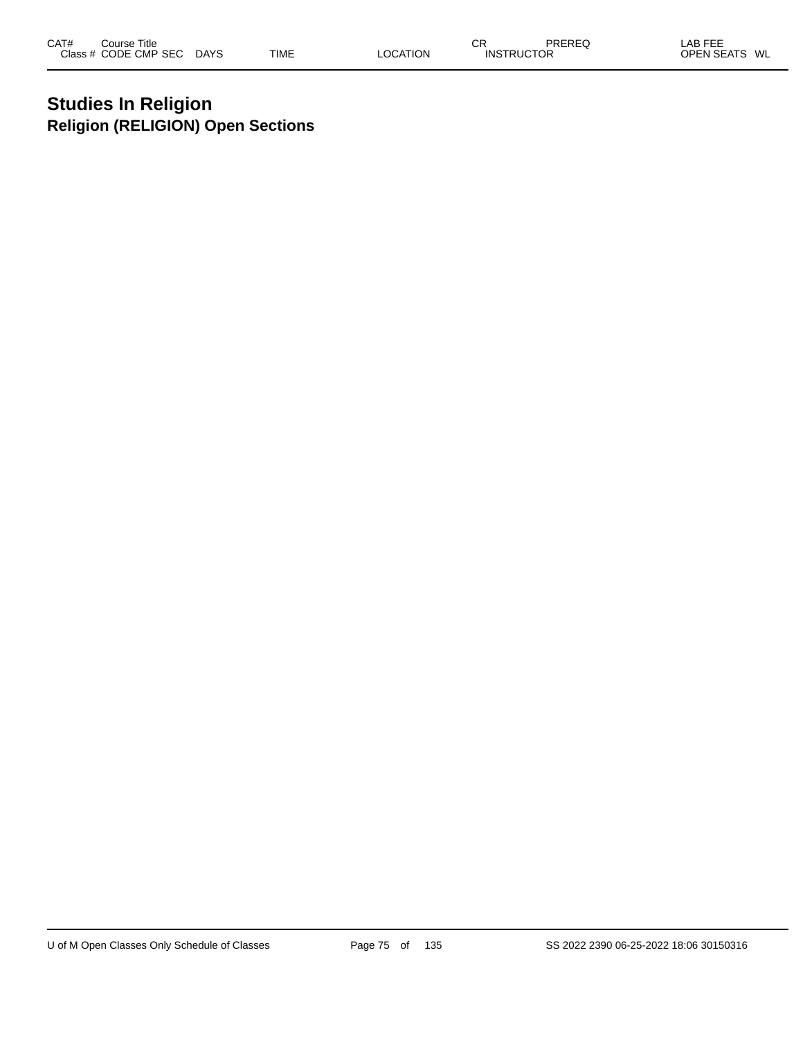## **Studies In Religion Religion (RELIGION) Open Sections**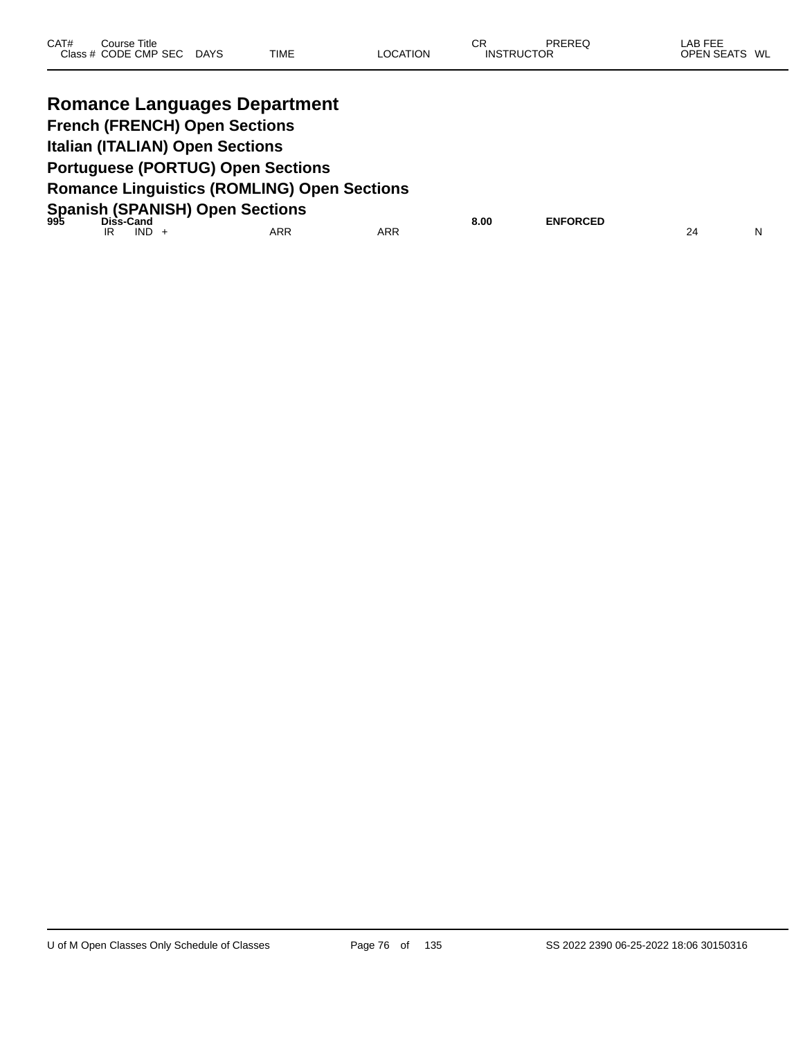| CAT# | Course Title         |             |             |          | СR                | PREREQ | LAB FEE       |  |
|------|----------------------|-------------|-------------|----------|-------------------|--------|---------------|--|
|      | Class # CODE CMP SEC | <b>DAYS</b> | <b>TIME</b> | LOCATION | <b>INSTRUCTOR</b> |        | OPEN SEATS WL |  |
|      |                      |             |             |          |                   |        |               |  |

|    | <b>Romance Languages Department</b>                         |     |            |      |                 |    |   |  |  |
|----|-------------------------------------------------------------|-----|------------|------|-----------------|----|---|--|--|
|    | <b>French (FRENCH) Open Sections</b>                        |     |            |      |                 |    |   |  |  |
|    | <b>Italian (ITALIAN) Open Sections</b>                      |     |            |      |                 |    |   |  |  |
|    | <b>Portuguese (PORTUG) Open Sections</b>                    |     |            |      |                 |    |   |  |  |
|    | <b>Romance Linguistics (ROMLING) Open Sections</b>          |     |            |      |                 |    |   |  |  |
|    | Spanish (SPANISH) Open Sections<br><sup>995</sup> Diss-Cand |     |            |      |                 |    |   |  |  |
| IR | $IND +$                                                     | ARR | <b>ARR</b> | 8.00 | <b>ENFORCED</b> | 24 | N |  |  |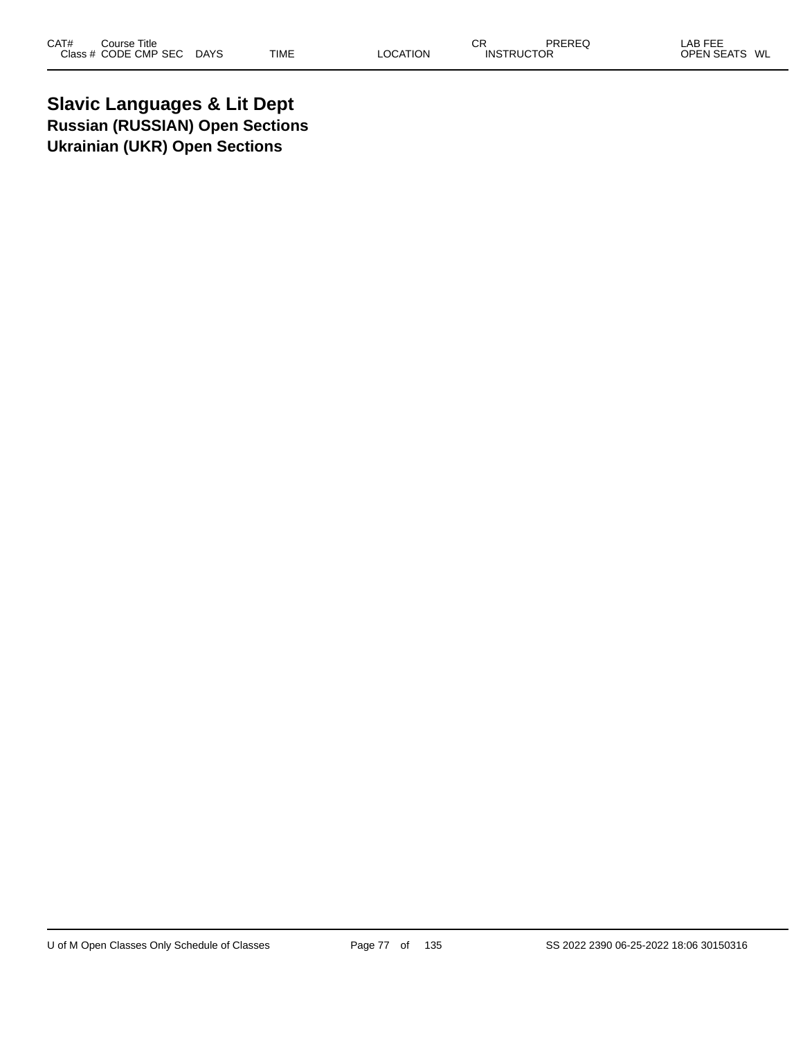**Slavic Languages & Lit Dept Russian (RUSSIAN) Open Sections Ukrainian (UKR) Open Sections**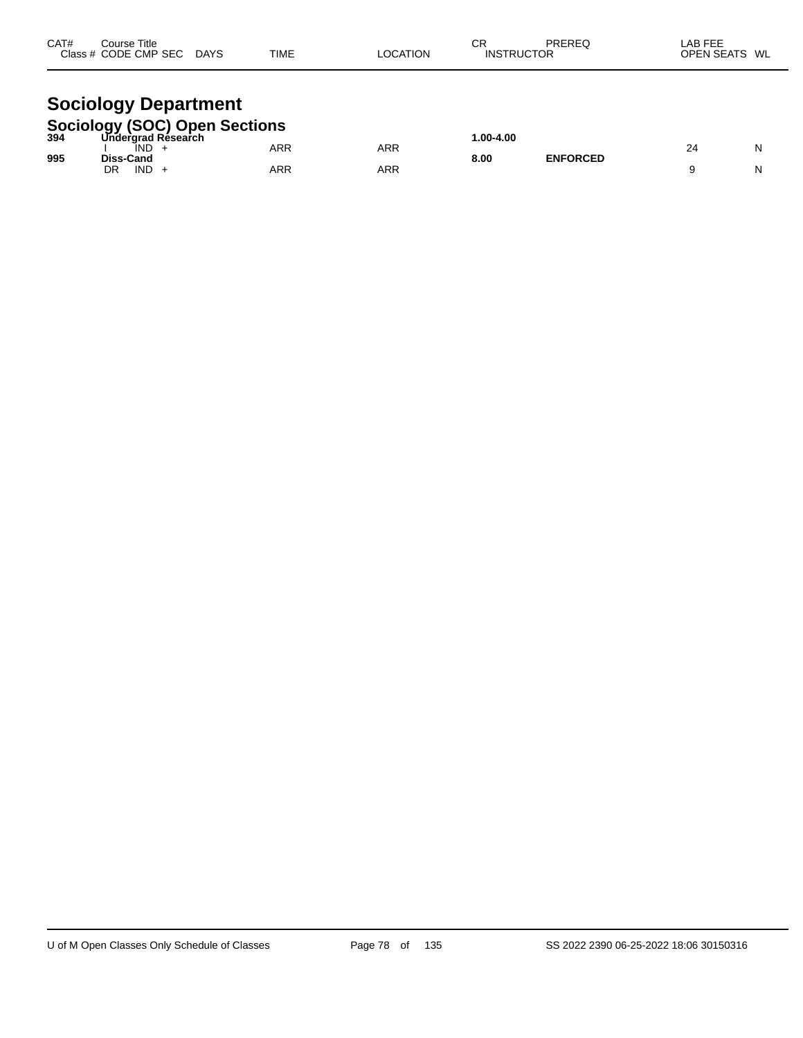| CAT#<br>Course Title<br>Class # CODE CMP SEC DAYS            | TIME | <b>LOCATION</b> | СR<br><b>INSTRUCTOR</b> | PREREQ | LAB FEE<br>OPEN SEATS WL |
|--------------------------------------------------------------|------|-----------------|-------------------------|--------|--------------------------|
| <b>Sociology Department</b><br>Sociology (SOC) Open Sections |      |                 |                         |        |                          |

| 394 | SOCIOIOGY (SOC) Open Sections<br>394 Undergrad Research |     |     | $.00 - 4.00$ |                 |    |  |
|-----|---------------------------------------------------------|-----|-----|--------------|-----------------|----|--|
| 995 | IND<br><b>Diss-Cand</b>                                 | ARR | ARR | 8.00         | <b>ENFORCED</b> | 24 |  |
|     | DR<br><b>IND</b>                                        | ARR | ARR |              |                 |    |  |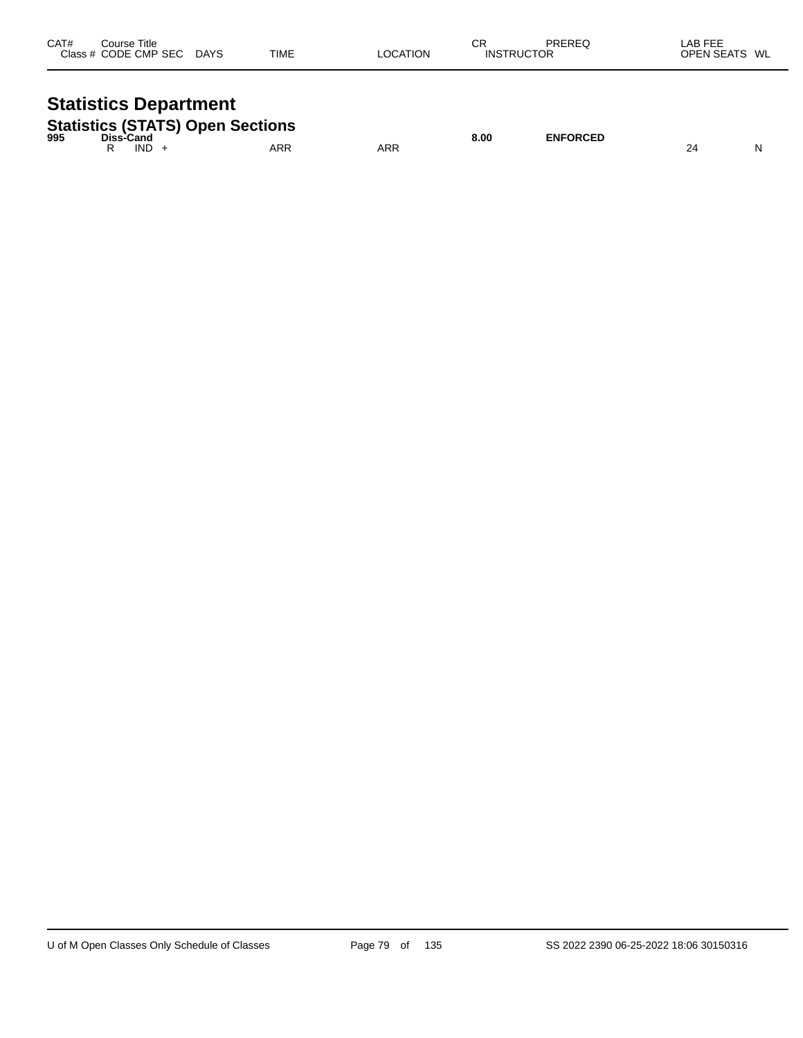| CAT# | Course Title<br>Class # CODE CMP SEC | DAYS | TIME | LOCATION | СR<br><b>INSTRUCTOR</b> | PREREQ | ∟AB FEE<br>OPEN SEATS WL |  |
|------|--------------------------------------|------|------|----------|-------------------------|--------|--------------------------|--|
|      |                                      |      |      |          |                         |        |                          |  |

# **Statistics Department**

| <b>Statistics (STATS) Open Sections</b> |           |      |     |     |      |                 |  |  |  |
|-----------------------------------------|-----------|------|-----|-----|------|-----------------|--|--|--|
| 995                                     | Diss-Cand |      |     |     | 8.00 | <b>ENFORCED</b> |  |  |  |
|                                         |           | IND. | ARR | ARR |      |                 |  |  |  |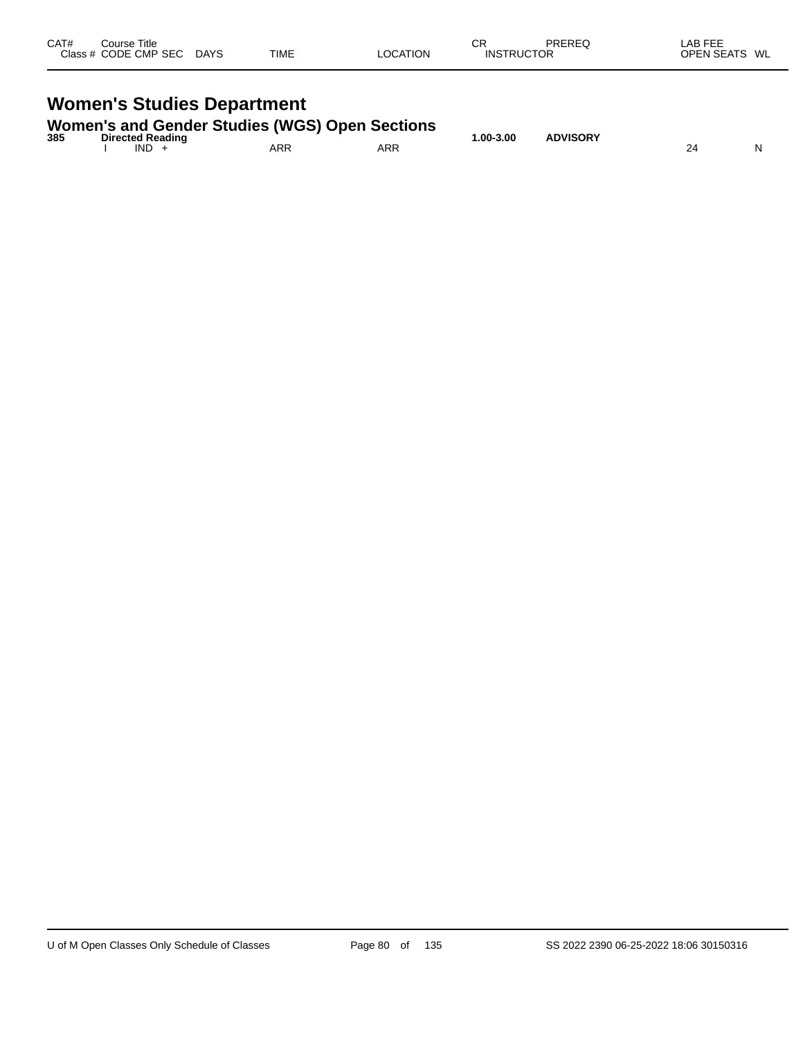| CAT# | Course Title<br>Class # CODE CMP SEC | <b>DAYS</b> | TIME | LOCATION | СR<br><b>INSTRUCTOR</b> | PREREQ | LAB FEE<br><b>OPEN SEATS</b><br>WL |  |
|------|--------------------------------------|-------------|------|----------|-------------------------|--------|------------------------------------|--|
|      |                                      |             |      |          |                         |        |                                    |  |

# **Women's Studies Department**

|  |  | <b>Women's and Gender Studies (WGS) Open Sections</b> |
|--|--|-------------------------------------------------------|
|  |  |                                                       |

| 385 | <b>Directed Reading</b> |            |     | .00-3.00 | <b>ADVISORY</b> |   |
|-----|-------------------------|------------|-----|----------|-----------------|---|
|     | <b>IND</b>              | <b>ARR</b> | ARR |          |                 | N |
|     |                         |            |     |          |                 |   |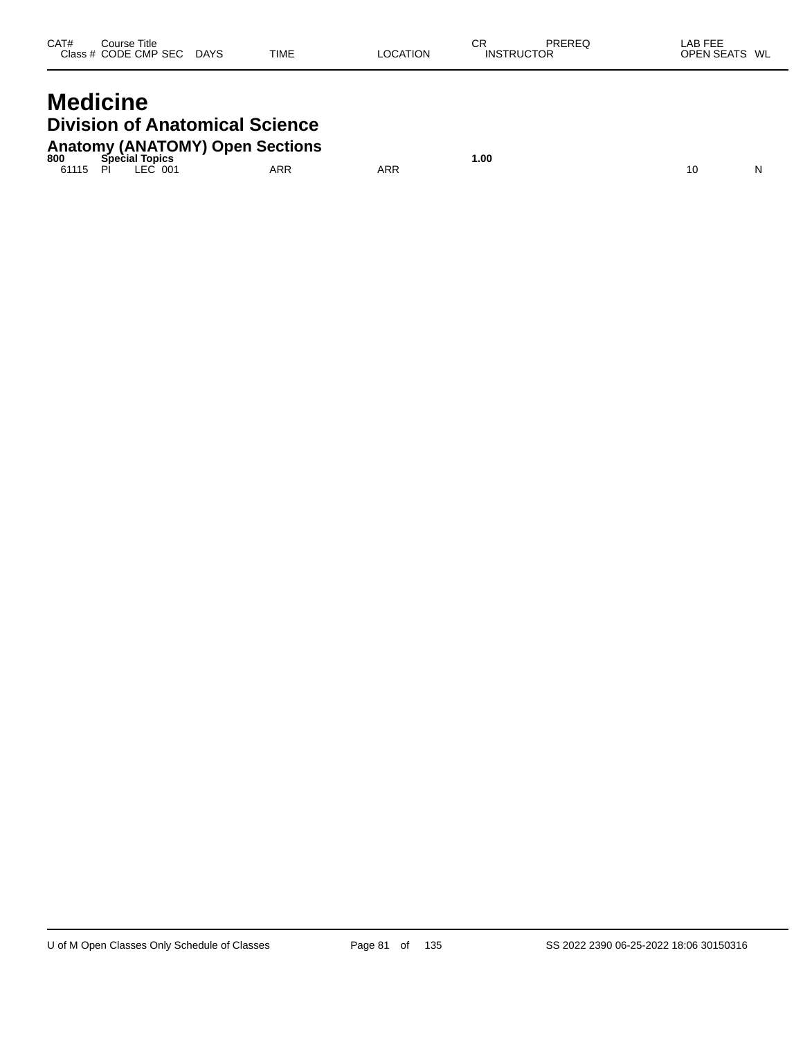| CAT# | Course Title<br>Class # CODE CMP SEC | <b>DAYS</b> | <b>TIME</b> | <b>LOCATION</b> | СR<br><b>INSTRUCTOR</b> | PREREQ | _AB FEE<br><b>OPEN SEATS</b><br>WL |
|------|--------------------------------------|-------------|-------------|-----------------|-------------------------|--------|------------------------------------|
|      |                                      |             |             |                 |                         |        |                                    |

## **Medicine Division of Anatomical Science Anatomy (ANATOMY) Open Sections**

| 800   | <b>Special</b><br>Topics |     |     | l.OO |  |  |
|-------|--------------------------|-----|-----|------|--|--|
| 61115 | FC.<br>PÌ<br>001         | ARR | ARR |      |  |  |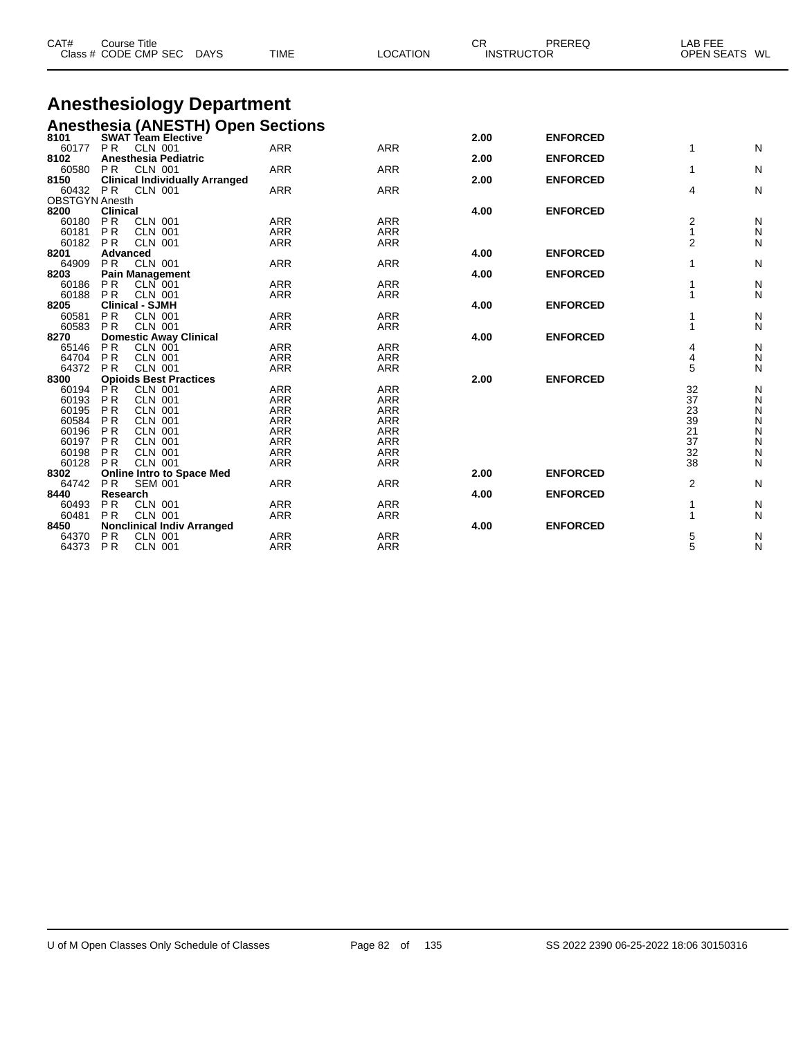| CAT#                              | <b>Course Title</b><br>Class # CODE CMP SEC                           | <b>TIME</b><br><b>DAYS</b>                                   | <b>LOCATION</b>          | <b>CR</b> | PREREQ<br><b>INSTRUCTOR</b> | <b>LAB FEE</b><br><b>OPEN SEATS</b> | WL     |
|-----------------------------------|-----------------------------------------------------------------------|--------------------------------------------------------------|--------------------------|-----------|-----------------------------|-------------------------------------|--------|
|                                   |                                                                       |                                                              |                          |           |                             |                                     |        |
|                                   |                                                                       | <b>Anesthesiology Department</b>                             |                          |           |                             |                                     |        |
|                                   |                                                                       | Anesthesia (ANESTH) Open Sections<br>8101 SWAT Team Elective |                          |           |                             |                                     |        |
|                                   |                                                                       |                                                              |                          | 2.00      | <b>ENFORCED</b>             |                                     |        |
| 60177                             | <b>PR</b><br>CLN 001                                                  | <b>ARR</b>                                                   | <b>ARR</b>               |           |                             | 1                                   | N      |
| 8102                              | Anesthesia Pediatric                                                  |                                                              |                          | 2.00      | <b>ENFORCED</b>             |                                     |        |
| 60580                             | <b>PR</b><br>CLN 001                                                  | <b>ARR</b>                                                   | <b>ARR</b>               |           |                             | 1                                   | N      |
| 8150                              | <b>Clinical Individually Arranged</b>                                 |                                                              |                          | 2.00      | <b>ENFORCED</b>             |                                     |        |
| 60432 PR<br><b>OBSTGYN Anesth</b> | CLN 001                                                               | <b>ARR</b>                                                   | <b>ARR</b>               |           |                             | 4                                   | N      |
| 8200                              | <b>Clinical</b>                                                       |                                                              |                          | 4.00      | <b>ENFORCED</b>             |                                     |        |
| 60180                             | P <sub>R</sub><br><b>CLN 001</b>                                      | <b>ARR</b>                                                   | <b>ARR</b>               |           |                             | 2                                   | N      |
| 60181                             | P <sub>R</sub><br><b>CLN 001</b>                                      | <b>ARR</b>                                                   | <b>ARR</b>               |           |                             | 1                                   | Ν      |
| 60182 PR                          | <b>CLN 001</b>                                                        | <b>ARR</b>                                                   | <b>ARR</b>               |           |                             | 2                                   | N      |
| 8201                              | Advanced                                                              |                                                              |                          | 4.00      | <b>ENFORCED</b>             |                                     |        |
| 64909                             | <b>CLN 001</b><br><b>PR</b>                                           | <b>ARR</b>                                                   | <b>ARR</b>               |           |                             | 1                                   | N      |
| 8203                              | <b>Pain Management</b>                                                |                                                              |                          | 4.00      | <b>ENFORCED</b>             |                                     |        |
| 60186                             | P <sub>R</sub><br>CLN 001                                             | <b>ARR</b>                                                   | <b>ARR</b>               |           |                             |                                     | N      |
| 60188                             | <b>PR</b><br><b>CLN 001</b>                                           | ARR                                                          | <b>ARR</b>               |           |                             | 1                                   | N      |
| 8205                              | <b>Clinical - SJMH</b>                                                |                                                              |                          | 4.00      | <b>ENFORCED</b>             |                                     |        |
| 60581                             | <b>PR</b><br><b>CLN 001</b>                                           | <b>ARR</b>                                                   | <b>ARR</b>               |           |                             | 1                                   | N      |
| 60583                             | PR<br><b>CLN 001</b>                                                  | <b>ARR</b>                                                   | ARR                      |           |                             | 1                                   | N      |
| 8270                              | <b>Domestic Away Clinical</b>                                         |                                                              |                          | 4.00      | <b>ENFORCED</b>             |                                     |        |
| 65146<br>64704                    | <b>PR</b><br><b>CLN 001</b>                                           | <b>ARR</b>                                                   | <b>ARR</b>               |           |                             | 4                                   | N      |
| 64372                             | P <sub>R</sub><br><b>CLN 001</b><br>PR<br><b>CLN 001</b>              | <b>ARR</b><br><b>ARR</b>                                     | <b>ARR</b><br><b>ARR</b> |           |                             | 4<br>5                              | N<br>N |
| 8300                              | <b>Opioids Best Practices</b>                                         |                                                              |                          | 2.00      | <b>ENFORCED</b>             |                                     |        |
| 60194                             | PR.<br><b>CLN 001</b>                                                 | ARR                                                          | <b>ARR</b>               |           |                             | 32                                  | N      |
| 60193                             | P <sub>R</sub><br><b>CLN 001</b>                                      | <b>ARR</b>                                                   | <b>ARR</b>               |           |                             | 37                                  | N      |
| 60195                             | <b>PR</b><br><b>CLN 001</b>                                           | <b>ARR</b>                                                   | <b>ARR</b>               |           |                             | 23                                  | N      |
| 60584                             | <b>PR</b><br><b>CLN 001</b>                                           | <b>ARR</b>                                                   | <b>ARR</b>               |           |                             | 39                                  | N      |
| 60196                             | <b>PR</b><br><b>CLN 001</b>                                           | <b>ARR</b>                                                   | <b>ARR</b>               |           |                             | 21                                  | N      |
| 60197                             | <b>PR</b><br><b>CLN 001</b>                                           | <b>ARR</b>                                                   | <b>ARR</b>               |           |                             | 37                                  | N      |
| 60198                             | <b>PR</b><br><b>CLN 001</b>                                           | <b>ARR</b>                                                   | <b>ARR</b>               |           |                             | 32                                  | N      |
| 60128                             | PR<br><b>CLN 001</b>                                                  | <b>ARR</b>                                                   | <b>ARR</b>               |           |                             | 38                                  | N      |
| 8302                              | <b>Online Intro to Space Med</b>                                      |                                                              |                          | 2.00      | <b>ENFORCED</b>             |                                     |        |
| 64742                             | P <sub>R</sub><br><b>SEM 001</b>                                      | <b>ARR</b>                                                   | <b>ARR</b>               |           |                             | 2                                   | N      |
| 8440                              | Research                                                              |                                                              |                          | 4.00      | <b>ENFORCED</b>             |                                     |        |
| 60493                             | P <sub>R</sub><br><b>CLN 001</b>                                      | <b>ARR</b>                                                   | <b>ARR</b>               |           |                             | 1                                   | N      |
| 60481                             | P <sub>R</sub><br><b>CLN 001</b>                                      | <b>ARR</b>                                                   | <b>ARR</b>               |           |                             | 1                                   | N      |
| 8450<br>64370                     | <b>Nonclinical Indiv Arranged</b><br>P <sub>R</sub><br><b>CLN 001</b> | <b>ARR</b>                                                   | <b>ARR</b>               | 4.00      | <b>ENFORCED</b>             | 5                                   |        |
| 64373                             | P <sub>R</sub><br><b>CLN 001</b>                                      | <b>ARR</b>                                                   | ARR                      |           |                             | 5                                   | N<br>N |
|                                   |                                                                       |                                                              |                          |           |                             |                                     |        |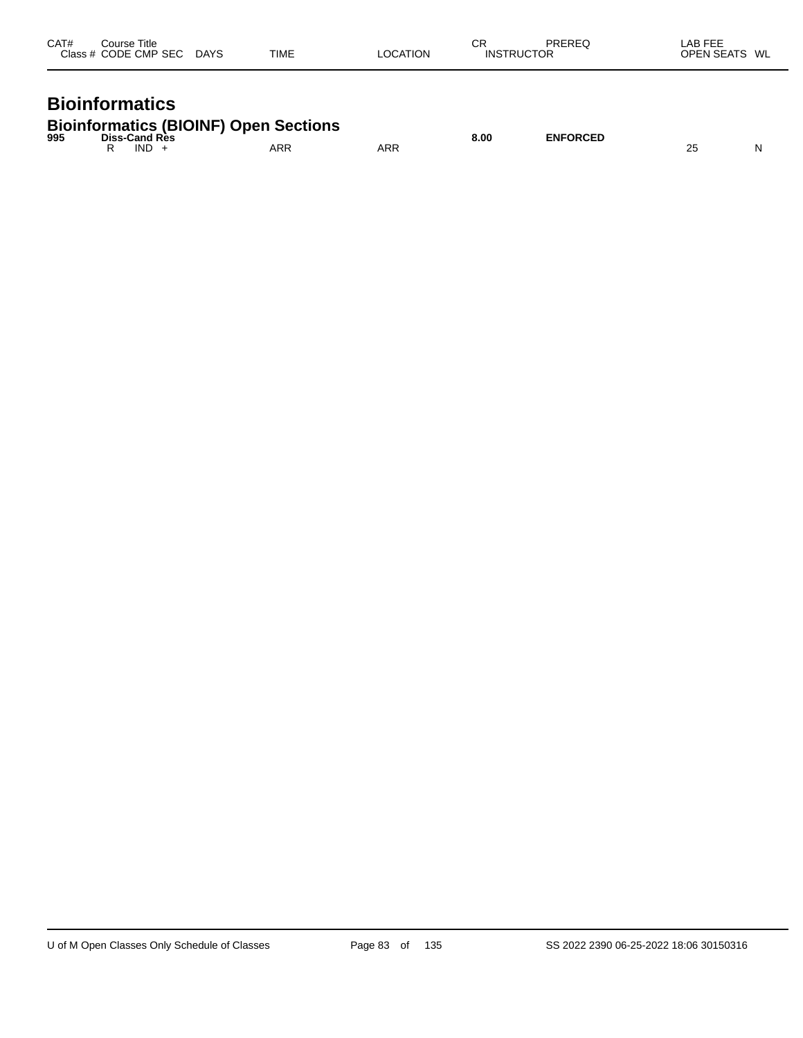| CAT# | ourse Titleٽ<br>Class # CODE CMP SEC | <b>DAYS</b> | <b>TIME</b> | LOCATION | СR<br><b>INSTRUCTOR</b> | PREREQ | LAB FEE<br><b>OPEN SEATS</b><br>WL |
|------|--------------------------------------|-------------|-------------|----------|-------------------------|--------|------------------------------------|
|      |                                      |             |             |          |                         |        |                                    |

## **Bioinformatics**

|     | <b>Bioinformatics (BIOINF) Open Sections</b> |     |     |      |                 |  |
|-----|----------------------------------------------|-----|-----|------|-----------------|--|
| 995 | <b>Diss-Cand Res</b><br><b>IND</b>           | ARR | ARR | 8.00 | <b>ENFORCED</b> |  |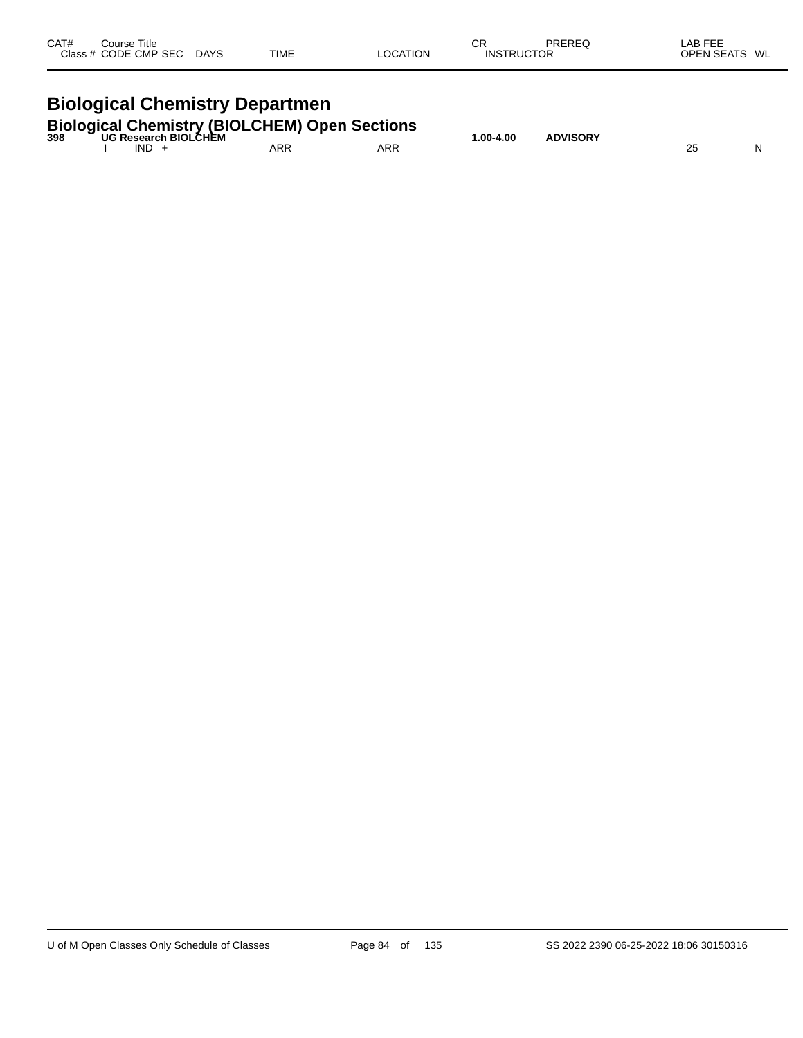| CAT#                                  | Course Title<br>Class # CODE CMP SEC DAYS |  | TIME | <b>LOCATION</b>                                                                         | СR<br><b>INSTRUCTOR</b> | PREREQ          | LAB FEE<br>OPEN SEATS WL |   |  |  |  |
|---------------------------------------|-------------------------------------------|--|------|-----------------------------------------------------------------------------------------|-------------------------|-----------------|--------------------------|---|--|--|--|
| <b>Biological Chemistry Departmen</b> |                                           |  |      |                                                                                         |                         |                 |                          |   |  |  |  |
|                                       | $IND +$                                   |  | ARR  | <b>Biological Chemistry (BIOLCHEM) Open Sections</b><br>398 UG Research BIOLCHEM<br>ARR | $1.00 - 4.00$           | <b>ADVISORY</b> | 25                       | N |  |  |  |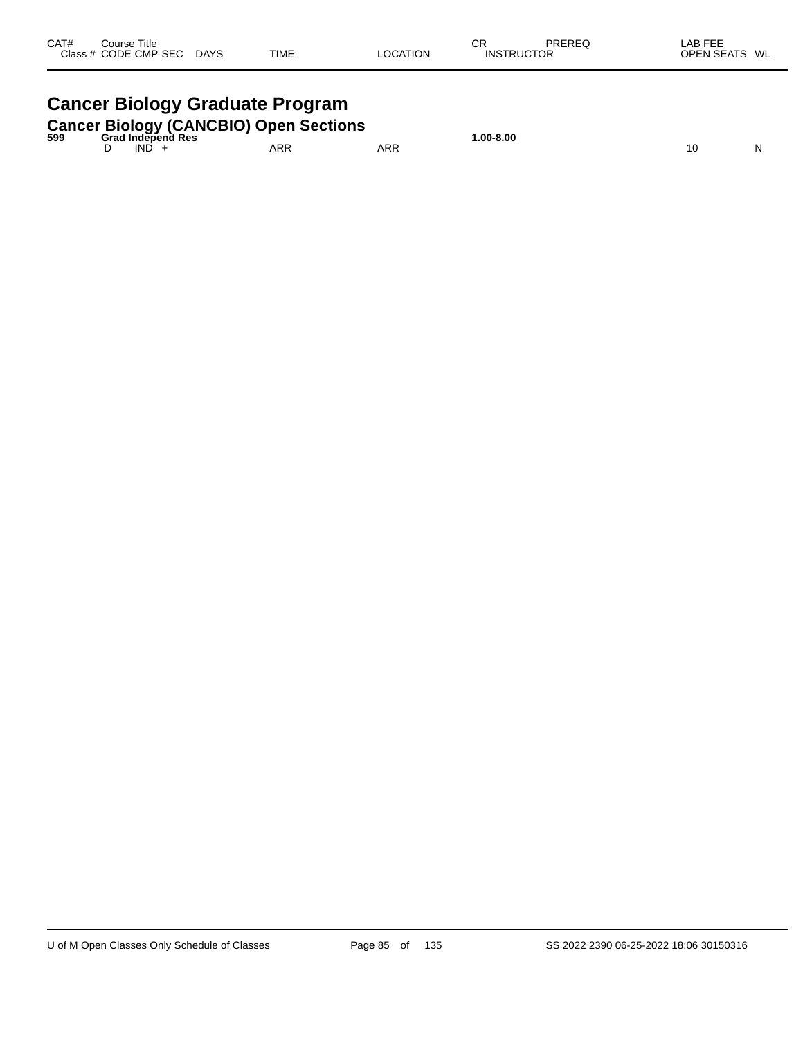| CAT# | Course Title<br>Class # CODE CMP SEC | <b>DAYS</b> | <b>TIME</b> | <b>LOCATION</b> | СR<br><b>INSTRUCTOR</b> | PREREQ | LAB FEE<br><b>OPEN SEATS</b><br>WL |
|------|--------------------------------------|-------------|-------------|-----------------|-------------------------|--------|------------------------------------|
|      |                                      |             |             |                 |                         |        |                                    |

# **Cancer Biology Graduate Program**

|  | Cancer Biology (CANCBIO) Open Sections |  |
|--|----------------------------------------|--|
|  |                                        |  |

| 599 | .<br>Grad Independ<br>ੇ Res |            |            | $.00-8.00$ |         |   |
|-----|-----------------------------|------------|------------|------------|---------|---|
|     | IND                         | <b>ARR</b> | <b>ARR</b> |            | יי<br>v | N |
|     |                             |            |            |            |         |   |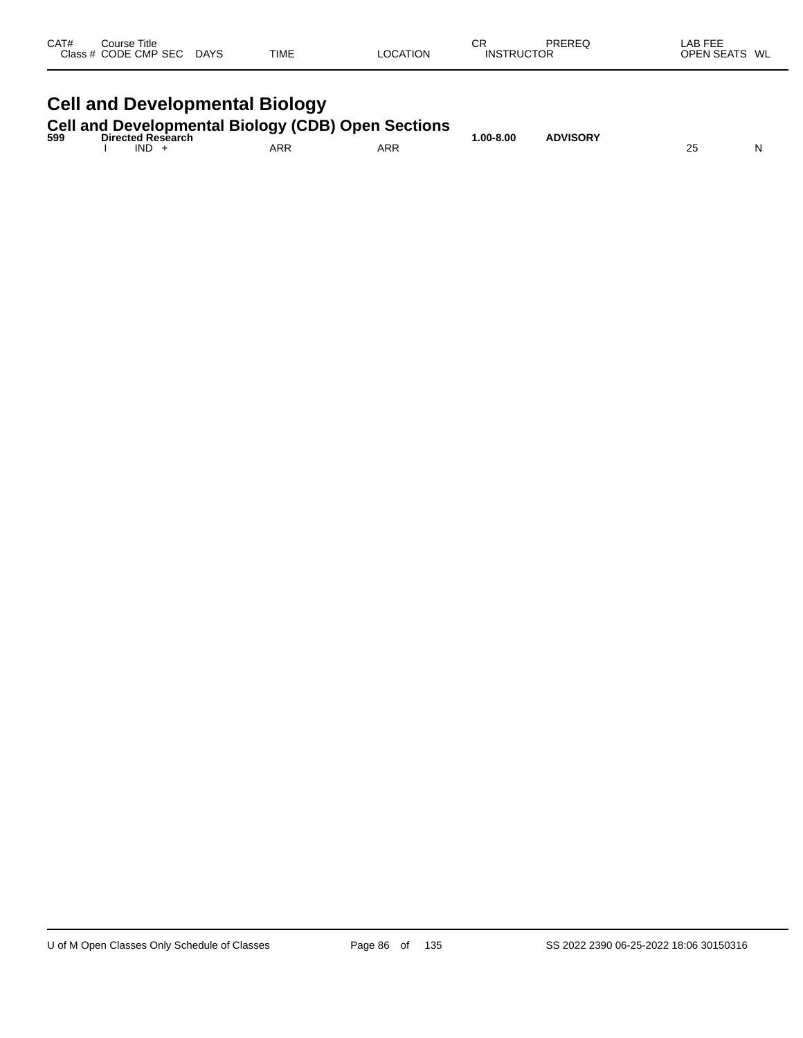| CAT# | ourse Titleٽ<br>Class # CODE CMP SEC | <b>DAYS</b> | <b>TIME</b> | LOCATION | СF<br><b>INSTRUCTOR</b> | PREREQ | LAB FEF<br>WL<br><b>OPEN SEATS</b> |
|------|--------------------------------------|-------------|-------------|----------|-------------------------|--------|------------------------------------|
|      |                                      |             |             |          |                         |        |                                    |

# **Cell and Developmental Biology**

**Cell and Developmental Biology (CDB) Open Sections**

| 599 | <b>Directed Research</b> | -- -       |            | <b>ADVISORY</b><br>.00-8.00، |   |  |
|-----|--------------------------|------------|------------|------------------------------|---|--|
|     | IND                      | <b>ARR</b> | <b>ARR</b> |                              | ∼ |  |
|     |                          |            |            |                              |   |  |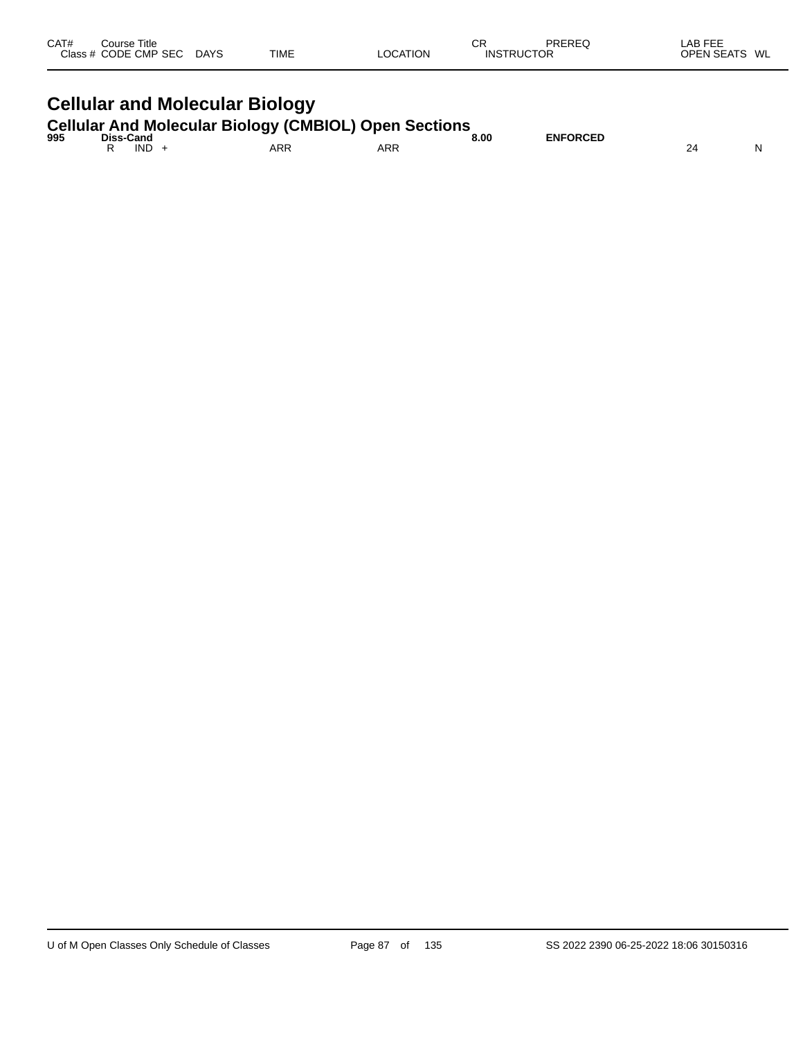| CAT#<br>Class $#$ | Course Title<br><b>CODE CMP SEC</b> | <b>DAYS</b> | <b>TIME</b> | <b>LOCATION</b> | СR<br><b>INSTRUCTOR</b> | PREREQ | LAB FEE<br><b>OPEN SEATS</b> | WL |
|-------------------|-------------------------------------|-------------|-------------|-----------------|-------------------------|--------|------------------------------|----|
|                   |                                     |             |             |                 |                         |        |                              |    |

# **Cellular and Molecular Biology**

**Cellular And Molecular Biology (CMBIOL) Open Sections**

| 995 | Diss-<br><b>Cand</b> | --  |                 | 8.00  | <b>ENFORCED</b> |   |
|-----|----------------------|-----|-----------------|-------|-----------------|---|
|     | <b>IND</b>           | ARR | <b>ARR</b><br>. | $  -$ |                 | N |
|     |                      |     |                 |       |                 |   |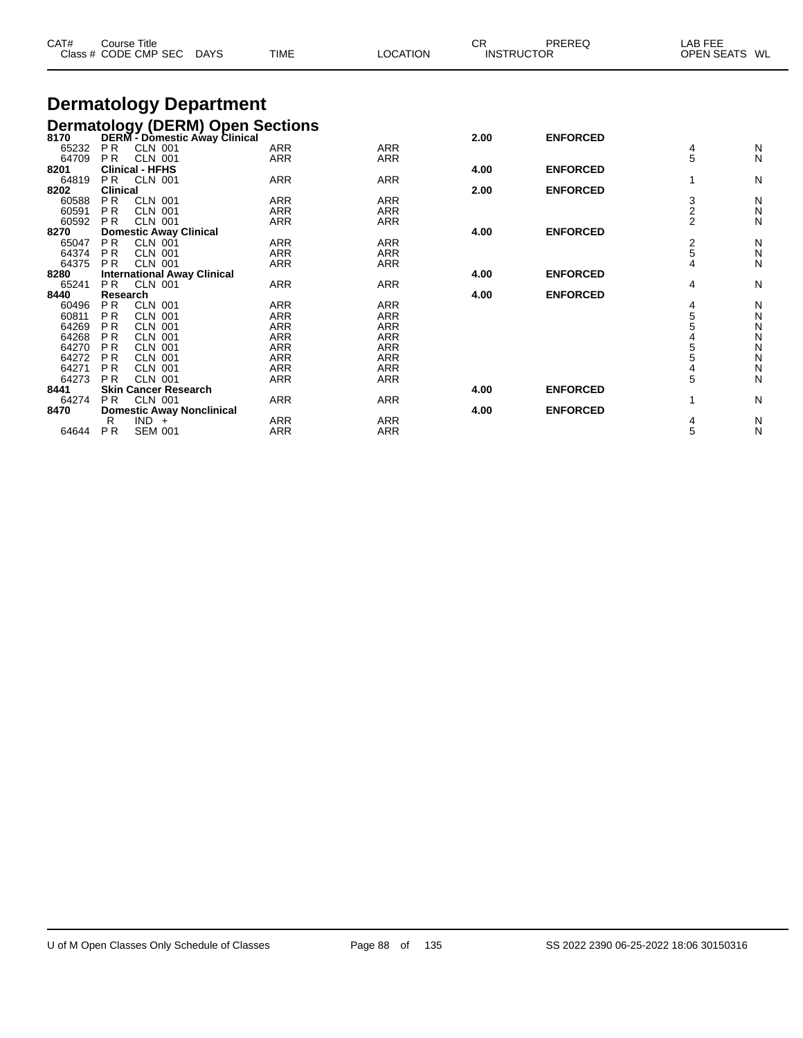| CAT#  | <b>Course Title</b> | Class # CODE CMP SEC               | <b>DAYS</b> | <b>TIME</b>                                                                   | <b>LOCATION</b> | <b>CR</b> | PREREQ<br><b>INSTRUCTOR</b> | <b>LAB FEE</b><br><b>OPEN SEATS</b> | WL |
|-------|---------------------|------------------------------------|-------------|-------------------------------------------------------------------------------|-----------------|-----------|-----------------------------|-------------------------------------|----|
|       |                     | <b>Dermatology Department</b>      |             |                                                                               |                 |           |                             |                                     |    |
|       |                     |                                    |             | <b>Dermatology (DERM) Open Sections</b><br>8170 DERM - Domestic Away Clinical |                 |           |                             |                                     |    |
|       |                     |                                    |             |                                                                               |                 | 2.00      | <b>ENFORCED</b>             |                                     |    |
| 65232 | <b>PR</b>           | <b>CLN 001</b>                     |             | <b>ARR</b>                                                                    | <b>ARR</b>      |           |                             | 4                                   | N  |
| 64709 | <b>PR</b>           | <b>CLN 001</b>                     |             | <b>ARR</b>                                                                    | <b>ARR</b>      |           |                             | 5                                   | N  |
| 8201  |                     | <b>Clinical - HFHS</b>             |             |                                                                               |                 | 4.00      | <b>ENFORCED</b>             |                                     |    |
| 64819 | P <sub>R</sub>      | CLN 001                            |             | <b>ARR</b>                                                                    | <b>ARR</b>      |           |                             | 1                                   | N  |
| 8202  | <b>Clinical</b>     |                                    |             |                                                                               |                 | 2.00      | <b>ENFORCED</b>             |                                     |    |
| 60588 | <b>PR</b>           | <b>CLN 001</b>                     |             | <b>ARR</b>                                                                    | <b>ARR</b>      |           |                             | $\frac{3}{2}$                       | N  |
| 60591 | <b>PR</b>           | <b>CLN 001</b>                     |             | <b>ARR</b>                                                                    | <b>ARR</b>      |           |                             |                                     | N  |
| 60592 | <b>PR</b>           | CLN 001                            |             | <b>ARR</b>                                                                    | <b>ARR</b>      |           |                             | $\overline{2}$                      | N  |
| 8270  |                     | <b>Domestic Away Clinical</b>      |             |                                                                               |                 | 4.00      | <b>ENFORCED</b>             |                                     |    |
| 65047 | <b>PR</b>           | <b>CLN 001</b>                     |             | <b>ARR</b>                                                                    | <b>ARR</b>      |           |                             | $\frac{2}{5}$                       | N  |
| 64374 | <b>PR</b>           | <b>CLN 001</b>                     |             | <b>ARR</b>                                                                    | <b>ARR</b>      |           |                             |                                     | Ν  |
| 64375 | <b>PR</b>           | <b>CLN 001</b>                     |             | <b>ARR</b>                                                                    | <b>ARR</b>      |           |                             | 4                                   | N  |
| 8280  |                     | <b>International Away Clinical</b> |             |                                                                               |                 | 4.00      | <b>ENFORCED</b>             |                                     |    |
| 65241 | <b>PR</b>           | <b>CLN 001</b>                     |             | <b>ARR</b>                                                                    | <b>ARR</b>      |           |                             | 4                                   | N  |
| 8440  | Research            |                                    |             |                                                                               |                 | 4.00      | <b>ENFORCED</b>             |                                     |    |
| 60496 | <b>PR</b>           | <b>CLN 001</b>                     |             | <b>ARR</b>                                                                    | <b>ARR</b>      |           |                             | 4                                   | N  |
| 60811 | <b>PR</b>           | <b>CLN 001</b>                     |             | <b>ARR</b>                                                                    | <b>ARR</b>      |           |                             |                                     | Ν  |
| 64269 | P <sub>R</sub>      | <b>CLN 001</b>                     |             | <b>ARR</b>                                                                    | <b>ARR</b>      |           |                             | 5<br>5<br>4                         | Ν  |
| 64268 | <b>PR</b>           | <b>CLN 001</b>                     |             | <b>ARR</b>                                                                    | <b>ARR</b>      |           |                             |                                     | Ν  |
| 64270 | P <sub>R</sub>      | <b>CLN 001</b>                     |             | <b>ARR</b>                                                                    | <b>ARR</b>      |           |                             | 5<br>5                              | Ν  |
| 64272 | <b>PR</b>           | <b>CLN 001</b>                     |             | <b>ARR</b>                                                                    | <b>ARR</b>      |           |                             |                                     | N  |
| 64271 | <b>PR</b>           | <b>CLN 001</b>                     |             | <b>ARR</b>                                                                    | <b>ARR</b>      |           |                             | 4                                   | N  |
| 64273 | <b>PR</b>           | <b>CLN 001</b>                     |             | <b>ARR</b>                                                                    | <b>ARR</b>      |           |                             | 5                                   | N  |
| 8441  |                     | <b>Skin Cancer Research</b>        |             |                                                                               |                 | 4.00      | <b>ENFORCED</b>             |                                     |    |
| 64274 | P <sub>R</sub>      | <b>CLN 001</b>                     |             | <b>ARR</b>                                                                    | <b>ARR</b>      |           |                             | 1                                   | N  |
| 8470  |                     | <b>Domestic Away Nonclinical</b>   |             |                                                                               |                 | 4.00      | <b>ENFORCED</b>             |                                     |    |
|       | R                   | $IND +$                            |             | <b>ARR</b>                                                                    | <b>ARR</b>      |           |                             | 4                                   | N  |
| 64644 | P <sub>R</sub>      | <b>SEM 001</b>                     |             | <b>ARR</b>                                                                    | <b>ARR</b>      |           |                             | 5                                   | N  |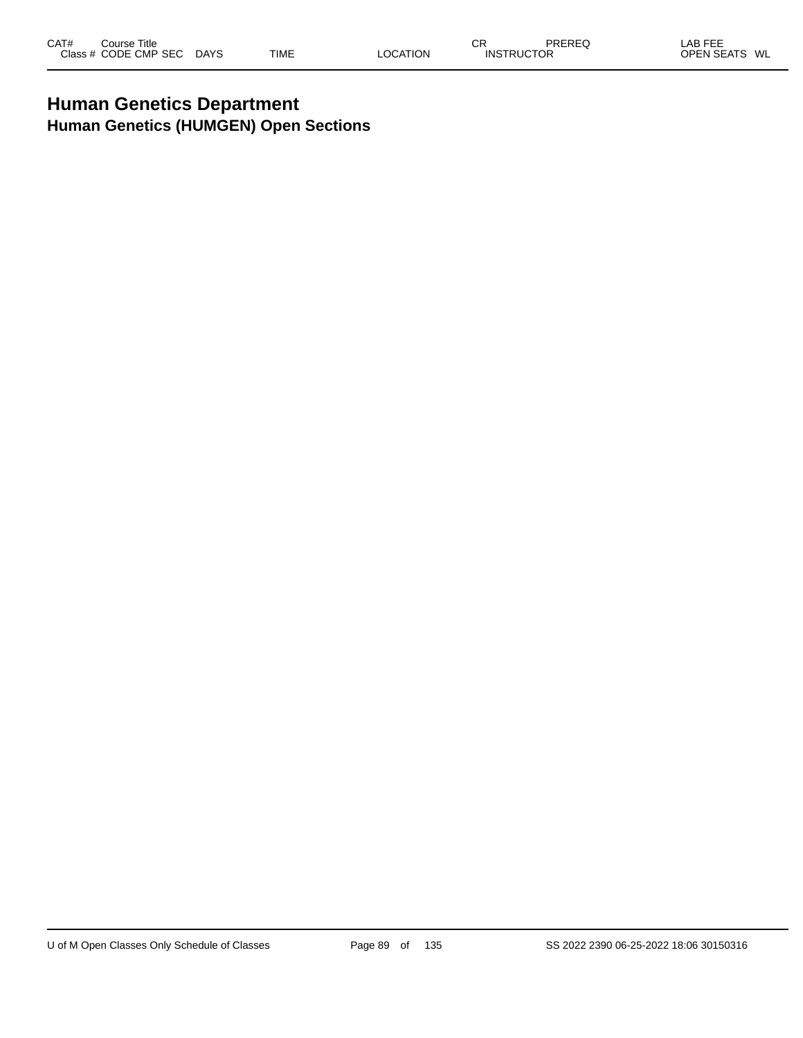## **Human Genetics Department Human Genetics (HUMGEN) Open Sections**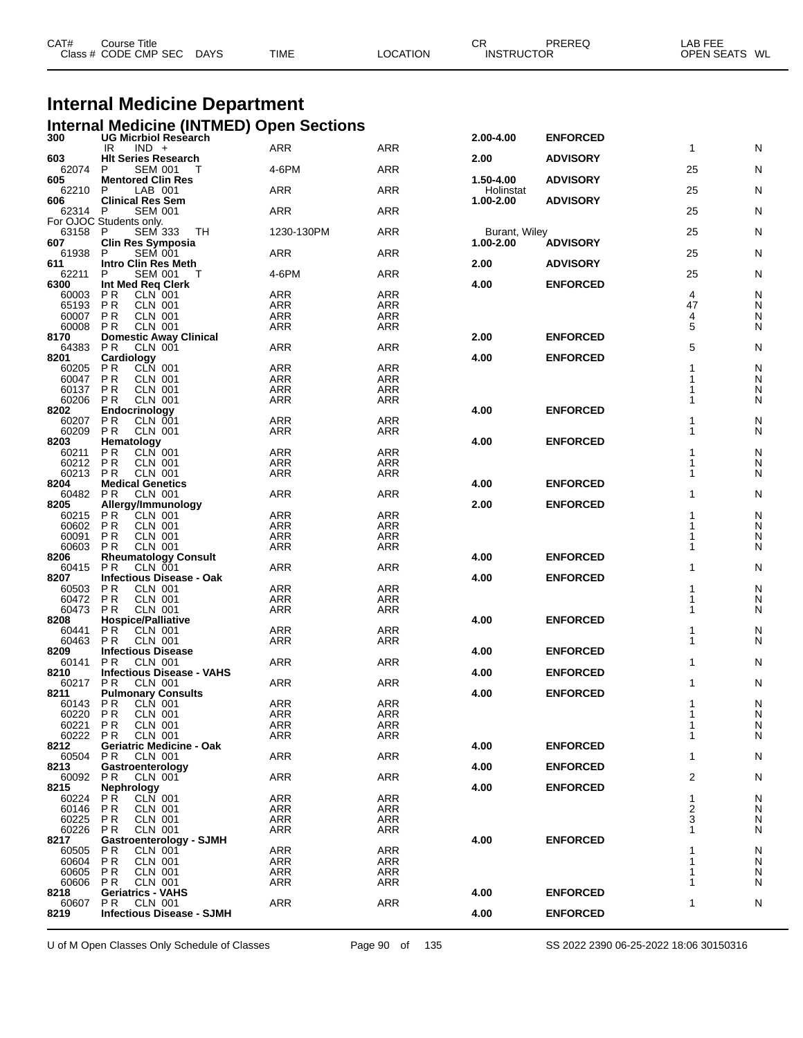| CAT# | Course Title         |             |             |          | СR                | PREREQ | LAB FEE       |  |
|------|----------------------|-------------|-------------|----------|-------------------|--------|---------------|--|
|      | Class # CODE CMP SEC | <b>DAYS</b> | <b>TIME</b> | LOCATION | <b>INSTRUCTOR</b> |        | OPEN SEATS WL |  |
|      |                      |             |             |          |                   |        |               |  |

# **Internal Medicine Department**

|                | <b>Internal Medicine (INTMED) Open Sections</b>               |                   |                   |                        |                 |                |        |
|----------------|---------------------------------------------------------------|-------------------|-------------------|------------------------|-----------------|----------------|--------|
| 300            | <b>UG Micrbiol Research</b><br>$IND +$<br>IR                  | <b>ARR</b>        | ARR               | 2.00-4.00              | <b>ENFORCED</b> | $\mathbf{1}$   | N      |
| 603            | <b>HIt Series Research</b>                                    |                   |                   | 2.00                   | <b>ADVISORY</b> |                |        |
| 62074<br>605   | P<br><b>SEM 001</b><br>Τ<br><b>Mentored Clin Res</b>          | 4-6PM             | ARR               | 1.50-4.00              | <b>ADVISORY</b> | 25             | N      |
| 62210<br>606   | LAB 001<br>P<br><b>Clinical Res Sem</b>                       | ARR               | ARR               | Holinstat<br>1.00-2.00 | <b>ADVISORY</b> | 25             | Ν      |
| 62314 P        | <b>SEM 001</b><br>For OJOC Students only.                     | ARR               | ARR               |                        |                 | 25             | N      |
| 63158 P<br>607 | <b>SEM 333</b><br>TH                                          | 1230-130PM        | ARR               | Burant, Wiley          |                 | 25             | N      |
| 61938          | Clin Res Symposia<br>P<br><b>SEM 001</b>                      | ARR               | ARR               | 1.00-2.00              | <b>ADVISORY</b> | 25             | Ν      |
| 611<br>62211   | <b>Intro Clin Res Meth</b><br><b>SEM 001</b><br>P<br>т        | 4-6PM             | ARR               | 2.00                   | <b>ADVISORY</b> | 25             | N      |
| 6300           | Int Med Reg Clerk                                             |                   |                   | 4.00                   | <b>ENFORCED</b> |                |        |
| 60003<br>65193 | CLN 001<br>P <sub>R</sub><br>P <sub>R</sub><br><b>CLN 001</b> | ARR<br><b>ARR</b> | <b>ARR</b><br>ARR |                        |                 | 4<br>47        | N<br>N |
| 60007          | <b>PR</b><br><b>CLN 001</b>                                   | ARR               | ARR               |                        |                 | 4              | N      |
| 60008          | <b>CLN 001</b><br>P R                                         | ARR               | ARR               |                        |                 | 5              | N      |
| 8170           | <b>Domestic Away Clinical</b>                                 |                   |                   | 2.00                   | <b>ENFORCED</b> |                |        |
| 64383          | PR.<br><b>CLN 001</b>                                         | ARR               | ARR               |                        |                 | 5              | N      |
| 8201           | Cardiology                                                    |                   |                   | 4.00                   | <b>ENFORCED</b> |                |        |
| 60205          | CLN 001<br>P R                                                | <b>ARR</b>        | <b>ARR</b>        |                        |                 |                | N      |
| 60047          | <b>PR</b><br><b>CLN 001</b>                                   | ARR               | ARR               |                        |                 |                | N      |
| 60137          | P <sub>R</sub><br><b>CLN 001</b>                              | <b>ARR</b>        | ARR               |                        |                 |                | N      |
| 60206          | <b>CLN 001</b><br>P R                                         | <b>ARR</b>        | <b>ARR</b>        |                        |                 |                | N      |
| 8202           | Endocrinology                                                 |                   |                   | 4.00                   | <b>ENFORCED</b> |                |        |
| 60207          | <b>PR</b><br>CLN 001                                          | ARR               | ARR               |                        |                 | 1              | Ν      |
| 60209          | P <sub>R</sub><br><b>CLN 001</b>                              | ARR               | ARR               |                        |                 | 1              | N      |
| 8203           | Hematology                                                    |                   |                   | 4.00                   | <b>ENFORCED</b> |                |        |
| 60211          | <b>PR</b><br><b>CLN 001</b>                                   | ARR               | ARR               |                        |                 |                | N      |
| 60212          | <b>PR</b><br><b>CLN 001</b>                                   | <b>ARR</b>        | <b>ARR</b>        |                        |                 |                | N      |
| 60213          | P <sub>R</sub><br><b>CLN 001</b>                              | ARR               | ARR               |                        |                 | 1              | N      |
| 8204           | <b>Medical Genetics</b>                                       |                   |                   | 4.00                   | <b>ENFORCED</b> |                |        |
| 60482          | <b>CLN 001</b><br>P R                                         | ARR               | <b>ARR</b>        |                        |                 | 1              | N      |
| 8205           | Allergy/Immunology                                            |                   |                   | 2.00                   | <b>ENFORCED</b> |                |        |
| 60215          | <b>PR</b><br>CLN 001                                          | ARR               | ARR               |                        |                 |                | N      |
| 60602          | <b>CLN 001</b><br>P R                                         | <b>ARR</b>        | <b>ARR</b>        |                        |                 |                | N      |
| 60091          | <b>PR</b><br><b>CLN 001</b>                                   | ARR               | ARR               |                        |                 |                | N      |
| 60603          | <b>PR</b><br><b>CLN 001</b>                                   | ARR               | ARR               |                        |                 | 1              | N      |
| 8206           | <b>Rheumatology Consult</b>                                   |                   |                   | 4.00                   | <b>ENFORCED</b> |                |        |
| 60415          | <b>PR</b><br><b>CLN 001</b>                                   | ARR               | ARR               |                        |                 | 1              | N      |
| 8207           | <b>Infectious Disease - Oak</b>                               |                   |                   | 4.00                   | <b>ENFORCED</b> |                |        |
| 60503          | P R<br>CLN 001                                                | <b>ARR</b>        | <b>ARR</b>        |                        |                 | 1              | N      |
| 60472          | <b>PR</b><br><b>CLN 001</b>                                   | ARR               | ARR               |                        |                 | 1              | N      |
| 60473          | <b>CLN 001</b><br>P R                                         | <b>ARR</b>        | ARR               |                        |                 | 1              | N      |
| 8208           | <b>Hospice/Palliative</b>                                     |                   |                   | 4.00                   | <b>ENFORCED</b> |                |        |
| 60441          | <b>PR</b><br><b>CLN 001</b>                                   | ARR               | ARR               |                        |                 | 1              | N      |
| 60463          | <b>CLN 001</b><br>P R                                         | ARR               | ARR               |                        |                 | 1              | N      |
| 8209           | <b>Infectious Disease</b>                                     |                   |                   | 4.00                   | <b>ENFORCED</b> |                |        |
| 60141          | <b>PR</b><br><b>CLN 001</b>                                   | ARR               | ARR               |                        |                 | 1              | N      |
| 8210           | <b>Infectious Disease - VAHS</b>                              |                   |                   | 4.00                   | <b>ENFORCED</b> |                |        |
| 60217          | <b>CLN 001</b><br>P R                                         | ARR               | ARR               |                        |                 | 1              | N      |
| 8211           | <b>Pulmonary Consults</b>                                     |                   |                   | 4.00                   | <b>ENFORCED</b> |                |        |
| 60143 PR       | CLN 001                                                       | <b>ARR</b>        | <b>ARR</b>        |                        |                 | 1              | N      |
| 60220          | <b>CLN 001</b><br>P R                                         | <b>ARR</b>        | ARR               |                        |                 | 1              | N      |
| 60221          | <b>PR</b><br><b>CLN 001</b>                                   | ARR               | <b>ARR</b>        |                        |                 | 1              | N      |
| 60222          | <b>CLN 001</b><br>P R                                         | ARR               | ARR               |                        |                 | 1              | N      |
| 8212           | <b>Geriatric Medicine - Oak</b>                               |                   |                   | 4.00                   | <b>ENFORCED</b> |                |        |
| 60504          | <b>CLN 001</b><br>P R                                         | ARR               | ARR               |                        |                 | $\mathbf{1}$   | N      |
| 8213           | Gastroenterology                                              |                   |                   | 4.00                   | <b>ENFORCED</b> |                |        |
| 60092          | <b>CLN 001</b><br>P R                                         | ARR               | ARR               |                        |                 | $\overline{c}$ | N      |
| 8215           | <b>Nephrology</b>                                             |                   |                   | 4.00                   | <b>ENFORCED</b> |                |        |
| 60224          | P R<br>CLN 001                                                | ARR               | ARR               |                        |                 | 1              | N      |
| 60146          | <b>CLN 001</b><br>P R                                         | <b>ARR</b>        | <b>ARR</b>        |                        |                 | 2              | N      |
| 60225          | <b>PR</b><br><b>CLN 001</b>                                   | ARR               | ARR               |                        |                 | 3              | N      |
| 60226          | <b>CLN 001</b><br>P R                                         | ARR               | ARR               |                        |                 | 1              | N      |
| 8217           | <b>Gastroenterology - SJMH</b>                                |                   |                   | 4.00                   | <b>ENFORCED</b> |                |        |
| 60505          | <b>CLN 001</b><br>P R                                         | ARR               | ARR               |                        |                 | 1              | N      |
| 60604          | P <sub>R</sub><br><b>CLN 001</b>                              | ARR               | ARR               |                        |                 |                | N      |
| 60605          | <b>CLN 001</b><br>P R                                         | <b>ARR</b>        | <b>ARR</b>        |                        |                 | 1              | N      |
| 60606          | <b>CLN 001</b><br>P <sub>R</sub>                              | ARR               | ARR               |                        |                 | 1              | N      |
| 8218<br>60607  | <b>Geriatrics - VAHS</b><br><b>CLN 001</b><br>P R             | <b>ARR</b>        | <b>ARR</b>        | 4.00                   | <b>ENFORCED</b> | 1              | N      |
| 8219           | <b>Infectious Disease - SJMH</b>                              |                   |                   | 4.00                   | <b>ENFORCED</b> |                |        |
|                |                                                               |                   |                   |                        |                 |                |        |

U of M Open Classes Only Schedule of Classes Page 90 of 135 SS 2022 2390 06-25-2022 18:06 30150316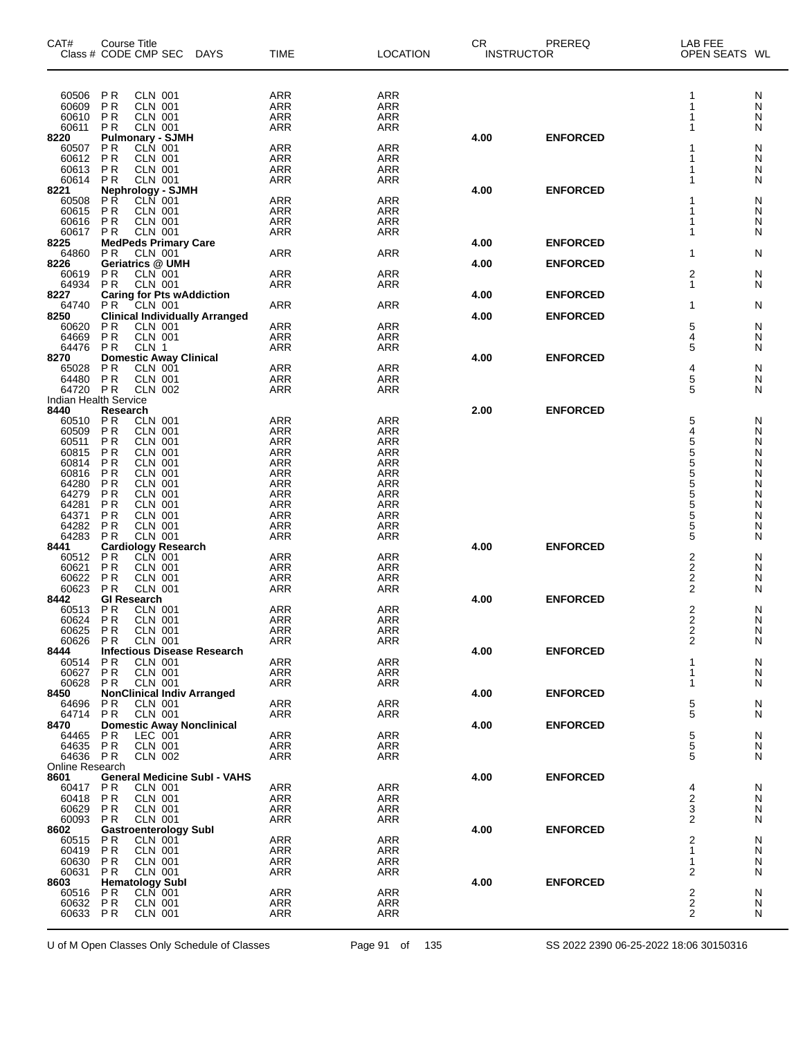| CAT#                    | Course Title<br>Class # CODE CMP SEC<br>DAYS                   | <b>TIME</b>              | <b>LOCATION</b>          | СR<br><b>INSTRUCTOR</b> | PREREQ          | LAB FEE<br>OPEN SEATS WL     |        |
|-------------------------|----------------------------------------------------------------|--------------------------|--------------------------|-------------------------|-----------------|------------------------------|--------|
| 60506                   | <b>CLN 001</b><br>P R                                          | <b>ARR</b>               | <b>ARR</b>               |                         |                 | 1                            | N      |
| 60609                   | <b>CLN 001</b><br>P <sub>R</sub>                               | <b>ARR</b>               | ARR                      |                         |                 | 1                            | N      |
| 60610                   | P <sub>R</sub><br><b>CLN 001</b>                               | <b>ARR</b>               | <b>ARR</b>               |                         |                 |                              | N      |
| 60611<br>8220           | ΡR<br><b>CLN 001</b><br><b>Pulmonary - SJMH</b>                | <b>ARR</b>               | <b>ARR</b>               | 4.00                    | <b>ENFORCED</b> |                              | N      |
| 60507                   | <b>CLN 001</b><br>ΡR                                           | <b>ARR</b>               | <b>ARR</b>               |                         |                 |                              | N      |
| 60612                   | <b>PR</b><br><b>CLN 001</b>                                    | <b>ARR</b>               | <b>ARR</b>               |                         |                 |                              | Ν      |
| 60613<br>60614          | <b>CLN 001</b><br>ΡR<br><b>CLN 001</b><br>P <sub>R</sub>       | <b>ARR</b><br>ARR        | <b>ARR</b><br><b>ARR</b> |                         |                 |                              | N<br>N |
| 8221                    | <b>Nephrology - SJMH</b>                                       |                          |                          | 4.00                    | <b>ENFORCED</b> |                              |        |
| 60508                   | <b>PR</b><br>CLN 001                                           | <b>ARR</b>               | <b>ARR</b>               |                         |                 |                              | N      |
| 60615                   | <b>PR</b><br><b>CLN 001</b>                                    | <b>ARR</b>               | <b>ARR</b>               |                         |                 |                              | N      |
| 60616<br>60617          | <b>PR</b><br><b>CLN 001</b><br><b>PR</b><br><b>CLN 001</b>     | <b>ARR</b><br>ARR        | <b>ARR</b><br><b>ARR</b> |                         |                 | 1                            | N<br>N |
| 8225                    | <b>MedPeds Primary Care</b>                                    |                          |                          | 4.00                    | <b>ENFORCED</b> |                              |        |
| 64860                   | P <sub>R</sub><br>CLN 001                                      | <b>ARR</b>               | <b>ARR</b>               |                         |                 | 1                            | N      |
| 8226<br>60619           | <b>Geriatrics @ UMH</b><br><b>PR</b><br><b>CLN 001</b>         | ARR                      | <b>ARR</b>               | 4.00                    | <b>ENFORCED</b> | 2                            | N      |
| 64934                   | P <sub>R</sub><br><b>CLN 001</b>                               | <b>ARR</b>               | <b>ARR</b>               |                         |                 | 1                            | Ν      |
| 8227                    | <b>Caring for Pts wAddiction</b>                               |                          |                          | 4.00                    | <b>ENFORCED</b> |                              |        |
| 64740<br>8250           | $CLN$ 001<br>P R<br><b>Clinical Individually Arranged</b>      | ARR                      | ARR                      | 4.00                    | <b>ENFORCED</b> | 1                            | N      |
| 60620                   | <b>PR</b><br>CLN 001                                           | <b>ARR</b>               | <b>ARR</b>               |                         |                 | 5                            | N      |
| 64669                   | P <sub>R</sub><br><b>CLN 001</b>                               | <b>ARR</b>               | ARR                      |                         |                 | 4                            | N      |
| 64476                   | P <sub>R</sub><br>CLN 1                                        | <b>ARR</b>               | <b>ARR</b>               |                         |                 | 5                            | N      |
| 8270<br>65028           | <b>Domestic Away Clinical</b><br>P <sub>R</sub><br>CLN 001     | <b>ARR</b>               | <b>ARR</b>               | 4.00                    | <b>ENFORCED</b> | 4                            | N      |
| 64480                   | <b>PR</b><br><b>CLN 001</b>                                    | <b>ARR</b>               | <b>ARR</b>               |                         |                 | 5                            | Ν      |
| 64720                   | PR<br><b>CLN 002</b>                                           | ARR                      | <b>ARR</b>               |                         |                 | 5                            | N      |
| 8440                    | Indian Health Service<br>Research                              |                          |                          | 2.00                    | <b>ENFORCED</b> |                              |        |
| 60510                   | <b>PR</b><br><b>CLN 001</b>                                    | <b>ARR</b>               | <b>ARR</b>               |                         |                 | 5                            | N      |
| 60509                   | P <sub>R</sub><br><b>CLN 001</b>                               | ARR                      | <b>ARR</b>               |                         |                 | 4                            | N      |
| 60511<br>60815          | P <sub>R</sub><br><b>CLN 001</b><br>CLN 001<br>P <sub>R</sub>  | <b>ARR</b><br><b>ARR</b> | <b>ARR</b><br><b>ARR</b> |                         |                 | 5                            | Ν<br>N |
| 60814                   | P <sub>R</sub><br>CLN 001                                      | <b>ARR</b>               | <b>ARR</b>               |                         |                 | 5<br>5                       | N      |
| 60816                   | P <sub>R</sub><br><b>CLN 001</b>                               | <b>ARR</b>               | <b>ARR</b>               |                         |                 | 5                            | Ν      |
| 64280                   | ΡR<br><b>CLN 001</b>                                           | <b>ARR</b>               | <b>ARR</b>               |                         |                 | 5<br>$\overline{5}$          | N      |
| 64279<br>64281          | P <sub>R</sub><br>CLN 001<br>ΡR<br><b>CLN 001</b>              | <b>ARR</b><br><b>ARR</b> | <b>ARR</b><br><b>ARR</b> |                         |                 | 5                            | N<br>Ν |
| 64371                   | ΡR<br><b>CLN 001</b>                                           | <b>ARR</b>               | <b>ARR</b>               |                         |                 | 5                            | N      |
| 64282                   | <b>PR</b><br><b>CLN 001</b>                                    | ARR                      | <b>ARR</b>               |                         |                 | 5                            | N      |
| 64283<br>8441           | P <sub>R</sub><br><b>CLN 001</b><br><b>Cardiology Research</b> | <b>ARR</b>               | <b>ARR</b>               | 4.00                    | <b>ENFORCED</b> | 5                            | Ν      |
| 60512                   | CLN 001<br>P <sub>R</sub>                                      | <b>ARR</b>               | <b>ARR</b>               |                         |                 | 2                            | N      |
| 60621                   | ΡR<br><b>CLN 001</b>                                           | <b>ARR</b>               | <b>ARR</b>               |                         |                 | 2                            | N      |
| 60622<br>60623          | ΡR<br><b>CLN 001</b><br>P <sub>R</sub><br>CLN 001              | ARR<br>ARR               | <b>ARR</b><br>ARR        |                         |                 | $\overline{\mathbf{c}}$<br>2 | N<br>N |
| 8442                    | <b>GI Research</b>                                             |                          |                          | 4.00                    | <b>ENFORCED</b> |                              |        |
| 60513                   | PR<br>CLN 001                                                  | <b>ARR</b>               | <b>ARR</b>               |                         |                 | 2                            | N      |
| 60624 PR                | <b>CLN 001</b>                                                 | <b>ARR</b>               | ARR                      |                         |                 | 2                            | N      |
| 60625 PR<br>60626       | CLN 001<br>P R<br>CLN 001                                      | ARR<br>ARR               | ARR<br>ARR               |                         |                 | 2<br>2                       | N<br>N |
| 8444                    | <b>Infectious Disease Research</b>                             |                          |                          | 4.00                    | <b>ENFORCED</b> |                              |        |
| 60514                   | P R<br>CLN 001                                                 | <b>ARR</b>               | <b>ARR</b>               |                         |                 | 1                            | N      |
| 60627<br>60628          | <b>PR</b><br><b>CLN 001</b><br>PR.<br><b>CLN 001</b>           | <b>ARR</b><br>ARR        | ARR<br>ARR               |                         |                 | 1<br>1                       | N<br>N |
| 8450                    | <b>NonClinical Indiv Arranged</b>                              |                          |                          | 4.00                    | <b>ENFORCED</b> |                              |        |
| 64696                   | P R<br>CLN 001                                                 | ARR                      | <b>ARR</b>               |                         |                 | 5                            | N      |
| 64714<br>8470           | <b>PR</b><br>CLN 001<br><b>Domestic Away Nonclinical</b>       | ARR                      | ARR                      | 4.00                    | <b>ENFORCED</b> | 5                            | N      |
| 64465                   | P R<br>LEC 001                                                 | ARR                      | <b>ARR</b>               |                         |                 | 5                            | N      |
| 64635                   | P R<br>CLN 001                                                 | ARR                      | <b>ARR</b>               |                         |                 | 5                            | N      |
| 64636 PR                | CLN 002                                                        | ARR                      | <b>ARR</b>               |                         |                 | 5                            | N      |
| Online Research<br>8601 | <b>General Medicine Subl - VAHS</b>                            |                          |                          | 4.00                    | <b>ENFORCED</b> |                              |        |
| 60417                   | P R<br>CLN 001                                                 | <b>ARR</b>               | <b>ARR</b>               |                         |                 | 4                            | N      |
| 60418                   | <b>PR</b><br><b>CLN 001</b><br><b>CLN 001</b>                  | <b>ARR</b>               | ARR                      |                         |                 | 2                            | N      |
| 60629<br>60093          | P R<br><b>PR</b><br><b>CLN 001</b>                             | ARR<br>ARR               | <b>ARR</b><br><b>ARR</b> |                         |                 | 3<br>2                       | N<br>N |
| 8602                    | <b>Gastroenterology Subl</b>                                   |                          |                          | 4.00                    | <b>ENFORCED</b> |                              |        |
| 60515                   | P <sub>R</sub><br>CLN 001                                      | ARR                      | <b>ARR</b>               |                         |                 | 2                            | N      |
| 60419<br>60630          | <b>PR</b><br>CLN 001<br>P <sub>R</sub><br><b>CLN 001</b>       | ARR<br><b>ARR</b>        | <b>ARR</b><br>ARR        |                         |                 | 1<br>1                       | N<br>N |
| 60631                   | P R<br>CLN 001                                                 | ARR                      | ARR                      |                         |                 | 2                            | N      |
| 8603                    | <b>Hematology Subl</b>                                         |                          |                          | 4.00                    | <b>ENFORCED</b> |                              |        |
| 60516<br>60632          | P R<br><b>CLN 001</b><br><b>PR</b><br>CLN 001                  | ARR<br><b>ARR</b>        | <b>ARR</b>               |                         |                 | 2                            | N      |
| 60633 PR                | <b>CLN 001</b>                                                 | <b>ARR</b>               | ARR<br><b>ARR</b>        |                         |                 | 2<br>2                       | N<br>N |
|                         |                                                                |                          |                          |                         |                 |                              |        |

U of M Open Classes Only Schedule of Classes Page 91 of 135 SS 2022 2390 06-25-2022 18:06 30150316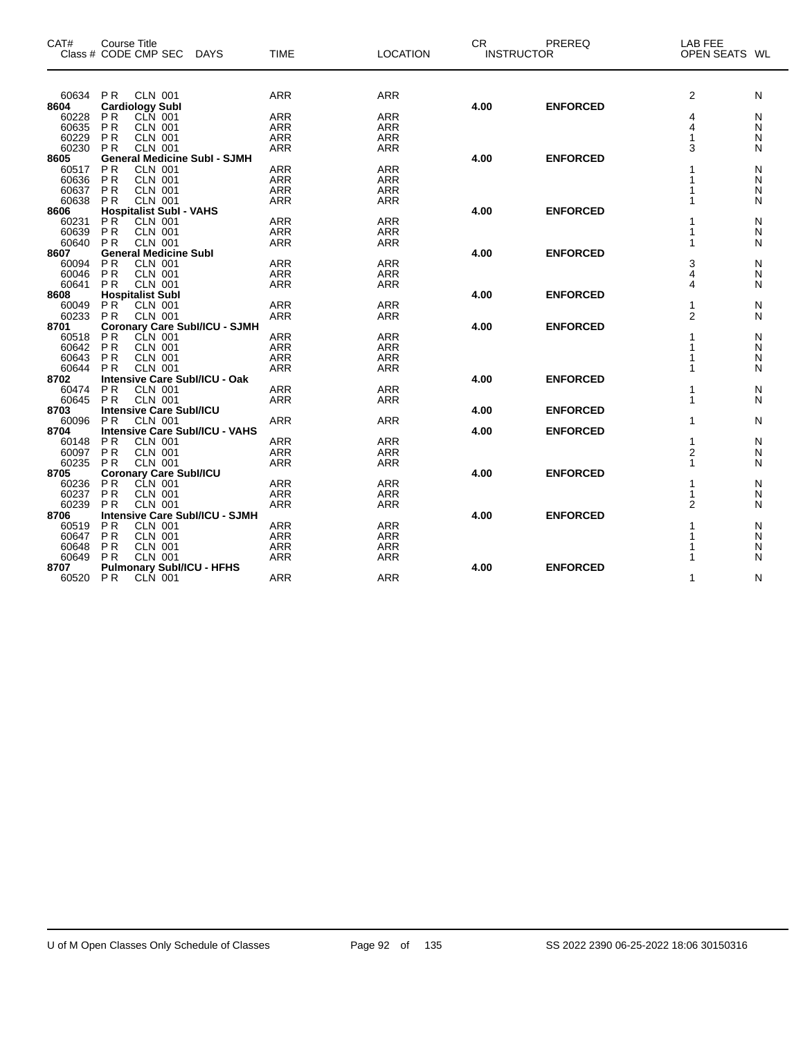| CAT#           | <b>Course Title</b><br>Class # CODE CMP SEC DAYS         | <b>TIME</b> | <b>LOCATION</b> | <b>CR</b> | PREREQ<br><b>INSTRUCTOR</b> | LAB FEE<br>OPEN SEATS WL |        |
|----------------|----------------------------------------------------------|-------------|-----------------|-----------|-----------------------------|--------------------------|--------|
| 60634          | P <sub>R</sub><br><b>CLN 001</b>                         | <b>ARR</b>  | <b>ARR</b>      |           |                             | $\overline{2}$           | N      |
| 8604           | <b>Cardiology Subl</b>                                   |             |                 | 4.00      | <b>ENFORCED</b>             |                          |        |
| 60228          | CLN 001<br>P <sub>R</sub>                                | <b>ARR</b>  | <b>ARR</b>      |           |                             | 4                        | N      |
| 60635          | <b>PR</b><br><b>CLN 001</b>                              | <b>ARR</b>  | <b>ARR</b>      |           |                             | 4                        | N      |
| 60229          | P <sub>R</sub><br>CLN 001<br>CLN 001                     | <b>ARR</b>  | <b>ARR</b>      |           |                             | 1                        | N      |
| 60230          | <b>PR</b>                                                | <b>ARR</b>  | <b>ARR</b>      |           |                             | 3                        | N      |
| 8605           | <b>General Medicine Subl - SJMH</b>                      |             |                 | 4.00      | <b>ENFORCED</b>             |                          |        |
| 60517          | <b>PR</b><br><b>CLN 001</b>                              | <b>ARR</b>  | <b>ARR</b>      |           |                             |                          | N      |
| 60636          | <b>PR</b><br><b>CLN 001</b>                              | <b>ARR</b>  | <b>ARR</b>      |           |                             |                          | N      |
| 60637          | <b>PR</b><br><b>CLN 001</b>                              | ARR         | <b>ARR</b>      |           |                             |                          | N      |
| 60638          | <b>CLN 001</b><br><b>PR</b>                              | <b>ARR</b>  | <b>ARR</b>      |           |                             |                          | N      |
| 8606           | <b>Hospitalist Subl - VAHS</b>                           |             |                 | 4.00      | <b>ENFORCED</b>             |                          |        |
| 60231          | P <sub>R</sub><br><b>CLN 001</b>                         | ARR         | <b>ARR</b>      |           |                             | 1                        | N      |
| 60639          | <b>PR</b><br><b>CLN 001</b>                              | <b>ARR</b>  | <b>ARR</b>      |           |                             |                          | N      |
| 60640          | <b>CLN 001</b><br>PR                                     | <b>ARR</b>  | <b>ARR</b>      |           |                             | 1                        | N      |
| 8607           | <b>General Medicine Subl</b>                             |             |                 | 4.00      | <b>ENFORCED</b>             |                          |        |
| 60094<br>60046 | PR<br>CLN 001<br>CLN 001<br>PR                           | <b>ARR</b>  | <b>ARR</b>      |           |                             | 3<br>4                   | N      |
|                |                                                          | <b>ARR</b>  | <b>ARR</b>      |           |                             |                          | N      |
| 60641<br>8608  | <b>CLN 001</b><br><b>PR</b>                              | <b>ARR</b>  | <b>ARR</b>      | 4.00      | <b>ENFORCED</b>             | 4                        | N      |
| 60049          | <b>Hospitalist Subl</b><br>PR<br><b>CLN 001</b>          | <b>ARR</b>  | <b>ARR</b>      |           |                             | 1                        | N      |
| 60233          | <b>CLN 001</b>                                           | <b>ARR</b>  |                 |           |                             | $\overline{2}$           |        |
| 8701           | PR                                                       |             | <b>ARR</b>      | 4.00      | <b>ENFORCED</b>             |                          | N      |
| 60518          | Coronary Care Subl/ICU - SJMH<br>PR CLN 001<br><b>PR</b> | <b>ARR</b>  | <b>ARR</b>      |           |                             | 1                        | N      |
| 60642          | <b>PR</b><br><b>CLN 001</b>                              | <b>ARR</b>  | <b>ARR</b>      |           |                             |                          |        |
| 60643          | <b>CLN 001</b><br><b>PR</b>                              | <b>ARR</b>  | <b>ARR</b>      |           |                             |                          | N<br>N |
| 60644          | <b>CLN 001</b><br><b>PR</b>                              | <b>ARR</b>  | <b>ARR</b>      |           |                             | 1                        | N      |
| 8702           | Intensive Care Subl/ICU - Oak                            |             |                 | 4.00      | <b>ENFORCED</b>             |                          |        |
| 60474          | <b>PR</b><br><b>CLN 001</b>                              | <b>ARR</b>  | <b>ARR</b>      |           |                             | 1                        | N      |
| 60645          | <b>PR</b><br><b>CLN 001</b>                              | <b>ARR</b>  | <b>ARR</b>      |           |                             | 1                        | N      |
| 8703           | <b>Intensive Care SubI/ICU</b>                           |             |                 | 4.00      | <b>ENFORCED</b>             |                          |        |
| 60096          | <b>CLN 001</b><br><b>PR</b>                              | <b>ARR</b>  | <b>ARR</b>      |           |                             | 1                        | N      |
| 8704           | <b>Intensive Care SubI/ICU - VAHS</b>                    |             |                 | 4.00      | <b>ENFORCED</b>             |                          |        |
| 60148          | P <sub>R</sub><br><b>CLN 001</b>                         | <b>ARR</b>  | <b>ARR</b>      |           |                             | 1                        | N      |
| 60097          | $\overline{P}$ R<br><b>CLN 001</b>                       | <b>ARR</b>  | <b>ARR</b>      |           |                             | $\overline{2}$           | N      |
| 60235          | <b>PR</b><br><b>CLN 001</b>                              | <b>ARR</b>  | <b>ARR</b>      |           |                             | 1                        | N      |
| 8705           | <b>Coronary Care Subl/ICU</b>                            |             |                 | 4.00      | <b>ENFORCED</b>             |                          |        |
| 60236          | CLN 001<br><b>PR</b>                                     | <b>ARR</b>  | <b>ARR</b>      |           |                             | 1                        | N      |
| 60237          | PR<br><b>CLN 001</b>                                     | <b>ARR</b>  | <b>ARR</b>      |           |                             | 1                        | N      |
| 60239          | <b>CLN 001</b><br><b>PR</b>                              | <b>ARR</b>  | <b>ARR</b>      |           |                             | $\overline{2}$           | N      |
| 8706           | <b>Intensive Care SubI/ICU - SJMH</b>                    |             |                 | 4.00      | <b>ENFORCED</b>             |                          |        |
| 60519          | <b>PR</b><br><b>CLN 001</b>                              | <b>ARR</b>  | <b>ARR</b>      |           |                             | 1                        | N      |
| 60647          | P <sub>R</sub><br><b>CLN 001</b>                         | <b>ARR</b>  | <b>ARR</b>      |           |                             |                          | N      |
| 60648          | <b>CLN 001</b><br>P <sub>R</sub>                         | <b>ARR</b>  | <b>ARR</b>      |           |                             |                          | N      |
| 60649          | <b>CLN 001</b><br>PR                                     | <b>ARR</b>  | <b>ARR</b>      |           |                             |                          | N      |
| 8707           | <b>Pulmonary SubI/ICU - HFHS</b>                         |             |                 | 4.00      | <b>ENFORCED</b>             |                          |        |
| 60520 PR       | CLN 001                                                  | <b>ARR</b>  | <b>ARR</b>      |           |                             | 1                        | N      |

 $\overline{\phantom{0}}$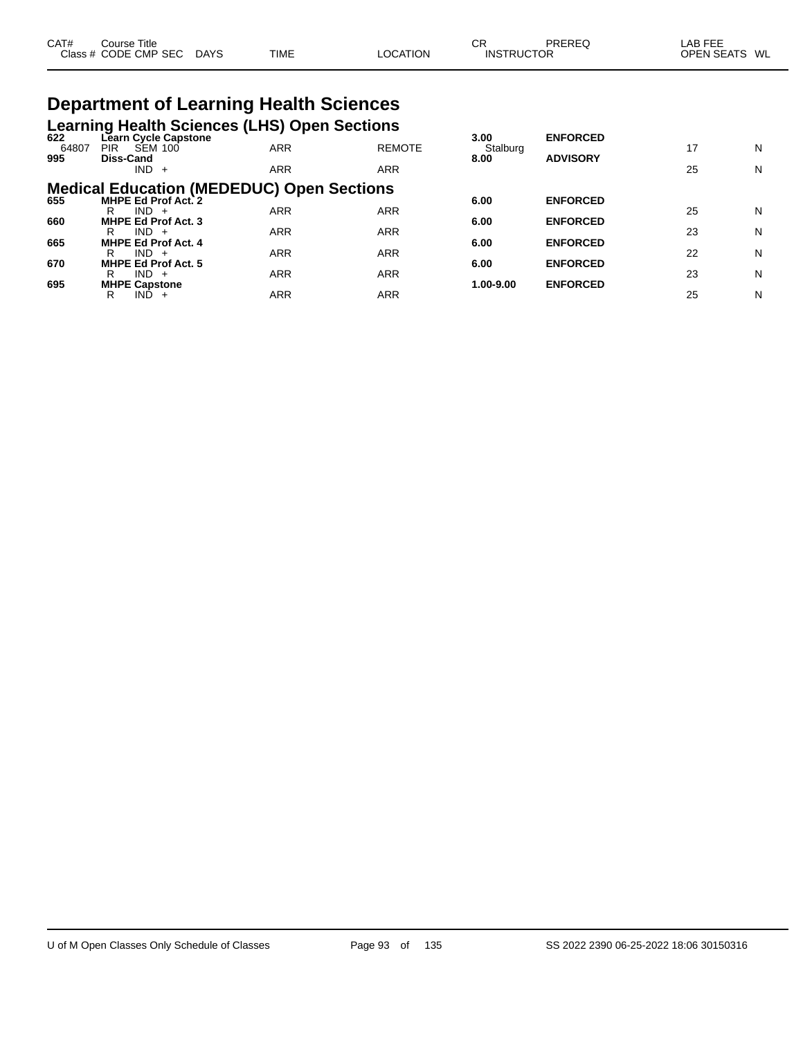| CAT# | Course Title         |             |             |          | СR                | PREREC | _AB FEE                 |
|------|----------------------|-------------|-------------|----------|-------------------|--------|-------------------------|
|      | Class # CODE CMP SEC | <b>DAYS</b> | <b>TIME</b> | LOCATION | <b>INSTRUCTOR</b> |        | <b>OPEN SEATS</b><br>WL |

# **Department of Learning Health Sciences**

| 622   | <b>Learning Health Sciences (LHS) Open Sections</b><br>Learn Cycle Capstone |            |               |                               | <b>ENFORCED</b> |    |   |
|-------|-----------------------------------------------------------------------------|------------|---------------|-------------------------------|-----------------|----|---|
| 64807 | <b>SEM 100</b><br>PIR.                                                      | <b>ARR</b> | <b>REMOTE</b> | 3.00 <sub>1</sub><br>Stalburg |                 | 17 | N |
| 995   | Diss-Cand<br>$IND +$                                                        | <b>ARR</b> | <b>ARR</b>    | 8.00                          | <b>ADVISORY</b> | 25 | N |
|       | <b>Medical Education (MEDEDUC) Open Sections</b>                            |            |               |                               |                 |    |   |
| 655   | <b>MHPE Ed Prof Act. 2</b><br>$IND +$<br>R                                  | <b>ARR</b> | <b>ARR</b>    | 6.00                          | <b>ENFORCED</b> | 25 | N |
| 660   | <b>MHPE Ed Prof Act. 3</b><br>$IND +$<br>R                                  | <b>ARR</b> | <b>ARR</b>    | 6.00                          | <b>ENFORCED</b> | 23 | N |
| 665   | <b>MHPE Ed Prof Act. 4</b>                                                  |            |               | 6.00                          | <b>ENFORCED</b> |    |   |
| 670   | $IND +$<br>R<br><b>MHPE Ed Prof Act. 5</b>                                  | <b>ARR</b> | ARR           | 6.00                          | <b>ENFORCED</b> | 22 | N |
| 695   | $IND +$<br>R<br><b>MHPE Capstone</b>                                        | <b>ARR</b> | <b>ARR</b>    | 1.00-9.00                     | <b>ENFORCED</b> | 23 | N |
|       | IND.<br>R<br>$+$                                                            | ARR        | ARR           |                               |                 | 25 | N |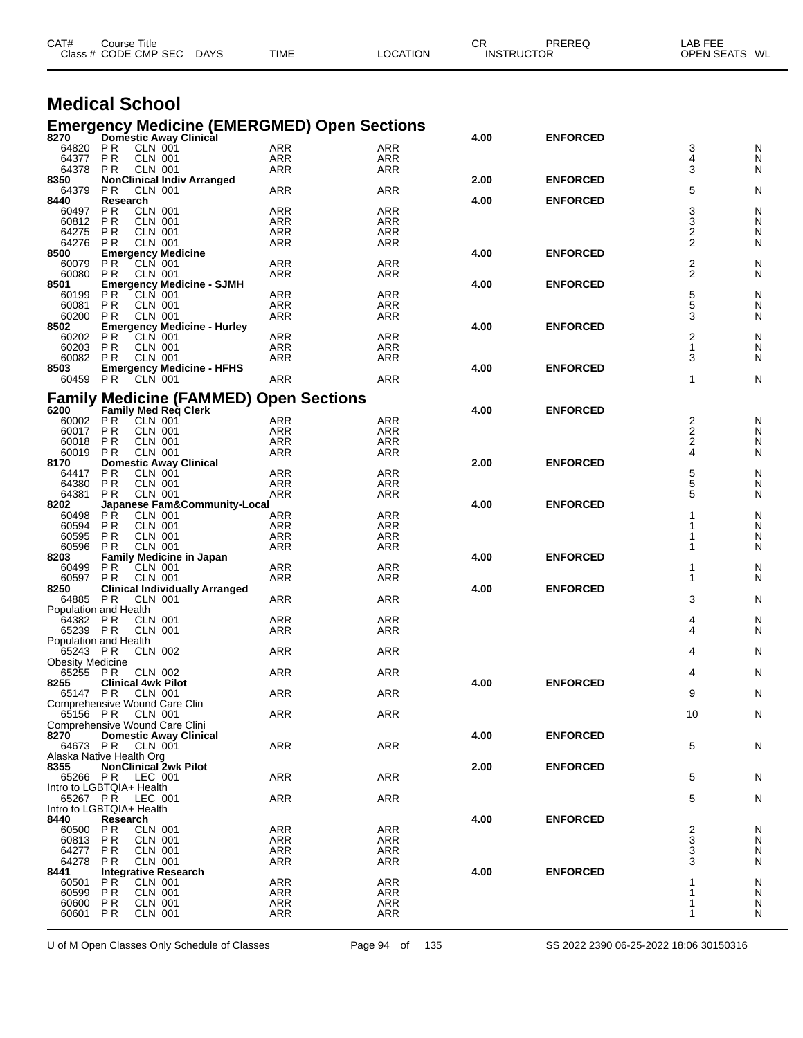| CAT#                    | Course Title<br>Class # CODE CMP SEC                       | DAYS | TIME                     | <b>LOCATION</b>                                                                   | CR   | PREREQ<br><b>INSTRUCTOR</b> | LAB FEE<br>OPEN SEATS WL |        |
|-------------------------|------------------------------------------------------------|------|--------------------------|-----------------------------------------------------------------------------------|------|-----------------------------|--------------------------|--------|
|                         | <b>Medical School</b>                                      |      |                          |                                                                                   |      |                             |                          |        |
|                         |                                                            |      |                          |                                                                                   |      |                             |                          |        |
|                         |                                                            |      |                          | <b>Emergency Medicine (EMERGMED) Open Sections</b><br>8270 Domestic Away Clinical | 4.00 | <b>ENFORCED</b>             |                          |        |
| 64820<br>64377          | <b>CLN 001</b><br><b>PR</b><br><b>PR</b><br><b>CLN 001</b> |      | ARR<br>ARR               | ARR<br>ARR                                                                        |      |                             | 3<br>4                   | N      |
| 64378                   | <b>CLN 001</b><br>P R                                      |      | ARR                      | <b>ARR</b>                                                                        |      |                             | 3                        | N<br>N |
| 8350                    | <b>NonClinical Indiv Arranged</b>                          |      |                          |                                                                                   | 2.00 | <b>ENFORCED</b>             |                          |        |
| 64379<br>8440           | <b>PR</b><br><b>CLN 001</b><br>Research                    |      | ARR                      | ARR                                                                               | 4.00 | <b>ENFORCED</b>             | 5                        | N      |
| 60497                   | <b>PR</b><br><b>CLN 001</b>                                |      | ARR                      | <b>ARR</b>                                                                        |      |                             | 3                        | N      |
| 60812<br>64275          | <b>PR</b><br><b>CLN 001</b><br><b>CLN 001</b><br>P R       |      | ARR<br><b>ARR</b>        | ARR<br><b>ARR</b>                                                                 |      |                             | 3<br>2                   | N<br>N |
| 64276                   | <b>PR</b><br>CLN 001                                       |      | ARR                      | ARR                                                                               |      |                             | 2                        | N      |
| 8500                    | <b>Emergency Medicine</b>                                  |      |                          |                                                                                   | 4.00 | <b>ENFORCED</b>             |                          |        |
| 60079<br>60080          | PR<br>CLN 001<br><b>PR</b><br>CLN 001                      |      | ARR<br>ARR               | <b>ARR</b><br>ARR                                                                 |      |                             | 2<br>2                   | N<br>N |
| 8501                    | <b>Emergency Medicine - SJMH</b>                           |      |                          |                                                                                   | 4.00 | <b>ENFORCED</b>             |                          |        |
| 60199                   | CLN 001<br>P R                                             |      | ARR                      | <b>ARR</b>                                                                        |      |                             | 5                        | N      |
| 60081<br>60200          | <b>CLN 001</b><br>P R<br><b>CLN 001</b><br>P R             |      | <b>ARR</b><br><b>ARR</b> | ARR<br>ARR                                                                        |      |                             | 5<br>3                   | N<br>N |
| 8502                    | <b>Emergency Medicine - Hurley</b>                         |      |                          |                                                                                   | 4.00 | <b>ENFORCED</b>             |                          |        |
| 60202<br>60203          | P <sub>R</sub><br>CLN 001<br><b>PR</b><br><b>CLN 001</b>   |      | ARR<br>ARR               | <b>ARR</b><br><b>ARR</b>                                                          |      |                             | 2<br>1                   | N<br>N |
| 60082                   | <b>CLN 001</b><br>P R                                      |      | <b>ARR</b>               | <b>ARR</b>                                                                        |      |                             | 3                        | N      |
| 8503                    | <b>Emergency Medicine - HFHS</b>                           |      |                          |                                                                                   | 4.00 | <b>ENFORCED</b>             |                          |        |
| 60459 PR                | <b>CLN 001</b>                                             |      | ARR                      | ARR                                                                               |      |                             | 1                        | N      |
|                         | <b>Family Medicine (FAMMED) Open Sections</b>              |      |                          |                                                                                   |      |                             |                          |        |
| 6200<br>60002 PR        | Family Med Req Clerk<br><b>CLN 001</b>                     |      |                          | <b>ARR</b>                                                                        | 4.00 | <b>ENFORCED</b>             |                          |        |
| 60017                   | PR<br><b>CLN 001</b>                                       |      | ARR<br><b>ARR</b>        | <b>ARR</b>                                                                        |      |                             | 2<br>2<br>2              | N<br>N |
| 60018                   | <b>PR</b><br><b>CLN 001</b>                                |      | ARR                      | <b>ARR</b>                                                                        |      |                             |                          | N      |
| 60019<br>8170           | <b>CLN 001</b><br>P R<br><b>Domestic Away Clinical</b>     |      | ARR                      | ARR                                                                               | 2.00 | <b>ENFORCED</b>             | 4                        | N      |
| 64417                   | <b>PR</b><br><b>CLN 001</b>                                |      | ARR                      | ARR                                                                               |      |                             | 5                        | N      |
| 64380                   | <b>PR</b><br><b>CLN 001</b>                                |      | <b>ARR</b>               | <b>ARR</b>                                                                        |      |                             | 5                        | N      |
| 64381<br>8202           | <b>CLN 001</b><br>P R<br>Japanese Fam&Community-Local      |      | <b>ARR</b>               | ARR                                                                               | 4.00 | <b>ENFORCED</b>             | 5                        | N      |
| 60498                   | <b>PR</b><br><b>CLN 001</b>                                |      | ARR                      | <b>ARR</b>                                                                        |      |                             |                          | N      |
| 60594<br>60595          | <b>CLN 001</b><br>P R<br><b>PR</b><br><b>CLN 001</b>       |      | ARR<br><b>ARR</b>        | ARR<br>ARR                                                                        |      |                             |                          | N      |
| 60596                   | <b>CLN 001</b><br>P R                                      |      | ARR                      | ARR                                                                               |      |                             |                          | N<br>N |
| 8203                    | <b>Family Medicine in Japan</b>                            |      |                          |                                                                                   | 4.00 | <b>ENFORCED</b>             |                          |        |
| 60499<br>60597          | <b>PR</b><br><b>CLN 001</b><br>CLN 001<br>P R              |      | ARR<br><b>ARR</b>        | ARR<br>ARR                                                                        |      |                             | 1<br>1                   | N<br>N |
| 8250                    | <b>Clinical Individually Arranged</b>                      |      |                          |                                                                                   | 4.00 | <b>ENFORCED</b>             |                          |        |
| 64885 PR                | <b>CLN 001</b>                                             |      | ARR                      | ARR                                                                               |      |                             | 3                        | N      |
|                         | Population and Health<br>64382 PR CLN 001                  |      | ARR                      | ARR                                                                               |      |                             | 4                        | N      |
|                         | 65239 PR CLN 001                                           |      | ARR                      | ARR                                                                               |      |                             | 4                        | N      |
| 65243 PR                | Population and Health<br><b>CLN 002</b>                    |      | ARR                      | ARR                                                                               |      |                             | 4                        | N      |
| <b>Obesity Medicine</b> |                                                            |      |                          |                                                                                   |      |                             |                          |        |
| 65255 PR                | CLN 002                                                    |      | ARR                      | ARR                                                                               |      |                             | 4                        | N      |
| 8255<br>65147 PR        | <b>Clinical 4wk Pilot</b><br><b>CLN 001</b>                |      | ARR                      | ARR                                                                               | 4.00 | <b>ENFORCED</b>             | 9                        | N      |
|                         | Comprehensive Wound Care Clin                              |      |                          |                                                                                   |      |                             |                          |        |
| 65156 PR                | CLN 001<br>Comprehensive Wound Care Clini                  |      | <b>ARR</b>               | ARR                                                                               |      |                             | 10                       | N      |
| 8270                    | <b>Domestic Away Clinical</b>                              |      |                          |                                                                                   | 4.00 | <b>ENFORCED</b>             |                          |        |
|                         | 64673 PR CLN 001                                           |      | <b>ARR</b>               | ARR                                                                               |      |                             | 5                        | N      |
| 8355                    | Alaska Native Health Org<br><b>NonClinical 2wk Pilot</b>   |      |                          |                                                                                   | 2.00 | <b>ENFORCED</b>             |                          |        |
|                         | 65266 PR LEC 001                                           |      | <b>ARR</b>               | ARR                                                                               |      |                             | 5                        | N      |
|                         | Intro to LGBTQIA+ Health                                   |      |                          |                                                                                   |      |                             |                          |        |
|                         | 65267 PR LEC 001<br>Intro to LGBTQIA+ Health               |      | <b>ARR</b>               | ARR                                                                               |      |                             | 5                        | N      |
| 8440                    | Research                                                   |      |                          |                                                                                   | 4.00 | <b>ENFORCED</b>             |                          |        |
| 60500 PR<br>60813       | CLN 001<br>P R<br>CLN 001                                  |      | <b>ARR</b><br>ARR        | ARR<br>ARR                                                                        |      |                             | 2<br>3                   | N<br>N |
| 64277                   | P R<br>CLN 001                                             |      | ARR                      | ARR                                                                               |      |                             | 3                        | N      |
| 64278                   | CLN 001<br>P R                                             |      | <b>ARR</b>               | ARR                                                                               |      |                             | 3                        | N      |
| 8441<br>60501           | <b>Integrative Research</b><br>PR.<br>CLN 001              |      | ARR                      | ARR                                                                               | 4.00 | <b>ENFORCED</b>             |                          | N      |
| 60599                   | <b>CLN 001</b><br>P R                                      |      | ARR                      | ARR                                                                               |      |                             | 1                        | N      |
| 60600<br>60601 PR       | <b>CLN 001</b><br>P R<br><b>CLN 001</b>                    |      | ARR<br><b>ARR</b>        | ARR<br>ARR                                                                        |      |                             | 1<br>1                   | N<br>N |
|                         |                                                            |      |                          |                                                                                   |      |                             |                          |        |

U of M Open Classes Only Schedule of Classes Page 94 of 135 SS 2022 2390 06-25-2022 18:06 30150316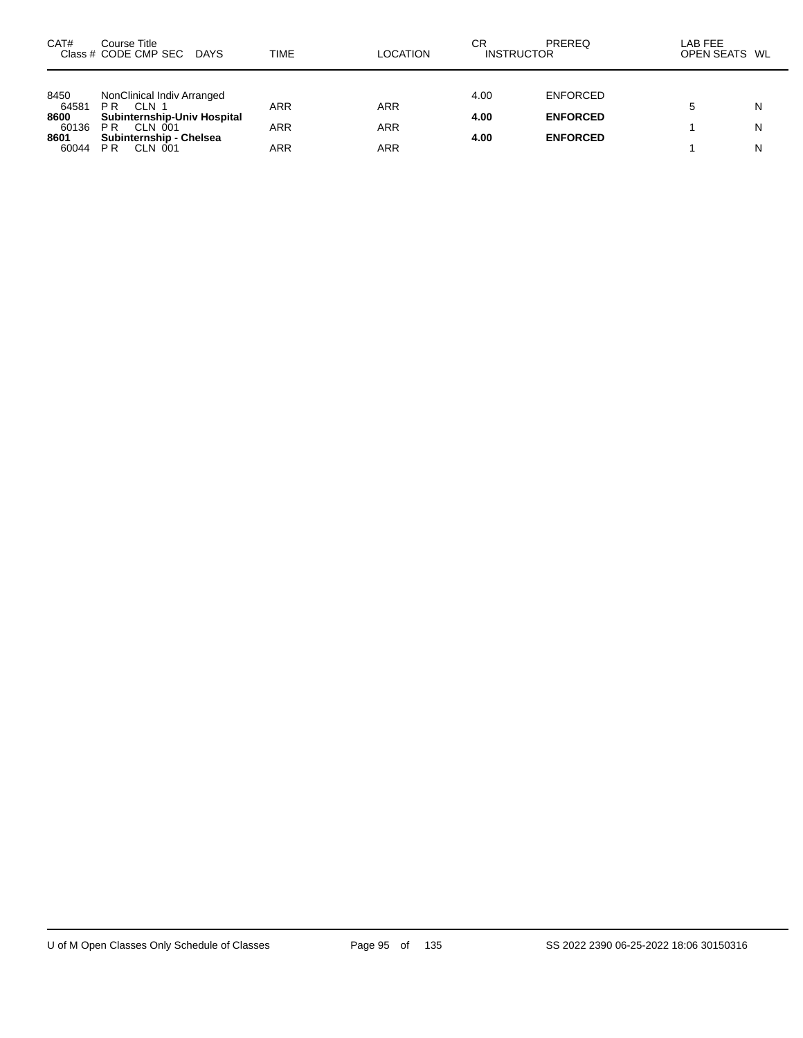| CAT#                   | Course Title<br>Class # CODE CMP SEC DAYS                       | TIME       | <b>LOCATION</b> | СR<br><b>INSTRUCTOR</b> | PREREQ          | LAB FEE<br>OPEN SEATS WL |        |
|------------------------|-----------------------------------------------------------------|------------|-----------------|-------------------------|-----------------|--------------------------|--------|
| 8450                   | NonClinical Indiv Arranged                                      |            |                 | 4.00                    | <b>ENFORCED</b> |                          |        |
| 64581<br>8600<br>60136 | PR<br>CLN 1<br>Subinternship-Univ Hospital<br><b>PR CLN 001</b> | ARR<br>ARR | ARR<br>ARR      | 4.00                    | <b>ENFORCED</b> |                          | N<br>N |
| 8601<br>60044          | Subinternship - Chelsea<br>P <sub>R</sub><br>CLN 001            | ARR        | ARR             | 4.00                    | <b>ENFORCED</b> |                          | N      |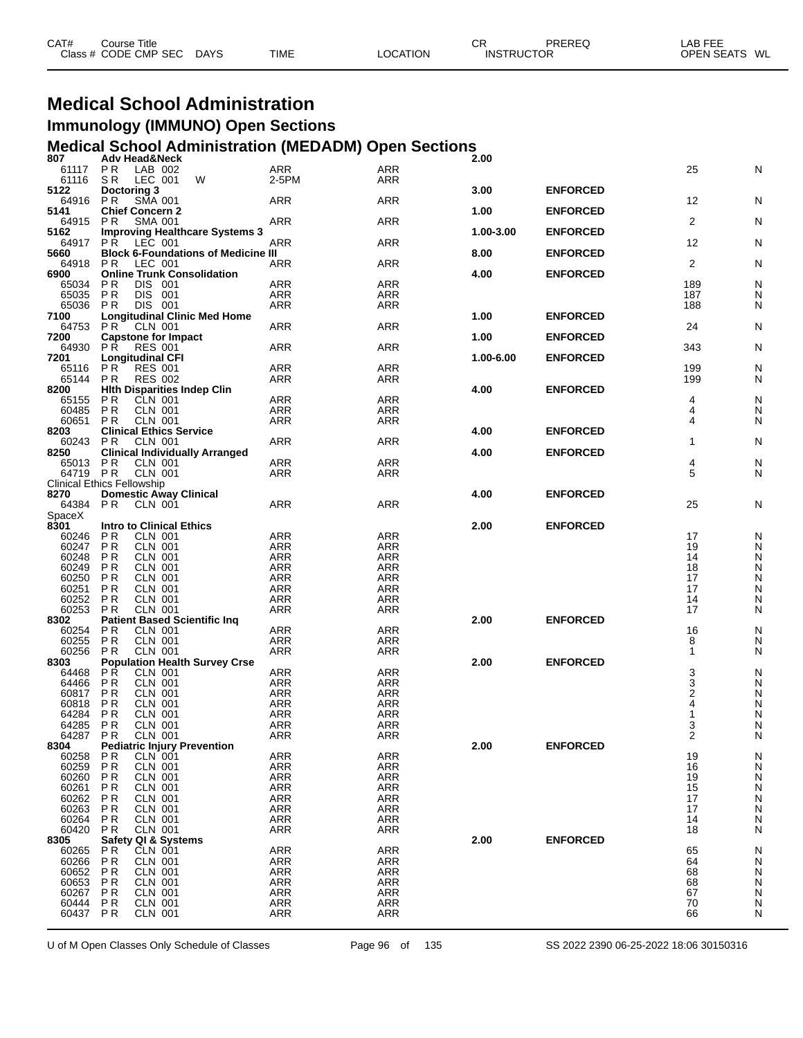| CAT# | Course Title         |             |             |                 | СR                | PREREQ | ∟AB FEE       |  |
|------|----------------------|-------------|-------------|-----------------|-------------------|--------|---------------|--|
|      | Class # CODE CMP SEC | <b>DAYS</b> | <b>TIME</b> | <b>LOCATION</b> | <b>INSTRUCTOR</b> |        | OPEN SEATS WL |  |

## **Medical School Administration Immunology (IMMUNO) Open Sections**

# **Medical School Administration (MEDADM) Open Sections 807 Adv Head&Neck 2.00**

| vv r<br>61117                     | <b>AUTILE AUGUSTEEN</b><br>P R | LAB 002                                    | <b>ARR</b> | <b>ARR</b> |           |                 | 25             | N |
|-----------------------------------|--------------------------------|--------------------------------------------|------------|------------|-----------|-----------------|----------------|---|
| 61116                             | S R                            | LEC 001<br>W                               | 2-5PM      | ARR        |           |                 |                |   |
| 5122                              | Doctoring 3                    |                                            |            |            | 3.00      | <b>ENFORCED</b> |                |   |
| 64916 PR                          |                                | SMA 001                                    | <b>ARR</b> | <b>ARR</b> |           |                 | 12             | N |
| 5141                              | <b>Chief Concern 2</b>         |                                            |            |            | 1.00      | <b>ENFORCED</b> |                |   |
| 64915                             | P R                            | <b>SMA 001</b>                             | ARR        | ARR        |           |                 | $\overline{2}$ | N |
| 5162                              |                                | <b>Improving Healthcare Systems 3</b>      |            |            | 1.00-3.00 | <b>ENFORCED</b> |                |   |
| 64917                             | P R                            | LEC 001                                    | <b>ARR</b> | <b>ARR</b> |           |                 | 12             | N |
| 5660                              |                                | <b>Block 6-Foundations of Medicine III</b> |            |            | 8.00      | <b>ENFORCED</b> |                |   |
| 64918                             | P R                            | LEC 001                                    | <b>ARR</b> | <b>ARR</b> |           |                 | 2              | N |
| 6900                              |                                | <b>Online Trunk Consolidation</b>          |            |            | 4.00      | <b>ENFORCED</b> |                |   |
| 65034                             | <b>PR</b>                      | DIS 001                                    | <b>ARR</b> | <b>ARR</b> |           |                 | 189            | N |
| 65035                             | <b>PR</b>                      | DIS 001                                    | <b>ARR</b> | <b>ARR</b> |           |                 | 187            | N |
| 65036 PR                          |                                | DIS 001                                    | ARR        | <b>ARR</b> |           |                 | 188            | N |
| 7100                              |                                | <b>Longitudinal Clinic Med Home</b>        |            |            | 1.00      | <b>ENFORCED</b> |                |   |
| 64753                             | P R                            | CLN 001                                    | <b>ARR</b> | <b>ARR</b> |           |                 | 24             | N |
| 7200                              |                                | <b>Capstone for Impact</b>                 |            |            | 1.00      | <b>ENFORCED</b> |                |   |
| 64930                             | P R                            |                                            | <b>ARR</b> | ARR        |           |                 | 343            | N |
|                                   |                                | <b>RES 001</b>                             |            |            |           |                 |                |   |
| 7201                              |                                | <b>Longitudinal CFI</b>                    |            |            | 1.00-6.00 | <b>ENFORCED</b> |                |   |
| 65116                             | P R                            | <b>RES 001</b>                             | <b>ARR</b> | <b>ARR</b> |           |                 | 199            | N |
| 65144 PR                          |                                | <b>RES 002</b>                             | ARR        | ARR        |           |                 | 199            | N |
| 8200                              |                                | <b>Hith Disparities Indep Clin</b>         |            |            | 4.00      | <b>ENFORCED</b> |                |   |
| 65155                             | P R                            | <b>CLN 001</b>                             | <b>ARR</b> | <b>ARR</b> |           |                 | 4              | N |
| 60485                             | <b>PR</b>                      | <b>CLN 001</b>                             | ARR        | <b>ARR</b> |           |                 | 4              | N |
| 60651                             | <b>PR</b>                      | <b>CLN 001</b>                             | <b>ARR</b> | ARR        |           |                 | 4              | N |
| 8203                              |                                | <b>Clinical Ethics Service</b>             |            |            | 4.00      | <b>ENFORCED</b> |                |   |
| 60243                             | P R                            | CLN 001                                    | ARR        | <b>ARR</b> |           |                 | 1              | N |
| 8250                              |                                | <b>Clinical Individually Arranged</b>      |            |            | 4.00      | <b>ENFORCED</b> |                |   |
| 65013                             | P R                            | CLN 001                                    | ARR        | <b>ARR</b> |           |                 | 4              | N |
| 64719 PR                          |                                | <b>CLN 001</b>                             | ARR        | <b>ARR</b> |           |                 | 5              | N |
| <b>Clinical Ethics Fellowship</b> |                                |                                            |            |            |           |                 |                |   |
| 8270                              |                                | <b>Domestic Away Clinical</b>              |            |            | 4.00      | <b>ENFORCED</b> |                |   |
| 64384 PR                          |                                | CLN 001                                    | ARR        | <b>ARR</b> |           |                 | 25             | N |
| SpaceX                            |                                |                                            |            |            |           |                 |                |   |
| 8301                              |                                | <b>Intro to Clinical Ethics</b>            |            |            | 2.00      | <b>ENFORCED</b> |                |   |
| 60246                             | P R                            | CLN 001                                    | ARR        | <b>ARR</b> |           |                 | 17             | N |
| 60247                             | PR                             | <b>CLN 001</b>                             | ARR        | <b>ARR</b> |           |                 | 19             | N |
| 60248                             | P R                            | <b>CLN 001</b>                             | ARR        | <b>ARR</b> |           |                 | 14             | N |
| 60249                             | <b>PR</b>                      | <b>CLN 001</b>                             | ARR        | <b>ARR</b> |           |                 | 18             | N |
| 60250                             | PR                             | <b>CLN 001</b>                             | <b>ARR</b> | <b>ARR</b> |           |                 | 17             | N |
| 60251                             | <b>PR</b>                      | <b>CLN 001</b>                             | ARR        | <b>ARR</b> |           |                 | 17             | N |
| 60252                             | <b>PR</b>                      | <b>CLN 001</b>                             | ARR        | ARR        |           |                 | 14             | N |
| 60253                             | PR                             | <b>CLN 001</b>                             | ARR        | <b>ARR</b> |           |                 | 17             | N |
| 8302                              |                                |                                            |            |            | 2.00      | <b>ENFORCED</b> |                |   |
|                                   |                                | <b>Patient Based Scientific Inq</b>        |            |            |           |                 |                |   |
| 60254                             | PR                             | <b>CLN 001</b>                             | ARR        | <b>ARR</b> |           |                 | 16             | N |
| 60255                             | PR                             | <b>CLN 001</b>                             | ARR        | <b>ARR</b> |           |                 | 8              | N |
| 60256 PR                          |                                | <b>CLN 001</b>                             | <b>ARR</b> | ARR        |           |                 | $\mathbf{1}$   | N |
| 8303                              |                                | <b>Population Health Survey Crse</b>       |            |            | 2.00      | <b>ENFORCED</b> |                |   |
| 64468                             | P R                            | <b>CLN 001</b>                             | <b>ARR</b> | <b>ARR</b> |           |                 | 3              | N |
| 64466                             | <b>PR</b>                      | <b>CLN 001</b>                             | ARR        | ARR        |           |                 | 3              | N |
| 60817                             | P R                            | <b>CLN 001</b>                             | ARR        | ARR        |           |                 | $\frac{2}{4}$  | N |
| 60818                             | <b>PR</b>                      | <b>CLN 001</b>                             | ARR        | <b>ARR</b> |           |                 |                | N |
| 64284                             | P R                            | <b>CLN 001</b>                             | ARR        | <b>ARR</b> |           |                 | 1              | N |
| 64285                             | <b>PR</b>                      | <b>CLN 001</b>                             | <b>ARR</b> | <b>ARR</b> |           |                 | 3              | N |
| 64287                             | PR                             | <b>CLN 001</b>                             | <b>ARR</b> | <b>ARR</b> |           |                 | $\overline{2}$ | N |
| 8304                              |                                | <b>Pediatric Injury Prevention</b>         |            |            | 2.00      | <b>ENFORCED</b> |                |   |
| 60258                             | PR                             | CLN 001                                    | <b>ARR</b> | <b>ARR</b> |           |                 | 19             | N |
| 60259                             | <b>PR</b>                      | <b>CLN 001</b>                             | ARR        | <b>ARR</b> |           |                 | 16             | N |
| 60260                             | P R                            | <b>CLN 001</b>                             | <b>ARR</b> | <b>ARR</b> |           |                 | 19             | N |
| 60261                             | <b>PR</b>                      | <b>CLN 001</b>                             | ARR        | ARR        |           |                 | 15             | N |
| 60262                             | P <sub>R</sub>                 | <b>CLN 001</b>                             | ARR        | ARR        |           |                 | 17             | N |
| 60263                             | P R                            | <b>CLN 001</b>                             | <b>ARR</b> | ARR        |           |                 | 17             | N |
| 60264                             | <b>PR</b>                      | <b>CLN 001</b>                             | <b>ARR</b> | <b>ARR</b> |           |                 | 14             | N |
| 60420                             | PR                             | <b>CLN 001</b>                             | ARR        | <b>ARR</b> |           |                 | 18             | N |
| 8305                              |                                | Safety QI & Systems                        |            |            | 2.00      | <b>ENFORCED</b> |                |   |
|                                   |                                |                                            |            |            |           |                 |                |   |
| 60265                             | <b>PR</b>                      | CLN 001                                    | <b>ARR</b> | <b>ARR</b> |           |                 | 65             | N |
| 60266                             | <b>PR</b>                      | <b>CLN 001</b>                             | ARR        | <b>ARR</b> |           |                 | 64             | N |
| 60652                             | P R                            | <b>CLN 001</b>                             | <b>ARR</b> | ARR        |           |                 | 68             | N |
| 60653                             | P R                            | <b>CLN 001</b>                             | ARR        | ARR        |           |                 | 68             | N |
| 60267                             | <b>PR</b>                      | <b>CLN 001</b>                             | ARR        | ARR        |           |                 | 67             | N |
| 60444                             | P R                            | <b>CLN 001</b>                             | <b>ARR</b> | ARR        |           |                 | 70             | N |
| 60437 PR                          |                                | <b>CLN 001</b>                             | ARR        | ARR        |           |                 | 66             | N |
|                                   |                                |                                            |            |            |           |                 |                |   |

U of M Open Classes Only Schedule of Classes Page 96 of 135 SS 2022 2390 06-25-2022 18:06 30150316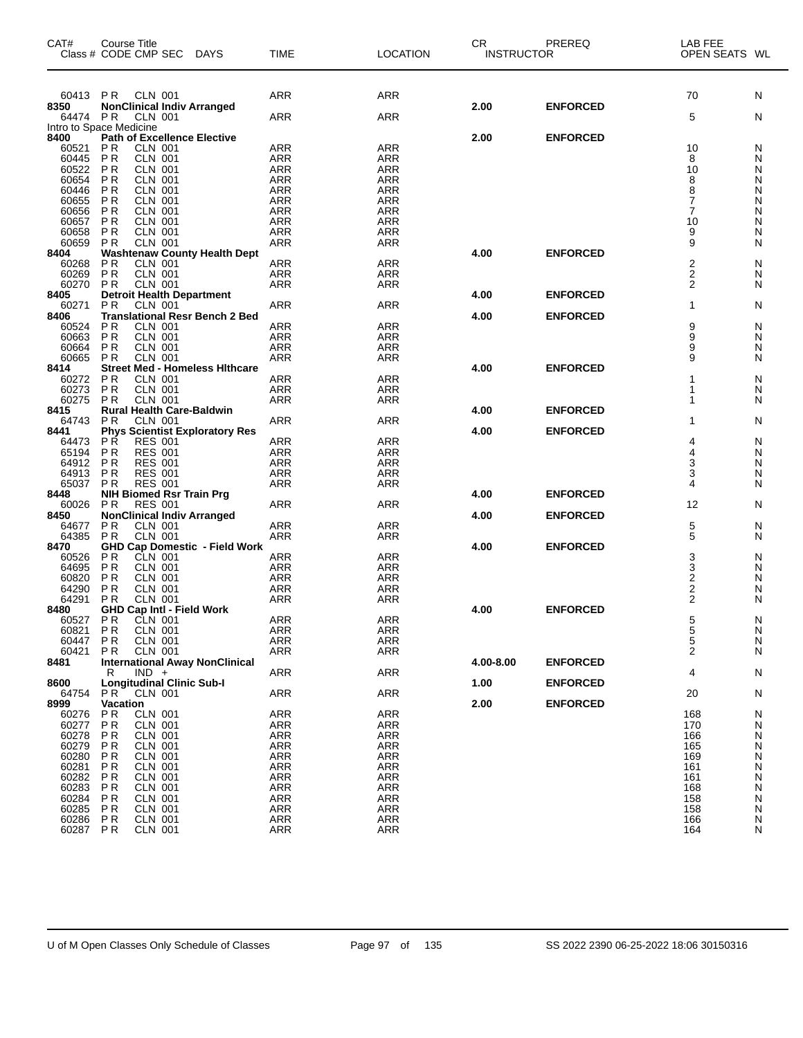| CAT#           | Course Title<br>Class # CODE CMP SEC                                 | <b>DAYS</b>                           | TIME                     | <b>LOCATION</b>          | CR<br><b>INSTRUCTOR</b> | PREREQ          | LAB FEE<br>OPEN SEATS WL                  |        |
|----------------|----------------------------------------------------------------------|---------------------------------------|--------------------------|--------------------------|-------------------------|-----------------|-------------------------------------------|--------|
| 60413          | <b>CLN 001</b><br>PR.                                                |                                       | ARR                      | ARR                      |                         |                 | 70                                        | N      |
| 8350           | <b>NonClinical Indiv Arranged</b>                                    |                                       |                          |                          | 2.00                    | <b>ENFORCED</b> |                                           |        |
| 64474          | P R<br>CLN 001                                                       |                                       | ARR                      | <b>ARR</b>               |                         |                 | 5                                         | N      |
| 8400           | Intro to Space Medicine<br><b>Path of Excellence Elective</b>        |                                       |                          |                          | 2.00                    | <b>ENFORCED</b> |                                           |        |
| 60521          | <b>CLN 001</b><br>P R                                                |                                       | ARR                      | ARR                      |                         |                 | 10                                        | N      |
| 60445          | P <sub>R</sub><br><b>CLN 001</b>                                     |                                       | ARR                      | <b>ARR</b>               |                         |                 | 8                                         | N      |
| 60522<br>60654 | P <sub>R</sub><br><b>CLN 001</b><br>P <sub>R</sub><br>CLN 001        |                                       | ARR<br>ARR               | ARR<br>ARR               |                         |                 | 10<br>8                                   | N<br>N |
| 60446          | P <sub>R</sub><br><b>CLN 001</b>                                     |                                       | <b>ARR</b>               | <b>ARR</b>               |                         |                 | 8                                         | N      |
| 60655          | P <sub>R</sub><br><b>CLN 001</b>                                     |                                       | <b>ARR</b>               | ARR                      |                         |                 | 7                                         | N      |
| 60656          | P <sub>R</sub><br>CLN 001                                            |                                       | ARR                      | <b>ARR</b>               |                         |                 | $\overline{7}$                            | N      |
| 60657<br>60658 | P <sub>R</sub><br><b>CLN 001</b><br>P <sub>R</sub><br><b>CLN 001</b> |                                       | <b>ARR</b><br><b>ARR</b> | <b>ARR</b><br>ARR        |                         |                 | 10<br>9                                   | N<br>N |
| 60659          | P <sub>R</sub><br><b>CLN 001</b>                                     |                                       | ARR                      | ARR                      |                         |                 | 9                                         | N      |
| 8404           |                                                                      | <b>Washtenaw County Health Dept</b>   |                          |                          | 4.00                    | <b>ENFORCED</b> |                                           |        |
| 60268          | P <sub>R</sub><br><b>CLN 001</b>                                     |                                       | ARR                      | ARR                      |                         |                 | 2                                         | N      |
| 60269<br>60270 | P <sub>R</sub><br><b>CLN 001</b><br><b>PR</b><br><b>CLN 001</b>      |                                       | ARR<br>ARR               | ARR<br>ARR               |                         |                 | $\overline{\mathbf{c}}$<br>$\overline{2}$ | N<br>N |
| 8405           | <b>Detroit Health Department</b>                                     |                                       |                          |                          | 4.00                    | <b>ENFORCED</b> |                                           |        |
| 60271          | P <sub>R</sub><br><b>CLN 001</b>                                     |                                       | ARR                      | ARR                      |                         |                 | 1                                         | N      |
| 8406           |                                                                      | <b>Translational Resr Bench 2 Bed</b> |                          |                          | 4.00                    | <b>ENFORCED</b> |                                           |        |
| 60524<br>60663 | P R<br><b>CLN 001</b><br>P <sub>R</sub><br><b>CLN 001</b>            |                                       | ARR<br>ARR               | ARR<br>ARR               |                         |                 | 9<br>9                                    | N<br>N |
| 60664          | P <sub>R</sub><br><b>CLN 001</b>                                     |                                       | <b>ARR</b>               | <b>ARR</b>               |                         |                 | 9                                         | N      |
| 60665          | P <sub>R</sub><br><b>CLN 001</b>                                     |                                       | ARR                      | ARR                      |                         |                 | 9                                         | N      |
| 8414           |                                                                      | <b>Street Med - Homeless Hithcare</b> |                          |                          | 4.00                    | <b>ENFORCED</b> |                                           |        |
| 60272<br>60273 | P <sub>R</sub><br><b>CLN 001</b><br>P <sub>R</sub><br><b>CLN 001</b> |                                       | ARR<br><b>ARR</b>        | <b>ARR</b><br><b>ARR</b> |                         |                 | 1<br>1                                    | N<br>N |
| 60275          | <b>PR</b><br><b>CLN 001</b>                                          |                                       | ARR                      | ARR                      |                         |                 | 1                                         | N      |
| 8415           | <b>Rural Health Care-Baldwin</b>                                     |                                       |                          |                          | 4.00                    | <b>ENFORCED</b> |                                           |        |
| 64743          | P R<br>CLN 001                                                       |                                       | ARR                      | <b>ARR</b>               |                         |                 | 1                                         | N      |
| 8441<br>64473  | <b>Phys Scientist Exploratory Res</b><br><b>PR</b><br><b>RES 001</b> |                                       | ARR                      | <b>ARR</b>               | 4.00                    | <b>ENFORCED</b> | 4                                         | N      |
| 65194          | P <sub>R</sub><br><b>RES 001</b>                                     |                                       | ARR                      | ARR                      |                         |                 | 4                                         | N      |
| 64912          | P <sub>R</sub><br><b>RES 001</b>                                     |                                       | <b>ARR</b>               | ARR                      |                         |                 | 3                                         | N      |
| 64913          | P <sub>R</sub><br><b>RES 001</b>                                     |                                       | <b>ARR</b>               | <b>ARR</b>               |                         |                 | 3                                         | N      |
| 65037<br>8448  | P <sub>R</sub><br><b>RES 001</b><br><b>NIH Biomed Rsr Train Prg</b>  |                                       | ARR                      | ARR                      | 4.00                    | <b>ENFORCED</b> | 4                                         | N      |
| 60026          | <b>RES 001</b><br>P <sub>R</sub>                                     |                                       | ARR                      | ARR                      |                         |                 | 12                                        | N      |
| 8450           | <b>NonClinical Indiv Arranged</b>                                    |                                       |                          |                          | 4.00                    | <b>ENFORCED</b> |                                           |        |
| 64677          | <b>CLN 001</b><br>P R                                                |                                       | ARR                      | ARR                      |                         |                 | 5                                         | N      |
| 64385<br>8470  | <b>CLN 001</b><br><b>PR</b>                                          | <b>GHD Cap Domestic - Field Work</b>  | <b>ARR</b>               | <b>ARR</b>               | 4.00                    | <b>ENFORCED</b> | 5                                         | N      |
| 60526          | P R<br>CLN 001                                                       |                                       | ARR                      | ARR                      |                         |                 | 3                                         | N      |
| 64695          | P <sub>R</sub><br><b>CLN 001</b>                                     |                                       | ARR                      | ARR                      |                         |                 | $\frac{3}{2}$                             | N      |
| 60820          | P <sub>R</sub><br><b>CLN 001</b>                                     |                                       | <b>ARR</b>               | ARR                      |                         |                 |                                           | N      |
| 64290<br>64291 | P R<br><b>CLN 001</b><br>P <sub>R</sub><br><b>CLN 001</b>            |                                       | <b>ARR</b><br>ARR        | ARR<br>ARR               |                         |                 | $\overline{\mathbf{c}}$<br>$\overline{2}$ | N<br>N |
| 8480           | <b>GHD Cap Intl - Field Work</b>                                     |                                       |                          |                          | 4.00                    | <b>ENFORCED</b> |                                           |        |
| 60527          | P R<br>CLN 001                                                       |                                       | ARR                      | ARR                      |                         |                 | $\,$ 5 $\,$                               | N      |
| 60821          | PR<br>CLN 001                                                        |                                       | ARR                      | <b>ARR</b>               |                         |                 | 5                                         | N      |
| 60447<br>60421 | PR<br>CLN 001<br>P R<br>CLN 001                                      |                                       | ARR<br>ARR               | ARR<br>ARR               |                         |                 | 5<br>$\overline{2}$                       | N<br>N |
| 8481           | <b>International Away NonClinical</b>                                |                                       |                          |                          | 4.00-8.00               | <b>ENFORCED</b> |                                           |        |
|                | $IND +$<br>R                                                         |                                       | ARR                      | <b>ARR</b>               |                         |                 | 4                                         | N      |
| 8600           | <b>Longitudinal Clinic Sub-I</b>                                     |                                       |                          |                          | 1.00                    | <b>ENFORCED</b> |                                           |        |
| 64754<br>8999  | PR<br><b>CLN 001</b><br>Vacation                                     |                                       | <b>ARR</b>               | <b>ARR</b>               | 2.00                    | <b>ENFORCED</b> | 20                                        | N      |
| 60276          | <b>CLN 001</b><br>P R                                                |                                       | <b>ARR</b>               | <b>ARR</b>               |                         |                 | 168                                       | N      |
| 60277          | PR<br><b>CLN 001</b>                                                 |                                       | <b>ARR</b>               | <b>ARR</b>               |                         |                 | 170                                       | N      |
| 60278          | P R<br><b>CLN 001</b>                                                |                                       | <b>ARR</b>               | ARR                      |                         |                 | 166                                       | N      |
| 60279<br>60280 | P R<br>CLN 001<br>PR<br><b>CLN 001</b>                               |                                       | <b>ARR</b><br><b>ARR</b> | ARR<br><b>ARR</b>        |                         |                 | 165<br>169                                | N<br>N |
| 60281          | PR<br><b>CLN 001</b>                                                 |                                       | <b>ARR</b>               | ARR                      |                         |                 | 161                                       | N      |
| 60282          | PR<br>CLN 001                                                        |                                       | <b>ARR</b>               | ARR                      |                         |                 | 161                                       | N      |
| 60283          | PR<br><b>CLN 001</b>                                                 |                                       | <b>ARR</b>               | <b>ARR</b>               |                         |                 | 168                                       | N      |
| 60284<br>60285 | PR<br><b>CLN 001</b><br>PR<br><b>CLN 001</b>                         |                                       | ARR<br><b>ARR</b>        | ARR<br>ARR               |                         |                 | 158<br>158                                | N<br>N |
| 60286          | PR<br><b>CLN 001</b>                                                 |                                       | <b>ARR</b>               | <b>ARR</b>               |                         |                 | 166                                       | N      |
| 60287          | <b>PR</b><br><b>CLN 001</b>                                          |                                       | <b>ARR</b>               | ARR                      |                         |                 | 164                                       | N      |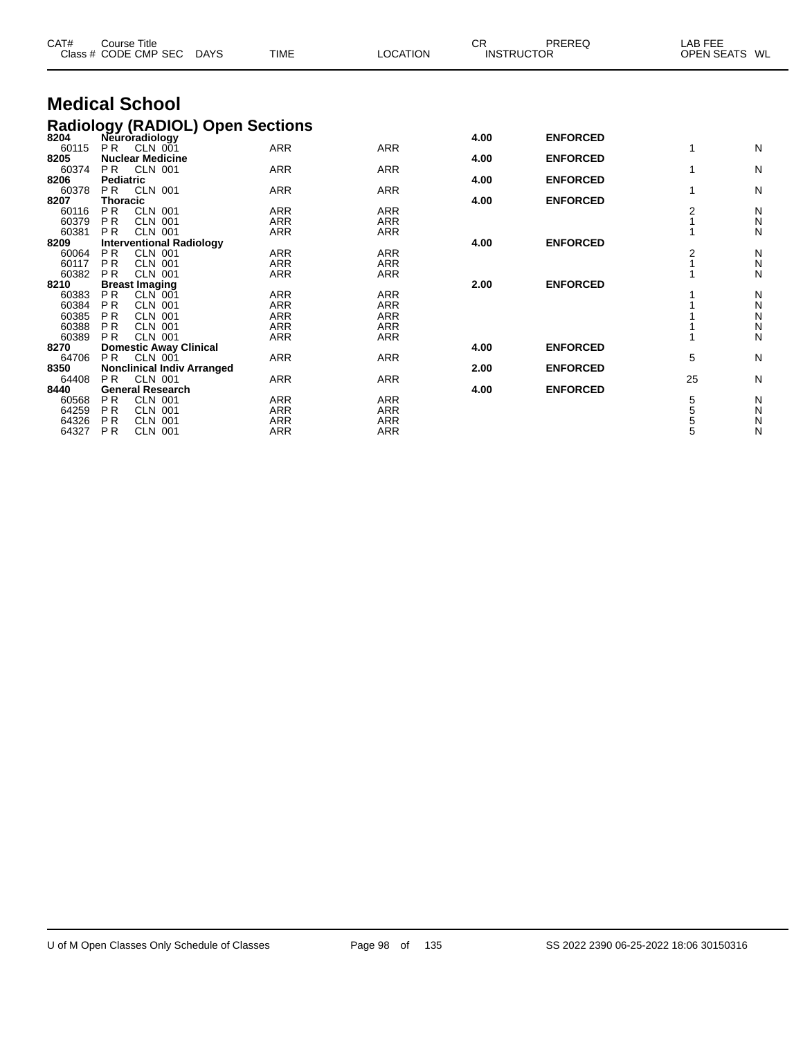| CAT#          | <b>Course Title</b><br>Class # CODE CMP SEC             | <b>DAYS</b> | <b>TIME</b> | <b>LOCATION</b> | <b>CR</b> | PREREQ<br><b>INSTRUCTOR</b> | LAB FEE        | OPEN SEATS WL |
|---------------|---------------------------------------------------------|-------------|-------------|-----------------|-----------|-----------------------------|----------------|---------------|
|               | <b>Medical School</b>                                   |             |             |                 |           |                             |                |               |
|               | Radiology (RADIOL) Open Sections<br>8204 Neuroradiology |             |             |                 |           |                             |                |               |
|               |                                                         |             |             |                 | 4.00      | <b>ENFORCED</b>             |                |               |
| 60115         | <b>PR</b><br>CLN 001                                    |             | <b>ARR</b>  | <b>ARR</b>      |           |                             | 1              | N             |
| 8205<br>60374 | <b>Nuclear Medicine</b><br>P <sub>R</sub><br>CLN 001    |             | <b>ARR</b>  | <b>ARR</b>      | 4.00      | <b>ENFORCED</b>             | 1              | N             |
| 8206          | <b>Pediatric</b>                                        |             |             |                 | 4.00      | <b>ENFORCED</b>             |                |               |
| 60378         | P <sub>R</sub><br><b>CLN 001</b>                        |             | <b>ARR</b>  | <b>ARR</b>      |           |                             | 1              | N             |
| 8207          | <b>Thoracic</b>                                         |             |             |                 | 4.00      | <b>ENFORCED</b>             |                |               |
| 60116         | <b>PR</b><br><b>CLN 001</b>                             |             | <b>ARR</b>  | <b>ARR</b>      |           |                             | $\overline{2}$ | N             |
| 60379         | <b>PR</b><br><b>CLN 001</b>                             |             | <b>ARR</b>  | <b>ARR</b>      |           |                             |                | N             |
| 60381         | <b>PR</b><br><b>CLN 001</b>                             |             | <b>ARR</b>  | <b>ARR</b>      |           |                             | 1              | N             |
| 8209          | <b>Interventional Radiology</b>                         |             |             |                 | 4.00      | <b>ENFORCED</b>             |                |               |
| 60064         | P <sub>R</sub><br><b>CLN 001</b>                        |             | <b>ARR</b>  | <b>ARR</b>      |           |                             | $\overline{2}$ | N             |
| 60117         | <b>PR</b><br><b>CLN 001</b>                             |             | <b>ARR</b>  | <b>ARR</b>      |           |                             |                | N             |
| 60382         | <b>PR</b><br><b>CLN 001</b>                             |             | <b>ARR</b>  | <b>ARR</b>      |           |                             |                | N             |
| 8210          | <b>Breast Imaging</b>                                   |             |             |                 | 2.00      | <b>ENFORCED</b>             |                |               |
| 60383         | <b>PR</b><br>$CLN$ 001                                  |             | <b>ARR</b>  | <b>ARR</b>      |           |                             |                | N             |
| 60384         | <b>PR</b><br><b>CLN 001</b>                             |             | <b>ARR</b>  | <b>ARR</b>      |           |                             |                | N             |
| 60385         | <b>PR</b><br><b>CLN 001</b>                             |             | <b>ARR</b>  | <b>ARR</b>      |           |                             |                | N             |
| 60388         | P <sub>R</sub><br><b>CLN 001</b>                        |             | <b>ARR</b>  | <b>ARR</b>      |           |                             |                | Ν             |
| 60389         | <b>PR</b><br><b>CLN 001</b>                             |             | <b>ARR</b>  | <b>ARR</b>      |           |                             |                | N             |
| 8270          | <b>Domestic Away Clinical</b>                           |             |             |                 | 4.00      | <b>ENFORCED</b>             |                |               |
| 64706         | P <sub>R</sub><br>CLN 001                               |             | <b>ARR</b>  | <b>ARR</b>      |           |                             | 5              | N             |
| 8350          | <b>Nonclinical Indiv Arranged</b>                       |             |             |                 | 2.00      | <b>ENFORCED</b>             |                |               |
| 64408         | <b>PR</b><br><b>CLN 001</b>                             |             | <b>ARR</b>  | <b>ARR</b>      |           |                             | 25             | N             |
| 8440          | <b>General Research</b>                                 |             |             |                 | 4.00      | <b>ENFORCED</b>             |                |               |
| 60568         | <b>PR</b><br><b>CLN 001</b>                             |             | <b>ARR</b>  | <b>ARR</b>      |           |                             | 5              | N             |
| 64259         | <b>PR</b><br><b>CLN 001</b>                             |             | <b>ARR</b>  | <b>ARR</b>      |           |                             | 5              | N             |
| 64326         | P <sub>R</sub><br><b>CLN 001</b>                        |             | <b>ARR</b>  | <b>ARR</b>      |           |                             | 5              | Ν             |
| 64327         | P <sub>R</sub><br><b>CLN 001</b>                        |             | <b>ARR</b>  | <b>ARR</b>      |           |                             | 5              | N             |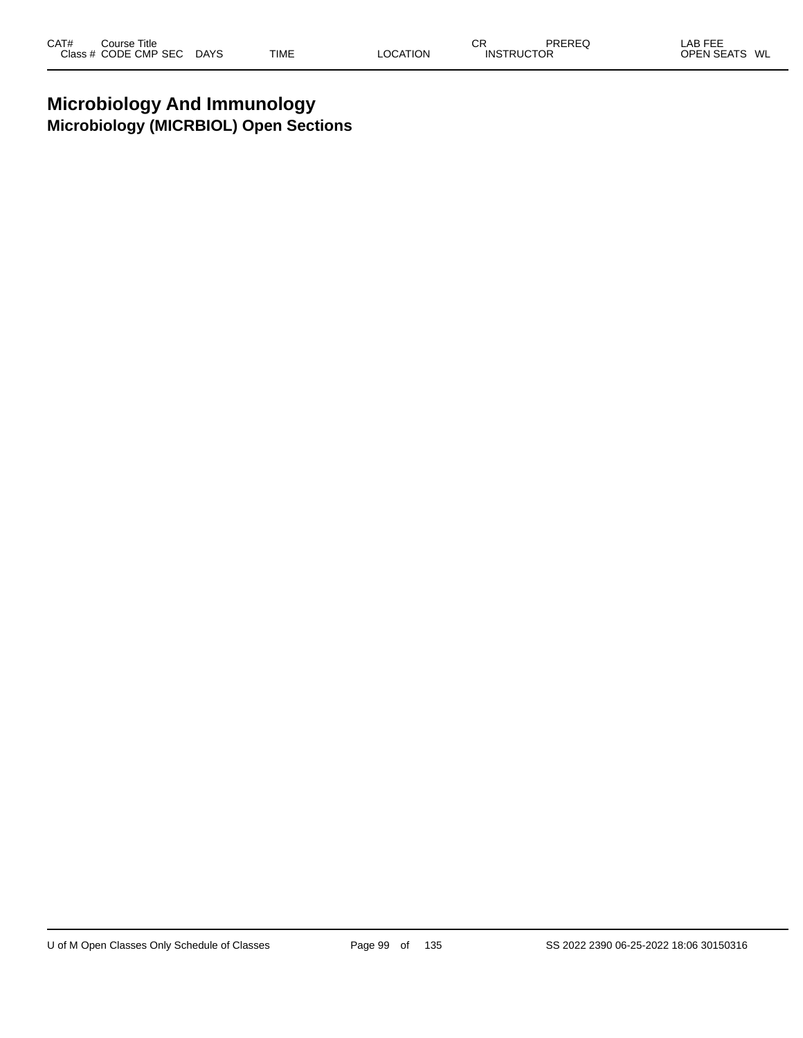## **Microbiology And Immunology Microbiology (MICRBIOL) Open Sections**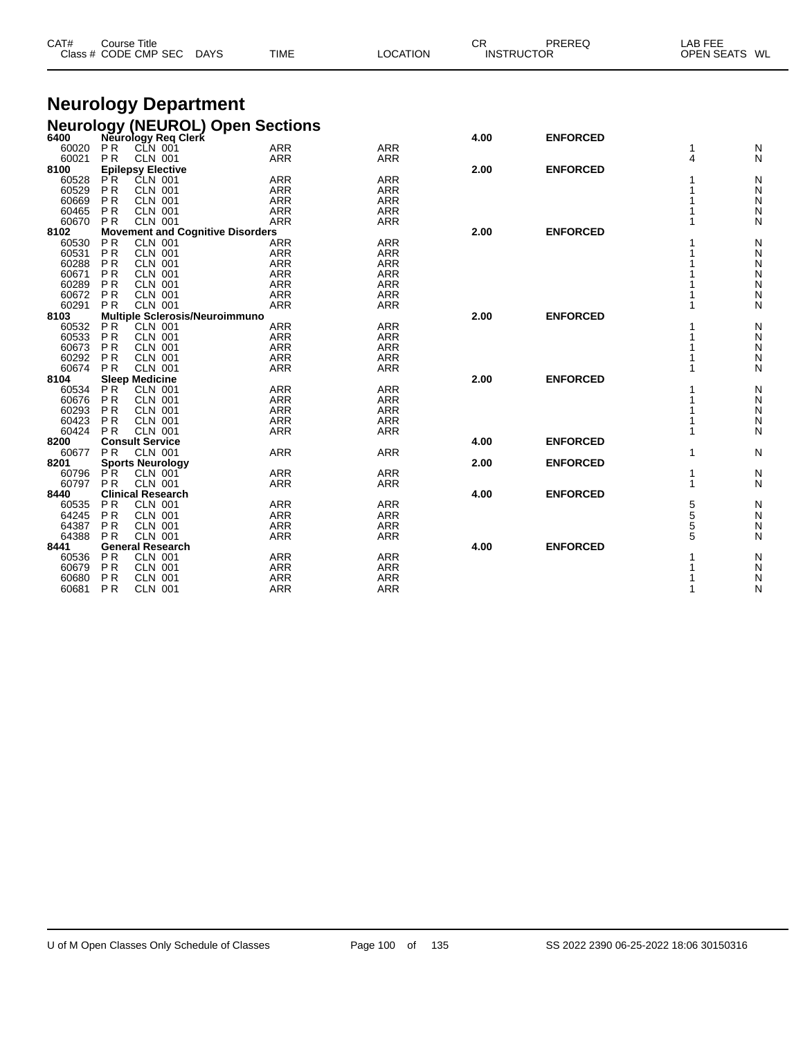| CAT#  | <b>Course Title</b> | Class # CODE CMP SEC                    | DAYS | <b>TIME</b>                                                         | LOCATION   | CR.  | PREREQ<br><b>INSTRUCTOR</b> | LAB FEE<br><b>OPEN SEATS</b> | WL |
|-------|---------------------|-----------------------------------------|------|---------------------------------------------------------------------|------------|------|-----------------------------|------------------------------|----|
|       |                     | <b>Neurology Department</b>             |      |                                                                     |            |      |                             |                              |    |
|       |                     |                                         |      |                                                                     |            |      |                             |                              |    |
|       |                     |                                         |      | <b>Neurology (NEUROL) Open Sections</b><br>6400 Meurology Req Clerk |            |      |                             |                              |    |
|       |                     |                                         |      |                                                                     |            | 4.00 | <b>ENFORCED</b>             |                              |    |
| 60020 | P <sub>R</sub>      | $CLN$ 001                               |      | <b>ARR</b>                                                          | <b>ARR</b> |      |                             |                              | N  |
| 60021 | P <sub>R</sub>      | <b>CLN 001</b>                          |      | <b>ARR</b>                                                          | <b>ARR</b> |      |                             |                              | N  |
| 8100  |                     | <b>Epilepsy Elective</b>                |      |                                                                     |            | 2.00 | <b>ENFORCED</b>             |                              |    |
| 60528 | PR.                 | CLN 001                                 |      | <b>ARR</b>                                                          | <b>ARR</b> |      |                             |                              | N  |
| 60529 | P <sub>R</sub>      | <b>CLN 001</b>                          |      | <b>ARR</b>                                                          | <b>ARR</b> |      |                             |                              | N  |
| 60669 | <b>PR</b>           | <b>CLN 001</b>                          |      | <b>ARR</b>                                                          | <b>ARR</b> |      |                             |                              | N  |
| 60465 | <b>PR</b>           | <b>CLN 001</b>                          |      | <b>ARR</b>                                                          | <b>ARR</b> |      |                             |                              | N  |
| 60670 | <b>PR</b>           | <b>CLN 001</b>                          |      | <b>ARR</b>                                                          | <b>ARR</b> |      |                             |                              | N  |
| 8102  |                     | <b>Movement and Cognitive Disorders</b> |      |                                                                     |            | 2.00 | <b>ENFORCED</b>             |                              |    |
| 60530 | P <sub>R</sub>      | <b>CLN 001</b>                          |      | ARR                                                                 | <b>ARR</b> |      |                             |                              | N  |
| 60531 | <b>PR</b>           | <b>CLN 001</b>                          |      | <b>ARR</b>                                                          | <b>ARR</b> |      |                             |                              | N  |
| 60288 | <b>PR</b>           | <b>CLN 001</b>                          |      | <b>ARR</b>                                                          | <b>ARR</b> |      |                             |                              | N  |
| 60671 | <b>PR</b>           | <b>CLN 001</b>                          |      | <b>ARR</b>                                                          | <b>ARR</b> |      |                             |                              | N  |
| 60289 | P <sub>R</sub>      | <b>CLN 001</b>                          |      | <b>ARR</b>                                                          | <b>ARR</b> |      |                             |                              | N  |
| 60672 | <b>PR</b>           | CLN 001                                 |      | ARR                                                                 | <b>ARR</b> |      |                             |                              | N  |
| 60291 | <b>PR</b>           | <b>CLN 001</b>                          |      | <b>ARR</b>                                                          | <b>ARR</b> |      |                             |                              | N  |
| 8103  |                     | Multiple Sclerosis/Neuroimmuno          |      |                                                                     |            | 2.00 | <b>ENFORCED</b>             |                              |    |
| 60532 | P R                 | <b>CLN 001</b>                          |      | ARR                                                                 | <b>ARR</b> |      |                             |                              | N  |
| 60533 | P <sub>R</sub>      | <b>CLN 001</b>                          |      | <b>ARR</b>                                                          | <b>ARR</b> |      |                             |                              | N  |

| ບບບບບ |                | <b>ULIV UU</b>           | <i>FWW</i> | <b><i>FWW</i></b> |      |                 |   | <b>IV</b> |
|-------|----------------|--------------------------|------------|-------------------|------|-----------------|---|-----------|
| 60673 | <b>PR</b>      | <b>CLN 001</b>           | <b>ARR</b> | <b>ARR</b>        |      |                 |   | N         |
| 60292 | <b>PR</b>      | CLN 001                  | ARR        | ARR               |      |                 |   | Ν         |
| 60674 | P <sub>R</sub> | CLN 001                  | ARR        | ARR               |      |                 |   | Ν         |
| 8104  |                | <b>Sleep Medicine</b>    |            |                   | 2.00 | <b>ENFORCED</b> |   |           |
| 60534 | PR.            | CLN 001                  | ARR        | ARR               |      |                 |   | Ν         |
| 60676 | P <sub>R</sub> | CLN 001                  | ARR        | ARR               |      |                 |   | Ν         |
| 60293 | <b>PR</b>      | <b>CLN 001</b>           | <b>ARR</b> | ARR               |      |                 |   | N         |
| 60423 | P <sub>R</sub> | CLN 001                  | ARR        | ARR               |      |                 |   | Ν         |
| 60424 | P <sub>R</sub> | <b>CLN 001</b>           | ARR        | ARR               |      |                 |   | Ν         |
| 8200  |                | <b>Consult Service</b>   |            |                   | 4.00 | <b>ENFORCED</b> |   |           |
| 60677 | PR.            | <b>CLN 001</b>           | ARR        | ARR               |      |                 |   | Ν         |
| 8201  |                | <b>Sports Neurology</b>  |            |                   | 2.00 | <b>ENFORCED</b> |   |           |
| 60796 | PR.            | <b>CLN 001</b>           | ARR        | ARR               |      |                 |   | N         |
| 60797 | P <sub>R</sub> | CLN 001                  | ARR        | <b>ARR</b>        |      |                 |   | Ν         |
| 8440  |                | <b>Clinical Research</b> |            |                   | 4.00 | <b>ENFORCED</b> |   |           |
| 60535 | <b>PR</b>      | <b>CLN 001</b>           | ARR        | ARR               |      |                 | 5 | N         |
| 64245 | <b>PR</b>      | <b>CLN 001</b>           | ARR        | ARR               |      |                 | 5 | N         |
| 64387 | <b>PR</b>      | <b>CLN 001</b>           | <b>ARR</b> | <b>ARR</b>        |      |                 | 5 | N         |
| 64388 | P <sub>R</sub> | <b>CLN 001</b>           | ARR        | <b>ARR</b>        |      |                 | 5 | Ν         |
| 8441  |                | <b>General Research</b>  |            |                   | 4.00 | <b>ENFORCED</b> |   |           |
| 60536 | P <sub>R</sub> | <b>CLN 001</b>           | ARR        | ARR               |      |                 |   | N         |
| 60679 | <b>PR</b>      | <b>CLN 001</b>           | <b>ARR</b> | <b>ARR</b>        |      |                 |   | Ν         |
| 60680 | <b>PR</b>      | <b>CLN 001</b>           | <b>ARR</b> | ARR               |      |                 |   | N         |
| 60681 | <b>PR</b>      | CLN 001                  | <b>ARR</b> | ARR               |      |                 |   | Ν         |
|       |                |                          |            |                   |      |                 |   |           |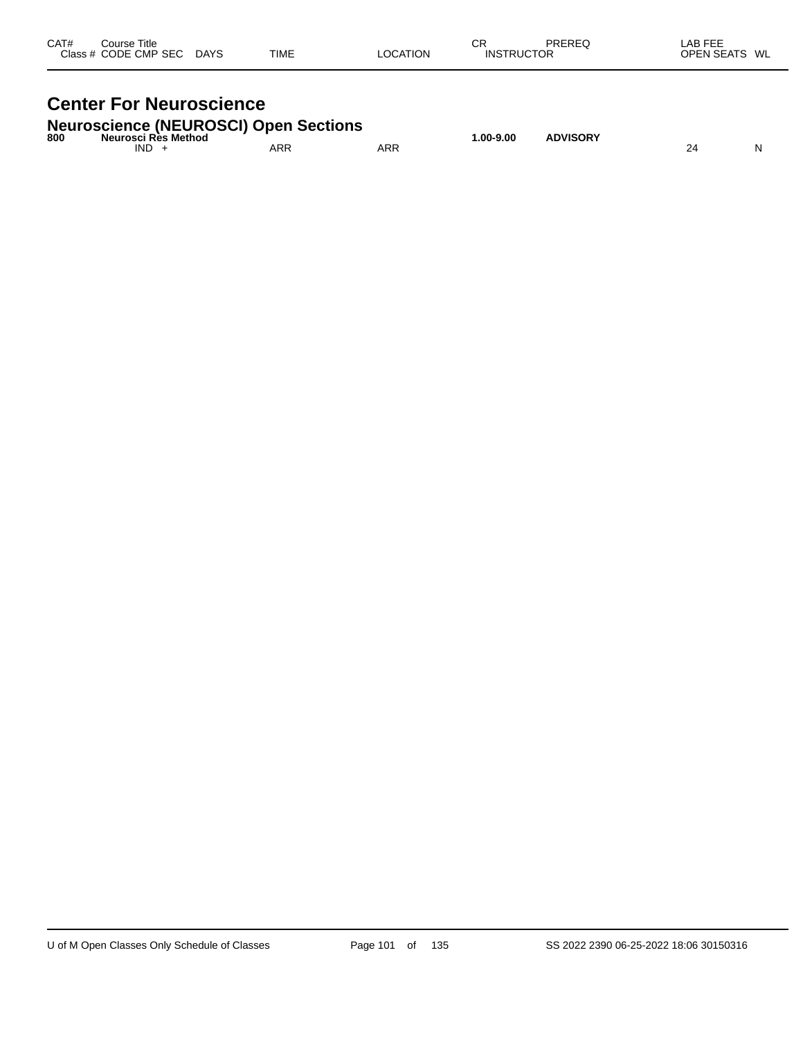| CAT#<br>Close : | Title<br>Course:<br><b>CMP</b><br>-SEC<br>ODE | DAYS<br>$\sim$ | <b>TIME</b> |  | $\sim$ $\sim$<br>◡<br>INS | OR | ----<br><u> 11 I</u><br><b>WI</b><br>ישנ<br>. .<br>$ -$ |
|-----------------|-----------------------------------------------|----------------|-------------|--|---------------------------|----|---------------------------------------------------------|
|-----------------|-----------------------------------------------|----------------|-------------|--|---------------------------|----|---------------------------------------------------------|

## **Center For Neuroscience**

### **Neuroscience (NEUROSCI) Open Sections**

| 800 | Neurosci Rès Method |            |            | .00-9.00، | <b>ADVISORY</b> |    |   |
|-----|---------------------|------------|------------|-----------|-----------------|----|---|
|     | IND                 | <b>ARR</b> | <b>ARR</b> |           |                 | 24 | N |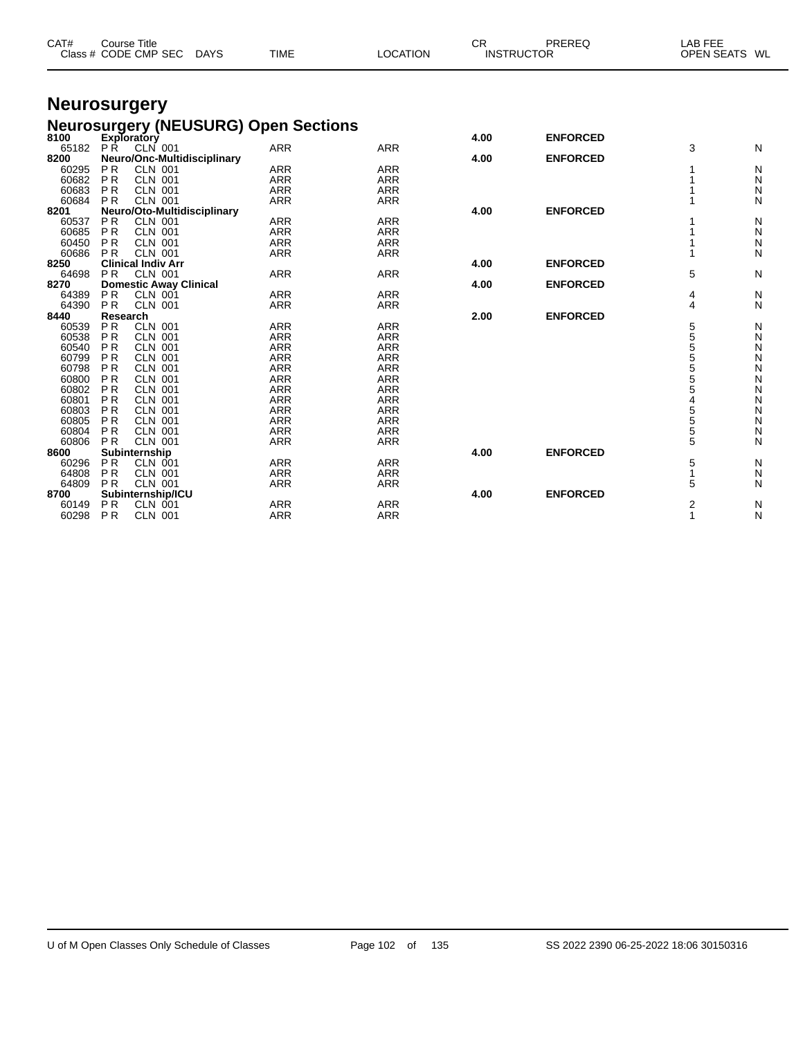| CAT#  | <b>Course Title</b><br>Class # CODE CMP SEC                                             | <b>DAYS</b> | <b>TIME</b> | <b>LOCATION</b> | <b>CR</b> | PREREQ<br><b>INSTRUCTOR</b> | LAB FEE        | OPEN SEATS WL |
|-------|-----------------------------------------------------------------------------------------|-------------|-------------|-----------------|-----------|-----------------------------|----------------|---------------|
|       | <b>Neurosurgery</b>                                                                     |             |             |                 |           |                             |                |               |
|       |                                                                                         |             |             |                 |           |                             |                |               |
|       | <b>Neurosurgery (NEUSURG) Open Sections</b><br>8100 Exploratory<br>65182 PR CLN 001 ARR |             |             |                 | 4.00      | <b>ENFORCED</b>             |                |               |
|       |                                                                                         |             |             | <b>ARR</b>      |           |                             | 3              | N             |
| 8200  | Neuro/Onc-Multidisciplinary                                                             |             |             |                 | 4.00      | <b>ENFORCED</b>             |                |               |
| 60295 | <b>PR</b><br><b>CLN 001</b>                                                             |             | <b>ARR</b>  | <b>ARR</b>      |           |                             |                | N             |
| 60682 | <b>PR</b><br><b>CLN 001</b>                                                             |             | <b>ARR</b>  | <b>ARR</b>      |           |                             |                | N             |
| 60683 | <b>PR</b><br><b>CLN 001</b>                                                             |             | <b>ARR</b>  | <b>ARR</b>      |           |                             |                | N             |
| 60684 | PR<br><b>CLN 001</b>                                                                    |             | <b>ARR</b>  | <b>ARR</b>      |           |                             |                | N             |
| 8201  | Neuro/Oto-Multidisciplinary                                                             |             |             |                 | 4.00      | <b>ENFORCED</b>             |                |               |
| 60537 | <b>PR</b><br><b>CLN 001</b>                                                             |             | <b>ARR</b>  | <b>ARR</b>      |           |                             |                | N             |
| 60685 | P <sub>R</sub><br><b>CLN 001</b>                                                        |             | <b>ARR</b>  | <b>ARR</b>      |           |                             |                | N             |
| 60450 | <b>CLN 001</b><br><b>PR</b>                                                             |             | <b>ARR</b>  | <b>ARR</b>      |           |                             |                | Ν             |
| 60686 | <b>PR</b><br><b>CLN 001</b>                                                             |             | <b>ARR</b>  | <b>ARR</b>      |           |                             | 1              | N             |
| 8250  | <b>Clinical Indiv Arr</b>                                                               |             |             |                 | 4.00      | <b>ENFORCED</b>             |                |               |
| 64698 | <b>PR</b><br><b>CLN 001</b>                                                             |             | <b>ARR</b>  | <b>ARR</b>      |           |                             | 5              | N             |
| 8270  | <b>Domestic Away Clinical</b>                                                           |             |             |                 | 4.00      | <b>ENFORCED</b>             |                |               |
| 64389 | PR<br><b>CLN 001</b>                                                                    |             | <b>ARR</b>  | <b>ARR</b>      |           |                             | 4              | N             |
| 64390 | PR<br><b>CLN 001</b>                                                                    |             | <b>ARR</b>  | <b>ARR</b>      |           |                             | 4              | N             |
| 8440  | Research                                                                                |             |             |                 | 2.00      | <b>ENFORCED</b>             |                |               |
| 60539 | <b>PR</b><br><b>CLN 001</b>                                                             |             | <b>ARR</b>  | <b>ARR</b>      |           |                             | 5              | N             |
| 60538 | <b>PR</b><br><b>CLN 001</b>                                                             |             | <b>ARR</b>  | <b>ARR</b>      |           |                             | 5              | Ν             |
| 60540 | <b>PR</b><br><b>CLN 001</b>                                                             |             | <b>ARR</b>  | <b>ARR</b>      |           |                             | 5              | N             |
| 60799 | <b>PR</b><br><b>CLN 001</b>                                                             |             | <b>ARR</b>  | <b>ARR</b>      |           |                             | 5              | N             |
| 60798 | <b>PR</b><br><b>CLN 001</b>                                                             |             | <b>ARR</b>  | <b>ARR</b>      |           |                             | 5              | N             |
| 60800 | <b>PR</b><br><b>CLN 001</b>                                                             |             | <b>ARR</b>  | <b>ARR</b>      |           |                             | $\overline{5}$ | Ν             |
| 60802 | <b>PR</b><br><b>CLN 001</b>                                                             |             | <b>ARR</b>  | <b>ARR</b>      |           |                             | 5              | N             |
| 60801 | <b>PR</b><br><b>CLN 001</b>                                                             |             | <b>ARR</b>  | <b>ARR</b>      |           |                             |                | Ν             |
| 60803 | P <sub>R</sub><br><b>CLN 001</b>                                                        |             | <b>ARR</b>  | <b>ARR</b>      |           |                             | 5              | Ν             |
| 60805 | <b>PR</b><br><b>CLN 001</b>                                                             |             | <b>ARR</b>  | <b>ARR</b>      |           |                             | 5              | Ν             |
| 60804 | <b>PR</b><br><b>CLN 001</b>                                                             |             | <b>ARR</b>  | <b>ARR</b>      |           |                             | 5              | Ν             |
| 60806 | PR<br><b>CLN 001</b>                                                                    |             | <b>ARR</b>  | <b>ARR</b>      |           |                             | 5              | N             |
| 8600  | Subinternship                                                                           |             |             |                 | 4.00      | <b>ENFORCED</b>             |                |               |
| 60296 | <b>PR</b><br><b>CLN 001</b>                                                             |             | <b>ARR</b>  | <b>ARR</b>      |           |                             | 5              | N             |
| 64808 | <b>PR</b><br><b>CLN 001</b>                                                             |             | <b>ARR</b>  | <b>ARR</b>      |           |                             | 1              | N             |
| 64809 | <b>PR</b>                                                                               |             | <b>ARR</b>  | <b>ARR</b>      |           |                             | 5              | N             |
| 8700  | <b>CLN 001</b>                                                                          |             |             |                 | 4.00      | <b>ENFORCED</b>             |                |               |
|       | Subinternship/ICU<br><b>PR</b>                                                          |             |             |                 |           |                             |                |               |
| 60149 | <b>CLN 001</b>                                                                          |             | <b>ARR</b>  | <b>ARR</b>      |           |                             | $\overline{2}$ | N             |
| 60298 | <b>PR</b><br><b>CLN 001</b>                                                             |             | <b>ARR</b>  | <b>ARR</b>      |           |                             | 1              | N             |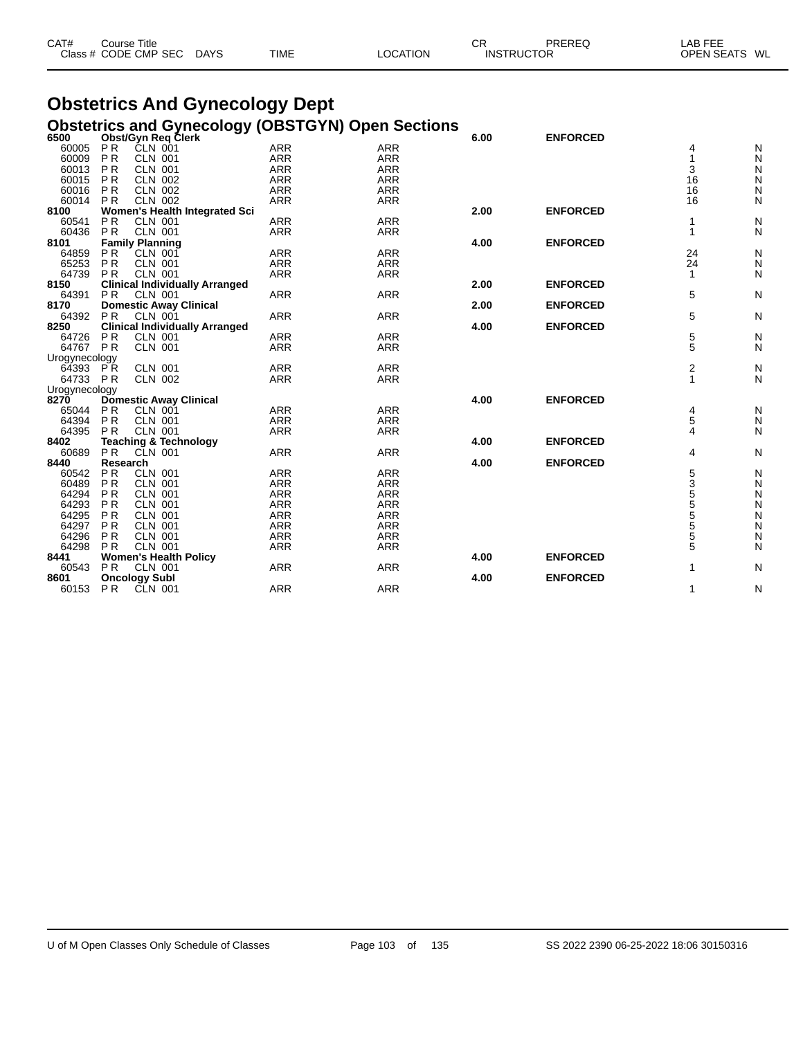| CAT# | ourse Titleٽ         |             |             |          | СR                | PREREQ | LAB FEE                 |  |
|------|----------------------|-------------|-------------|----------|-------------------|--------|-------------------------|--|
|      | Class # CODE CMP SEC | <b>DAYS</b> | <b>TIME</b> | LOCATION | <b>INSTRUCTOR</b> |        | <b>OPEN SEATS</b><br>WL |  |

## **Obstetrics And Gynecology Dept Obstetrics and Gynecology (OBSTGYN) Open Sections**

| 6500          |                | Obst/Gyn Req Clerk                    | Obsidings and Oynecology (ODOTOTH) Open Ocenons |            | 6.00 | <b>ENFORCED</b> |                |               |
|---------------|----------------|---------------------------------------|-------------------------------------------------|------------|------|-----------------|----------------|---------------|
|               |                |                                       |                                                 |            |      |                 |                |               |
| 60005         | <b>PR</b>      | CLN 001                               | <b>ARR</b>                                      | <b>ARR</b> |      |                 | 4              | N             |
| 60009         | <b>PR</b>      | <b>CLN 001</b>                        | <b>ARR</b>                                      | <b>ARR</b> |      |                 |                | N             |
| 60013         | <b>PR</b>      | <b>CLN 001</b>                        | <b>ARR</b>                                      | <b>ARR</b> |      |                 | 3              | N             |
| 60015         | <b>PR</b>      | <b>CLN 002</b>                        | <b>ARR</b>                                      | <b>ARR</b> |      |                 | 16             | N             |
| 60016         | <b>PR</b>      | <b>CLN 002</b>                        | <b>ARR</b>                                      | <b>ARR</b> |      |                 | 16             | $\mathsf{N}$  |
| 60014         | <b>PR</b>      | <b>CLN 002</b>                        | <b>ARR</b>                                      | <b>ARR</b> |      |                 | 16             | N             |
| 8100          |                | Women's Health Integrated Sci         |                                                 |            | 2.00 | <b>ENFORCED</b> |                |               |
| 60541         | P <sub>R</sub> | <b>CLN 001</b>                        | <b>ARR</b>                                      | <b>ARR</b> |      |                 |                | N             |
| 60436         | P <sub>R</sub> | <b>CLN 001</b>                        | <b>ARR</b>                                      | <b>ARR</b> |      |                 | 1              | N             |
| 8101          |                | <b>Family Planning</b>                |                                                 |            | 4.00 | <b>ENFORCED</b> |                |               |
| 64859         | <b>PR</b>      | <b>CLN 001</b>                        | <b>ARR</b>                                      | <b>ARR</b> |      |                 | 24             | N             |
| 65253         | <b>PR</b>      | <b>CLN 001</b>                        | <b>ARR</b>                                      | <b>ARR</b> |      |                 | 24             | N             |
| 64739         | <b>PR</b>      | <b>CLN 001</b>                        | <b>ARR</b>                                      | <b>ARR</b> |      |                 |                | N             |
| 8150          |                | <b>Clinical Individually Arranged</b> |                                                 |            | 2.00 | <b>ENFORCED</b> |                |               |
| 64391         | <b>PR</b>      | <b>CLN 001</b>                        | <b>ARR</b>                                      | <b>ARR</b> |      |                 | 5              | N             |
| 8170          |                | <b>Domestic Away Clinical</b>         |                                                 |            | 2.00 | <b>ENFORCED</b> |                |               |
| 64392         |                |                                       |                                                 |            |      |                 |                |               |
|               | PR.            | <b>CLN 001</b>                        | <b>ARR</b>                                      | <b>ARR</b> |      |                 | 5              | N             |
| 8250          |                | <b>Clinical Individually Arranged</b> |                                                 |            | 4.00 | <b>ENFORCED</b> |                |               |
| 64726         | <b>PR</b>      | <b>CLN 001</b>                        | <b>ARR</b>                                      | <b>ARR</b> |      |                 | 5              | N             |
| 64767         | PR             | <b>CLN 001</b>                        | <b>ARR</b>                                      | <b>ARR</b> |      |                 | 5              | N             |
| Urogynecology |                |                                       |                                                 |            |      |                 |                |               |
| 64393 PR      |                | <b>CLN 001</b>                        | <b>ARR</b>                                      | <b>ARR</b> |      |                 | 2              | N             |
| 64733 PR      |                | <b>CLN 002</b>                        | <b>ARR</b>                                      | <b>ARR</b> |      |                 | 1              | N             |
| Urogynecology |                |                                       |                                                 |            |      |                 |                |               |
| 8270          |                | <b>Domestic Away Clinical</b>         |                                                 |            | 4.00 | <b>ENFORCED</b> |                |               |
| 65044         | <b>PR</b>      | <b>CLN 001</b>                        | <b>ARR</b>                                      | <b>ARR</b> |      |                 | 4              | N             |
| 64394         | <b>PR</b>      | <b>CLN 001</b>                        | <b>ARR</b>                                      | <b>ARR</b> |      |                 | 5              | N             |
| 64395         | <b>PR</b>      | <b>CLN 001</b>                        | <b>ARR</b>                                      | <b>ARR</b> |      |                 | 4              | N             |
| 8402          |                | <b>Teaching &amp; Technology</b>      |                                                 |            | 4.00 | <b>ENFORCED</b> |                |               |
| 60689         | P <sub>R</sub> | CLN 001                               | <b>ARR</b>                                      | <b>ARR</b> |      |                 | 4              | N             |
| 8440          | Research       |                                       |                                                 |            | 4.00 | <b>ENFORCED</b> |                |               |
| 60542         | <b>PR</b>      | <b>CLN 001</b>                        | <b>ARR</b>                                      | <b>ARR</b> |      |                 | 5              | N             |
| 60489         | P <sub>R</sub> | <b>CLN 001</b>                        | <b>ARR</b>                                      | <b>ARR</b> |      |                 | $\overline{3}$ | N             |
| 64294         | <b>PR</b>      | <b>CLN 001</b>                        | <b>ARR</b>                                      | <b>ARR</b> |      |                 | 5              |               |
|               |                |                                       |                                                 |            |      |                 | 5              | N             |
| 64293         | <b>PR</b>      | <b>CLN 001</b>                        | ARR                                             | <b>ARR</b> |      |                 |                | $\frac{N}{N}$ |
| 64295         | P <sub>R</sub> | <b>CLN 001</b>                        | <b>ARR</b>                                      | <b>ARR</b> |      |                 | 5              |               |
| 64297         | <b>PR</b>      | <b>CLN 001</b>                        | <b>ARR</b>                                      | <b>ARR</b> |      |                 | $\overline{5}$ | N             |
| 64296         | P <sub>R</sub> | <b>CLN 001</b>                        | <b>ARR</b>                                      | <b>ARR</b> |      |                 | 5              | N             |
| 64298         | <b>PR</b>      | <b>CLN 001</b>                        | <b>ARR</b>                                      | <b>ARR</b> |      |                 | 5              | N             |
| 8441          |                | <b>Women's Health Policy</b>          |                                                 |            | 4.00 | <b>ENFORCED</b> |                |               |
| 60543         | P <sub>R</sub> | <b>CLN 001</b>                        | <b>ARR</b>                                      | <b>ARR</b> |      |                 |                | N             |
| 8601          |                | <b>Oncology Subl</b>                  |                                                 |            | 4.00 | <b>ENFORCED</b> |                |               |
| 60153         | P R            | CLN 001                               | <b>ARR</b>                                      | <b>ARR</b> |      |                 | 1              | N             |
|               |                |                                       |                                                 |            |      |                 |                |               |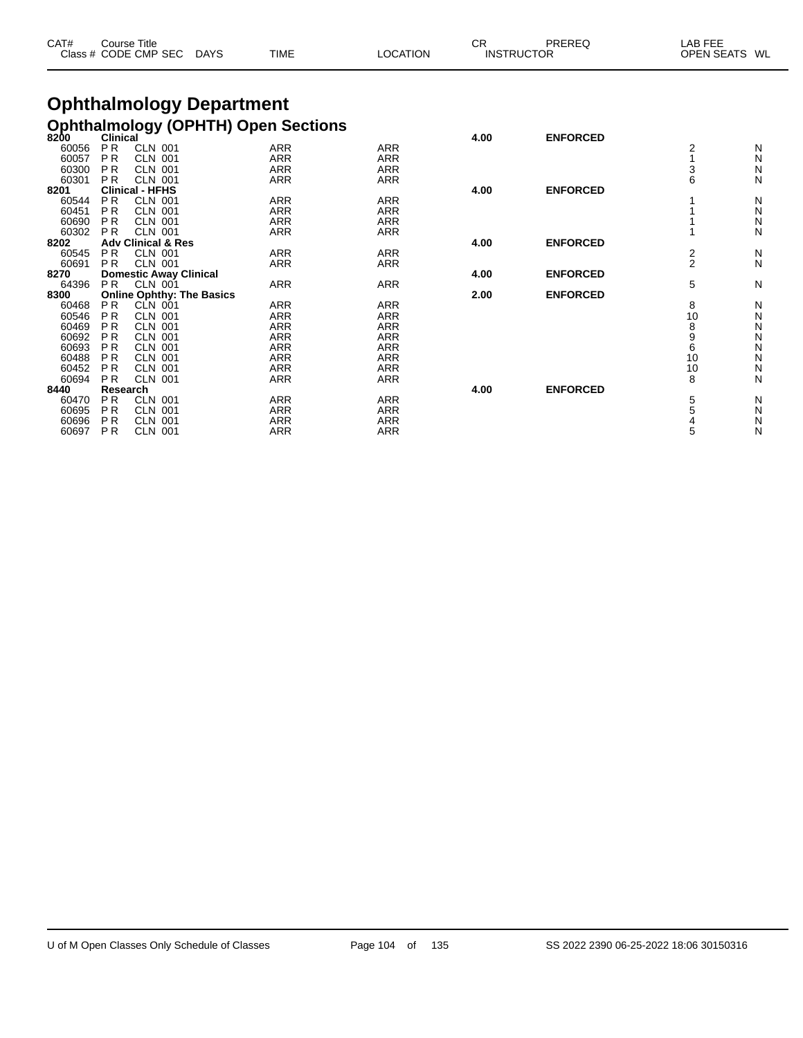| CAT# | Course Title<br>Class # CODE CMP SEC | <b>DAYS</b> | <b>TIME</b> | LOCATION | СF<br><b>INSTRUCTOR</b> | PREREQ | _AB FEE<br><b>OPEN SEATS</b> | WL |
|------|--------------------------------------|-------------|-------------|----------|-------------------------|--------|------------------------------|----|
|      |                                      |             |             |          |                         |        |                              |    |

## **Ophthalmology Department Ophthalmology (OPHTH) Open Sections**

| 8200  | <b>Clinical</b> |                                  |            |            | 4.00 | <b>ENFORCED</b> |                |   |
|-------|-----------------|----------------------------------|------------|------------|------|-----------------|----------------|---|
| 60056 | <b>PR</b>       | <b>CLN 001</b>                   | <b>ARR</b> | <b>ARR</b> |      |                 |                | N |
| 60057 | P R             | <b>CLN 001</b>                   | ARR        | <b>ARR</b> |      |                 |                | N |
| 60300 | P <sub>R</sub>  | <b>CLN 001</b>                   | <b>ARR</b> | <b>ARR</b> |      |                 | 3              | N |
| 60301 | PR.             | <b>CLN 001</b>                   | <b>ARR</b> | ARR        |      |                 |                | N |
| 8201  |                 | <b>Clinical - HFHS</b>           |            |            | 4.00 | <b>ENFORCED</b> |                |   |
| 60544 | PR.             | <b>CLN 001</b>                   | <b>ARR</b> | <b>ARR</b> |      |                 |                | N |
| 60451 | P R             | <b>CLN 001</b>                   | ARR        | <b>ARR</b> |      |                 |                | N |
| 60690 | P <sub>R</sub>  | <b>CLN 001</b>                   | <b>ARR</b> | <b>ARR</b> |      |                 |                | N |
| 60302 | P <sub>R</sub>  | <b>CLN 001</b>                   | ARR        | ARR        |      |                 |                | N |
| 8202  |                 | <b>Adv Clinical &amp; Res</b>    |            |            | 4.00 | <b>ENFORCED</b> |                |   |
| 60545 | PR.             | <b>CLN 001</b>                   | ARR        | ARR        |      |                 | 2              | N |
| 60691 | P <sub>R</sub>  | <b>CLN 001</b>                   | ARR        | <b>ARR</b> |      |                 | $\overline{2}$ | N |
| 8270  |                 | <b>Domestic Away Clinical</b>    |            |            | 4.00 | <b>ENFORCED</b> |                |   |
| 64396 | P <sub>R</sub>  | <b>CLN 001</b>                   | ARR        | <b>ARR</b> |      |                 | 5              | N |
| 8300  |                 | <b>Online Ophthy: The Basics</b> |            |            | 2.00 | <b>ENFORCED</b> |                |   |
| 60468 | PR.             | CLN 001                          | <b>ARR</b> | <b>ARR</b> |      |                 | 8              | N |
| 60546 | P <sub>R</sub>  | <b>CLN 001</b>                   | <b>ARR</b> | <b>ARR</b> |      |                 | 10             | N |
| 60469 | PR.             | <b>CLN 001</b>                   | ARR        | <b>ARR</b> |      |                 | 8              | N |
| 60692 | PR.             | <b>CLN 001</b>                   | <b>ARR</b> | <b>ARR</b> |      |                 |                | N |
| 60693 | P <sub>R</sub>  | <b>CLN 001</b>                   | ARR        | <b>ARR</b> |      |                 | 6              | N |
| 60488 | P <sub>R</sub>  | <b>CLN 001</b>                   | ARR        | <b>ARR</b> |      |                 | 10             | N |
| 60452 | P <sub>R</sub>  | <b>CLN 001</b>                   | <b>ARR</b> | <b>ARR</b> |      |                 | 10             | N |
| 60694 | P <sub>R</sub>  | <b>CLN 001</b>                   | <b>ARR</b> | <b>ARR</b> |      |                 | 8              | N |
| 8440  | <b>Research</b> |                                  |            |            | 4.00 | <b>ENFORCED</b> |                |   |
| 60470 | PR.             | <b>CLN 001</b>                   | ARR        | <b>ARR</b> |      |                 | 5              | N |
| 60695 | P <sub>R</sub>  | <b>CLN 001</b>                   | ARR        | <b>ARR</b> |      |                 |                | N |
| 60696 | P <sub>R</sub>  | <b>CLN 001</b>                   | ARR        | ARR        |      |                 |                | N |
| 60697 | P <sub>R</sub>  | <b>CLN 001</b>                   | ARR        | <b>ARR</b> |      |                 | 5              | N |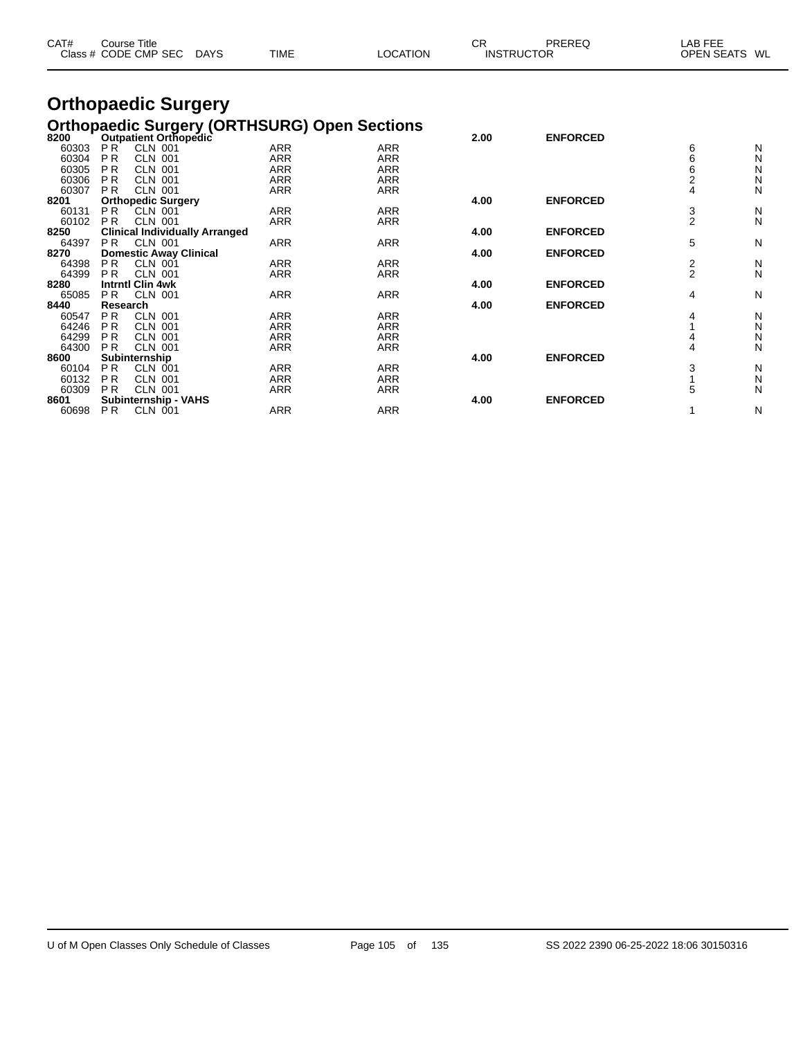| CAT#           | Course Title   | Class # CODE CMP SEC                    | <b>DAYS</b>                           | TIME       | <b>LOCATION</b>                                     | <b>CR</b> | PREREQ<br><b>INSTRUCTOR</b> | LAB FEE<br><b>OPEN SEATS</b> | WL     |
|----------------|----------------|-----------------------------------------|---------------------------------------|------------|-----------------------------------------------------|-----------|-----------------------------|------------------------------|--------|
|                |                | <b>Orthopaedic Surgery</b>              |                                       |            |                                                     |           |                             |                              |        |
|                |                |                                         |                                       |            | <b>Orthopaedic Surgery (ORTHSURG) Open Sections</b> |           |                             |                              |        |
| 8200           | PR             | Outpatient Orthopedic<br><b>CLN 001</b> |                                       | <b>ARR</b> | <b>ARR</b>                                          | 2.00      | <b>ENFORCED</b>             |                              |        |
| 60303          | <b>PR</b>      | <b>CLN 001</b>                          |                                       | <b>ARR</b> | <b>ARR</b>                                          |           |                             | 6<br>6                       | N      |
| 60304<br>60305 | <b>PR</b>      | <b>CLN 001</b>                          |                                       | <b>ARR</b> | <b>ARR</b>                                          |           |                             | 6                            | N      |
| 60306          | <b>PR</b>      | <b>CLN 001</b>                          |                                       | ARR        | <b>ARR</b>                                          |           |                             |                              | N<br>N |
| 60307          | P <sub>R</sub> |                                         |                                       |            |                                                     |           |                             | 2<br>4                       | N      |
|                |                | <b>CLN 001</b>                          |                                       | <b>ARR</b> | <b>ARR</b>                                          | 4.00      | <b>ENFORCED</b>             |                              |        |
| 8201           |                | <b>Orthopedic Surgery</b>               |                                       | <b>ARR</b> | <b>ARR</b>                                          |           |                             |                              |        |
| 60131          | PR.            | CLN 001                                 |                                       |            |                                                     |           |                             | $\frac{3}{2}$                | N<br>N |
| 60102          | <b>PR</b>      | <b>CLN 001</b>                          |                                       | ARR        | <b>ARR</b>                                          |           | <b>ENFORCED</b>             |                              |        |
| 8250           |                |                                         | <b>Clinical Individually Arranged</b> |            |                                                     | 4.00      |                             |                              |        |
| 64397          | PR.            | <b>CLN 001</b>                          |                                       | <b>ARR</b> | <b>ARR</b>                                          |           |                             | 5                            | N      |
| 8270           |                | <b>Domestic Away Clinical</b>           |                                       |            |                                                     | 4.00      | <b>ENFORCED</b>             |                              |        |
| 64398          | P <sub>R</sub> | <b>CLN 001</b>                          |                                       | <b>ARR</b> | <b>ARR</b>                                          |           |                             | $\frac{2}{2}$                | N      |
| 64399          | P <sub>R</sub> | <b>CLN 001</b>                          |                                       | <b>ARR</b> | <b>ARR</b>                                          |           |                             |                              | N      |
| 8280           |                | <b>Intrntl Clin 4wk</b>                 |                                       |            |                                                     | 4.00      | <b>ENFORCED</b>             |                              |        |
| 65085          | P <sub>R</sub> | <b>CLN 001</b>                          |                                       | <b>ARR</b> | <b>ARR</b>                                          |           |                             | 4                            | N      |

 P R CLN 001 ARR ARR 4 N P R CLN 001 ARR ARR 1 N P R CLN 001 ARR ARR 4 N P R CLN 001 ARR ARR 4 N

 P R CLN 001 ARR ARR 3 N P R CLN 001 ARR ARR 1 N P R CLN 001 ARR ARR 5 N

P R CLN 001 ARR ARR 1 N

**Research 4.00 ENFORCED**

**Subinternship 4.00 ENFORCED**

**Subinternship - VAHS 4.00 ENFORCED**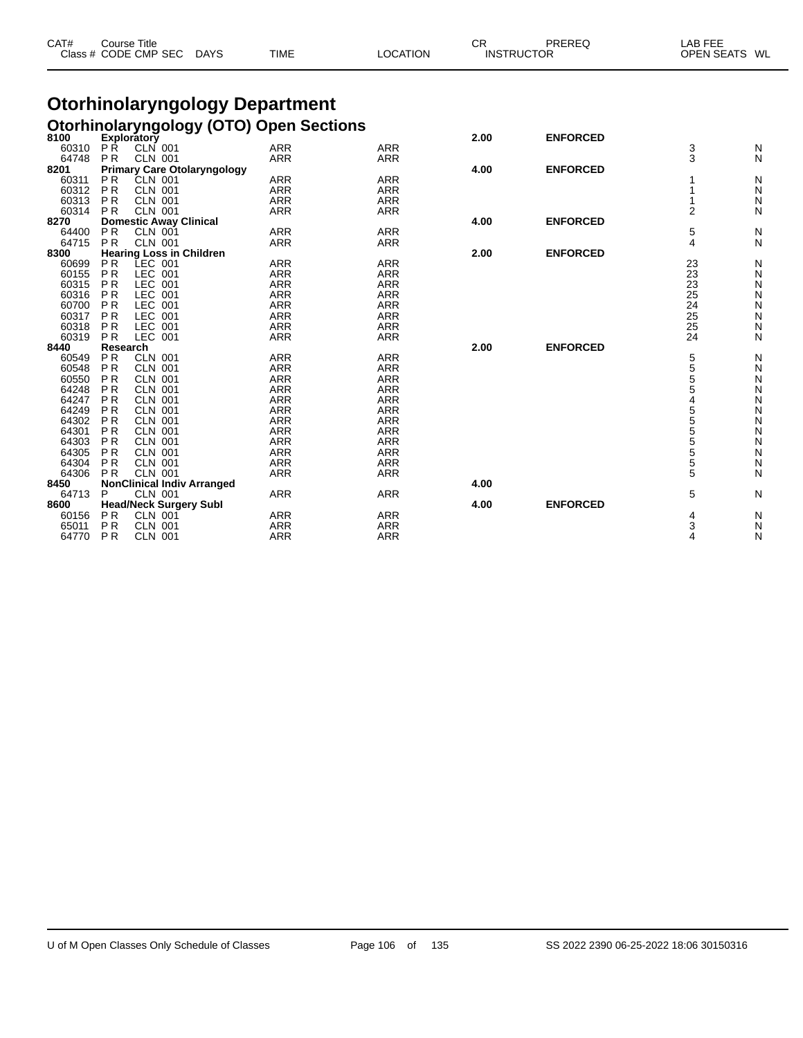| CAT#           |                        | Course Title<br>Class # CODE CMP SEC | <b>DAYS</b>                           | TIME                     |                                                | <b>LOCATION</b>          | <b>CR</b><br><b>INSTRUCTOR</b> | PREREQ          | LAB FEE<br><b>OPEN SEATS</b> | WL     |
|----------------|------------------------|--------------------------------------|---------------------------------------|--------------------------|------------------------------------------------|--------------------------|--------------------------------|-----------------|------------------------------|--------|
|                |                        |                                      | <b>Otorhinolaryngology Department</b> |                          |                                                |                          |                                |                 |                              |        |
|                |                        |                                      |                                       |                          |                                                |                          |                                |                 |                              |        |
|                |                        |                                      |                                       |                          | <b>Otorhinolaryngology (OTO) Open Sections</b> |                          |                                |                 |                              |        |
| 8100           |                        | Exploratory                          |                                       |                          |                                                |                          | 2.00                           | <b>ENFORCED</b> |                              |        |
| 60310          | <b>PR</b>              | CLN 001                              |                                       | <b>ARR</b>               |                                                | <b>ARR</b>               |                                |                 | 3                            | N      |
| 64748          | <b>PR</b>              | <b>CLN 001</b>                       |                                       | <b>ARR</b>               |                                                | <b>ARR</b>               |                                |                 | 3                            | N      |
| 8201           |                        | <b>Primary Care Otolaryngology</b>   |                                       |                          |                                                |                          | 4.00                           | <b>ENFORCED</b> |                              |        |
| 60311          | <b>PR</b>              | CLN 001                              |                                       | <b>ARR</b>               |                                                | <b>ARR</b>               |                                |                 |                              | N      |
| 60312          | <b>PR</b>              | <b>CLN 001</b>                       |                                       | <b>ARR</b>               |                                                | <b>ARR</b>               |                                |                 |                              | N      |
| 60313          | <b>PR</b>              | <b>CLN 001</b>                       |                                       | <b>ARR</b>               |                                                | <b>ARR</b>               |                                |                 |                              | N      |
| 60314          | <b>PR</b>              | <b>CLN 001</b>                       |                                       | <b>ARR</b>               |                                                | <b>ARR</b>               |                                |                 | $\overline{2}$               | N      |
| 8270           |                        | <b>Domestic Away Clinical</b>        |                                       |                          |                                                |                          | 4.00                           | <b>ENFORCED</b> |                              |        |
| 64400          | <b>PR</b>              | CLN 001                              |                                       | ARR                      |                                                | <b>ARR</b>               |                                |                 | 5                            | N      |
| 64715          | <b>PR</b>              | <b>CLN 001</b>                       |                                       | <b>ARR</b>               |                                                | <b>ARR</b>               |                                |                 | 4                            | N      |
| 8300           |                        | <b>Hearing Loss in Children</b>      |                                       |                          |                                                |                          | 2.00                           | <b>ENFORCED</b> |                              |        |
| 60699          | P <sub>R</sub>         | LEC 001                              |                                       | <b>ARR</b>               |                                                | <b>ARR</b>               |                                |                 | 23                           | N      |
| 60155          | <b>PR</b>              | LEC 001                              |                                       | <b>ARR</b>               |                                                | <b>ARR</b>               |                                |                 | 23                           | N      |
| 60315<br>60316 | <b>PR</b><br><b>PR</b> | LEC 001<br>LEC 001                   |                                       | <b>ARR</b><br><b>ARR</b> |                                                | <b>ARR</b><br><b>ARR</b> |                                |                 |                              | N      |
| 60700          | <b>PR</b>              | LEC 001                              |                                       | <b>ARR</b>               |                                                | <b>ARR</b>               |                                |                 | $\frac{23}{25}$<br>25<br>24  | N<br>N |
| 60317          | <b>PR</b>              | LEC 001                              |                                       | <b>ARR</b>               |                                                | <b>ARR</b>               |                                |                 | 25                           | N      |
| 60318          | <b>PR</b>              | LEC 001                              |                                       | <b>ARR</b>               |                                                | <b>ARR</b>               |                                |                 | 25                           | N      |
| 60319          | ΡR                     | LEC 001                              |                                       | <b>ARR</b>               |                                                | <b>ARR</b>               |                                |                 | 24                           | N      |
| 8440           | Research               |                                      |                                       |                          |                                                |                          | 2.00                           | <b>ENFORCED</b> |                              |        |

 P R CLN 001 ARR ARR 5 N P R CLN 001 ARR ARR 5 N P R CLN 001 ARR ARR 5 N P R CLN 001 ARR ARR 5 N P R CLN 001 ARR ARR 4 N P R CLN 001 ARR ARR 5 N P R CLN 001 ARR ARR 5 N P R CLN 001 ARR ARR 5 N P R CLN 001 ARR ARR 5 N P R CLN 001 ARR ARR 5 N P R CLN 001 ARR ARR 5 N P R CLN 001 ARR ARR 5 N

P CLN 001 ARR ARR 5 N

 P R CLN 001 ARR ARR 4 N P R CLN 001 ARR ARR 3 N P R CLN 001 ARR ARR 4 N

**84304 PR CLN 001**<br> **8450 • NonClinical Indiv Arranged 1.001**<br> **8450 • NonClinical Indiv Arranged also because of the cln 001<br>
<b>8600** • Head/Neck Surgery Subl **ARR 4.00**<br> **8600** • Head/Neck Surgery Subl **4.00** 

**Head/Neck Surgery SubI 4.00 ENFORCED**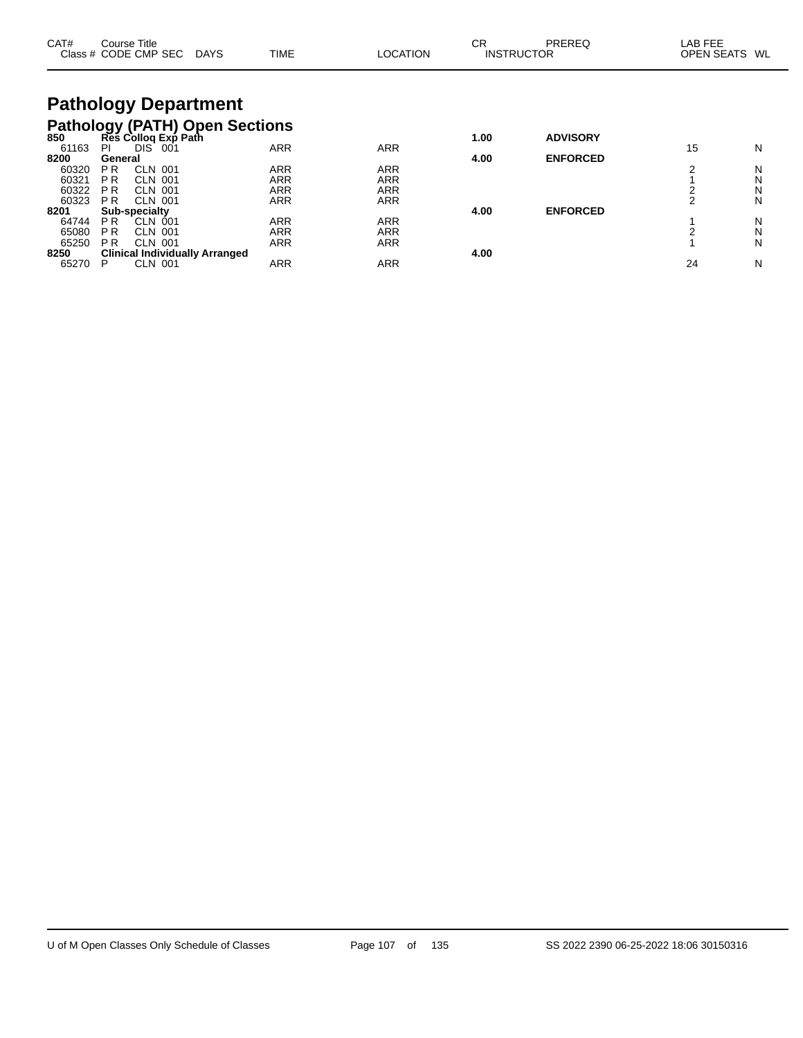| CAT#                                                                                 |                                                          | Course Title<br>Class # CODE CMP SEC DAYS          |                                                           | <b>TIME</b>       | <b>LOCATION</b>                        | СR<br><b>INSTRUCTOR</b> | <b>PREREQ</b>   | LAB FEE<br><b>OPEN SEATS</b> | WL          |
|--------------------------------------------------------------------------------------|----------------------------------------------------------|----------------------------------------------------|-----------------------------------------------------------|-------------------|----------------------------------------|-------------------------|-----------------|------------------------------|-------------|
|                                                                                      |                                                          | <b>Pathology Department</b>                        |                                                           |                   |                                        |                         |                 |                              |             |
| 61163                                                                                | PI                                                       | DIS <sup>-</sup><br>-001                           | Pathology (PATH) Open Sections<br>850 Res Collog Exp Path | <b>ARR</b>        | <b>ARR</b>                             | 1.00                    | <b>ADVISORY</b> | 15                           | N           |
| 8200<br>60320                                                                        | General<br>P <sub>R</sub>                                | <b>CLN 001</b>                                     |                                                           | ARR               | <b>ARR</b>                             | 4.00                    | <b>ENFORCED</b> | 2                            | N           |
| 60321<br>60322                                                                       | <b>PR</b><br><b>PR</b>                                   | CLN 001<br><b>CLN 001</b>                          |                                                           | ARR<br>ARR        | <b>ARR</b><br><b>ARR</b>               |                         |                 | $\frac{2}{2}$                | N<br>N      |
| 60323<br>8201                                                                        | ARR<br><b>CLN 001</b><br>P <sub>R</sub><br>Sub-specialty |                                                    |                                                           | <b>ARR</b>        | 4.00                                   | <b>ENFORCED</b>         |                 | N                            |             |
| 64744<br>65080<br>65250                                                              | P <sub>R</sub><br>P <sub>R</sub><br>P <sub>R</sub>       | <b>CLN 001</b><br><b>CLN 001</b><br><b>CLN 001</b> |                                                           | ARR<br>ARR<br>ARR | <b>ARR</b><br><b>ARR</b><br><b>ARR</b> |                         |                 | $\overline{2}$               | N<br>N<br>N |
| 8250<br><b>Clinical Individually Arranged</b><br><b>CLN 001</b><br>ARR<br>P<br>65270 |                                                          |                                                    |                                                           |                   | <b>ARR</b>                             | 4.00                    |                 | 24                           | N           |

 $\overline{\phantom{0}}$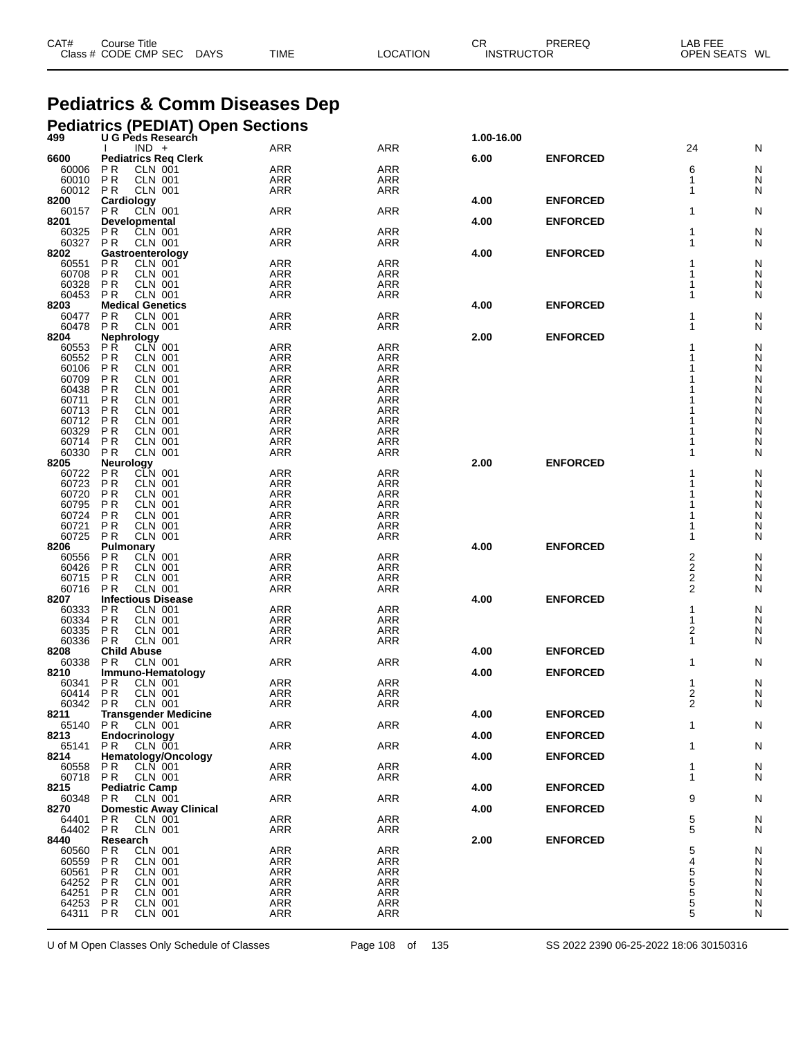|                  | Class # CODE CMP SEC<br><b>DAYS</b>                         | TIME                     | LOCATION                 | <b>INSTRUCTOR</b> |                 | OPEN SEATS WL  |        |
|------------------|-------------------------------------------------------------|--------------------------|--------------------------|-------------------|-----------------|----------------|--------|
|                  |                                                             |                          |                          |                   |                 |                |        |
|                  | <b>Pediatrics &amp; Comm Diseases Dep</b>                   |                          |                          |                   |                 |                |        |
|                  | Pediatrics (PEDIAT) Open Sections<br>499 U G Peds Research  |                          | 1.00-16.00               |                   |                 |                |        |
|                  | $IND +$                                                     | <b>ARR</b>               | <b>ARR</b>               |                   |                 | 24             | N      |
| 6600             | <b>Pediatrics Reg Clerk</b>                                 |                          |                          | 6.00              | <b>ENFORCED</b> |                |        |
| 60006<br>60010   | РR<br>CLN 001<br><b>CLN 001</b><br><b>PR</b>                | <b>ARR</b><br><b>ARR</b> | <b>ARR</b><br><b>ARR</b> |                   |                 | 6<br>1         | N<br>N |
| 60012            | <b>CLN 001</b><br><b>PR</b>                                 | ARR                      | ARR                      |                   |                 | 1              | N      |
| 8200             | <b>Cardiology</b><br>PR CLN 001                             |                          |                          | 4.00              | <b>ENFORCED</b> |                |        |
| 60157 PR<br>8201 | Developmental                                               | <b>ARR</b>               | <b>ARR</b>               | 4.00              | <b>ENFORCED</b> | 1              | N      |
| 60325            | CLN 001<br>РR                                               | <b>ARR</b>               | <b>ARR</b>               |                   |                 | 1              | N      |
| 60327            | <b>CLN 001</b><br><b>PR</b>                                 | ARR                      | <b>ARR</b>               |                   |                 | 1              | N      |
| 8202<br>60551    | Gastroenterology<br>РR<br><b>CLN 001</b>                    | <b>ARR</b>               | ARR                      | 4.00              | <b>ENFORCED</b> | 1              | N      |
| 60708            | P <sub>R</sub><br><b>CLN 001</b>                            | <b>ARR</b>               | <b>ARR</b>               |                   |                 | 1              | N      |
| 60328            | P <sub>R</sub><br><b>CLN 001</b>                            | <b>ARR</b>               | ARR                      |                   |                 | 1              | N      |
| 60453<br>8203    | P <sub>R</sub><br><b>CLN 001</b><br><b>Medical Genetics</b> | <b>ARR</b>               | <b>ARR</b>               | 4.00              | <b>ENFORCED</b> | 1              | N      |
| 60477            | P <sub>R</sub><br><b>CLN 001</b>                            | <b>ARR</b>               | ARR                      |                   |                 |                | N      |
| 60478            | P <sub>R</sub><br><b>CLN 001</b>                            | <b>ARR</b>               | <b>ARR</b>               |                   |                 | 1              | N      |
| 8204             | Nephrology<br><b>PR</b><br><b>CLN 001</b>                   | <b>ARR</b>               | <b>ARR</b>               | 2.00              | <b>ENFORCED</b> |                |        |
| 60553<br>60552   | P <sub>R</sub><br><b>CLN 001</b>                            | <b>ARR</b>               | ARR                      |                   |                 |                | N<br>N |
| 60106            | <b>CLN 001</b><br>P R                                       | <b>ARR</b>               | <b>ARR</b>               |                   |                 |                | N      |
| 60709            | P <sub>R</sub><br><b>CLN 001</b>                            | <b>ARR</b>               | <b>ARR</b>               |                   |                 |                | N      |
| 60438<br>60711   | ΡR<br><b>CLN 001</b><br><b>CLN 001</b><br>P R               | <b>ARR</b><br><b>ARR</b> | ARR<br><b>ARR</b>        |                   |                 |                | N<br>N |
| 60713            | P <sub>R</sub><br><b>CLN 001</b>                            | <b>ARR</b>               | ARR                      |                   |                 |                | N      |
| 60712            | ΡR<br><b>CLN 001</b>                                        | <b>ARR</b>               | ARR                      |                   |                 |                | N      |
| 60329<br>60714   | <b>CLN 001</b><br>P R<br>P <sub>R</sub><br><b>CLN 001</b>   | <b>ARR</b><br><b>ARR</b> | <b>ARR</b><br>ARR        |                   |                 |                | N<br>N |
| 60330            | P <sub>R</sub><br><b>CLN 001</b>                            | ARR                      | <b>ARR</b>               |                   |                 | 1              | N      |
| 8205             | Neurology                                                   |                          |                          | 2.00              | <b>ENFORCED</b> |                |        |
| 60722<br>60723   | P <sub>R</sub><br><b>CLN 001</b><br>ΡR<br><b>CLN 001</b>    | <b>ARR</b><br><b>ARR</b> | <b>ARR</b><br>ARR        |                   |                 |                | N<br>N |
| 60720            | <b>CLN 001</b><br>P R                                       | <b>ARR</b>               | <b>ARR</b>               |                   |                 |                | N      |
| 60795            | P <sub>R</sub><br><b>CLN 001</b>                            | <b>ARR</b>               | ARR                      |                   |                 |                | N      |
| 60724<br>60721   | ΡR<br><b>CLN 001</b><br>P <sub>R</sub><br><b>CLN 001</b>    | <b>ARR</b><br>ARR        | ARR<br><b>ARR</b>        |                   |                 |                | N<br>N |
| 60725            | P <sub>R</sub><br><b>CLN 001</b>                            | ARR                      | ARR                      |                   |                 | 1              | N      |
| 8206             | Pulmonary                                                   |                          |                          | 4.00              | <b>ENFORCED</b> |                |        |
| 60556<br>60426   | CLN 001<br>P R<br>P <sub>R</sub><br><b>CLN 001</b>          | <b>ARR</b><br><b>ARR</b> | <b>ARR</b><br><b>ARR</b> |                   |                 | 2              | N<br>N |
| 60715            | P <sub>R</sub><br><b>CLN 001</b>                            | <b>ARR</b>               | ARR                      |                   |                 | $\frac{2}{2}$  | N      |
| 60716            | <b>CLN 001</b><br><b>PR</b>                                 | ARR                      | <b>ARR</b>               |                   |                 | $\overline{2}$ | N      |
| 8207             | <b>Infectious Disease</b><br><b>CLN 001</b><br>РR           | <b>ARR</b>               | <b>ARR</b>               | 4.00              | <b>ENFORCED</b> | 1              | N      |
| 60333<br>60334   | P R<br><b>CLN 001</b>                                       | ARR                      | <b>ARR</b>               |                   |                 | 1              | N      |
| 60335            | P <sub>R</sub><br>CLN 001                                   | <b>ARR</b>               | ARR                      |                   |                 | 2              | N      |
|                  | 60336 PR CLN 001                                            | ARR                      | ARR                      | 4.00              | <b>ENFORCED</b> | 1              | N      |
| 8208<br>60338    | <b>Child Abuse</b><br>PR.<br><b>CLN 001</b>                 | ARR                      | ARR                      |                   |                 | 1              | N      |
| 8210             | Immuno-Hematology                                           |                          |                          | 4.00              | <b>ENFORCED</b> |                |        |
| 60341<br>60414   | P R<br>CLN 001                                              | ARR                      | <b>ARR</b>               |                   |                 | 1              | N      |
| 60342            | <b>PR</b><br>CLN 001<br>PR.<br><b>CLN 001</b>               | ARR<br>ARR               | ARR<br>ARR               |                   |                 | 2<br>2         | N<br>N |
| 8211             | <b>Transgender Medicine</b>                                 |                          |                          | 4.00              | <b>ENFORCED</b> |                |        |
| 65140            | <b>CLN 001</b><br>PR.                                       | ARR                      | ARR                      |                   |                 | 1              | N      |
| 8213<br>65141    | Endocrinology<br>P R<br>CLN 001                             | <b>ARR</b>               | <b>ARR</b>               | 4.00              | <b>ENFORCED</b> | 1              | N      |
| 8214             | Hematology/Oncology                                         |                          |                          | 4.00              | <b>ENFORCED</b> |                |        |
| 60558            | P R<br>CLN 001                                              | ARR                      | <b>ARR</b>               |                   |                 | 1              | N      |
| 60718<br>8215    | P R<br>CLN 001<br><b>Pediatric Camp</b>                     | ARR                      | ARR                      | 4.00              | <b>ENFORCED</b> | 1              | N      |
| 60348            | PR.<br>CLN 001                                              | <b>ARR</b>               | <b>ARR</b>               |                   |                 | 9              | N      |
| 8270             | <b>Domestic Away Clinical</b>                               |                          |                          | 4.00              | <b>ENFORCED</b> |                |        |
| 64401<br>64402   | P <sub>R</sub><br><b>CLN 001</b><br>PR.<br>CLN 001          | <b>ARR</b><br>ARR        | ARR<br>ARR               |                   |                 | 5<br>5         | N<br>N |
| 8440             | Research                                                    |                          |                          | 2.00              | <b>ENFORCED</b> |                |        |
| 60560            | P <sub>R</sub><br><b>CLN 001</b>                            | <b>ARR</b>               | ARR                      |                   |                 | 5              | N      |
| 60559<br>60561   | P <sub>R</sub><br>CLN 001<br>P R<br>CLN 001                 | <b>ARR</b><br>ARR        | <b>ARR</b><br>ARR        |                   |                 | 4<br>5         | N<br>N |
| 64252            | <b>PR</b><br><b>CLN 001</b>                                 | ARR                      | ARR                      |                   |                 | $\overline{5}$ | N      |
| 64251            | P <sub>R</sub><br><b>CLN 001</b>                            | <b>ARR</b>               | <b>ARR</b>               |                   |                 | 5              | N      |
| 64253            | <b>PR</b><br><b>CLN 001</b>                                 | <b>ARR</b>               | ARR                      |                   |                 | 5              | N      |

CAT# Course Title Case CR PREREQ LAB FEE

U of M Open Classes Only Schedule of Classes Page 108 of 135 SS 2022 2390 06-25-2022 18:06 30150316

P R CLN 001 ARR ARR 5 N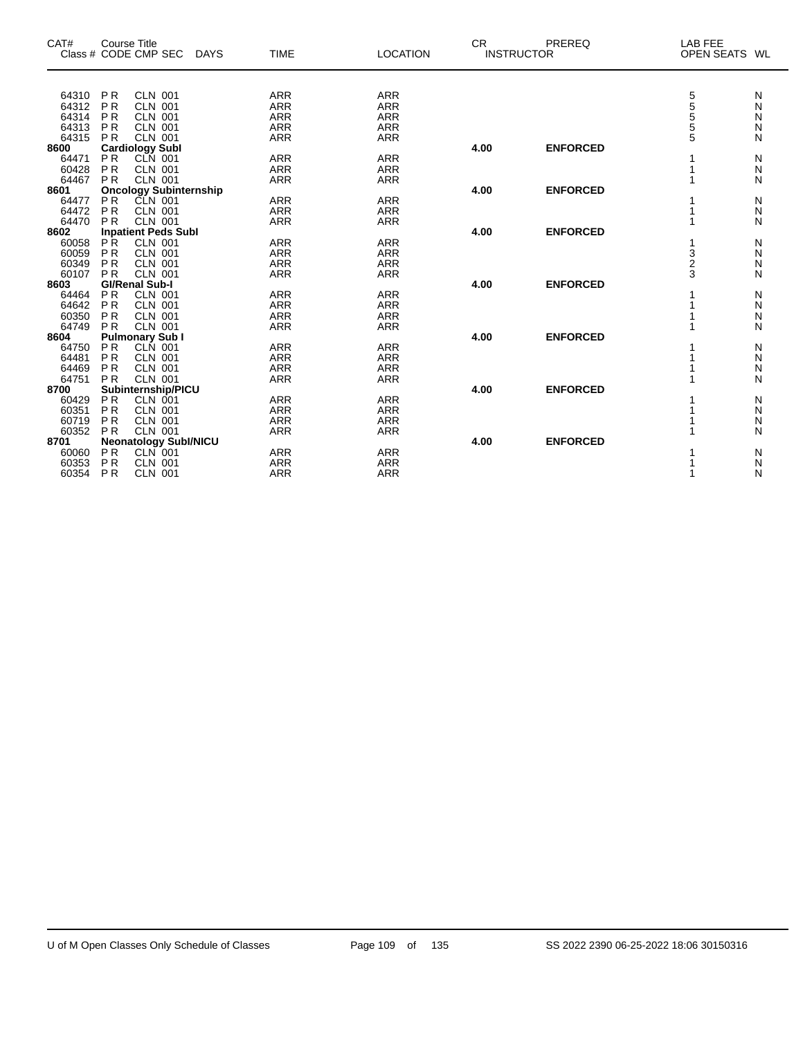| CAT#           | <b>Course Title</b>              |                            |                 | <b>CR</b> | PREREQ            | LAB FEE       |   |
|----------------|----------------------------------|----------------------------|-----------------|-----------|-------------------|---------------|---|
|                | Class # CODE CMP SEC             | <b>TIME</b><br><b>DAYS</b> | <b>LOCATION</b> |           | <b>INSTRUCTOR</b> | OPEN SEATS WL |   |
|                |                                  |                            |                 |           |                   |               |   |
| 64310          | <b>PR</b><br><b>CLN 001</b>      | <b>ARR</b>                 | <b>ARR</b>      |           |                   | 5<br>5<br>5   | N |
| 64312          | P <sub>R</sub><br><b>CLN 001</b> | <b>ARR</b>                 | ARR             |           |                   |               | N |
| 64314          | <b>PR</b><br><b>CLN 001</b>      | <b>ARR</b>                 | <b>ARR</b>      |           |                   |               | Ν |
| 64313          | <b>PR</b><br><b>CLN 001</b>      | <b>ARR</b>                 | <b>ARR</b>      |           |                   | $\frac{5}{5}$ | Ν |
| 64315          | PR<br><b>CLN 001</b>             | <b>ARR</b>                 | <b>ARR</b>      |           |                   |               | N |
| 8600           | <b>Cardiology Subl</b>           |                            |                 | 4.00      | <b>ENFORCED</b>   |               |   |
| 64471<br>60428 | P <sub>R</sub><br><b>CLN 001</b> | <b>ARR</b>                 | <b>ARR</b>      |           |                   |               | N |
|                | PR<br><b>CLN 001</b>             | <b>ARR</b>                 | <b>ARR</b>      |           |                   |               | Ν |
| 64467          | PR<br><b>CLN 001</b>             | <b>ARR</b>                 | <b>ARR</b>      |           |                   |               | N |
| 8601           | <b>Oncology Subinternship</b>    |                            |                 | 4.00      | <b>ENFORCED</b>   |               |   |
| 64477          | <b>PR</b><br>CLN 001             | <b>ARR</b>                 | <b>ARR</b>      |           |                   |               | N |
| 64472          | <b>PR</b><br><b>CLN 001</b>      | <b>ARR</b>                 | <b>ARR</b>      |           |                   |               | Ν |
| 64470          | <b>PR</b><br><b>CLN 001</b>      | <b>ARR</b>                 | <b>ARR</b>      |           |                   |               | N |
| 8602           | <b>Inpatient Peds Subl</b>       |                            |                 | 4.00      | <b>ENFORCED</b>   |               |   |
| 60058          | PR.<br><b>CLN 001</b>            | <b>ARR</b>                 | <b>ARR</b>      |           |                   |               | N |
| 60059          | <b>PR</b><br><b>CLN 001</b>      | <b>ARR</b>                 | <b>ARR</b>      |           |                   |               | Ν |
| 60349          | PR<br><b>CLN 001</b>             | <b>ARR</b>                 | <b>ARR</b>      |           |                   | $\frac{3}{2}$ | N |
| 60107          | <b>PR</b><br><b>CLN 001</b>      | <b>ARR</b>                 | <b>ARR</b>      |           |                   | 3             | N |
| 8603           | <b>GI/Renal Sub-I</b>            |                            |                 | 4.00      | <b>ENFORCED</b>   |               |   |
|                | <b>PR</b>                        |                            |                 |           |                   |               |   |
| 64464          | <b>CLN 001</b>                   | <b>ARR</b>                 | <b>ARR</b>      |           |                   |               | N |
| 64642          | <b>PR</b><br><b>CLN 001</b>      | <b>ARR</b>                 | <b>ARR</b>      |           |                   |               | Ν |
| 60350          | <b>PR</b><br><b>CLN 001</b>      | <b>ARR</b>                 | <b>ARR</b>      |           |                   |               | Ν |
| 64749          | <b>PR</b><br><b>CLN 001</b>      | <b>ARR</b>                 | <b>ARR</b>      |           |                   |               | N |
| 8604           | <b>Pulmonary Sub I</b>           |                            |                 | 4.00      | <b>ENFORCED</b>   |               |   |
| 64750          | PR<br><b>CLN 001</b>             | <b>ARR</b>                 | <b>ARR</b>      |           |                   |               | Ν |
| 64481          | <b>PR</b><br><b>CLN 001</b>      | <b>ARR</b>                 | <b>ARR</b>      |           |                   |               | Ν |
| 64469          | P <sub>R</sub><br><b>CLN 001</b> | <b>ARR</b>                 | <b>ARR</b>      |           |                   |               | Ν |
| 64751          | <b>CLN 001</b><br><b>PR</b>      | <b>ARR</b>                 | <b>ARR</b>      |           |                   |               | N |
| 8700           | Subinternship/PICU               |                            |                 | 4.00      | <b>ENFORCED</b>   |               |   |
| 60429          | PR<br>CLN 001                    | <b>ARR</b>                 | <b>ARR</b>      |           |                   |               | Ν |
| 60351          | <b>PR</b><br><b>CLN 001</b>      | <b>ARR</b>                 | <b>ARR</b>      |           |                   |               | Ν |
| 60719          | <b>PR</b><br><b>CLN 001</b>      | <b>ARR</b>                 | <b>ARR</b>      |           |                   |               | Ν |
| 60352          | PR<br><b>CLN 001</b>             | <b>ARR</b>                 | <b>ARR</b>      |           |                   |               | N |
| 8701           | <b>Neonatology Subl/NICU</b>     |                            |                 | 4.00      | <b>ENFORCED</b>   |               |   |
| 60060          | <b>PR</b><br>$CLN$ 001           | <b>ARR</b>                 | <b>ARR</b>      |           |                   |               | N |
| 60353          | P <sub>R</sub><br><b>CLN 001</b> | <b>ARR</b>                 | <b>ARR</b>      |           |                   |               | Ν |
|                |                                  |                            |                 |           |                   |               |   |
| 60354          | PR<br><b>CLN 001</b>             | <b>ARR</b>                 | <b>ARR</b>      |           |                   |               | N |

 $\overline{\phantom{0}}$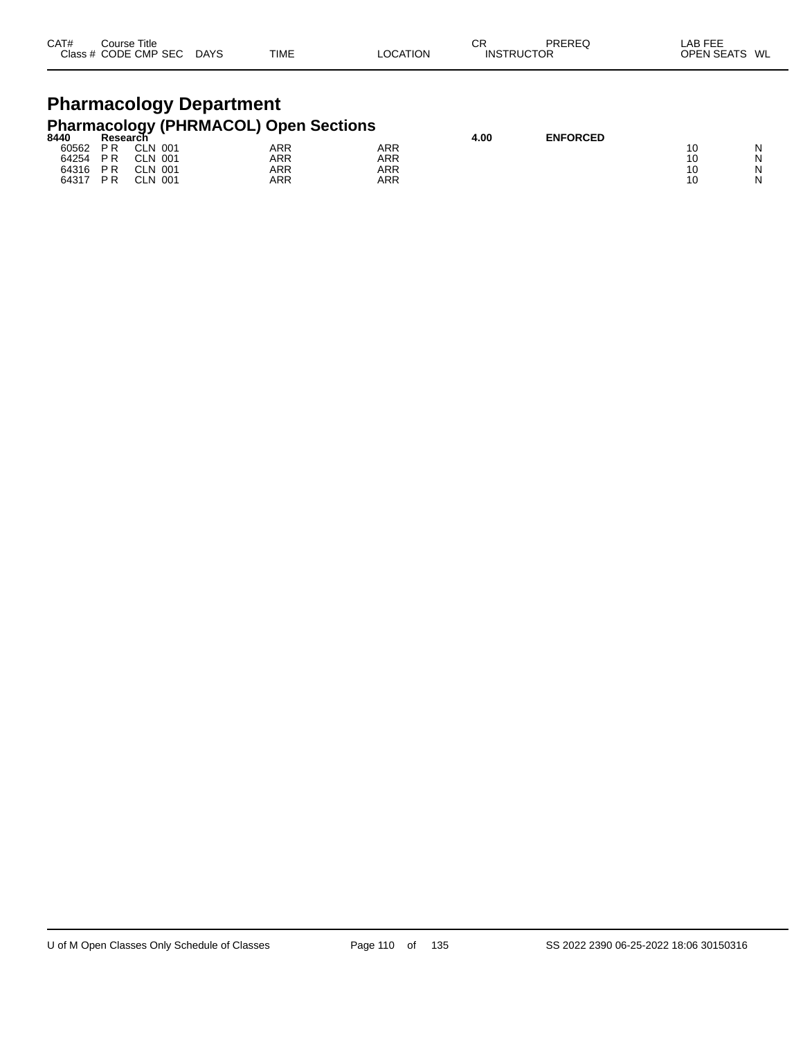| CAT#<br><b>Class</b> | Course Title<br>CODE CMP<br><b>SEC</b> | <b>DAYS</b><br>$\sim$ | <b>TIME</b> | TION | CR<br>INS<br>ΊK | <b>DDEDEC</b><br>ЮR | .AE<br>---<br>OPFN<br>5Е | WL |
|----------------------|----------------------------------------|-----------------------|-------------|------|-----------------|---------------------|--------------------------|----|
|                      |                                        |                       |             |      |                 |                     |                          |    |

## **Pharmacology Department Pharmacology (PHRMACOL) Open Sections**

| 8440  | Research <sup>-</sup> |                   |            |            | 4.00 | <b>ENFORCED</b> |    |   |
|-------|-----------------------|-------------------|------------|------------|------|-----------------|----|---|
| 60562 | P <sub>R</sub>        | <b>CLN</b><br>001 | ARR        | <b>ARR</b> |      |                 |    | N |
| 64254 | <b>PR</b>             | CLN 001           | ARR        | <b>ARR</b> |      |                 | 10 | N |
| 64316 | <b>PR</b>             | <b>CLN 001</b>    | <b>ARR</b> | ARR        |      |                 | 10 | N |
| 64317 | <b>PR</b>             | <b>CLN</b><br>001 | ARR        | <b>ARR</b> |      |                 | 10 | N |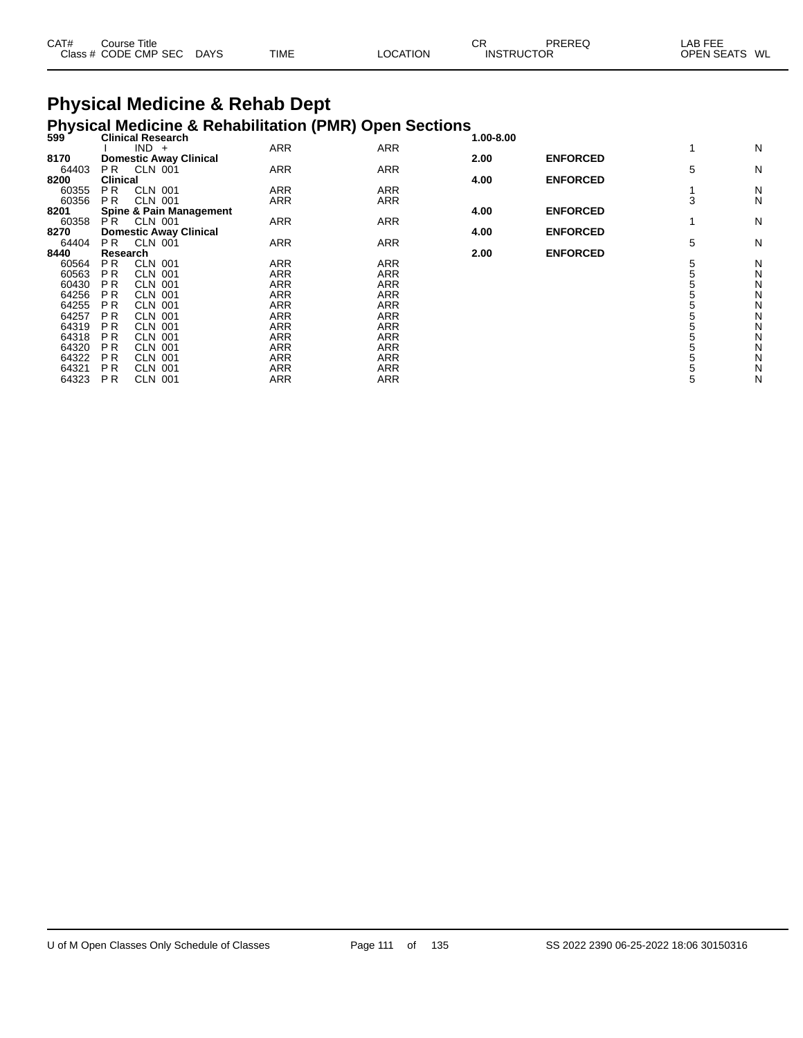| CAT#<br>Course Title |             |             |          | СR                | PREREQ | LAB FEE           |    |
|----------------------|-------------|-------------|----------|-------------------|--------|-------------------|----|
| Class # CODE CMP SEC | <b>DAYS</b> | <b>TIME</b> | LOCATION | <b>INSTRUCTOR</b> |        | <b>OPEN SEATS</b> | WL |

# **Physical Medicine & Rehab Dept**

# **Physical Medicine & Rehabilitation (PMR) Open Sections 599 Clinical Research 1.00-8.00**

| JJJ   | יוויווטעו ווטסטוועו<br>$IND +$     | <b>ARR</b> | <b>ARR</b> | $1.00-0.00$ |                 |   | N |
|-------|------------------------------------|------------|------------|-------------|-----------------|---|---|
|       |                                    |            |            |             |                 |   |   |
| 8170  | <b>Domestic Away Clinical</b>      |            |            | 2.00        | <b>ENFORCED</b> |   |   |
| 64403 | PR.<br><b>CLN 001</b>              | <b>ARR</b> | <b>ARR</b> |             |                 | 5 | N |
| 8200  | <b>Clinical</b>                    |            |            | 4.00        | <b>ENFORCED</b> |   |   |
| 60355 | <b>CLN 001</b><br>P <sub>R</sub>   | <b>ARR</b> | <b>ARR</b> |             |                 |   | N |
| 60356 | P <sub>R</sub><br><b>CLN 001</b>   | <b>ARR</b> | <b>ARR</b> |             |                 | 3 | N |
| 8201  | <b>Spine &amp; Pain Management</b> |            |            | 4.00        | <b>ENFORCED</b> |   |   |
| 60358 | PR.<br><b>CLN 001</b>              | <b>ARR</b> | <b>ARR</b> |             |                 |   | N |
| 8270  | <b>Domestic Away Clinical</b>      |            |            | 4.00        | <b>ENFORCED</b> |   |   |
| 64404 | PR.<br>CLN 001                     | ARR        | <b>ARR</b> |             |                 | 5 | N |
|       |                                    |            |            |             | <b>ENFORCED</b> |   |   |
| 8440  | Research                           |            |            | 2.00        |                 |   |   |
| 60564 | P <sub>R</sub><br><b>CLN 001</b>   | <b>ARR</b> | <b>ARR</b> |             |                 | 5 | N |
| 60563 | ΡR<br><b>CLN 001</b>               | <b>ARR</b> | <b>ARR</b> |             |                 |   | N |
| 60430 | P R<br><b>CLN 001</b>              | <b>ARR</b> | <b>ARR</b> |             |                 |   | Ν |
| 64256 | P R<br><b>CLN 001</b>              | <b>ARR</b> | <b>ARR</b> |             |                 |   | Ν |
| 64255 | ΡR<br><b>CLN 001</b>               | ARR        | <b>ARR</b> |             |                 |   | Ν |
| 64257 | P <sub>R</sub><br>CLN 001          | <b>ARR</b> | <b>ARR</b> |             |                 |   | N |
| 64319 | P R<br><b>CLN 001</b>              | <b>ARR</b> | <b>ARR</b> |             |                 |   | N |
|       |                                    |            |            |             |                 |   |   |
| 64318 | P R<br><b>CLN 001</b>              | <b>ARR</b> | <b>ARR</b> |             |                 |   | Ν |
| 64320 | P R<br>CLN 001                     | <b>ARR</b> | <b>ARR</b> |             |                 |   | Ν |
| 64322 | ΡR<br><b>CLN 001</b>               | <b>ARR</b> | <b>ARR</b> |             |                 |   | Ν |
| 64321 | ΡR<br><b>CLN 001</b>               | <b>ARR</b> | <b>ARR</b> |             |                 |   | N |
| 64323 | P R<br><b>CLN 001</b>              | <b>ARR</b> | <b>ARR</b> |             |                 | 5 | Ν |
|       |                                    |            |            |             |                 |   |   |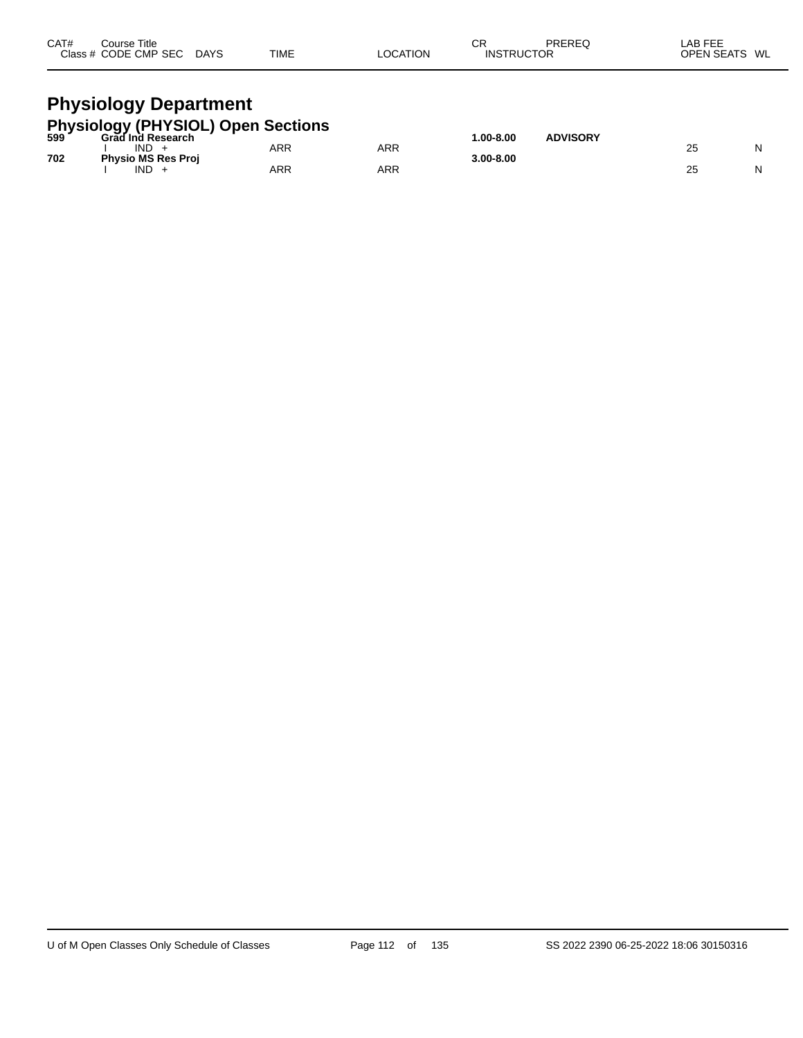| CAT#<br>Course Title<br>Class # CODE CMP SEC DAYS                  | TIME | <b>LOCATION</b> | СR<br><b>INSTRUCTOR</b> | PREREQ          | LAB FEE<br>OPEN SEATS WL |
|--------------------------------------------------------------------|------|-----------------|-------------------------|-----------------|--------------------------|
| <b>Physiology Department</b><br>Physiology (PHYSIOL) Open Sections |      |                 | 1 በበ-ጸ በበ               | <b>ADVISORY</b> |                          |

| $599-$ | Grad Ind Research         |     |     | $.00 - 8.00$ | <b>ADVISORY</b> |    |  |
|--------|---------------------------|-----|-----|--------------|-----------------|----|--|
|        | <b>IND</b>                | ARR | ARR |              |                 | 25 |  |
| 702    | <b>Physio MS Res Proj</b> |     |     | 3.00-8.00    |                 |    |  |
|        | <b>IND</b>                | ARR | ARR |              |                 | 25 |  |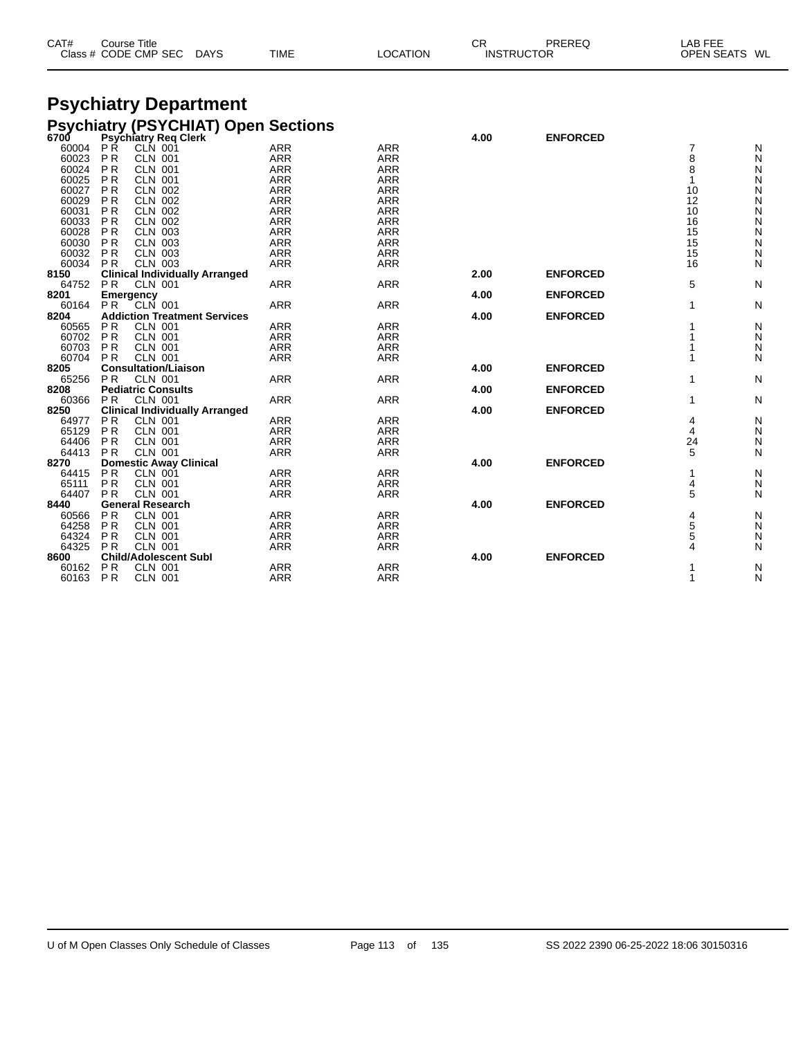| CAT# | Course Title         |             |             |          | СR                | PREREC | _AB FEE                 |  |
|------|----------------------|-------------|-------------|----------|-------------------|--------|-------------------------|--|
|      | Class # CODE CMP SEC | <b>DAYS</b> | <b>TIME</b> | LOCATION | <b>INSTRUCTOR</b> |        | <b>OPEN SEATS</b><br>WL |  |

### **Psychiatry Department Psychiatry (PSYCHIAT) Open Sections**

| 6700  |                  | Psychiatry Req Clerk                  |            |            | 4.00 | <b>ENFORCED</b> |    |              |
|-------|------------------|---------------------------------------|------------|------------|------|-----------------|----|--------------|
| 60004 | РŔ               | <b>CLN 001</b>                        | <b>ARR</b> | <b>ARR</b> |      |                 | 7  | N            |
| 60023 | <b>PR</b>        | <b>CLN 001</b>                        | <b>ARR</b> | <b>ARR</b> |      |                 | 8  | N            |
| 60024 | <b>PR</b>        | <b>CLN 001</b>                        | <b>ARR</b> | <b>ARR</b> |      |                 | 8  | N            |
| 60025 | P <sub>R</sub>   | <b>CLN 001</b>                        | <b>ARR</b> | <b>ARR</b> |      |                 |    | N            |
| 60027 | P <sub>R</sub>   | <b>CLN 002</b>                        | <b>ARR</b> | <b>ARR</b> |      |                 | 10 | ${\sf N}$    |
| 60029 | <b>PR</b>        | <b>CLN 002</b>                        | <b>ARR</b> | <b>ARR</b> |      |                 | 12 | N            |
| 60031 | P <sub>R</sub>   | <b>CLN 002</b>                        | <b>ARR</b> | <b>ARR</b> |      |                 | 10 | ${\sf N}$    |
| 60033 | P <sub>R</sub>   | <b>CLN 002</b>                        | <b>ARR</b> | <b>ARR</b> |      |                 | 16 | N            |
| 60028 | <b>PR</b>        | <b>CLN 003</b>                        | <b>ARR</b> | <b>ARR</b> |      |                 | 15 | ${\sf N}$    |
| 60030 | <b>PR</b>        | <b>CLN 003</b>                        | <b>ARR</b> | <b>ARR</b> |      |                 | 15 | ${\sf N}$    |
| 60032 | P <sub>R</sub>   | <b>CLN 003</b>                        | <b>ARR</b> | <b>ARR</b> |      |                 | 15 | N            |
| 60034 | <b>PR</b>        | <b>CLN 003</b>                        | <b>ARR</b> | <b>ARR</b> |      |                 | 16 | N            |
| 8150  |                  | <b>Clinical Individually Arranged</b> |            |            | 2.00 | <b>ENFORCED</b> |    |              |
| 64752 | <b>PR</b>        | <b>CLN 001</b>                        | <b>ARR</b> | <b>ARR</b> |      |                 | 5  | $\mathsf{N}$ |
| 8201  | <b>Emergency</b> |                                       |            |            | 4.00 | <b>ENFORCED</b> |    |              |
| 60164 | <b>PR</b>        | $CLN$ 001                             | <b>ARR</b> | <b>ARR</b> |      |                 |    | N            |
| 8204  |                  | <b>Addiction Treatment Services</b>   |            |            | 4.00 | <b>ENFORCED</b> |    |              |
| 60565 | P <sub>R</sub>   | <b>CLN 001</b>                        | <b>ARR</b> | <b>ARR</b> |      |                 |    | N            |
| 60702 | <b>PR</b>        | <b>CLN 001</b>                        | <b>ARR</b> | <b>ARR</b> |      |                 |    | N            |
| 60703 | <b>PR</b>        | <b>CLN 001</b>                        | <b>ARR</b> | <b>ARR</b> |      |                 |    | N            |
| 60704 | <b>PR</b>        | <b>CLN 001</b>                        | <b>ARR</b> | <b>ARR</b> |      |                 |    | N            |
| 8205  |                  | <b>Consultation/Liaison</b>           |            |            | 4.00 | <b>ENFORCED</b> |    |              |
| 65256 | <b>PR</b>        | <b>CLN 001</b>                        | <b>ARR</b> | <b>ARR</b> |      |                 |    | N            |
| 8208  |                  | <b>Pediatric Consults</b>             |            |            | 4.00 | <b>ENFORCED</b> |    |              |
| 60366 | <b>PR</b>        | <b>CLN 001</b>                        | <b>ARR</b> | <b>ARR</b> |      |                 |    | N            |
| 8250  |                  | <b>Clinical Individually Arranged</b> |            |            | 4.00 | <b>ENFORCED</b> |    |              |
| 64977 | <b>PR</b>        | <b>CLN 001</b>                        | <b>ARR</b> | <b>ARR</b> |      |                 | 4  | N            |
| 65129 | <b>PR</b>        | <b>CLN 001</b>                        | <b>ARR</b> | <b>ARR</b> |      |                 | 4  | N            |
| 64406 | P <sub>R</sub>   | <b>CLN 001</b>                        | <b>ARR</b> | <b>ARR</b> |      |                 | 24 | N            |
| 64413 | <b>PR</b>        | <b>CLN 001</b>                        | <b>ARR</b> | <b>ARR</b> |      |                 | 5  | N            |
| 8270  |                  | <b>Domestic Away Clinical</b>         |            |            | 4.00 | <b>ENFORCED</b> |    |              |
| 64415 | P <sub>R</sub>   | <b>CLN 001</b>                        | <b>ARR</b> | <b>ARR</b> |      |                 |    | N            |
| 65111 | P <sub>R</sub>   | <b>CLN 001</b>                        | <b>ARR</b> | <b>ARR</b> |      |                 | 4  | ${\sf N}$    |
| 64407 | <b>PR</b>        | <b>CLN 001</b>                        | <b>ARR</b> | <b>ARR</b> |      |                 | 5  | N            |
| 8440  |                  | <b>General Research</b>               |            |            | 4.00 | <b>ENFORCED</b> |    |              |
| 60566 | P <sub>R</sub>   | <b>CLN 001</b>                        | <b>ARR</b> | <b>ARR</b> |      |                 | 4  | N            |
| 64258 | <b>PR</b>        | <b>CLN 001</b>                        | <b>ARR</b> | <b>ARR</b> |      |                 | 5  | N            |
| 64324 | <b>PR</b>        | <b>CLN 001</b>                        | <b>ARR</b> | <b>ARR</b> |      |                 | 5  | N            |
| 64325 | P <sub>R</sub>   | <b>CLN 001</b>                        | <b>ARR</b> | <b>ARR</b> |      |                 | Δ  | N            |
| 8600  |                  | <b>Child/Adolescent Subl</b>          |            |            | 4.00 | <b>ENFORCED</b> |    |              |
| 60162 | <b>PR</b>        | <b>CLN 001</b>                        | <b>ARR</b> | <b>ARR</b> |      |                 |    | N            |
| 60163 | PR               | <b>CLN 001</b>                        | <b>ARR</b> | <b>ARR</b> |      |                 |    | N            |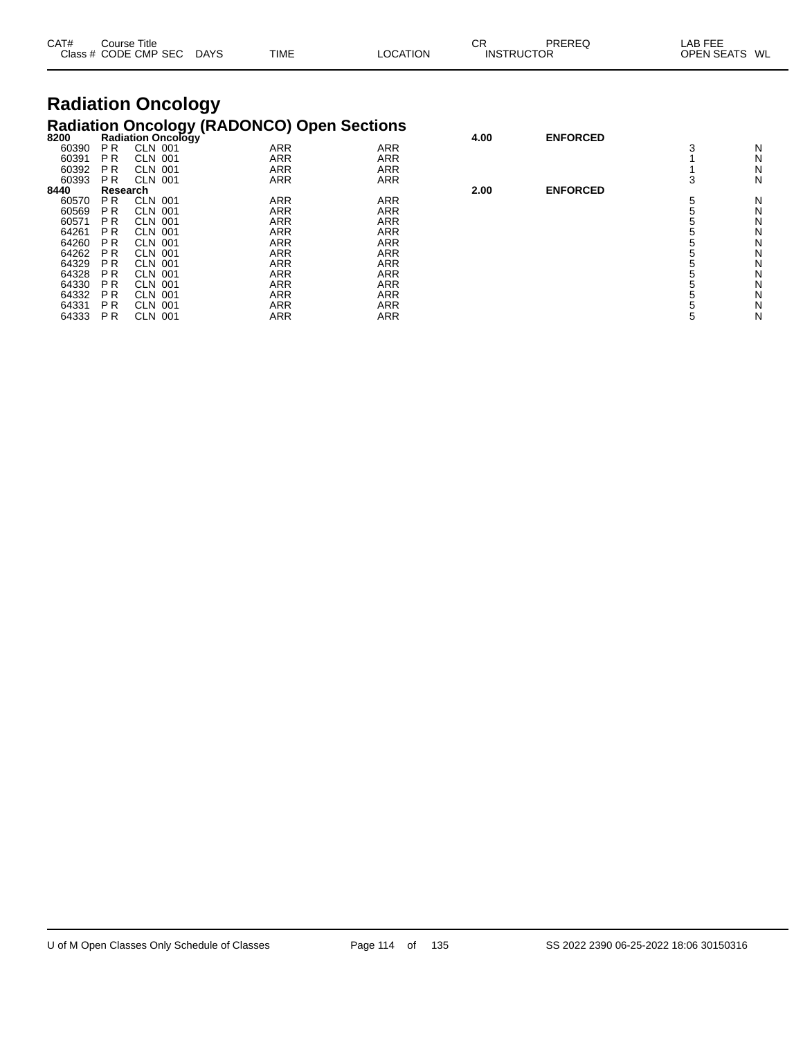| CAT#                      |                | Course Title<br>Class # CODE CMP SEC | <b>DAYS</b> | TIME                                              | LOCATION   | <b>CR</b><br><b>INSTRUCTOR</b> | PREREQ          | LAB FEE<br>OPEN SEATS | WL |
|---------------------------|----------------|--------------------------------------|-------------|---------------------------------------------------|------------|--------------------------------|-----------------|-----------------------|----|
| <b>Radiation Oncology</b> |                |                                      |             |                                                   |            |                                |                 |                       |    |
|                           |                |                                      |             | <b>Radiation Oncology (RADONCO) Open Sections</b> |            |                                |                 |                       |    |
| 8200                      |                | Radiation Oncology                   |             |                                                   |            | 4.00                           | <b>ENFORCED</b> |                       |    |
| 60390                     | P <sub>R</sub> | <b>CLN 001</b>                       |             | <b>ARR</b>                                        | <b>ARR</b> |                                |                 | 3                     | N  |
| 60391                     | P <sub>R</sub> | <b>CLN 001</b>                       |             | ARR                                               | <b>ARR</b> |                                |                 |                       | N  |
| 60392                     | P <sub>R</sub> | <b>CLN 001</b>                       |             | ARR                                               | <b>ARR</b> |                                |                 |                       | Ν  |
| 60393                     | P R            | <b>CLN 001</b>                       |             | ARR                                               | <b>ARR</b> |                                |                 | 3                     | N  |
| 8440                      | Research       |                                      |             |                                                   |            | 2.00                           | <b>ENFORCED</b> |                       |    |
| 60570                     | <b>PR</b>      | <b>CLN 001</b>                       |             | ARR                                               | <b>ARR</b> |                                |                 | 5                     | N  |
| 60569                     | P <sub>R</sub> | CLN 001                              |             | ARR                                               | <b>ARR</b> |                                |                 | 5                     | Ν  |
| 60571                     | <b>PR</b>      | <b>CLN 001</b>                       |             | ARR                                               | <b>ARR</b> |                                |                 | 5                     | N  |
| 64261                     | P <sub>R</sub> | CLN 001                              |             | ARR                                               | <b>ARR</b> |                                |                 | 5                     | N  |
| 64260                     | <b>PR</b>      | CLN 001                              |             | ARR                                               | ARR        |                                |                 | 5                     | N  |
| 64262                     | P <sub>R</sub> | CLN 001                              |             | ARR                                               | <b>ARR</b> |                                |                 | 5                     | N  |
| 64329                     | <b>PR</b>      | <b>CLN 001</b>                       |             | ARR                                               | <b>ARR</b> |                                |                 | 5                     | N  |
| 64328                     | P <sub>R</sub> | CLN 001                              |             | ARR                                               | <b>ARR</b> |                                |                 | 5                     | N  |
| 64330                     | <b>PR</b>      | CLN 001                              |             | ARR                                               | <b>ARR</b> |                                |                 | 5                     | N  |
| 64332                     | <b>PR</b>      | <b>CLN 001</b>                       |             | <b>ARR</b>                                        | <b>ARR</b> |                                |                 | 5                     | N  |

 P R CLN 001 ARR ARR 5 N P R CLN 001 ARR ARR 5 N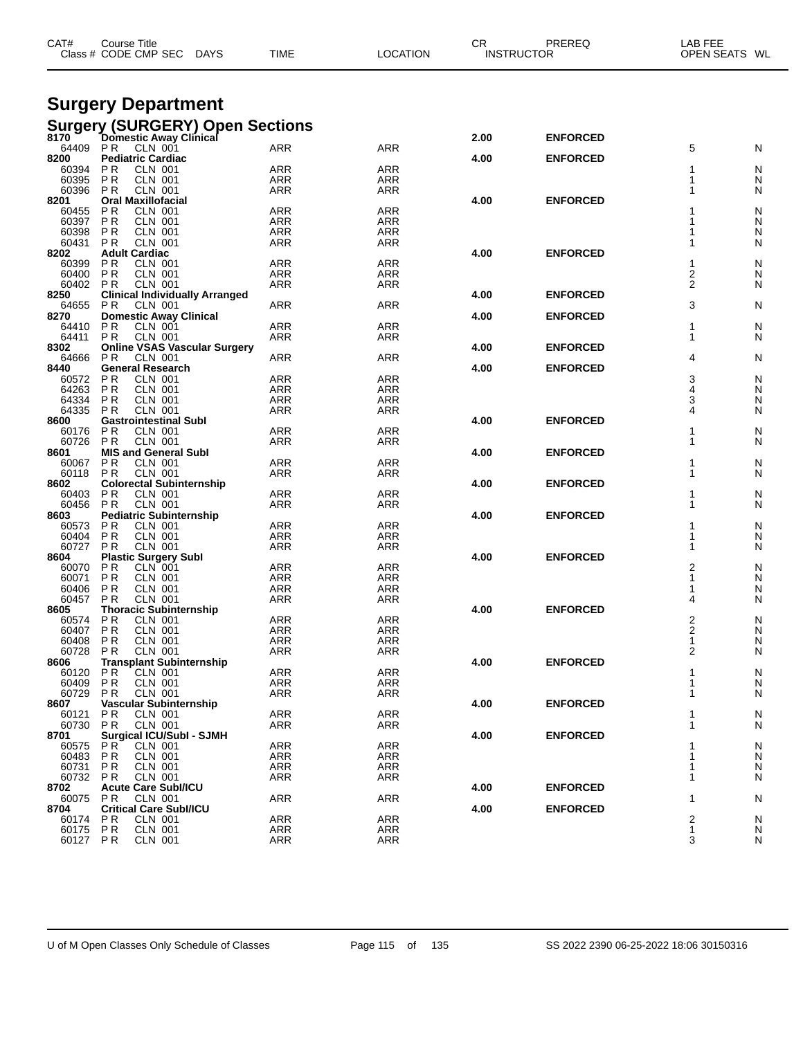| CAT#              | Course Title<br>Class # CODE CMP SEC                           | <b>DAYS</b><br><b>TIME</b>             | <b>LOCATION</b>   | CR   | PREREQ<br><b>INSTRUCTOR</b> | LAB FEE<br>OPEN SEATS WL      |
|-------------------|----------------------------------------------------------------|----------------------------------------|-------------------|------|-----------------------------|-------------------------------|
|                   |                                                                |                                        |                   |      |                             |                               |
|                   | <b>Surgery Department</b>                                      |                                        |                   |      |                             |                               |
| 8170              | Domestic Away Clinical                                         | <b>Surgery (SURGERY) Open Sections</b> |                   | 2.00 | <b>ENFORCED</b>             |                               |
| 64409             | P R<br>CLN 001                                                 | ARR                                    | <b>ARR</b>        |      |                             | 5<br>N                        |
| 8200<br>60394     | <b>Pediatric Cardiac</b><br>P R<br><b>CLN 001</b>              | ARR                                    | <b>ARR</b>        | 4.00 | <b>ENFORCED</b>             | N<br>1                        |
| 60395             | <b>PR</b><br><b>CLN 001</b>                                    | ARR                                    | ARR               |      |                             | 1<br>N                        |
| 60396             | P R<br><b>CLN 001</b>                                          | ARR                                    | ARR               |      |                             | 1<br>N                        |
| 8201<br>60455     | <b>Oral Maxillofacial</b><br>P R<br><b>CLN 001</b>             | ARR                                    | <b>ARR</b>        | 4.00 | <b>ENFORCED</b>             | N                             |
| 60397             | P R<br><b>CLN 001</b>                                          | ARR                                    | <b>ARR</b>        |      |                             | N                             |
| 60398<br>60431    | P R<br><b>CLN 001</b><br><b>PR</b>                             | ARR<br>ARR                             | ARR               |      |                             | N<br>N                        |
| 8202              | <b>CLN 001</b><br><b>Adult Cardiac</b>                         |                                        | ARR               | 4.00 | <b>ENFORCED</b>             |                               |
| 60399             | P R<br><b>CLN 001</b>                                          | ARR                                    | <b>ARR</b>        |      |                             | 1<br>N                        |
| 60400<br>60402    | <b>PR</b><br><b>CLN 001</b><br>P R<br><b>CLN 001</b>           | ARR<br>ARR                             | ARR<br>ARR        |      |                             | 2<br>N<br>$\overline{2}$<br>N |
| 8250              | <b>Clinical Individually Arranged</b>                          |                                        |                   | 4.00 | <b>ENFORCED</b>             |                               |
| 64655             | P R<br>CLN 001                                                 | ARR                                    | <b>ARR</b>        |      |                             | 3<br>N                        |
| 8270<br>64410     | <b>Domestic Away Clinical</b><br>P R<br><b>CLN 001</b>         | ARR                                    | <b>ARR</b>        | 4.00 | <b>ENFORCED</b>             | -1<br>N                       |
| 64411             | P R<br><b>CLN 001</b>                                          | ARR                                    | ARR               |      |                             | 1<br>N                        |
| 8302<br>64666     | <b>Online VSAS Vascular Surgery</b><br>P R<br><b>CLN 001</b>   | ARR                                    | <b>ARR</b>        | 4.00 | <b>ENFORCED</b>             | 4<br>N                        |
| 8440              | <b>General Research</b>                                        |                                        |                   | 4.00 | <b>ENFORCED</b>             |                               |
| 60572             | P R<br><b>CLN 001</b>                                          | ARR                                    | <b>ARR</b>        |      |                             | 3<br>N                        |
| 64263<br>64334    | P R<br><b>CLN 001</b><br>P R<br><b>CLN 001</b>                 | ARR<br>ARR                             | ARR<br>ARR        |      |                             | 4<br>N<br>3<br>N              |
| 64335             | P R<br><b>CLN 001</b>                                          | ARR                                    | ARR               |      |                             | 4<br>N                        |
| 8600              | <b>Gastrointestinal Subl</b>                                   |                                        | <b>ARR</b>        | 4.00 | <b>ENFORCED</b>             |                               |
| 60176<br>60726    | P R<br><b>CLN 001</b><br>P R<br><b>CLN 001</b>                 | ARR<br>ARR                             | ARR               |      |                             | N<br>1<br>N                   |
| 8601              | <b>MIS and General Subl</b>                                    |                                        |                   | 4.00 | <b>ENFORCED</b>             |                               |
| 60067<br>60118    | P R<br><b>CLN 001</b><br>P R<br><b>CLN 001</b>                 | ARR<br>ARR                             | <b>ARR</b><br>ARR |      |                             | N<br>1<br>N                   |
| 8602              | <b>Colorectal Subinternship</b>                                |                                        |                   | 4.00 | <b>ENFORCED</b>             |                               |
| 60403             | P R<br>CLN 001                                                 | ARR                                    | <b>ARR</b>        |      |                             | N                             |
| 60456<br>8603     | <b>CLN 001</b><br>P R<br><b>Pediatric Subinternship</b>        | ARR                                    | ARR               | 4.00 | <b>ENFORCED</b>             | 1<br>N                        |
| 60573             | P R<br><b>CLN 001</b>                                          | ARR                                    | <b>ARR</b>        |      |                             | N                             |
| 60404<br>60727    | P <sub>R</sub><br><b>CLN 001</b><br>P <sub>R</sub><br>CLN 001  | ARR<br>ARR                             | ARR<br>ARR        |      |                             | N<br>1<br>N                   |
| 8604              | <b>Plastic Surgery Subl</b>                                    |                                        |                   | 4.00 | <b>ENFORCED</b>             |                               |
| 60070             | P R<br><b>CLN 001</b>                                          | ARR                                    | ARR               |      |                             | 2<br>N                        |
| 60071<br>60406    | ΡR<br>CLN 001<br>P <sub>R</sub><br><b>CLN 001</b>              | ARR<br>ARR                             | ARR<br>ARR        |      |                             | 1<br>N<br>N                   |
| 60457             | P R<br><b>CLN 001</b>                                          | ARR                                    | ARR               |      |                             | N<br>4                        |
| 8605              | <b>Thoracic Subinternship</b>                                  |                                        |                   | 4.00 | <b>ENFORCED</b>             |                               |
| 60574<br>60407    | P R<br><b>CLN 001</b><br><b>CLN 001</b><br>P R                 | ARR<br><b>ARR</b>                      | ARR<br><b>ARR</b> |      |                             | 2<br>N<br>2<br>N              |
| 60408             | <b>CLN 001</b><br><b>PR</b>                                    | <b>ARR</b>                             | <b>ARR</b>        |      |                             | 1<br>N                        |
| 60728<br>8606     | <b>PR</b><br><b>CLN 001</b><br><b>Transplant Subinternship</b> | ARR                                    | ARR               | 4.00 | <b>ENFORCED</b>             | 2<br>N                        |
| 60120             | <b>CLN 001</b><br>P R                                          | <b>ARR</b>                             | <b>ARR</b>        |      |                             | N                             |
| 60409             | <b>CLN 001</b><br><b>PR</b>                                    | <b>ARR</b>                             | ARR               |      |                             | N<br>1                        |
| 60729<br>8607     | <b>CLN 001</b><br>P R<br>Vascular Subinternship                | <b>ARR</b>                             | ARR               | 4.00 | <b>ENFORCED</b>             | N<br>1                        |
| 60121             | <b>PR</b><br><b>CLN 001</b>                                    | <b>ARR</b>                             | ARR               |      |                             | N                             |
| 60730             | <b>CLN 001</b><br><b>PR</b>                                    | ARR                                    | ARR               |      |                             | N                             |
| 8701<br>60575     | <b>Surgical ICU/SubI - SJMH</b><br>P R<br>CLN 001              | <b>ARR</b>                             | ARR               | 4.00 | <b>ENFORCED</b>             | N                             |
| 60483             | <b>CLN 001</b><br>P R                                          | <b>ARR</b>                             | <b>ARR</b>        |      |                             | N                             |
| 60731<br>60732 PR | <b>CLN 001</b><br>P R<br><b>CLN 001</b>                        | ARR<br>ARR                             | <b>ARR</b><br>ARR |      |                             | N<br>1<br>1<br>N              |
| 8702              | <b>Acute Care SubI/ICU</b>                                     |                                        |                   | 4.00 | <b>ENFORCED</b>             |                               |
| 60075             | CLN 001<br>P R                                                 | <b>ARR</b>                             | <b>ARR</b>        |      |                             | N<br>1                        |
| 8704<br>60174     | <b>Critical Care Subl/ICU</b><br><b>PR</b><br><b>CLN 001</b>   | <b>ARR</b>                             | <b>ARR</b>        | 4.00 | <b>ENFORCED</b>             | 2<br>N                        |
| 60175             | <b>CLN 001</b><br><b>PR</b>                                    | <b>ARR</b>                             | <b>ARR</b>        |      |                             | 1<br>N                        |
| 60127 PR          | <b>CLN 001</b>                                                 | <b>ARR</b>                             | ARR               |      |                             | 3<br>N                        |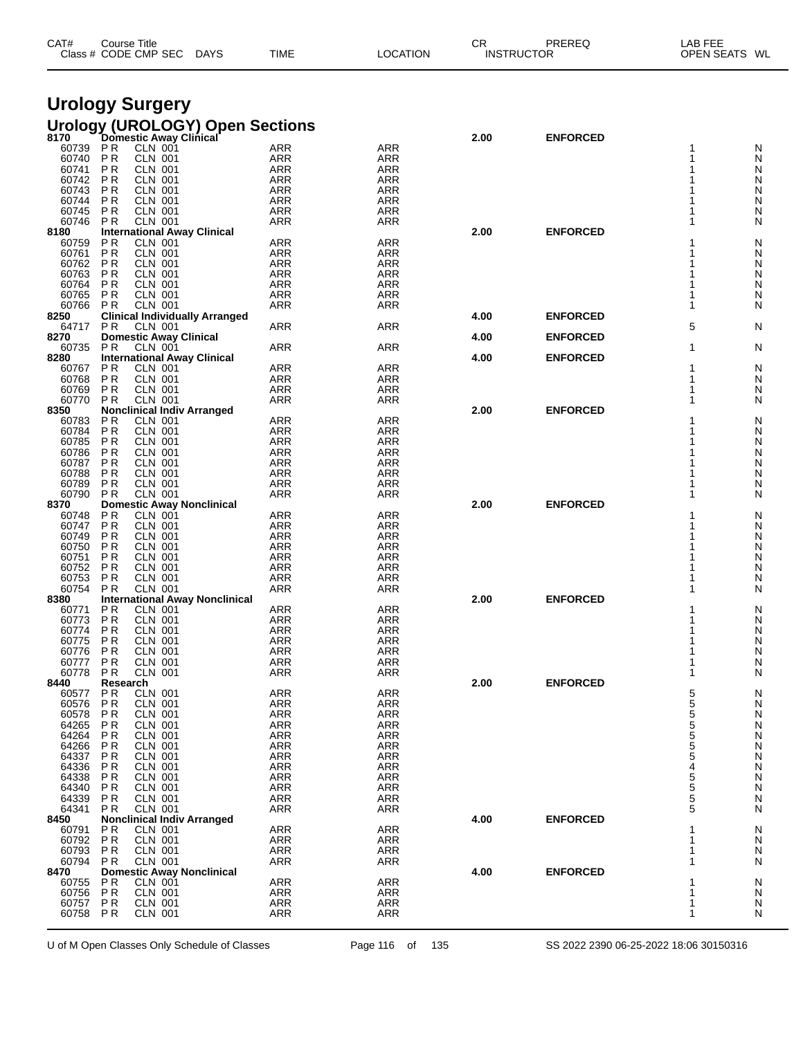| CAT# | Course Title              |             |          | СR                | PREREQ | LAB FEE       |
|------|---------------------------|-------------|----------|-------------------|--------|---------------|
|      | Class # CODE CMP SEC DAYS | <b>TIME</b> | LOCATION | <b>INSTRUCTOR</b> |        | OPEN SEATS WL |
|      |                           |             |          |                   |        |               |

# **Urology Surgery**

|  | <u> Urology</u> (UROLOG <u>Y)</u> Open Sections |  |
|--|-------------------------------------------------|--|
|  |                                                 |  |

| 8170           |                                  | Domestic Away Clinical                             |                          |                   | 2.00 | <b>ENFORCED</b> |                |        |
|----------------|----------------------------------|----------------------------------------------------|--------------------------|-------------------|------|-----------------|----------------|--------|
| 60739          | P R                              | CLN 001                                            | <b>ARR</b>               | <b>ARR</b>        |      |                 |                | N      |
| 60740<br>60741 | P <sub>R</sub><br>P <sub>R</sub> | <b>CLN 001</b><br><b>CLN 001</b>                   | <b>ARR</b><br><b>ARR</b> | ARR<br><b>ARR</b> |      |                 | 1              | N<br>N |
| 60742          | P <sub>R</sub>                   | <b>CLN 001</b>                                     | <b>ARR</b>               | <b>ARR</b>        |      |                 |                | N      |
| 60743          | P <sub>R</sub>                   | <b>CLN 001</b>                                     | ARR                      | ARR               |      |                 |                | N      |
| 60744          | P <sub>R</sub>                   | <b>CLN 001</b>                                     | ARR                      | <b>ARR</b>        |      |                 | 1              | N      |
| 60745          | <b>PR</b>                        | <b>CLN 001</b>                                     | <b>ARR</b>               | <b>ARR</b>        |      |                 | 1              | N      |
| 60746          | <b>PR</b>                        | <b>CLN 001</b>                                     | ARR                      | ARR               |      |                 | 1              | N      |
| 8180           |                                  | <b>International Away Clinical</b>                 |                          |                   | 2.00 | <b>ENFORCED</b> |                |        |
| 60759          | <b>PR</b>                        | CLN 001                                            | <b>ARR</b>               | <b>ARR</b>        |      |                 | 1              | N      |
| 60761<br>60762 | P <sub>R</sub><br><b>PR</b>      | <b>CLN 001</b><br><b>CLN 001</b>                   | <b>ARR</b><br>ARR        | ARR<br><b>ARR</b> |      |                 | 1<br>1         | N<br>N |
| 60763          | P <sub>R</sub>                   | <b>CLN 001</b>                                     | <b>ARR</b>               | <b>ARR</b>        |      |                 | 1              | N      |
| 60764          | P <sub>R</sub>                   | <b>CLN 001</b>                                     | <b>ARR</b>               | ARR               |      |                 | 1              | N      |
| 60765          | <b>PR</b>                        | <b>CLN 001</b>                                     | <b>ARR</b>               | <b>ARR</b>        |      |                 | 1              | N      |
| 60766          | P R                              | CLN 001                                            | <b>ARR</b>               | <b>ARR</b>        |      |                 | 1              | N      |
| 8250           |                                  | <b>Clinical Individually Arranged</b>              |                          |                   | 4.00 | <b>ENFORCED</b> |                |        |
| 64717          | <b>PR</b>                        | CLN 001                                            | <b>ARR</b>               | ARR               |      |                 | 5              | N      |
| 8270           |                                  | <b>Domestic Away Clinical</b>                      |                          |                   | 4.00 | <b>ENFORCED</b> |                |        |
| 60735          | P R                              | CLN 001                                            | <b>ARR</b>               | ARR               |      |                 | 1              | N      |
| 8280           |                                  | <b>International Away Clinical</b>                 |                          |                   | 4.00 | <b>ENFORCED</b> |                |        |
| 60767          | P R                              | CLN 001                                            | <b>ARR</b>               | <b>ARR</b>        |      |                 | 1              | N      |
| 60768<br>60769 | P <sub>R</sub><br><b>PR</b>      | <b>CLN 001</b><br><b>CLN 001</b>                   | <b>ARR</b><br><b>ARR</b> | ARR<br><b>ARR</b> |      |                 | 1<br>1         | N<br>N |
| 60770          | P R                              | CLN 001                                            | <b>ARR</b>               | <b>ARR</b>        |      |                 | 1              | N      |
| 8350           |                                  | <b>Nonclinical Indiv Arranged</b>                  |                          |                   | 2.00 | <b>ENFORCED</b> |                |        |
| 60783          | <b>PR</b>                        | <b>CLN 001</b>                                     | ARR                      | ARR               |      |                 | 1              | N      |
| 60784          | <b>PR</b>                        | <b>CLN 001</b>                                     | <b>ARR</b>               | <b>ARR</b>        |      |                 | 1              | N      |
| 60785          | P R                              | <b>CLN 001</b>                                     | ARR                      | ARR               |      |                 | 1              | N      |
| 60786          | P <sub>R</sub>                   | <b>CLN 001</b>                                     | ARR                      | ARR               |      |                 | 1              | N      |
| 60787          | P <sub>R</sub>                   | <b>CLN 001</b>                                     | <b>ARR</b>               | <b>ARR</b>        |      |                 | 1              | N      |
| 60788          | P <sub>R</sub>                   | <b>CLN 001</b>                                     | ARR                      | ARR               |      |                 |                | N      |
| 60789          | P <sub>R</sub>                   | <b>CLN 001</b>                                     | <b>ARR</b>               | <b>ARR</b>        |      |                 | 1              | N      |
| 60790          | <b>PR</b>                        | CLN 001                                            | <b>ARR</b>               | <b>ARR</b>        |      |                 | 1              | N      |
| 8370<br>60748  | P <sub>R</sub>                   | <b>Domestic Away Nonclinical</b><br><b>CLN 001</b> | <b>ARR</b>               | <b>ARR</b>        | 2.00 | <b>ENFORCED</b> |                | N      |
| 60747          | P <sub>R</sub>                   | <b>CLN 001</b>                                     | <b>ARR</b>               | <b>ARR</b>        |      |                 |                | N      |
| 60749          | P R                              | <b>CLN 001</b>                                     | <b>ARR</b>               | ARR               |      |                 |                | N      |
| 60750          | P <sub>R</sub>                   | <b>CLN 001</b>                                     | <b>ARR</b>               | <b>ARR</b>        |      |                 |                | N      |
| 60751          | P <sub>R</sub>                   | <b>CLN 001</b>                                     | <b>ARR</b>               | <b>ARR</b>        |      |                 |                | N      |
| 60752          | P <sub>R</sub>                   | <b>CLN 001</b>                                     | ARR                      | ARR               |      |                 |                | N      |
| 60753          | P <sub>R</sub>                   | <b>CLN 001</b>                                     | <b>ARR</b>               | <b>ARR</b>        |      |                 |                | N      |
| 60754          | <b>PR</b>                        | <b>CLN 001</b>                                     | <b>ARR</b>               | <b>ARR</b>        |      |                 | 1              | N      |
| 8380           |                                  | <b>International Away Nonclinical</b>              |                          |                   | 2.00 | <b>ENFORCED</b> |                |        |
| 60771          | P <sub>R</sub>                   | <b>CLN 001</b>                                     | ARR                      | ARR               |      |                 | 1              | N      |
| 60773          | <b>PR</b>                        | <b>CLN 001</b>                                     | <b>ARR</b>               | <b>ARR</b>        |      |                 | 1              | N      |
| 60774<br>60775 | P <sub>R</sub><br>P <sub>R</sub> | <b>CLN 001</b><br><b>CLN 001</b>                   | ARR<br>ARR               | ARR<br>ARR        |      |                 | 1<br>1         | N<br>N |
| 60776          | P <sub>R</sub>                   | <b>CLN 001</b>                                     | <b>ARR</b>               | <b>ARR</b>        |      |                 | 1              | N      |
| 60777          | P <sub>R</sub>                   | <b>CLN 001</b>                                     | ARR                      | ARR               |      |                 | 1              | N      |
| 60778          | <b>PR</b>                        | <b>CLN 001</b>                                     | ARR                      | ARR               |      |                 | 1              | N      |
| 8440           | Research                         |                                                    |                          |                   | 2.00 | <b>ENFORCED</b> |                |        |
| 60577          | P <sub>R</sub>                   | CLN 001                                            | <b>ARR</b>               | <b>ARR</b>        |      |                 | 5              | N      |
| 60576          | P <sub>R</sub>                   | <b>CLN 001</b>                                     | <b>ARR</b>               | <b>ARR</b>        |      |                 | $\overline{5}$ | N      |
| 60578          | P R                              | <b>CLN 001</b>                                     | <b>ARR</b>               | <b>ARR</b>        |      |                 | 5              | N      |
| 64265          | P R                              | CLN 001                                            | ARR                      | ARR               |      |                 | 5              | N      |
| 64264          | P <sub>R</sub>                   | <b>CLN 001</b>                                     | <b>ARR</b>               | <b>ARR</b>        |      |                 | 5              | N      |
| 64266          | P <sub>R</sub><br>P <sub>R</sub> | <b>CLN 001</b><br><b>CLN 001</b>                   | ARR<br>ARR               | ARR<br><b>ARR</b> |      |                 | 5<br>5         | N<br>N |
| 64337<br>64336 | P <sub>R</sub>                   | <b>CLN 001</b>                                     | ARR                      | <b>ARR</b>        |      |                 | 4              | N      |
| 64338          | P R                              | <b>CLN 001</b>                                     | ARR                      | ARR               |      |                 |                | N      |
| 64340          | P R                              | <b>CLN 001</b>                                     | <b>ARR</b>               | <b>ARR</b>        |      |                 | 5<br>5<br>5    | N      |
| 64339          | <b>PR</b>                        | <b>CLN 001</b>                                     | <b>ARR</b>               | <b>ARR</b>        |      |                 |                | N      |
| 64341          | <b>PR</b>                        | <b>CLN 001</b>                                     | <b>ARR</b>               | <b>ARR</b>        |      |                 | 5              | N      |
| 8450           |                                  | <b>Nonclinical Indiv Arranged</b>                  |                          |                   | 4.00 | <b>ENFORCED</b> |                |        |
| 60791          | P <sub>R</sub>                   | <b>CLN 001</b>                                     | <b>ARR</b>               | <b>ARR</b>        |      |                 | 1              | N      |
| 60792          | P <sub>R</sub>                   | <b>CLN 001</b>                                     | <b>ARR</b>               | ARR               |      |                 | 1              | N      |
| 60793          | P R                              | <b>CLN 001</b>                                     | <b>ARR</b>               | <b>ARR</b>        |      |                 | 1              | N      |
| 60794          | P R                              | <b>CLN 001</b>                                     | <b>ARR</b>               | <b>ARR</b>        | 4.00 | <b>ENFORCED</b> | 1              | N      |
| 8470<br>60755  | P R                              | <b>Domestic Away Nonclinical</b><br>CLN 001        | ARR                      | <b>ARR</b>        |      |                 | 1              | N      |
| 60756          | PR                               | <b>CLN 001</b>                                     | <b>ARR</b>               | <b>ARR</b>        |      |                 | 1              | N      |
| 60757          | P <sub>R</sub>                   | <b>CLN 001</b>                                     | <b>ARR</b>               | ARR               |      |                 | 1              | N      |
| 60758          | P R                              | <b>CLN 001</b>                                     | <b>ARR</b>               | <b>ARR</b>        |      |                 | 1              | N      |
|                |                                  |                                                    |                          |                   |      |                 |                |        |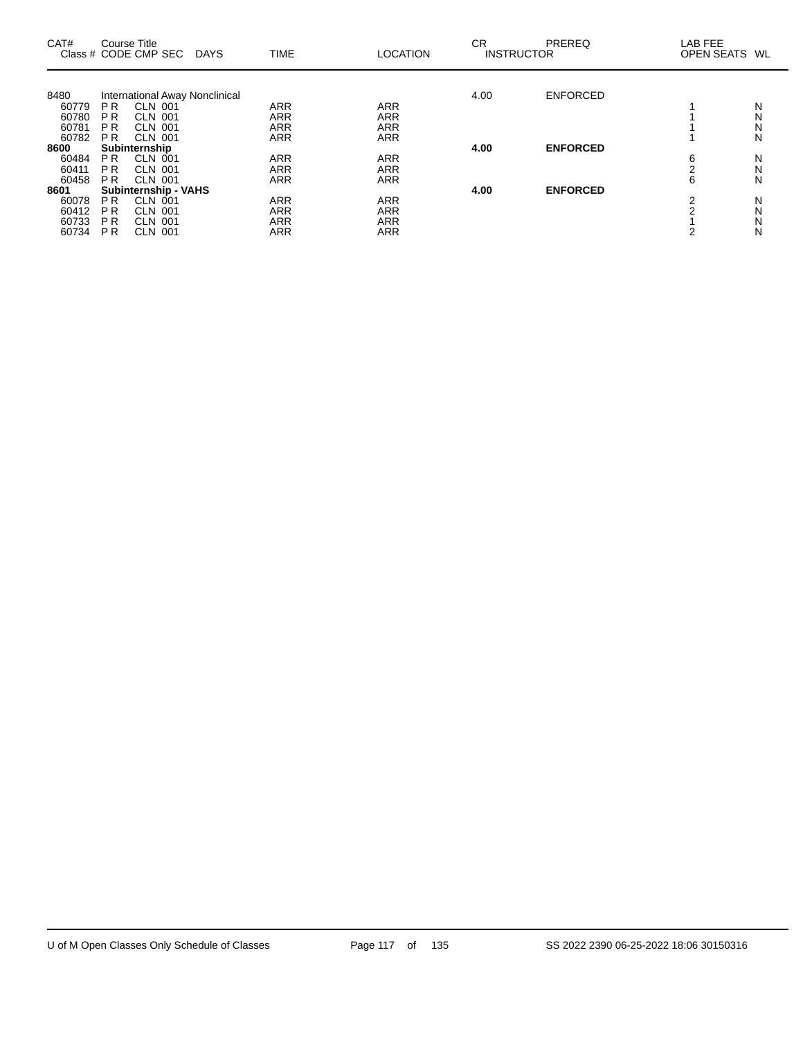| CAT#  | Course Title   | Class # CODE CMP SEC           | DAYS | <b>TIME</b> | <b>LOCATION</b> | CR<br><b>INSTRUCTOR</b> | <b>PREREQ</b>   | LAB FEE<br>OPEN SEATS WL |   |
|-------|----------------|--------------------------------|------|-------------|-----------------|-------------------------|-----------------|--------------------------|---|
|       |                |                                |      |             |                 |                         |                 |                          |   |
| 8480  |                | International Away Nonclinical |      |             |                 | 4.00                    | <b>ENFORCED</b> |                          |   |
| 60779 | P R            | CLN 001                        |      | ARR         | ARR             |                         |                 |                          | N |
| 60780 | P R            | <b>CLN 001</b>                 |      | <b>ARR</b>  | <b>ARR</b>      |                         |                 |                          | N |
| 60781 | P <sub>R</sub> | CLN 001                        |      | <b>ARR</b>  | <b>ARR</b>      |                         |                 |                          | N |
| 60782 | PR.            | <b>CLN 001</b>                 |      | <b>ARR</b>  | ARR             |                         |                 |                          | N |
| 8600  |                | Subinternship                  |      |             |                 | 4.00                    | <b>ENFORCED</b> |                          |   |
| 60484 | P R            | CLN 001                        |      | <b>ARR</b>  | <b>ARR</b>      |                         |                 | 6                        | N |
| 60411 | P <sub>R</sub> | <b>CLN 001</b>                 |      | <b>ARR</b>  | <b>ARR</b>      |                         |                 |                          | N |
| 60458 | P R            | <b>CLN 001</b>                 |      | <b>ARR</b>  | <b>ARR</b>      |                         |                 | 6                        | N |
| 8601  |                | <b>Subinternship - VAHS</b>    |      |             |                 | 4.00                    | <b>ENFORCED</b> |                          |   |
| 60078 | P R            | <b>CLN 001</b>                 |      | ARR         | <b>ARR</b>      |                         |                 | ⌒                        | N |
| 60412 | ΡR             | <b>CLN 001</b>                 |      | ARR         | ARR             |                         |                 | C                        | Ν |
| 60733 | P <sub>R</sub> | <b>CLN 001</b>                 |      | <b>ARR</b>  | ARR             |                         |                 |                          |   |
|       |                |                                |      |             |                 |                         |                 |                          | N |
| 60734 | P R            | <b>CLN 001</b>                 |      | <b>ARR</b>  | <b>ARR</b>      |                         |                 |                          | N |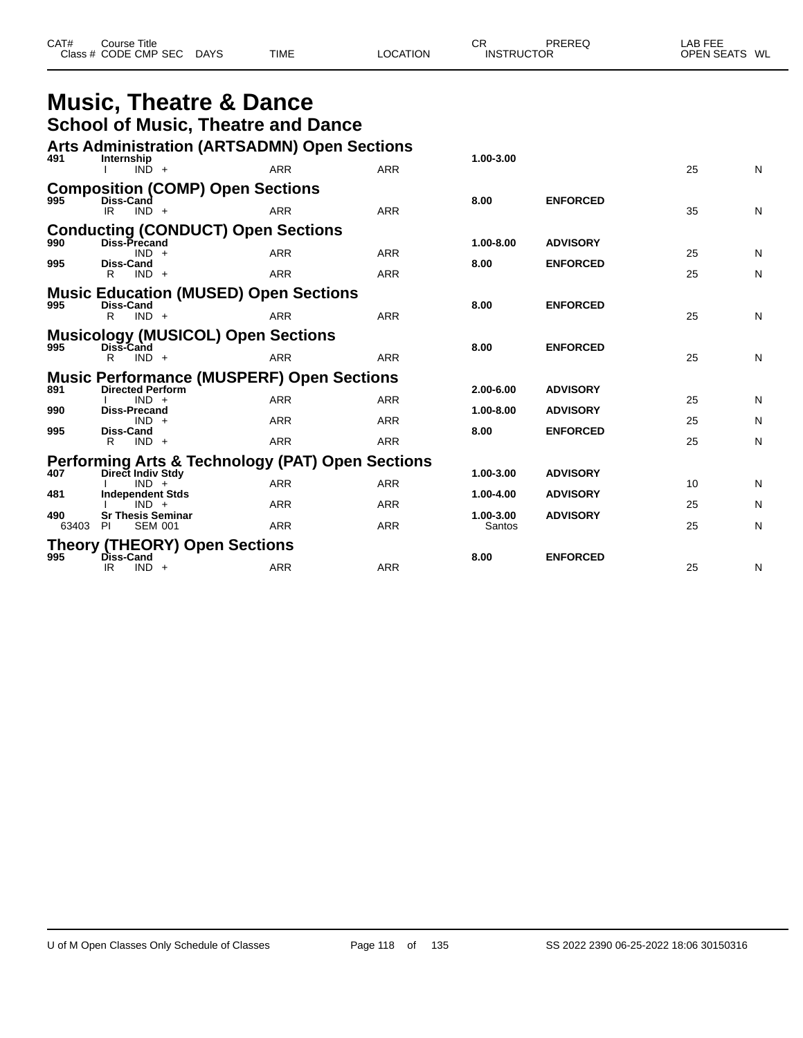| CAT# | Course Title         |             |             |          | СF | PREREQ            | LAB FEE       |
|------|----------------------|-------------|-------------|----------|----|-------------------|---------------|
|      | Class # CODE CMP SEC | <b>DAYS</b> | <b>TIME</b> | LOCATION |    | <b>INSTRUCTOR</b> | OPEN SEATS WL |

|                                              | <b>Music, Theatre &amp; Dance</b>                                           |            |            |                     |                 |    |   |
|----------------------------------------------|-----------------------------------------------------------------------------|------------|------------|---------------------|-----------------|----|---|
|                                              | <b>School of Music, Theatre and Dance</b>                                   |            |            |                     |                 |    |   |
|                                              | <b>Arts Administration (ARTSADMN) Open Sections</b>                         |            |            |                     |                 |    |   |
| 491                                          | Internship<br>$IND +$                                                       | <b>ARR</b> | <b>ARR</b> | 1.00-3.00           |                 | 25 | N |
| 995                                          | <b>Composition (COMP) Open Sections</b>                                     |            |            |                     |                 |    |   |
|                                              | Diss-Cand<br>IR.<br>$IND +$                                                 | <b>ARR</b> | <b>ARR</b> | 8.00                | <b>ENFORCED</b> | 35 | N |
| 990                                          | <b>Conducting (CONDUCT) Open Sections</b><br>Diss-Precand                   |            |            | $1.00 - 8.00$       | <b>ADVISORY</b> |    |   |
|                                              | $IND +$                                                                     | <b>ARR</b> | <b>ARR</b> |                     |                 | 25 | N |
| 995                                          | <b>Diss-Cand</b><br>R<br>$IND +$                                            | <b>ARR</b> | <b>ARR</b> | 8.00                | <b>ENFORCED</b> | 25 | N |
| <b>Music Education (MUSED) Open Sections</b> |                                                                             |            |            |                     |                 |    |   |
| 995                                          | Diss-Cand<br>$IND +$<br>R                                                   | <b>ARR</b> | <b>ARR</b> | 8.00                | <b>ENFORCED</b> | 25 | N |
| 995                                          | <b>Musicology (MUSICOL) Open Sections</b>                                   |            |            | 8.00                |                 |    |   |
|                                              | Diss-Cand<br>R<br>$IND +$                                                   | <b>ARR</b> | <b>ARR</b> |                     | <b>ENFORCED</b> | 25 | N |
| 891                                          | <b>Music Performance (MUSPERF) Open Sections</b><br><b>Directed Perform</b> |            |            |                     | <b>ADVISORY</b> |    |   |
|                                              | $IND +$                                                                     | <b>ARR</b> | <b>ARR</b> | 2.00-6.00           |                 | 25 | N |
| 990                                          | <b>Diss-Precand</b><br>$IND +$                                              | <b>ARR</b> | <b>ARR</b> | 1.00-8.00           | <b>ADVISORY</b> | 25 | N |
| 995                                          | <b>Diss-Cand</b><br>R<br>$IND +$                                            | <b>ARR</b> | <b>ARR</b> | 8.00                | <b>ENFORCED</b> | 25 | N |
|                                              | <b>Performing Arts &amp; Technology (PAT) Open Sections</b>                 |            |            |                     |                 |    |   |
| 407                                          | Direct Indiv Stdy<br>$IND +$                                                | <b>ARR</b> | <b>ARR</b> | 1.00-3.00           | <b>ADVISORY</b> | 10 | N |
| 481                                          | <b>Independent Stds</b><br>$IND +$                                          | <b>ARR</b> | <b>ARR</b> | 1.00-4.00           | <b>ADVISORY</b> | 25 | N |
| 490<br>63403                                 | <b>Sr Thesis Seminar</b><br>PI<br><b>SEM 001</b>                            | <b>ARR</b> | <b>ARR</b> | 1.00-3.00<br>Santos | <b>ADVISORY</b> | 25 | N |
|                                              | <b>Theory (THEORY) Open Sections</b>                                        |            |            |                     |                 |    |   |
| 995                                          | Diss-Cand<br>IR.<br>$IND +$                                                 | <b>ARR</b> | <b>ARR</b> | 8.00                | <b>ENFORCED</b> | 25 | N |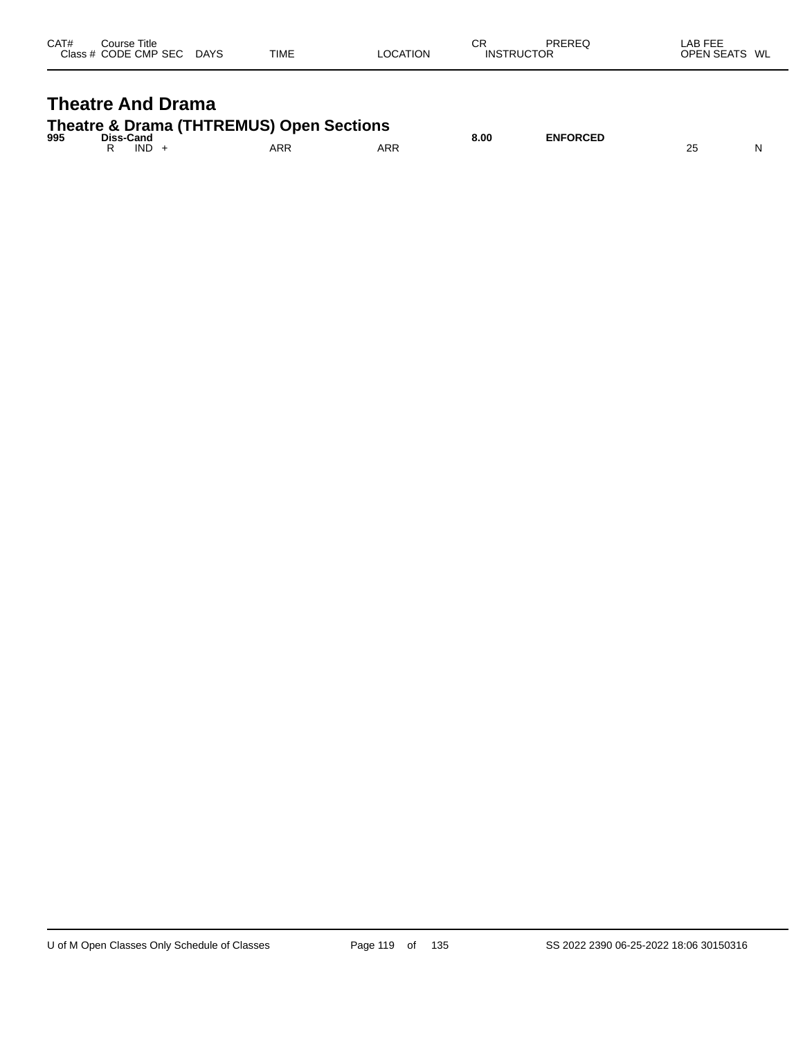| CAT# | Course Title<br>Class # CODE CMP SEC | <b>DAYS</b> | <b>TIME</b> | LOCATION | СR<br><b>INSTRUCTOR</b> | PREREQ | LAB FEE<br><b>OPEN SEATS</b> | WL |
|------|--------------------------------------|-------------|-------------|----------|-------------------------|--------|------------------------------|----|
|      |                                      |             |             |          |                         |        |                              |    |

# **Theatre And Drama**

| Theatre & Drama (THTREMUS) Open Sections |  |
|------------------------------------------|--|
|                                          |  |

| 995 | Diss-Cand  |     |            | 8.00 | <b>ENFORCED</b> |    |   |
|-----|------------|-----|------------|------|-----------------|----|---|
|     | <b>IND</b> | ARR | <b>ARR</b> |      |                 | L. | N |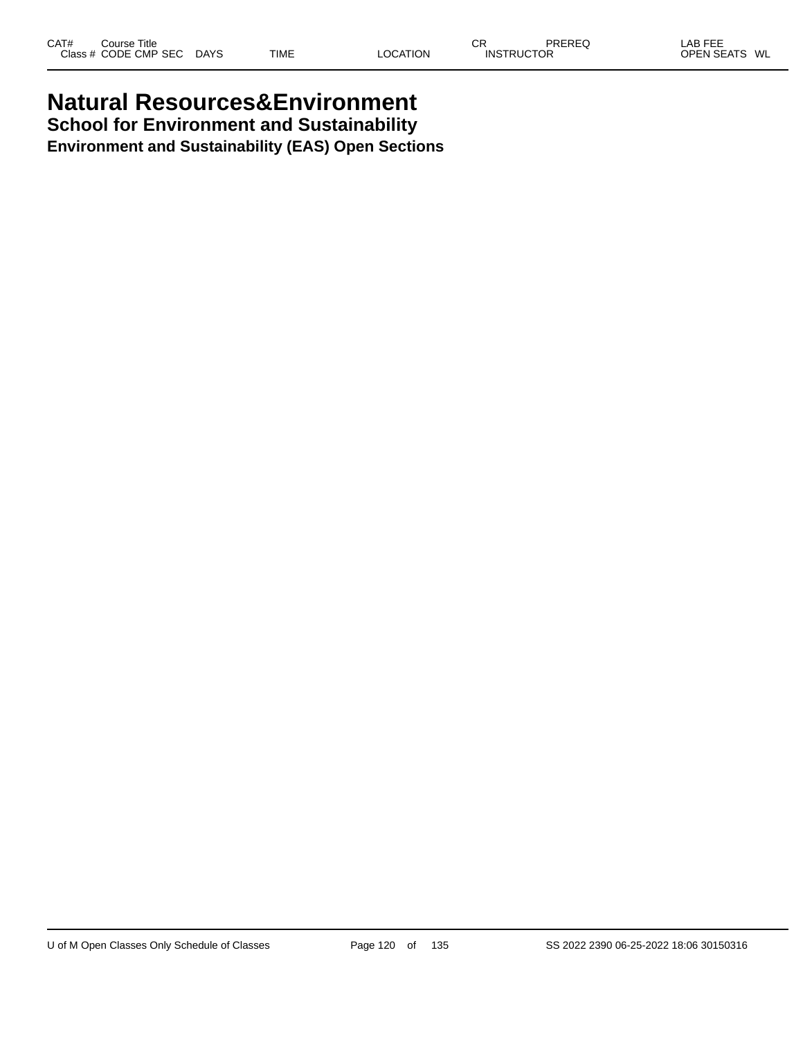# **Natural Resources&Environment School for Environment and Sustainability**

**Environment and Sustainability (EAS) Open Sections**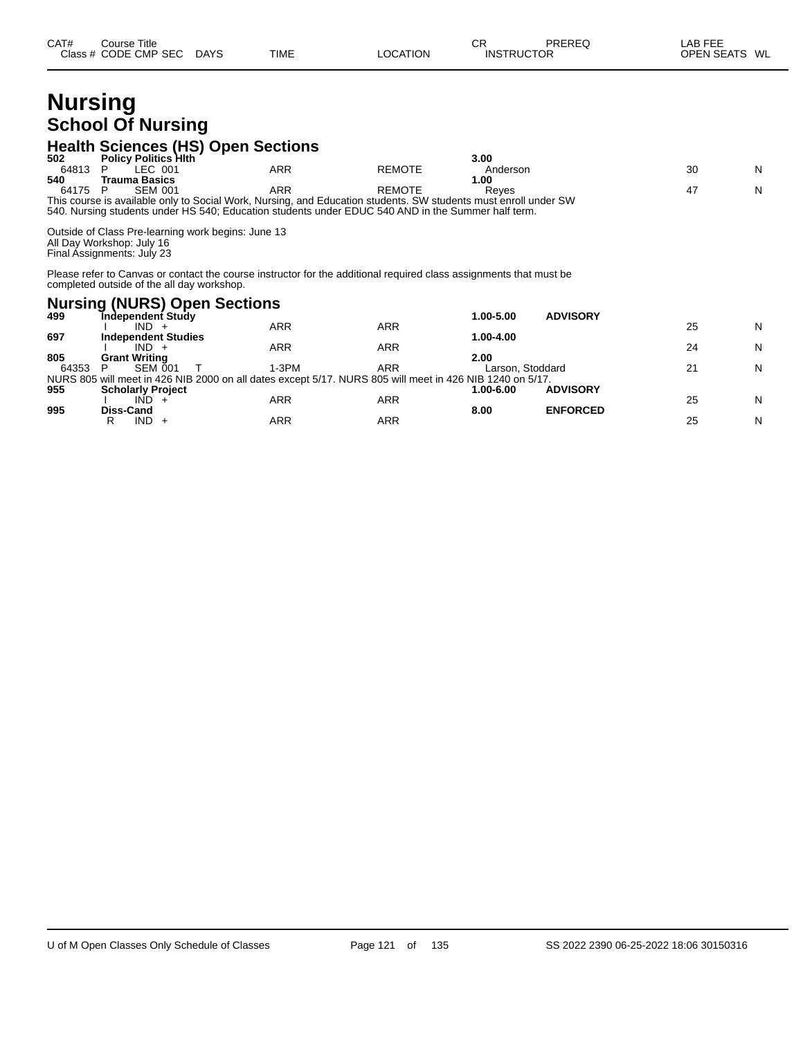# **Nursing School Of Nursing**

#### **Health Sciences (HS) Open Sections**

| 502   | <b>Policy Politics Hith</b>                                                                                   |                                                                                                    |               | 3.00                                                                                                            |    |   |
|-------|---------------------------------------------------------------------------------------------------------------|----------------------------------------------------------------------------------------------------|---------------|-----------------------------------------------------------------------------------------------------------------|----|---|
| 64813 | LEC 001                                                                                                       | ARR                                                                                                | <b>REMOTE</b> | Anderson                                                                                                        | 30 | N |
| 540   | Trauma Basics                                                                                                 |                                                                                                    |               | 1.00                                                                                                            |    |   |
| 64175 | <b>SEM 001</b>                                                                                                | ARR                                                                                                | <b>REMOTE</b> | Reves                                                                                                           | 47 | N |
|       |                                                                                                               | 540. Nursing students under HS 540; Education students under EDUC 540 AND in the Summer half term. |               | This course is available only to Social Work, Nursing, and Education students. SW students must enroll under SW |    |   |
|       | Outside of Class Pre-learning work begins: June 13<br>All Day Workshop: July 16<br>Final Assignments: July 23 |                                                                                                    |               |                                                                                                                 |    |   |

R IND + ARR ARR ARR 25 N

Please refer to Canvas or contact the course instructor for the additional required class assignments that must be completed outside of the all day workshop.

#### **Nursing (NURS) Open Sections 499 Independent Study 1.00-5.00 ADVISORY** I IND + ARR ARR 25 N **697 Independent Studies 1.00-4.00** I IND + ARR ARR 24 N **805 Grant Writing 2.00** 64353 P SEM 001 T 1-3PM ARR Larson, Stoddard 21 N NURS 805 will meet in 426 NIB 2000 on all dates except 5/17. NURS 805 will meet in 426 NIB 1240 on 5/17. **955 Scholarly Project 1.00-6.00 ADVISORY** I IND + ARR ARR 25 N

**995 Diss-Cand 8.00 ENFORCED**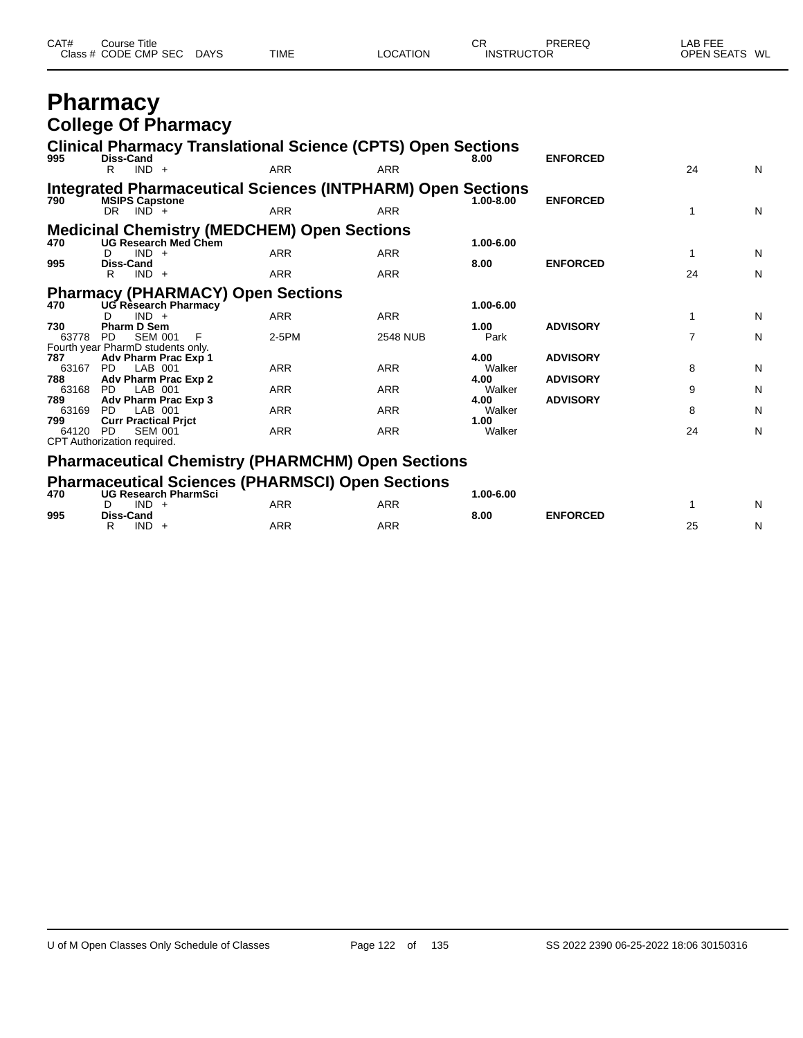| CAT# | Title<br>Course      |             |             |                 | Ωn<br>◡┍          | PREREQ | $\lambda$ .<br>AB FEE   |
|------|----------------------|-------------|-------------|-----------------|-------------------|--------|-------------------------|
|      | Class # CODE CMP SEC | <b>DAYS</b> | <b>TIME</b> | <b>LOCATION</b> | <b>INSTRUCTOR</b> |        | <b>OPEN SEATS</b><br>WL |

# **Pharmacy College Of Pharmacy**

| 995                 | <b>Clinical Pharmacy Translational Science (CPTS) Open Sections</b><br><b>Diss-Cand</b>              |            |                 | 8.00                   | <b>ENFORCED</b>                    |                |   |
|---------------------|------------------------------------------------------------------------------------------------------|------------|-----------------|------------------------|------------------------------------|----------------|---|
|                     | $IND +$<br>R                                                                                         | <b>ARR</b> | <b>ARR</b>      |                        |                                    | 24             | N |
| 790                 | Integrated Pharmaceutical Sciences (INTPHARM) Open Sections<br><b>MSIPS Capstone</b><br>$DR$ $IND$ + | <b>ARR</b> | <b>ARR</b>      | $1.00 - 8.00$          | <b>ENFORCED</b>                    | 1              | N |
| 470                 | <b>Medicinal Chemistry (MEDCHEM) Open Sections</b><br><b>UG Research Med Chem</b>                    |            |                 | 1.00-6.00              |                                    |                |   |
| 995                 | $IND +$<br>D.<br><b>Diss-Cand</b>                                                                    | <b>ARR</b> | <b>ARR</b>      | 8.00                   | <b>ENFORCED</b>                    | 1              | N |
|                     | $IND +$<br>R                                                                                         | <b>ARR</b> | <b>ARR</b>      |                        |                                    | 24             | N |
| 470                 | <b>Pharmacy (PHARMACY) Open Sections</b><br>UG Rèsearch Pharmacy                                     |            |                 | 1.00-6.00              |                                    |                |   |
| 730                 | $IND +$<br><b>Pharm D Sem</b>                                                                        | <b>ARR</b> | <b>ARR</b>      | 1.00                   | <b>ADVISORY</b>                    | 1              | N |
| 63778               | PD.<br><b>SEM 001</b><br>F<br>Fourth year PharmD students only.                                      | 2-5PM      | <b>2548 NUB</b> | Park                   |                                    | $\overline{7}$ | N |
| 787<br>63167<br>788 | Adv Pharm Prac Exp 1<br>LAB 001<br>PD.<br>Adv Pharm Prac Exp 2                                       | <b>ARR</b> | <b>ARR</b>      | 4.00<br>Walker<br>4.00 | <b>ADVISORY</b><br><b>ADVISORY</b> | 8              | N |
| 63168<br>789        | LAB 001<br>PD.<br>Adv Pharm Prac Exp 3                                                               | <b>ARR</b> | <b>ARR</b>      | Walker<br>4.00         | <b>ADVISORY</b>                    | 9              | N |
| 63169<br>799        | LAB 001<br>PD.<br><b>Curr Practical Prict</b>                                                        | <b>ARR</b> | <b>ARR</b>      | Walker<br>1.00         |                                    | 8              | N |
| 64120               | <b>SEM 001</b><br><b>PD</b><br>CPT Authorization required.                                           | <b>ARR</b> | ARR             | Walker                 |                                    | 24             | N |
|                     | <b>Pharmaceutical Chemistry (PHARMCHM) Open Sections</b>                                             |            |                 |                        |                                    |                |   |
| 470                 | <b>Pharmaceutical Sciences (PHARMSCI) Open Sections</b><br><b>UG Research PharmSci</b>               |            |                 | 1.00-6.00              |                                    |                |   |
| 995                 | $IND +$<br>Diss-Cand                                                                                 | <b>ARR</b> | <b>ARR</b>      | 8.00                   | <b>ENFORCED</b>                    |                | N |

|     | IND<br>◡                | <b>ARR</b><br>ARR |     |               |                           |                        | N          |
|-----|-------------------------|-------------------|-----|---------------|---------------------------|------------------------|------------|
| 995 | Diss-Cand<br><b>IND</b> | ARR               | ARR | 8.00<br>$  -$ | <b>ENFORCED</b><br>______ | $\sim$<br>∠∪<br>$\sim$ | ורו<br>. . |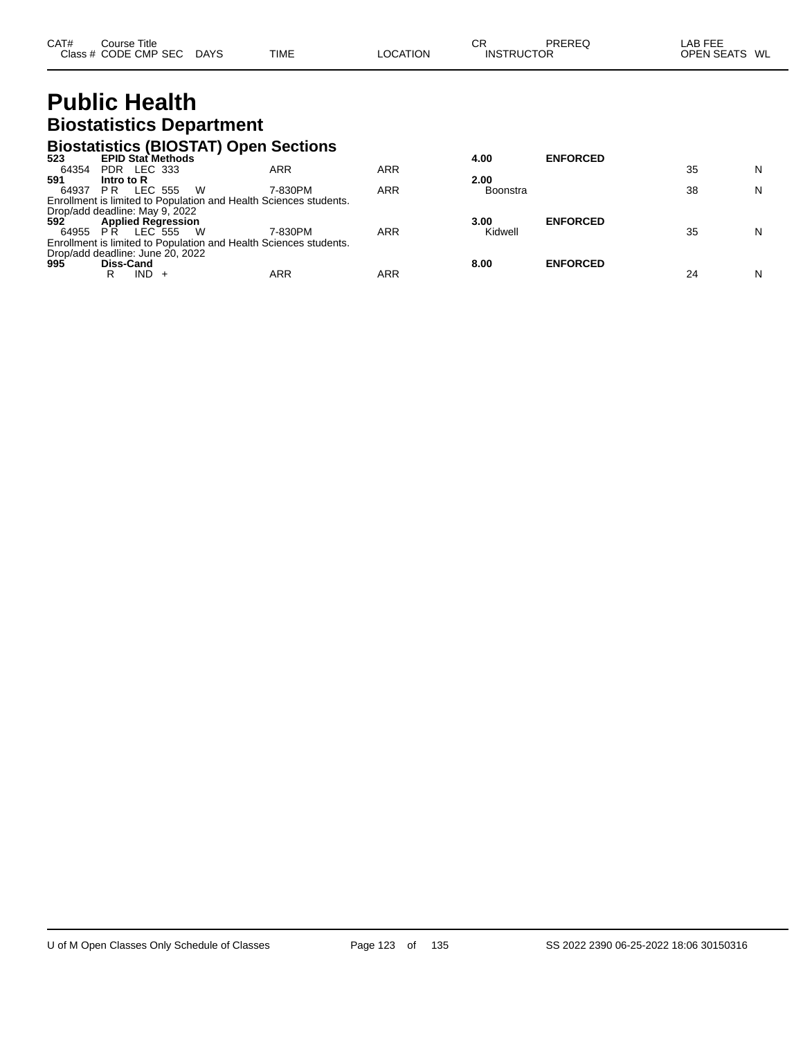# **Public Health Biostatistics Department**

#### **Biostatistics (BIOSTAT) Open Sections**

| 523      | <b>EPID Stat Methods</b>                                          |         |     | 4.00            | <b>ENFORCED</b> |    |   |
|----------|-------------------------------------------------------------------|---------|-----|-----------------|-----------------|----|---|
| 64354    | PDR LEC 333                                                       | ARR     | ARR |                 |                 | 35 | N |
| 591      | Intro to R                                                        |         |     | 2.00            |                 |    |   |
| 64937    | - W<br>LEC 555<br>P R                                             | 7-830PM | ARR | <b>Boonstra</b> |                 | 38 | N |
|          | Enrollment is limited to Population and Health Sciences students. |         |     |                 |                 |    |   |
|          | Drop/add deadline: May 9, 2022                                    |         |     |                 |                 |    |   |
| 592      | <b>Applied Regression</b>                                         |         |     | 3.00            | <b>ENFORCED</b> |    |   |
| 64955 PR | LEC 555<br>- W                                                    | 7-830PM | ARR | Kidwell         |                 | 35 | N |
|          | Enrollment is limited to Population and Health Sciences students. |         |     |                 |                 |    |   |
|          | Drop/add deadline: June 20, 2022                                  |         |     |                 |                 |    |   |
| 995      | Diss-Cand                                                         |         |     | 8.00            | <b>ENFORCED</b> |    |   |
|          | IND -<br>R                                                        | ARR     | ARR |                 |                 | 24 | N |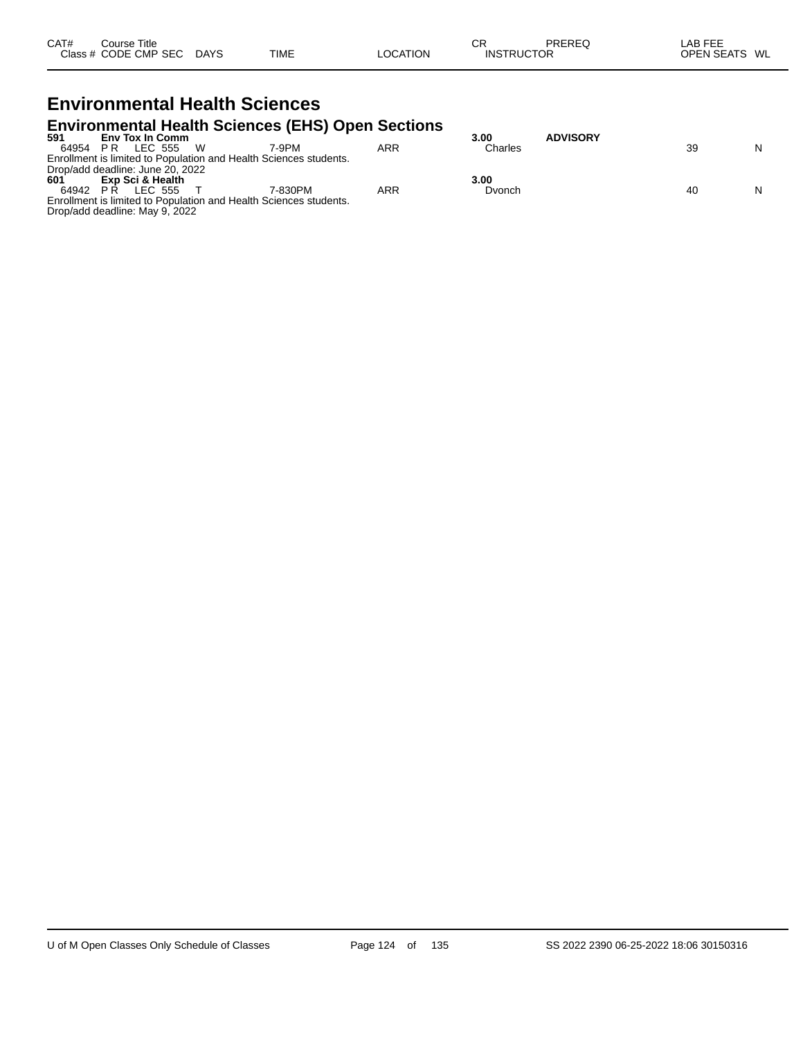#### **Environmental Health Sciences Environmental Health Sciences (EHS) Open Sections**

|                                  |     |                        |          | $\blacksquare$                                                    |     |         |                 |    |   |
|----------------------------------|-----|------------------------|----------|-------------------------------------------------------------------|-----|---------|-----------------|----|---|
| 591                              |     | <b>Env Tox In Comm</b> |          |                                                                   |     | 3.00    | <b>ADVISORY</b> |    |   |
| 64954                            | P R |                        | I FC 555 | 7-9PM                                                             | ARR | Charles |                 | 39 | N |
|                                  |     |                        |          | Enrollment is limited to Population and Health Sciences students. |     |         |                 |    |   |
| Drop/add deadline: June 20, 2022 |     |                        |          |                                                                   |     |         |                 |    |   |
| 601                              |     | Exp Sci & Health       |          |                                                                   |     | 3.00    |                 |    |   |
| 64942                            | P R | LEC 555                |          | 7-830PM                                                           | ARR | Dvonch  |                 | 40 | N |
|                                  |     |                        |          | Enrollment is limited to Population and Health Sciences students. |     |         |                 |    |   |
| Drop/add deadline: May 9, 2022   |     |                        |          |                                                                   |     |         |                 |    |   |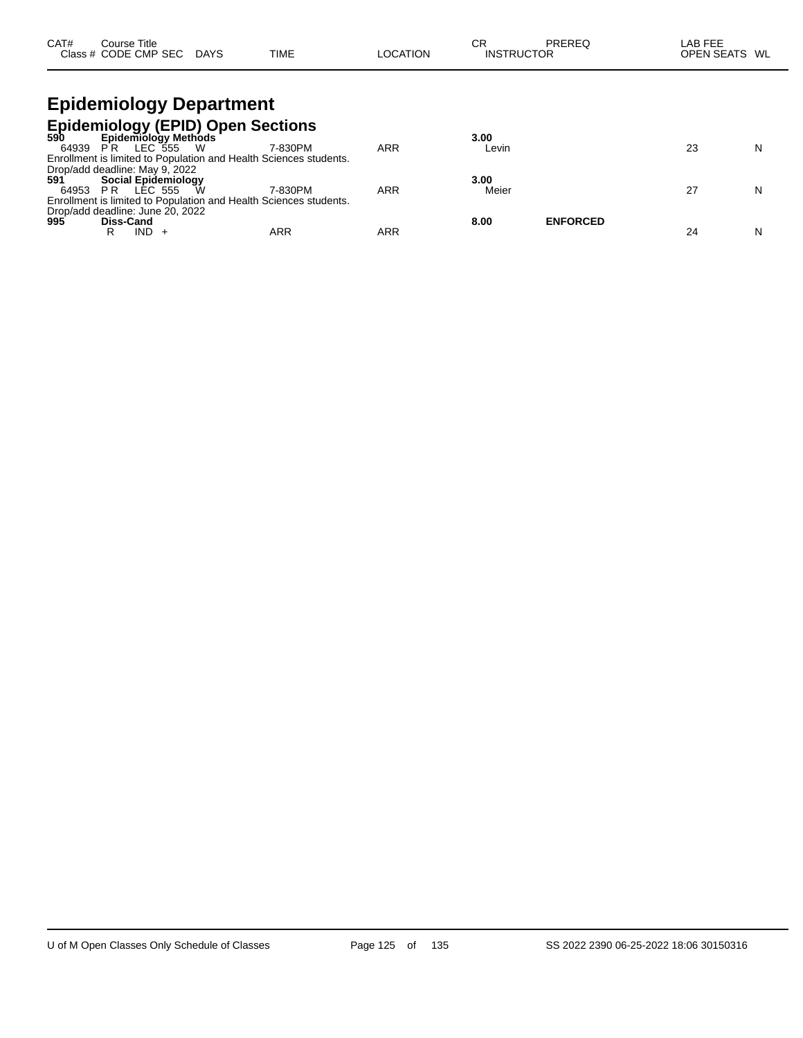| CAT# | Course Title         |             |             |          | СF                | PREREQ | AB FEE                  |
|------|----------------------|-------------|-------------|----------|-------------------|--------|-------------------------|
|      | Class # CODE CMP SEC | <b>DAYS</b> | <b>TIME</b> | LOCATION | <b>INSTRUCTOR</b> |        | <b>OPEN SEATS</b><br>WL |

### **Epidemiology Department Epidemiology (EPID) Open Sections**

|          |                                  | 590 Epidemiology Methods                                          |     | 3.00                    |    |   |
|----------|----------------------------------|-------------------------------------------------------------------|-----|-------------------------|----|---|
| 64939 PR | - W<br>LEC 555                   | 7-830PM                                                           | ARR | Levin                   | 23 | N |
|          |                                  | Enrollment is limited to Population and Health Sciences students. |     |                         |    |   |
|          | Drop/add deadline: May 9, 2022   |                                                                   |     |                         |    |   |
| 591      | <b>Social Epidemiology</b>       |                                                                   |     | 3.00                    |    |   |
| 64953 PR | LEC 555                          | W<br>7-830PM                                                      | ARR | Meier                   | 27 | N |
|          |                                  | Enrollment is limited to Population and Health Sciences students. |     |                         |    |   |
|          | Drop/add deadline: June 20, 2022 |                                                                   |     |                         |    |   |
| 995      | Diss-Cand                        |                                                                   |     | <b>ENFORCED</b><br>8.00 |    |   |
|          | IND.<br>R                        | <b>ARR</b>                                                        | ARR |                         |    | N |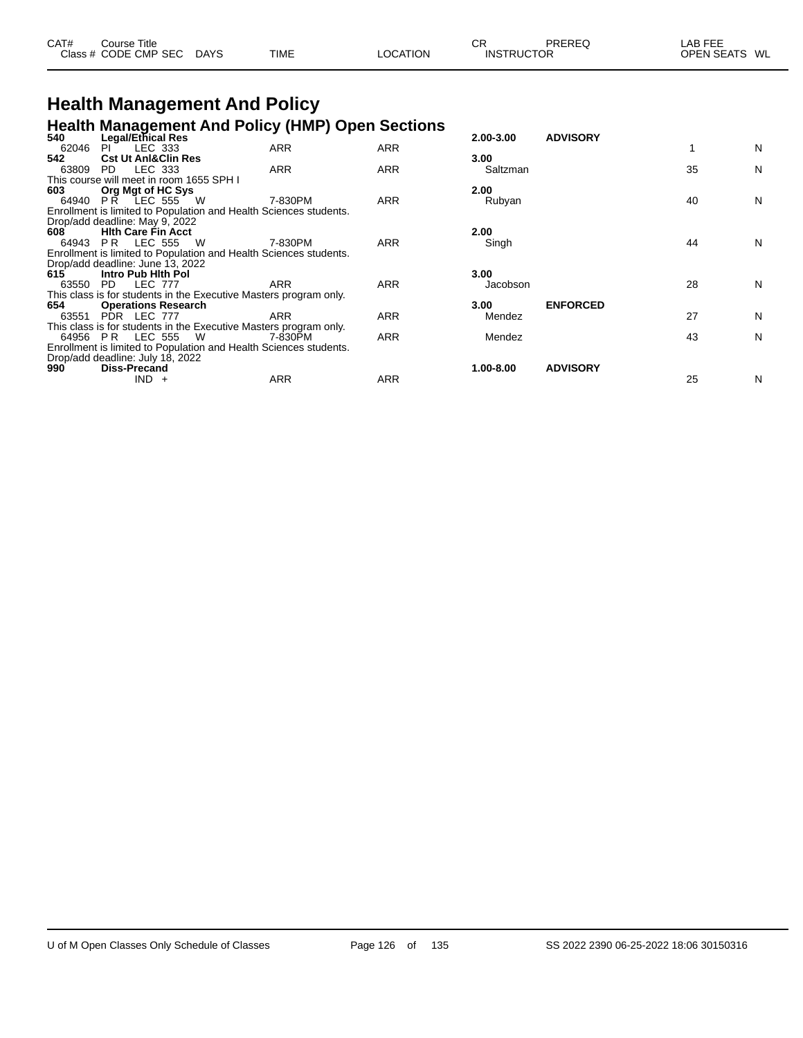| CAT# | Course Title         |             |             |                 | СF                | PREREQ | LAB FEE       |  |
|------|----------------------|-------------|-------------|-----------------|-------------------|--------|---------------|--|
|      | Class # CODE CMP SEC | <b>DAYS</b> | <b>TIME</b> | <b>LOCATION</b> | <b>INSTRUCTOR</b> |        | OPEN SEATS WL |  |

# **Health Management And Policy**

|       | <b>Health Management And Policy (HMP) Open Sections</b>                               |            |            |               |                 |    |   |
|-------|---------------------------------------------------------------------------------------|------------|------------|---------------|-----------------|----|---|
| 540   | <b>Legal/Ethical Res</b>                                                              |            |            | $2.00 - 3.00$ | <b>ADVISORY</b> |    |   |
| 62046 | LEC 333<br>PL.                                                                        | <b>ARR</b> | <b>ARR</b> |               |                 |    | N |
| 542   | <b>Cst Ut Anl&amp;Clin Res</b>                                                        |            |            | 3.00          |                 |    |   |
| 63809 | LEC 333<br>PD.                                                                        | <b>ARR</b> | <b>ARR</b> | Saltzman      |                 | 35 | N |
|       | This course will meet in room 1655 SPH I                                              |            |            |               |                 |    |   |
| 603   | Org Mgt of HC Sys                                                                     |            |            | 2.00          |                 |    |   |
| 64940 | PR LEC 555 W                                                                          | 7-830PM    | <b>ARR</b> | Rubyan        |                 | 40 | N |
|       | Enrollment is limited to Population and Health Sciences students.                     |            |            |               |                 |    |   |
|       | Drop/add deadline: May 9, 2022                                                        |            |            |               |                 |    |   |
| 608   | <b>Hith Care Fin Acct</b>                                                             |            |            | 2.00          |                 |    |   |
| 64943 | <b>PR LEC 555 W</b>                                                                   | 7-830PM    | <b>ARR</b> | Singh         |                 | 44 | N |
|       | Enrollment is limited to Population and Health Sciences students.                     |            |            |               |                 |    |   |
|       | Drop/add deadline: June 13, 2022                                                      |            |            |               |                 |    |   |
| 615   | Intro Pub Hith Pol                                                                    |            |            | 3.00          |                 |    |   |
| 63550 | PD LEC 777                                                                            | <b>ARR</b> | <b>ARR</b> | Jacobson      |                 | 28 | N |
|       | This class is for students in the Executive Masters program only.                     |            |            |               |                 |    |   |
| 654   | <b>Operations Research</b>                                                            |            |            | 3.00          | <b>ENFORCED</b> |    |   |
| 63551 | PDR LEC 777                                                                           | <b>ARR</b> | <b>ARR</b> | Mendez        |                 | 27 | N |
|       | This class is for students in the Executive Masters program only.<br>64956 PR LEC 555 | 7-830PM    | <b>ARR</b> |               |                 | 43 | N |
|       | - W                                                                                   |            |            | Mendez        |                 |    |   |
|       | Enrollment is limited to Population and Health Sciences students.                     |            |            |               |                 |    |   |
| 990.  | Drop/add deadline: July 18, 2022<br><b>Diss-Precand</b>                               |            |            | 1.00-8.00     | <b>ADVISORY</b> |    |   |
|       | $IND +$                                                                               | ARR        | ARR        |               |                 | 25 | N |
|       |                                                                                       |            |            |               |                 |    |   |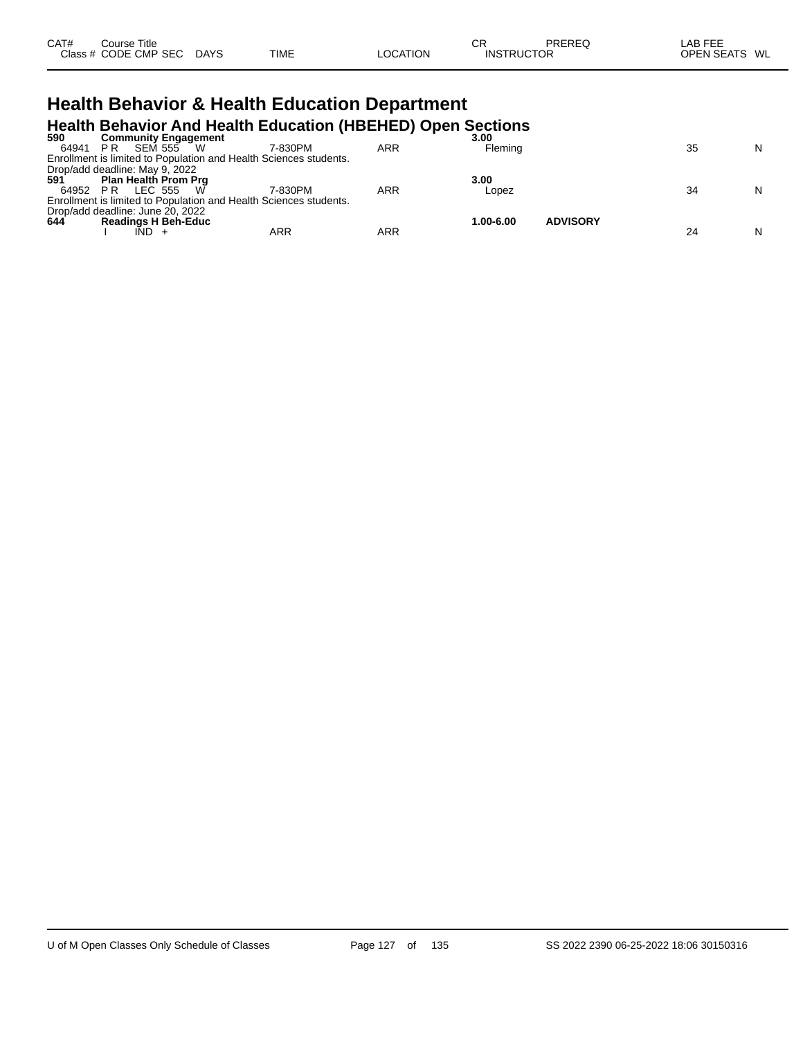| CAT# | Course Title         |             |             |          | СR                | PREREQ | LAB FEE       |  |
|------|----------------------|-------------|-------------|----------|-------------------|--------|---------------|--|
|      | Class # CODE CMP SEC | <b>DAYS</b> | <b>TIME</b> | LOCATION | <b>INSTRUCTOR</b> |        | OPEN SEATS WL |  |
|      |                      |             |             |          |                   |        |               |  |

# **Health Behavior & Health Education Department**

|                                  |     |                             |     |                                                                   | <b>Health Behavior And Health Education (HBEHED) Open Sections</b> |           |                 |    |   |
|----------------------------------|-----|-----------------------------|-----|-------------------------------------------------------------------|--------------------------------------------------------------------|-----------|-----------------|----|---|
| 590                              |     | <b>Community Engagement</b> |     |                                                                   |                                                                    | 3.00      |                 |    |   |
| 64941                            | PR. | SEM 555 W                   |     | 7-830PM                                                           | ARR                                                                | Flemina   |                 | 35 | N |
|                                  |     |                             |     | Enrollment is limited to Population and Health Sciences students. |                                                                    |           |                 |    |   |
| Drop/add deadline: May 9, 2022   |     |                             |     |                                                                   |                                                                    |           |                 |    |   |
| 591                              |     | <b>Plan Health Prom Prg</b> |     |                                                                   |                                                                    | 3.00      |                 |    |   |
| 64952 PR                         |     | LEC 555                     | - W | 7-830PM                                                           | <b>ARR</b>                                                         | Lopez     |                 | 34 | N |
|                                  |     |                             |     | Enrollment is limited to Population and Health Sciences students. |                                                                    |           |                 |    |   |
| Drop/add deadline: June 20, 2022 |     |                             |     |                                                                   |                                                                    |           |                 |    |   |
| 644                              |     | <b>Readings H Beh-Educ</b>  |     |                                                                   |                                                                    | 1.00-6.00 | <b>ADVISORY</b> |    |   |
|                                  |     |                             |     | ARR                                                               | ARR                                                                |           |                 | 24 | N |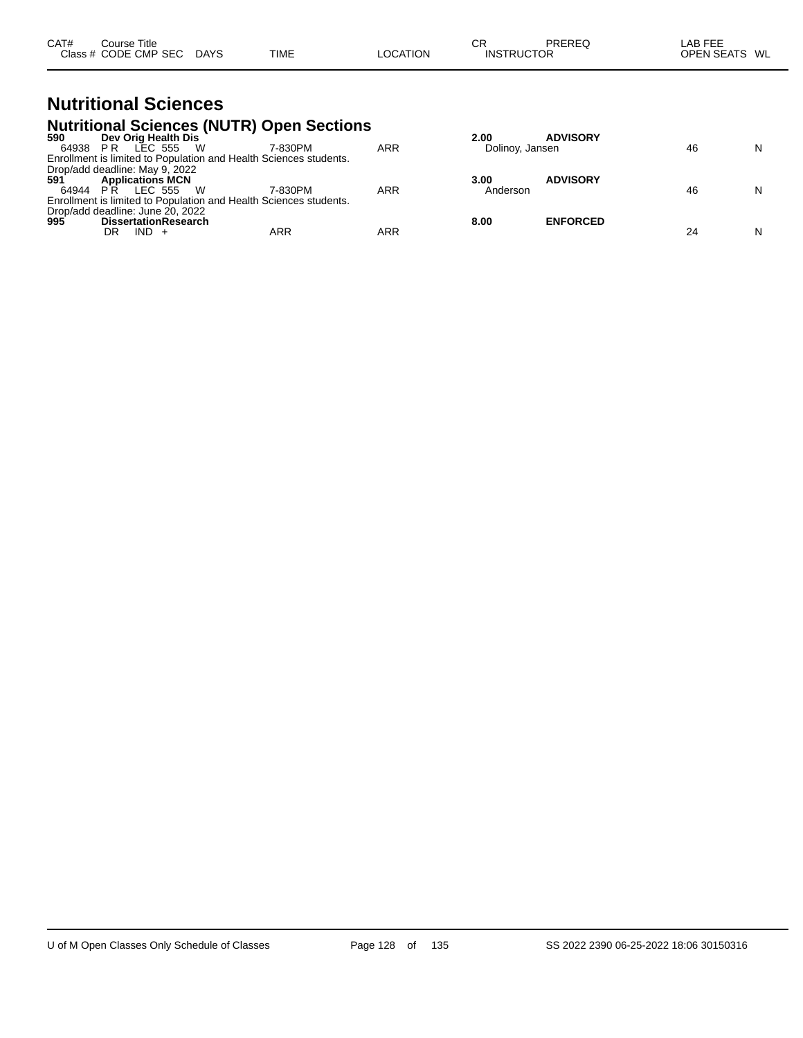| CAT#<br>Course Title                                           | СR<br>PREREQ      | ∟AB FEE       |
|----------------------------------------------------------------|-------------------|---------------|
| Class # CODE CMP SEC<br><b>DAYS</b><br><b>TIME</b><br>LOCATION | <b>INSTRUCTOR</b> | OPEN SEATS WL |

# **Nutritional Sciences**

|          | <b>Nutritional Sciences (NUTR) Open Sections</b>                  |         |            |                 |                 |    |   |
|----------|-------------------------------------------------------------------|---------|------------|-----------------|-----------------|----|---|
| 590      | Dev Orig Health Dis                                               |         |            | 2.00            | <b>ADVISORY</b> |    |   |
| 64938 PR | LEC 555<br>- W                                                    | 7-830PM | <b>ARR</b> | Dolinoy, Jansen |                 | 46 | N |
|          | Enrollment is limited to Population and Health Sciences students. |         |            |                 |                 |    |   |
|          | Drop/add deadline: May 9, 2022<br>591 <b>Applications MCN</b>     |         |            |                 |                 |    |   |
|          |                                                                   |         |            | 3.00            | <b>ADVISORY</b> |    |   |
| 64944 PR | LEC 555<br>- W                                                    | 7-830PM | ARR        | Anderson        |                 | 46 | N |
|          | Enrollment is limited to Population and Health Sciences students. |         |            |                 |                 |    |   |
|          | Drop/add deadline: June 20, 2022                                  |         |            |                 |                 |    |   |
| 995      | <b>DissertationResearch</b>                                       |         |            | 8.00            | <b>ENFORCED</b> |    |   |
|          | $IND +$<br>DR                                                     | ARR     | ARR        |                 |                 | 24 | N |
|          |                                                                   |         |            |                 |                 |    |   |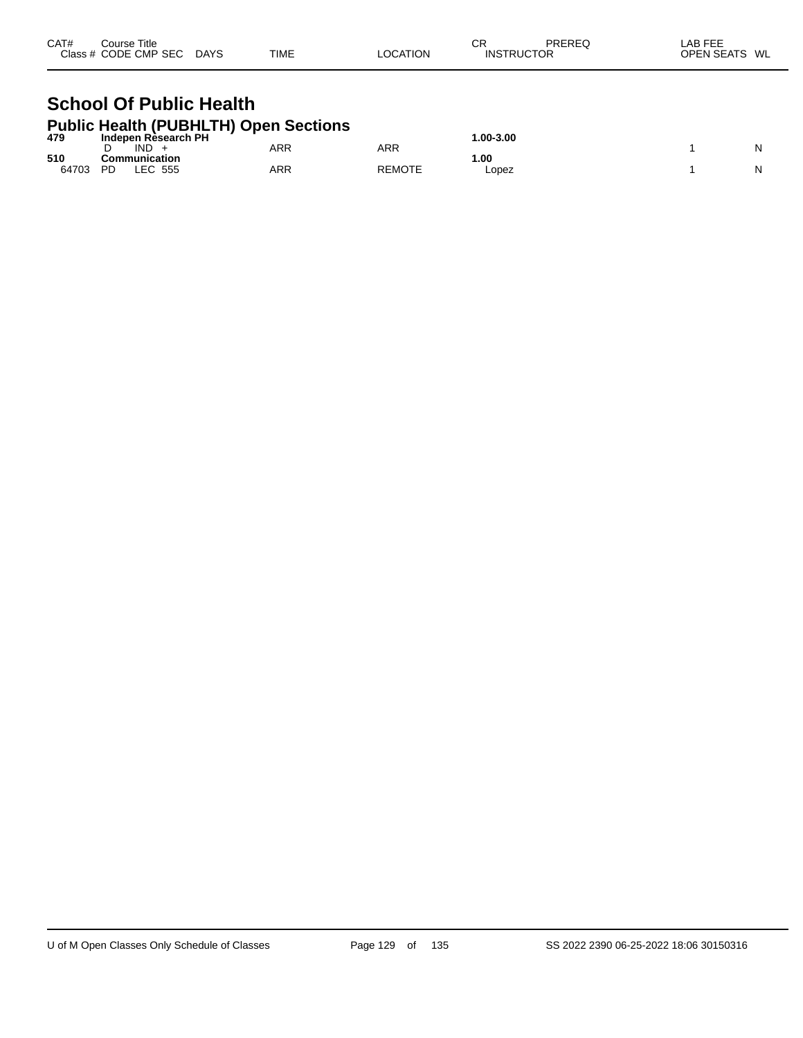| CAT#<br>Course Title<br>Class # CODE CMP SEC | <b>DAYS</b> | <b>TIME</b> | <b>LOCATION</b> | СR | PREREQ<br><b>INSTRUCTOR</b> | LAB FEE<br><b>OPEN SEATS</b><br>WL |
|----------------------------------------------|-------------|-------------|-----------------|----|-----------------------------|------------------------------------|
|----------------------------------------------|-------------|-------------|-----------------|----|-----------------------------|------------------------------------|

## **School Of Public Health Public Health (PUBHLTH) Open Sections**

| 479   | ____<br>__<br>Indepen Rèsearch PH | _______    |               | $.00 - 3.00$ |   |
|-------|-----------------------------------|------------|---------------|--------------|---|
|       | <b>IND</b>                        | <b>ARR</b> | ARR           |              | N |
| 510   | <b>Communication</b>              |            |               | .00          |   |
| 64703 | LEC.<br>555<br>PD                 | <b>ARR</b> | <b>REMOTE</b> | Lopez        | N |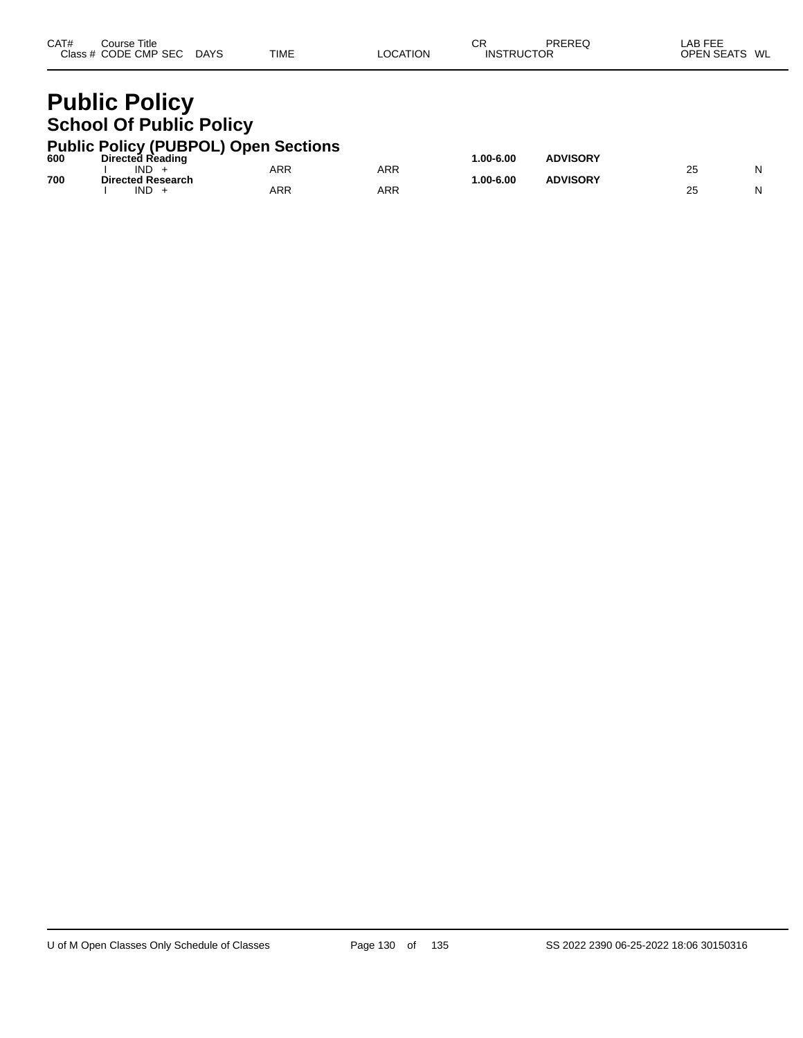| CAT# | Course Title         |             |             |          | СF                | PREREQ | LAB FEE       |
|------|----------------------|-------------|-------------|----------|-------------------|--------|---------------|
|      | Class # CODE CMP SEC | <b>DAYS</b> | <b>TIME</b> | LOCATION | <b>INSTRUCTOR</b> |        | OPEN SEATS WL |
|      |                      |             |             |          |                   |        |               |

# **Public Policy School Of Public Policy**

|     | <b>Public Policy (PUBPOL) Open Sections</b> |     |     |           |                 |    |   |
|-----|---------------------------------------------|-----|-----|-----------|-----------------|----|---|
| 600 | <b>Directed Reading</b><br>IND.             | ARR | ARR | 1.00-6.00 | <b>ADVISORY</b> | 25 | N |
| 700 | <b>Directed Research</b><br>IND.            | ARR | ARR | 1.00-6.00 | <b>ADVISORY</b> | 25 | N |
|     |                                             |     |     |           |                 |    |   |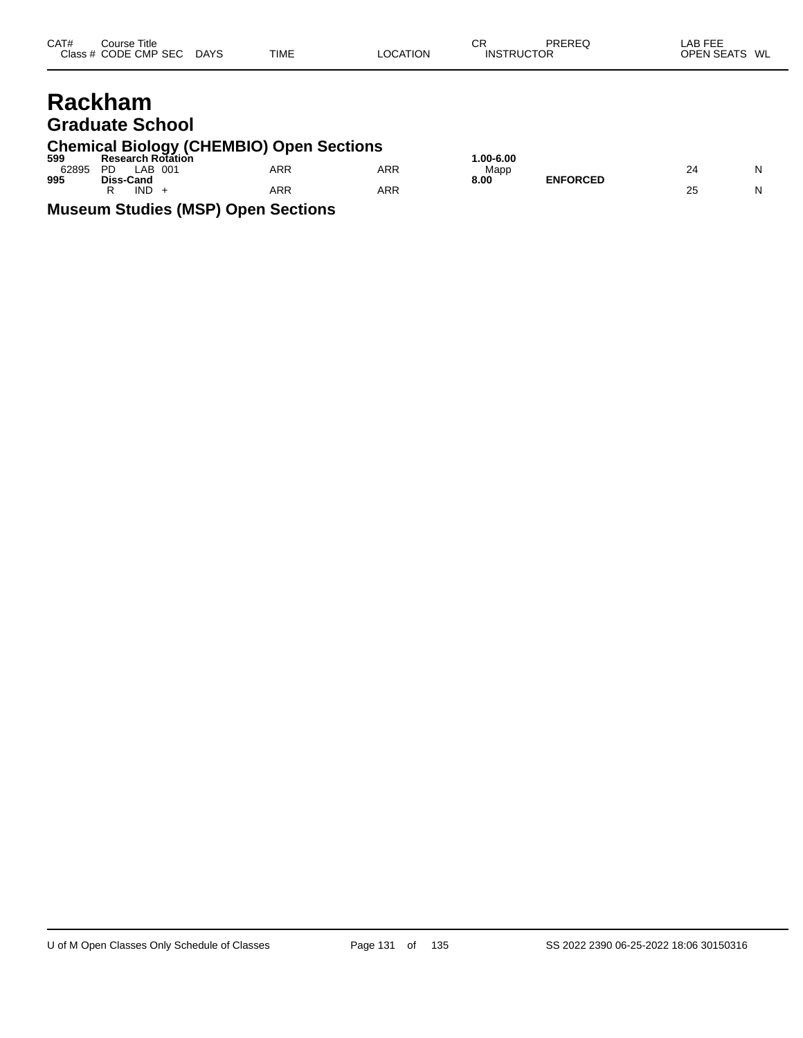| CAT#<br>Course Title<br>Class # CODE CMP SEC DAYS | <b>TIME</b> | <b>LOCATION</b> | СR<br><b>INSTRUCTOR</b> | PREREQ | LAB FEE<br>OPEN SEATS WL |
|---------------------------------------------------|-------------|-----------------|-------------------------|--------|--------------------------|
| <b>Rackham</b><br><b>Graduate School</b>          |             |                 |                         |        |                          |

# **Chemical Biology (CHEMBIO) Open Sections 599 Research Rotation 1.00-6.00**

| JJJ   | RESEAIGH RUIAUUH       |            |     | טט.ט-טע.ו               |    |  |
|-------|------------------------|------------|-----|-------------------------|----|--|
| 62895 | AE<br><b>PD</b><br>001 | <b>ARR</b> | ARR | Mapp                    | 24 |  |
| 995   | Diss-Cand              |            |     | <b>ENFORCED</b><br>8.00 |    |  |
|       | <b>IND</b>             | ARR        | ARR |                         | 25 |  |

| 0-6.00<br>Mapp | <b>ENFORCED</b> | 24 |  |
|----------------|-----------------|----|--|
|                |                 | 25 |  |

**Museum Studies (MSP) Open Sections**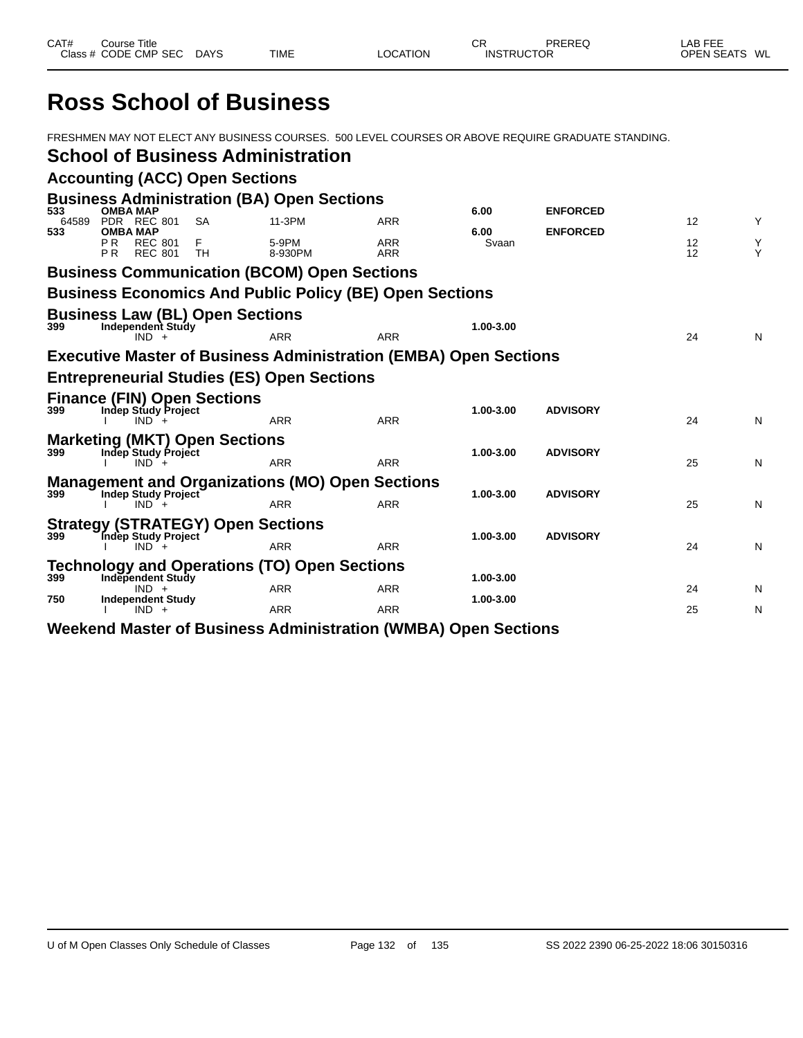# **Ross School of Business**

FRESHMEN MAY NOT ELECT ANY BUSINESS COURSES. 500 LEVEL COURSES OR ABOVE REQUIRE GRADUATE STANDING. **School of Business Administration Accounting (ACC) Open Sections Business Administration (BA) Open Sections 533 OMBA MAP 6.00 ENFORCED** 64589 PDR REC 801 SA 11-3PM ARR 12 Y **533 OMBA MAP 6.00 ENFORCED** P R REC 801 F 5-9PM ARR Svaan 12 Y PR REC 801 TH 8-930PM ARR 12 Y **Business Communication (BCOM) Open Sections Business Economics And Public Policy (BE) Open Sections Business Law (BL) Open Sections 399 Independent Study 1.00-3.00** IND + ARR ARR 24 N **Executive Master of Business Administration (EMBA) Open Sections Entrepreneurial Studies (ES) Open Sections Finance (FIN) Open Sections 399 Indep Study Project 1.00-3.00 ADVISORY** I IND + ARR ARR 24 N **Marketing (MKT) Open Sections 399 Indep Study Project 1.00-3.00 ADVISORY** I IND + ARR ARR 25 N **Management and Organizations (MO) Open Sections 1.00-3.00 ADVISORY**<br>  $\begin{array}{ccc}\n 1.00-3.00 & \text{ADVISORY}\n\end{array}$  I IND + ARR ARR 25 N **Strategy (STRATEGY) Open Sections 399 Indep Study Project 1.00-3.00 ADVISORY** I IND + ARR ARR 24 N **Technology and Operations (TO) Open Sections 39999 Independent Study 1.00-3.00**<br>
IND + **ARR ARR 1.00-3.00**  IND + ARR ARR 24 N **750 Independent Study 1.00-3.00** I IND + ARR ARR 25 N **Weekend Master of Business Administration (WMBA) Open Sections**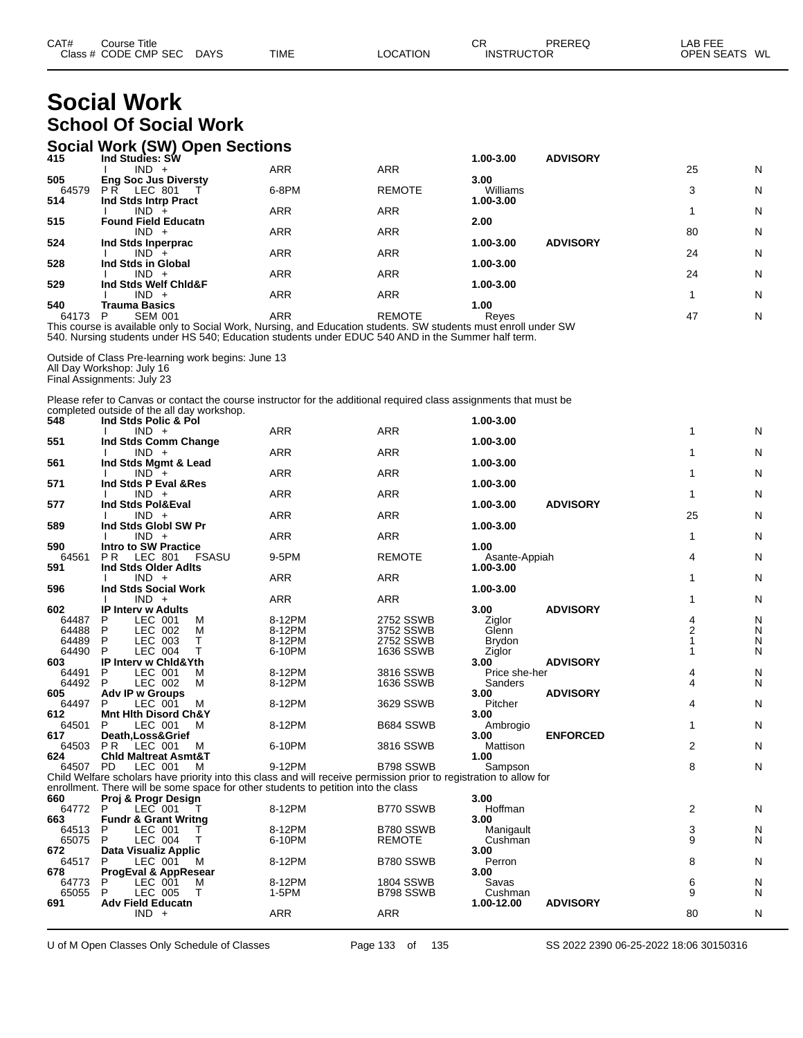| CAT# | Course Title<br>Class # CODE CMP SEC | <b>DAYS</b> | <b>TIME</b> | <b>OCATION</b> | СR<br><b>INSTRUCTOR</b> | PREREQ | AB FEE<br>OPFN SFATS | WL |
|------|--------------------------------------|-------------|-------------|----------------|-------------------------|--------|----------------------|----|
|------|--------------------------------------|-------------|-------------|----------------|-------------------------|--------|----------------------|----|

# **Social Work School Of Social Work**

#### **Social Work (SW) Open Sections**

| 415   | Ind Studies: SW             |            |               | 1.00-3.00 | <b>ADVISORY</b> |    |   |
|-------|-----------------------------|------------|---------------|-----------|-----------------|----|---|
|       | IND<br>$+$                  | <b>ARR</b> | <b>ARR</b>    |           |                 | 25 | N |
| 505   | <b>Eng Soc Jus Diversty</b> |            |               | 3.00      |                 |    |   |
| 64579 | LEC 801<br>P R              | 6-8PM      | <b>REMOTE</b> | Williams  |                 | 3  | N |
| 514   | Ind Stds Intrp Pract        |            |               | 1.00-3.00 |                 |    |   |
|       | IND -                       | <b>ARR</b> | <b>ARR</b>    |           |                 |    | N |
| 515   | <b>Found Field Educatn</b>  |            |               | 2.00      |                 |    |   |
|       | $IND +$                     | <b>ARR</b> | <b>ARR</b>    |           |                 | 80 | N |
| 524   | Ind Stds Inperprac          |            |               | 1.00-3.00 | <b>ADVISORY</b> |    |   |
|       | $IND +$                     | <b>ARR</b> | <b>ARR</b>    |           |                 | 24 | N |
| 528   | Ind Stds in Global          |            |               | 1.00-3.00 |                 |    |   |
|       | $IND +$                     | <b>ARR</b> | <b>ARR</b>    |           |                 | 24 | N |
| 529   | Ind Stds Welf Chid&F        |            |               | 1.00-3.00 |                 |    |   |
|       | $IND +$                     | ARR        | <b>ARR</b>    |           |                 |    | N |
| 540   | Trauma Basics               |            |               | 1.00      |                 |    |   |
| 64173 | <b>SEM 001</b>              | ARR        | <b>REMOTE</b> | Reyes     |                 | 47 | N |

This course is available only to Social Work, Nursing, and Education students. SW students must enroll under SW 540. Nursing students under HS 540; Education students under EDUC 540 AND in the Summer half term.

Outside of Class Pre-learning work begins: June 13 All Day Workshop: July 16 Final Assignments: July 23

Please refer to Canvas or contact the course instructor for the additional required class assignments that must be completed outside of the all day workshop.

| 548          |                                 |           | Ind Stds Polic & Pol |       |                                                                                                                     |                  | 1.00-3.00                  |                 |                |   |
|--------------|---------------------------------|-----------|----------------------|-------|---------------------------------------------------------------------------------------------------------------------|------------------|----------------------------|-----------------|----------------|---|
|              |                                 | $IND +$   |                      |       | <b>ARR</b>                                                                                                          | <b>ARR</b>       |                            |                 | 1              | N |
| 551          | Ind Stds Comm Change            |           |                      |       |                                                                                                                     |                  | 1.00-3.00                  |                 |                |   |
|              |                                 | $IND +$   |                      |       | <b>ARR</b>                                                                                                          | <b>ARR</b>       |                            |                 | 1              | N |
| 561          | Ind Stds Mgmt & Lead            |           |                      |       |                                                                                                                     |                  | 1.00-3.00                  |                 |                |   |
|              |                                 | $IND^-$ + |                      |       | <b>ARR</b>                                                                                                          | <b>ARR</b>       |                            |                 |                | N |
| 571          | Ind Stds P Eval & Res           |           |                      |       |                                                                                                                     |                  | 1.00-3.00                  |                 |                |   |
|              |                                 | $IND +$   |                      |       | <b>ARR</b>                                                                                                          | <b>ARR</b>       |                            |                 | 1              | N |
| 577          | Ind Stds Pol&Eval               |           |                      |       |                                                                                                                     |                  | 1.00-3.00                  | <b>ADVISORY</b> |                |   |
|              |                                 | $IND +$   |                      |       | <b>ARR</b>                                                                                                          | <b>ARR</b>       |                            |                 | 25             | N |
| 589          | Ind Stds Globl SW Pr            |           |                      |       |                                                                                                                     |                  | 1.00-3.00                  |                 |                |   |
|              |                                 | $IND +$   |                      |       | <b>ARR</b>                                                                                                          | <b>ARR</b>       |                            |                 | 1              | N |
| 590          | <b>Intro to SW Practice</b>     | LEC 801   |                      |       | 9-5PM                                                                                                               | <b>REMOTE</b>    | 1.00                       |                 |                | N |
| 64561<br>591 | P R<br>Ind Stds Older Adlts     |           |                      | FSASU |                                                                                                                     |                  | Asante-Appiah<br>1.00-3.00 |                 | 4              |   |
|              |                                 | $IND +$   |                      |       | <b>ARR</b>                                                                                                          | <b>ARR</b>       |                            |                 |                | N |
| 596          | Ind Stds Social Work            |           |                      |       |                                                                                                                     |                  | 1.00-3.00                  |                 |                |   |
|              |                                 | $IND +$   |                      |       | <b>ARR</b>                                                                                                          | <b>ARR</b>       |                            |                 |                | N |
| 602          | <b>IP Interv w Adults</b>       |           |                      |       |                                                                                                                     |                  | 3.00                       | <b>ADVISORY</b> |                |   |
| 64487        | P                               | LEC 001   |                      | м     | 8-12PM                                                                                                              | 2752 SSWB        | Ziglor                     |                 | 4              | N |
| 64488        | P                               | LEC 002   |                      | M     | 8-12PM                                                                                                              | 3752 SSWB        | Glenn                      |                 | 2              | N |
| 64489        | P                               | LEC 003   |                      | т     | 8-12PM                                                                                                              | 2752 SSWB        | Brydon                     |                 |                | N |
| 64490        | P                               | LEC 004   |                      | т     | 6-10PM                                                                                                              | 1636 SSWB        | Ziglor                     |                 |                | N |
| 603          | IP Interv w Chid&Yth            |           |                      |       |                                                                                                                     |                  | 3.00                       | <b>ADVISORY</b> |                |   |
| 64491        | P                               | LEC 001   |                      | М     | 8-12PM                                                                                                              | 3816 SSWB        | Price she-her              |                 | 4              | N |
| 64492        | P                               | LEC 002   |                      | м     | 8-12PM                                                                                                              | 1636 SSWB        | Sanders                    |                 | 4              | N |
| 605          | Adv IP w Groups                 |           |                      |       |                                                                                                                     |                  | 3.00                       | <b>ADVISORY</b> |                |   |
| 64497        | P                               | LEC 001   |                      | М     | 8-12PM                                                                                                              | 3629 SSWB        | Pitcher                    |                 | 4              | N |
| 612          | <b>Mnt Hith Disord Ch&amp;Y</b> |           |                      |       |                                                                                                                     |                  | 3.00                       |                 |                |   |
| 64501<br>617 | P<br>Death, Loss& Grief         | LEC 001   |                      | м     | 8-12PM                                                                                                              | B684 SSWB        | Ambrogio<br>3.00           | <b>ENFORCED</b> | 1              | N |
| 64503        | PR LEC 001                      |           |                      | M     | 6-10PM                                                                                                              | 3816 SSWB        | Mattison                   |                 | 2              | N |
| 624          | <b>Chid Maltreat Asmt&amp;T</b> |           |                      |       |                                                                                                                     |                  | 1.00                       |                 |                |   |
| 64507 PD     |                                 | LEC 001   |                      | M     | 9-12PM                                                                                                              | B798 SSWB        | Sampson                    |                 | 8              | N |
|              |                                 |           |                      |       | Child Welfare scholars have priority into this class and will receive permission prior to registration to allow for |                  |                            |                 |                |   |
|              |                                 |           |                      |       | enrollment. There will be some space for other students to petition into the class                                  |                  |                            |                 |                |   |
| 660          | Proj & Progr Design             |           |                      |       |                                                                                                                     |                  | 3.00                       |                 |                |   |
| 64772        | P                               | $LEC$ 001 |                      |       | 8-12PM                                                                                                              | B770 SSWB        | Hoffman                    |                 | $\overline{2}$ | N |
| 663          | <b>Fundr &amp; Grant Writng</b> |           |                      |       |                                                                                                                     |                  | 3.00                       |                 |                |   |
| 64513        | P                               | LEC 001   |                      |       | 8-12PM                                                                                                              | B780 SSWB        | Manigault                  |                 | 3              | N |
| 65075        | P                               | LEC 004   |                      | т     | 6-10PM                                                                                                              | <b>REMOTE</b>    | Cushman                    |                 | 9              | N |
| 672          | Data Visualiz Applic            |           |                      |       |                                                                                                                     |                  | 3.00                       |                 |                |   |
| 64517        | P                               | LEC 001   |                      | M     | 8-12PM                                                                                                              | B780 SSWB        | Perron                     |                 | 8              | N |
| 678          | ProgEval & AppResear            |           |                      |       |                                                                                                                     |                  | 3.00                       |                 |                |   |
| 64773        |                                 | LEC 001   |                      | м     | 8-12PM                                                                                                              | <b>1804 SSWB</b> | Savas                      |                 | 6<br>9         | N |
| 65055<br>691 | P<br><b>Adv Field Educatn</b>   | LEC 005   |                      | т     | 1-5PM                                                                                                               | B798 SSWB        | Cushman<br>1.00-12.00      | <b>ADVISORY</b> |                | N |
|              |                                 | $IND +$   |                      |       | <b>ARR</b>                                                                                                          | <b>ARR</b>       |                            |                 | 80             | N |
|              |                                 |           |                      |       |                                                                                                                     |                  |                            |                 |                |   |

U of M Open Classes Only Schedule of Classes Page 133 of 135 SS 2022 2390 06-25-2022 18:06 30150316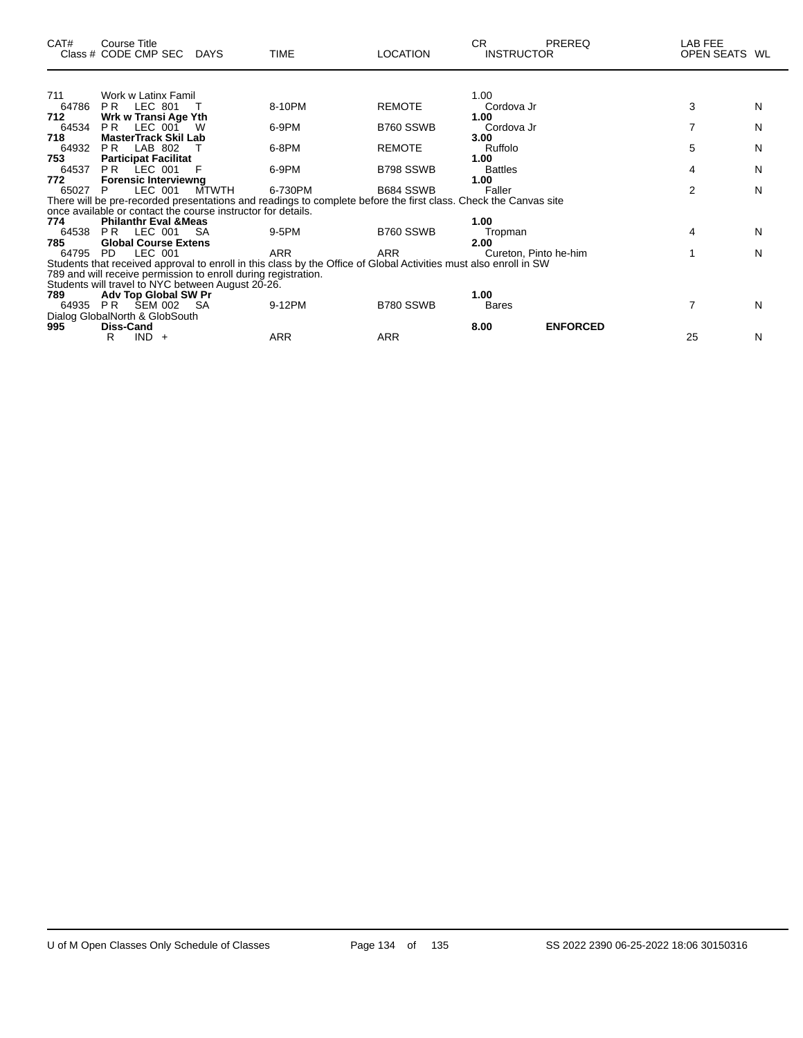| CAT#  | Course Title<br>Class # CODE CMP SEC DAYS                      |              | <b>TIME</b>                                                                                                       | <b>LOCATION</b> | CR<br><b>INSTRUCTOR</b> | PREREQ          | LAB FEE<br>OPEN SEATS WL |   |
|-------|----------------------------------------------------------------|--------------|-------------------------------------------------------------------------------------------------------------------|-----------------|-------------------------|-----------------|--------------------------|---|
|       |                                                                |              |                                                                                                                   |                 |                         |                 |                          |   |
| 711   | Work w Latinx Famil                                            |              |                                                                                                                   |                 | 1.00                    |                 |                          |   |
| 64786 | LEC 801<br>PR.                                                 |              | 8-10PM                                                                                                            | <b>REMOTE</b>   | Cordova Jr              |                 | 3                        | N |
| 712   | Wrk w Transi Age Yth                                           |              |                                                                                                                   |                 | 1.00                    |                 |                          |   |
| 64534 | LEC 001<br>PR.                                                 | W            | 6-9PM                                                                                                             | B760 SSWB       | Cordova Jr              |                 | 7                        | N |
| 718   | <b>MasterTrack Skil Lab</b>                                    |              |                                                                                                                   |                 | 3.00                    |                 |                          |   |
| 64932 | PR.<br>LAB 802                                                 |              | 6-8PM                                                                                                             | <b>REMOTE</b>   | Ruffolo                 |                 | 5                        | N |
| 753   | <b>Participat Facilitat</b>                                    |              |                                                                                                                   |                 | 1.00                    |                 |                          |   |
| 64537 | PR LEC 001                                                     | F            | 6-9PM                                                                                                             | B798 SSWB       | <b>Battles</b>          |                 | 4                        | N |
| 772   | <b>Forensic Interviewng</b>                                    |              |                                                                                                                   |                 | 1.00                    |                 |                          |   |
| 65027 | LEC 001<br>P                                                   | <b>MTWTH</b> | 6-730PM                                                                                                           | B684 SSWB       | Faller                  |                 | 2                        | N |
|       |                                                                |              | There will be pre-recorded presentations and readings to complete before the first class. Check the Canvas site   |                 |                         |                 |                          |   |
|       | once available or contact the course instructor for details.   |              |                                                                                                                   |                 |                         |                 |                          |   |
| 774   | <b>Philanthr Eval &amp; Meas</b>                               |              |                                                                                                                   |                 | 1.00                    |                 |                          |   |
| 64538 | <b>PR LEC 001</b>                                              | -SA          | 9-5PM                                                                                                             | B760 SSWB       | Tropman                 |                 | 4                        | N |
| 785   | <b>Global Course Extens</b>                                    |              |                                                                                                                   |                 | 2.00                    |                 |                          |   |
| 64795 | LEC 001<br>PD.                                                 |              | <b>ARR</b>                                                                                                        | <b>ARR</b>      | Cureton, Pinto he-him   |                 |                          | N |
|       |                                                                |              | Students that received approval to enroll in this class by the Office of Global Activities must also enroll in SW |                 |                         |                 |                          |   |
|       | 789 and will receive permission to enroll during registration. |              |                                                                                                                   |                 |                         |                 |                          |   |
|       | Students will travel to NYC between August 20-26.              |              |                                                                                                                   |                 |                         |                 |                          |   |
| 789   | Adv Top Global SW Pr                                           |              |                                                                                                                   |                 | 1.00                    |                 |                          |   |
|       | 64935 PR SEM 002                                               | -SA          | 9-12PM                                                                                                            | B780 SSWB       | <b>Bares</b>            |                 | 7                        | N |
|       | Dialog GlobalNorth & GlobSouth                                 |              |                                                                                                                   |                 |                         |                 |                          |   |
| 995   | Diss-Cand                                                      |              |                                                                                                                   |                 | 8.00                    | <b>ENFORCED</b> |                          |   |
|       | $IND +$<br>R                                                   |              | ARR                                                                                                               | <b>ARR</b>      |                         |                 | 25                       | N |